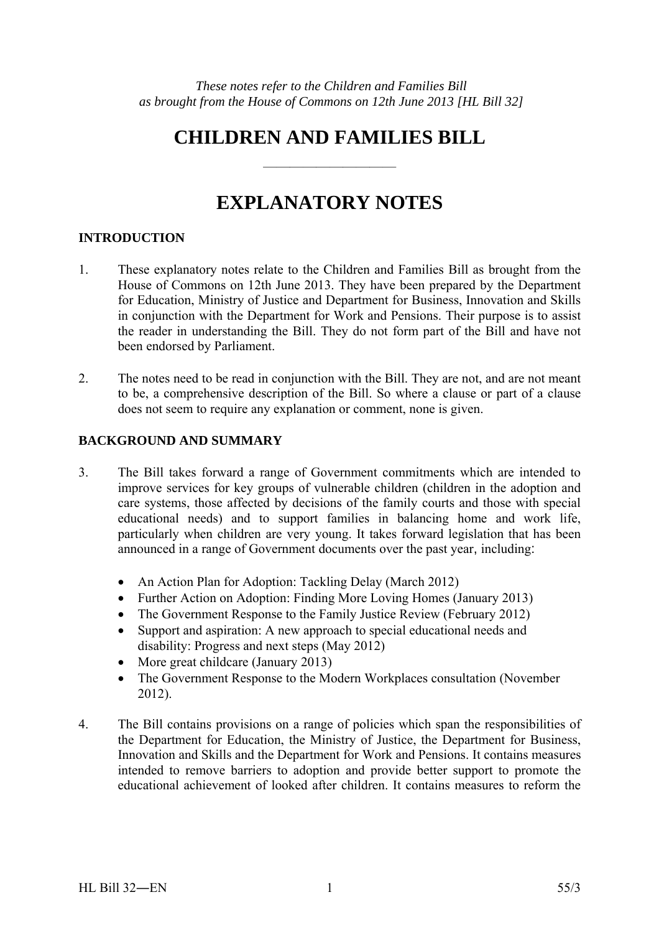# **CHILDREN AND FAMILIES BILL**

——————————

# **EXPLANATORY NOTES**

# **INTRODUCTION**

- 1. These explanatory notes relate to the Children and Families Bill as brought from the House of Commons on 12th June 2013. They have been prepared by the Department for Education, Ministry of Justice and Department for Business, Innovation and Skills in conjunction with the Department for Work and Pensions. Their purpose is to assist the reader in understanding the Bill. They do not form part of the Bill and have not been endorsed by Parliament.
- 2. The notes need to be read in conjunction with the Bill. They are not, and are not meant to be, a comprehensive description of the Bill. So where a clause or part of a clause does not seem to require any explanation or comment, none is given.

# **BACKGROUND AND SUMMARY**

- 3. The Bill takes forward a range of Government commitments which are intended to improve services for key groups of vulnerable children (children in the adoption and care systems, those affected by decisions of the family courts and those with special educational needs) and to support families in balancing home and work life, particularly when children are very young. It takes forward legislation that has been announced in a range of Government documents over the past year, including:
	- An Action Plan for Adoption: Tackling Delay (March 2012)
	- Further Action on Adoption: Finding More Loving Homes (January 2013)
	- The Government Response to the Family Justice Review (February 2012)
	- Support and aspiration: A new approach to special educational needs and disability: Progress and next steps (May 2012)
	- More great childcare (January 2013)
	- The Government Response to the Modern Workplaces consultation (November 2012).
- 4. The Bill contains provisions on a range of policies which span the responsibilities of the Department for Education, the Ministry of Justice, the Department for Business, Innovation and Skills and the Department for Work and Pensions. It contains measures intended to remove barriers to adoption and provide better support to promote the educational achievement of looked after children. It contains measures to reform the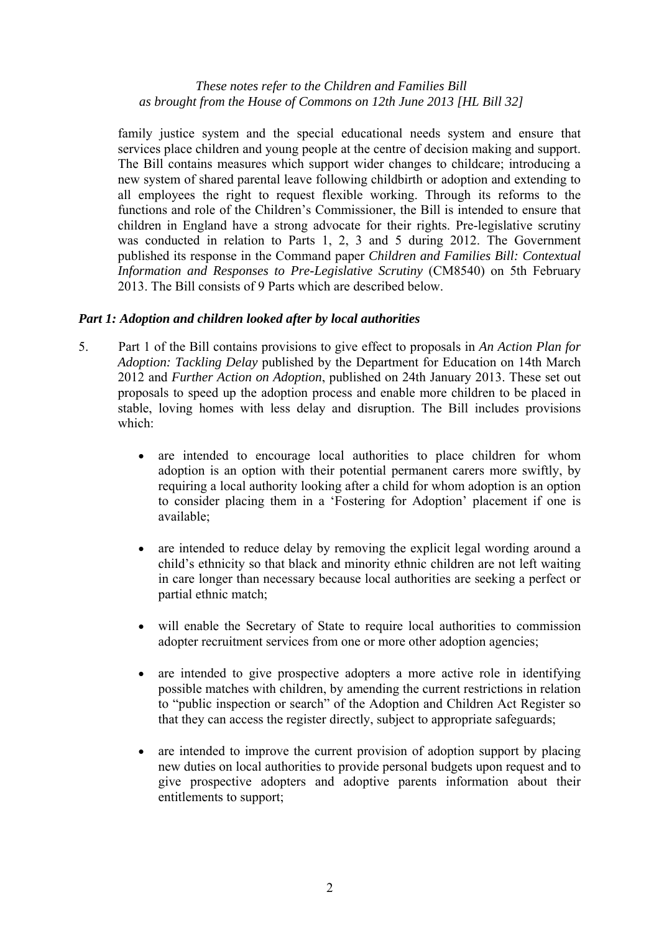family justice system and the special educational needs system and ensure that services place children and young people at the centre of decision making and support. The Bill contains measures which support wider changes to childcare; introducing a new system of shared parental leave following childbirth or adoption and extending to all employees the right to request flexible working. Through its reforms to the functions and role of the Children's Commissioner, the Bill is intended to ensure that children in England have a strong advocate for their rights. Pre-legislative scrutiny was conducted in relation to Parts 1, 2, 3 and 5 during 2012. The Government published its response in the Command paper *Children and Families Bill: Contextual Information and Responses to Pre-Legislative Scrutiny* (CM8540) on 5th February 2013. The Bill consists of 9 Parts which are described below.

## *Part 1: Adoption and children looked after by local authorities*

- 5. Part 1 of the Bill contains provisions to give effect to proposals in *An Action Plan for Adoption: Tackling Delay* published by the Department for Education on 14th March 2012 and *Further Action on Adoption*, published on 24th January 2013. These set out proposals to speed up the adoption process and enable more children to be placed in stable, loving homes with less delay and disruption. The Bill includes provisions which:
	- are intended to encourage local authorities to place children for whom adoption is an option with their potential permanent carers more swiftly, by requiring a local authority looking after a child for whom adoption is an option to consider placing them in a 'Fostering for Adoption' placement if one is available;
	- are intended to reduce delay by removing the explicit legal wording around a child's ethnicity so that black and minority ethnic children are not left waiting in care longer than necessary because local authorities are seeking a perfect or partial ethnic match;
	- will enable the Secretary of State to require local authorities to commission adopter recruitment services from one or more other adoption agencies;
	- are intended to give prospective adopters a more active role in identifying possible matches with children, by amending the current restrictions in relation to "public inspection or search" of the Adoption and Children Act Register so that they can access the register directly, subject to appropriate safeguards;
	- are intended to improve the current provision of adoption support by placing new duties on local authorities to provide personal budgets upon request and to give prospective adopters and adoptive parents information about their entitlements to support;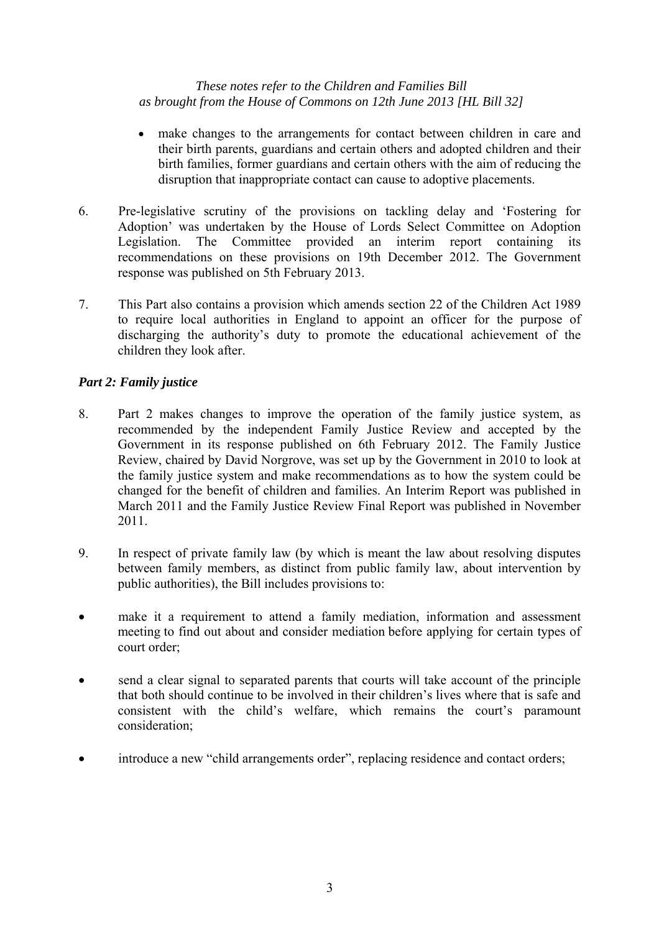- make changes to the arrangements for contact between children in care and their birth parents, guardians and certain others and adopted children and their birth families, former guardians and certain others with the aim of reducing the disruption that inappropriate contact can cause to adoptive placements.
- 6. Pre-legislative scrutiny of the provisions on tackling delay and 'Fostering for Adoption' was undertaken by the House of Lords Select Committee on Adoption Legislation. The Committee provided an interim report containing its recommendations on these provisions on 19th December 2012. The Government response was published on 5th February 2013.
- 7. This Part also contains a provision which amends section 22 of the Children Act 1989 to require local authorities in England to appoint an officer for the purpose of discharging the authority's duty to promote the educational achievement of the children they look after.

# *Part 2: Family justice*

- 8. Part 2 makes changes to improve the operation of the family justice system, as recommended by the independent Family Justice Review and accepted by the Government in its response published on 6th February 2012. The Family Justice Review, chaired by David Norgrove, was set up by the Government in 2010 to look at the family justice system and make recommendations as to how the system could be changed for the benefit of children and families. An Interim Report was published in March 2011 and the Family Justice Review Final Report was published in November 2011.
- 9. In respect of private family law (by which is meant the law about resolving disputes between family members, as distinct from public family law, about intervention by public authorities), the Bill includes provisions to:
- make it a requirement to attend a family mediation, information and assessment meeting to find out about and consider mediation before applying for certain types of court order;
- send a clear signal to separated parents that courts will take account of the principle that both should continue to be involved in their children's lives where that is safe and consistent with the child's welfare, which remains the court's paramount consideration;
- introduce a new "child arrangements order", replacing residence and contact orders;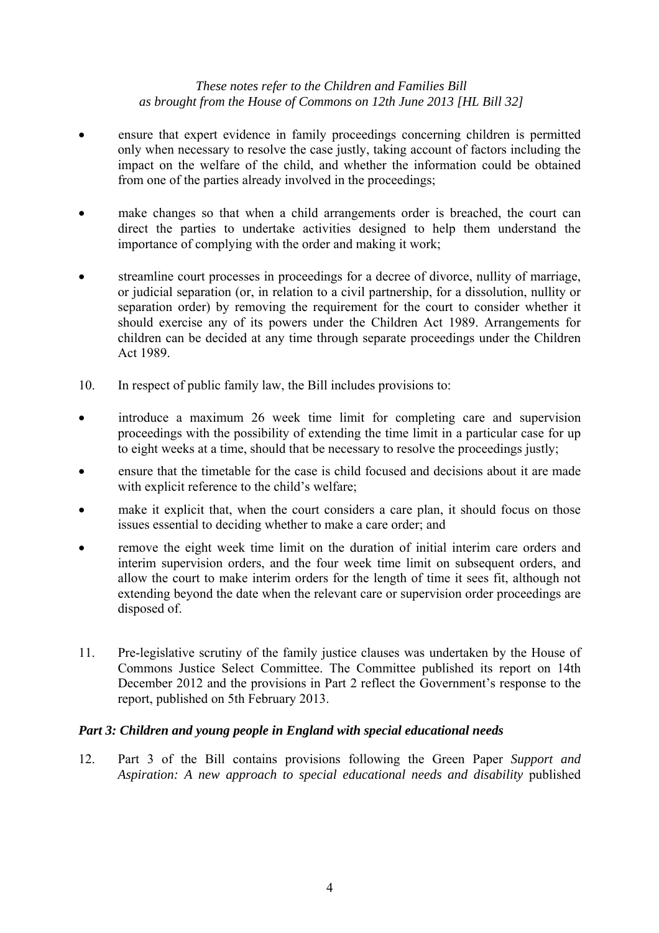- ensure that expert evidence in family proceedings concerning children is permitted only when necessary to resolve the case justly, taking account of factors including the impact on the welfare of the child, and whether the information could be obtained from one of the parties already involved in the proceedings;
- make changes so that when a child arrangements order is breached, the court can direct the parties to undertake activities designed to help them understand the importance of complying with the order and making it work;
- streamline court processes in proceedings for a decree of divorce, nullity of marriage, or judicial separation (or, in relation to a civil partnership, for a dissolution, nullity or separation order) by removing the requirement for the court to consider whether it should exercise any of its powers under the Children Act 1989. Arrangements for children can be decided at any time through separate proceedings under the Children Act 1989.
- 10. In respect of public family law, the Bill includes provisions to:
- introduce a maximum 26 week time limit for completing care and supervision proceedings with the possibility of extending the time limit in a particular case for up to eight weeks at a time, should that be necessary to resolve the proceedings justly;
- ensure that the timetable for the case is child focused and decisions about it are made with explicit reference to the child's welfare;
- make it explicit that, when the court considers a care plan, it should focus on those issues essential to deciding whether to make a care order; and
- remove the eight week time limit on the duration of initial interim care orders and interim supervision orders, and the four week time limit on subsequent orders, and allow the court to make interim orders for the length of time it sees fit, although not extending beyond the date when the relevant care or supervision order proceedings are disposed of.
- 11. Pre-legislative scrutiny of the family justice clauses was undertaken by the House of Commons Justice Select Committee. The Committee published its report on 14th December 2012 and the provisions in Part 2 reflect the Government's response to the report, published on 5th February 2013.

# *Part 3: Children and young people in England with special educational needs*

12. Part 3 of the Bill contains provisions following the Green Paper *Support and Aspiration: A new approach to special educational needs and disability* published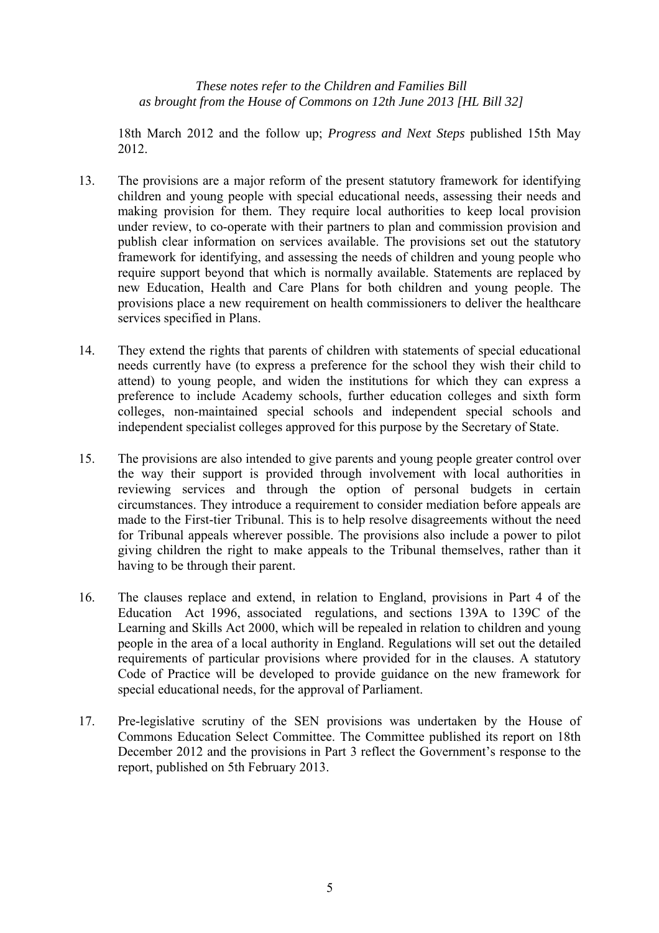18th March 2012 and the follow up; *Progress and Next Steps* published 15th May 2012.

- 13. The provisions are a major reform of the present statutory framework for identifying children and young people with special educational needs, assessing their needs and making provision for them. They require local authorities to keep local provision under review, to co-operate with their partners to plan and commission provision and publish clear information on services available. The provisions set out the statutory framework for identifying, and assessing the needs of children and young people who require support beyond that which is normally available. Statements are replaced by new Education, Health and Care Plans for both children and young people. The provisions place a new requirement on health commissioners to deliver the healthcare services specified in Plans.
- 14. They extend the rights that parents of children with statements of special educational needs currently have (to express a preference for the school they wish their child to attend) to young people, and widen the institutions for which they can express a preference to include Academy schools, further education colleges and sixth form colleges, non-maintained special schools and independent special schools and independent specialist colleges approved for this purpose by the Secretary of State.
- 15. The provisions are also intended to give parents and young people greater control over the way their support is provided through involvement with local authorities in reviewing services and through the option of personal budgets in certain circumstances. They introduce a requirement to consider mediation before appeals are made to the First-tier Tribunal. This is to help resolve disagreements without the need for Tribunal appeals wherever possible. The provisions also include a power to pilot giving children the right to make appeals to the Tribunal themselves, rather than it having to be through their parent.
- 16. The clauses replace and extend, in relation to England, provisions in Part 4 of the Education Act 1996, associated regulations, and sections 139A to 139C of the Learning and Skills Act 2000, which will be repealed in relation to children and young people in the area of a local authority in England. Regulations will set out the detailed requirements of particular provisions where provided for in the clauses. A statutory Code of Practice will be developed to provide guidance on the new framework for special educational needs, for the approval of Parliament.
- 17. Pre-legislative scrutiny of the SEN provisions was undertaken by the House of Commons Education Select Committee. The Committee published its report on 18th December 2012 and the provisions in Part 3 reflect the Government's response to the report, published on 5th February 2013.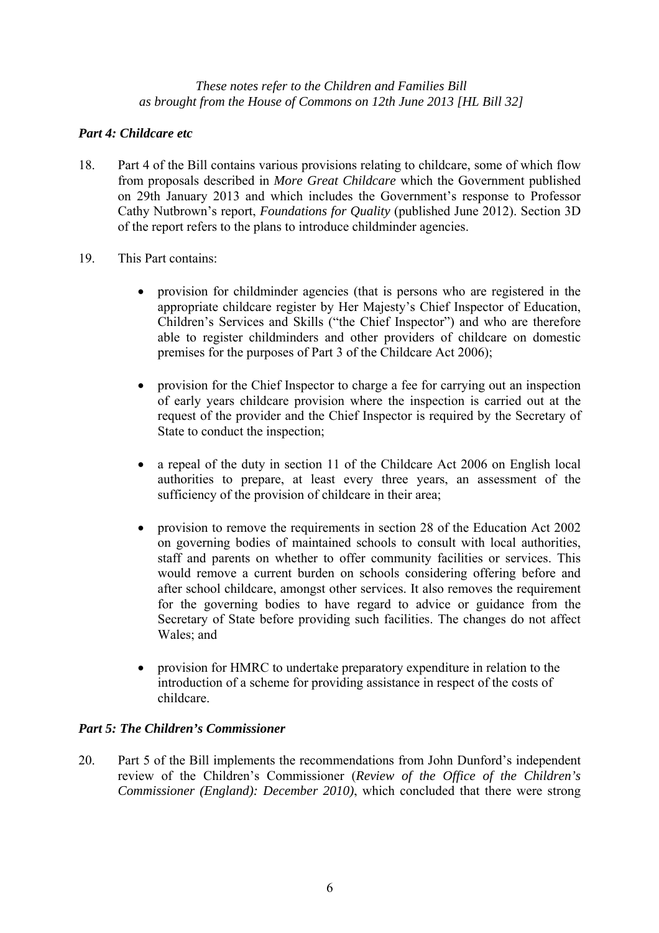# *Part 4: Childcare etc*

- 18. Part 4 of the Bill contains various provisions relating to childcare, some of which flow from proposals described in *More Great Childcare* which the Government published on 29th January 2013 and which includes the Government's response to Professor Cathy Nutbrown's report, *Foundations for Quality* (published June 2012). Section 3D of the report refers to the plans to introduce childminder agencies.
- 19. This Part contains:
	- provision for childminder agencies (that is persons who are registered in the appropriate childcare register by Her Majesty's Chief Inspector of Education, Children's Services and Skills ("the Chief Inspector") and who are therefore able to register childminders and other providers of childcare on domestic premises for the purposes of Part 3 of the Childcare Act 2006);
	- provision for the Chief Inspector to charge a fee for carrying out an inspection of early years childcare provision where the inspection is carried out at the request of the provider and the Chief Inspector is required by the Secretary of State to conduct the inspection;
	- a repeal of the duty in section 11 of the Childcare Act 2006 on English local authorities to prepare, at least every three years, an assessment of the sufficiency of the provision of childcare in their area;
	- provision to remove the requirements in section 28 of the Education Act 2002 on governing bodies of maintained schools to consult with local authorities, staff and parents on whether to offer community facilities or services. This would remove a current burden on schools considering offering before and after school childcare, amongst other services. It also removes the requirement for the governing bodies to have regard to advice or guidance from the Secretary of State before providing such facilities. The changes do not affect Wales; and
	- provision for HMRC to undertake preparatory expenditure in relation to the introduction of a scheme for providing assistance in respect of the costs of childcare.

# *Part 5: The Children's Commissioner*

20. Part 5 of the Bill implements the recommendations from John Dunford's independent review of the Children's Commissioner (*Review of the Office of the Children's Commissioner (England): December 2010)*, which concluded that there were strong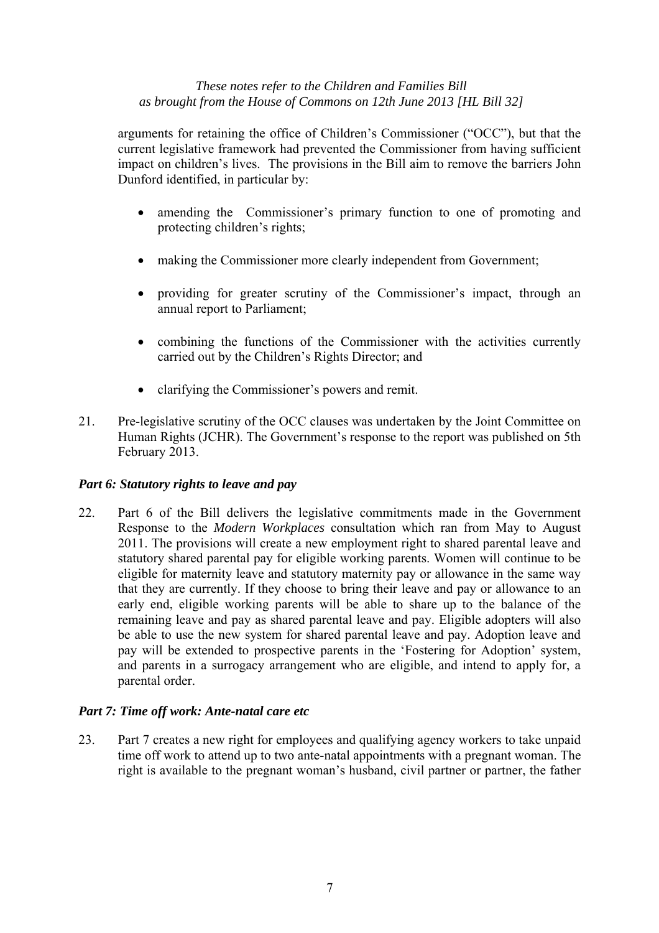arguments for retaining the office of Children's Commissioner ("OCC"), but that the current legislative framework had prevented the Commissioner from having sufficient impact on children's lives. The provisions in the Bill aim to remove the barriers John Dunford identified, in particular by:

- amending the Commissioner's primary function to one of promoting and protecting children's rights;
- making the Commissioner more clearly independent from Government;
- providing for greater scrutiny of the Commissioner's impact, through an annual report to Parliament;
- combining the functions of the Commissioner with the activities currently carried out by the Children's Rights Director; and
- clarifying the Commissioner's powers and remit.
- 21. Pre-legislative scrutiny of the OCC clauses was undertaken by the Joint Committee on Human Rights (JCHR). The Government's response to the report was published on 5th February 2013.

# *Part 6: Statutory rights to leave and pay*

22. Part 6 of the Bill delivers the legislative commitments made in the Government Response to the *Modern Workplaces* consultation which ran from May to August 2011. The provisions will create a new employment right to shared parental leave and statutory shared parental pay for eligible working parents. Women will continue to be eligible for maternity leave and statutory maternity pay or allowance in the same way that they are currently. If they choose to bring their leave and pay or allowance to an early end, eligible working parents will be able to share up to the balance of the remaining leave and pay as shared parental leave and pay. Eligible adopters will also be able to use the new system for shared parental leave and pay. Adoption leave and pay will be extended to prospective parents in the 'Fostering for Adoption' system, and parents in a surrogacy arrangement who are eligible, and intend to apply for, a parental order.

# *Part 7: Time off work: Ante-natal care etc*

23. Part 7 creates a new right for employees and qualifying agency workers to take unpaid time off work to attend up to two ante-natal appointments with a pregnant woman. The right is available to the pregnant woman's husband, civil partner or partner, the father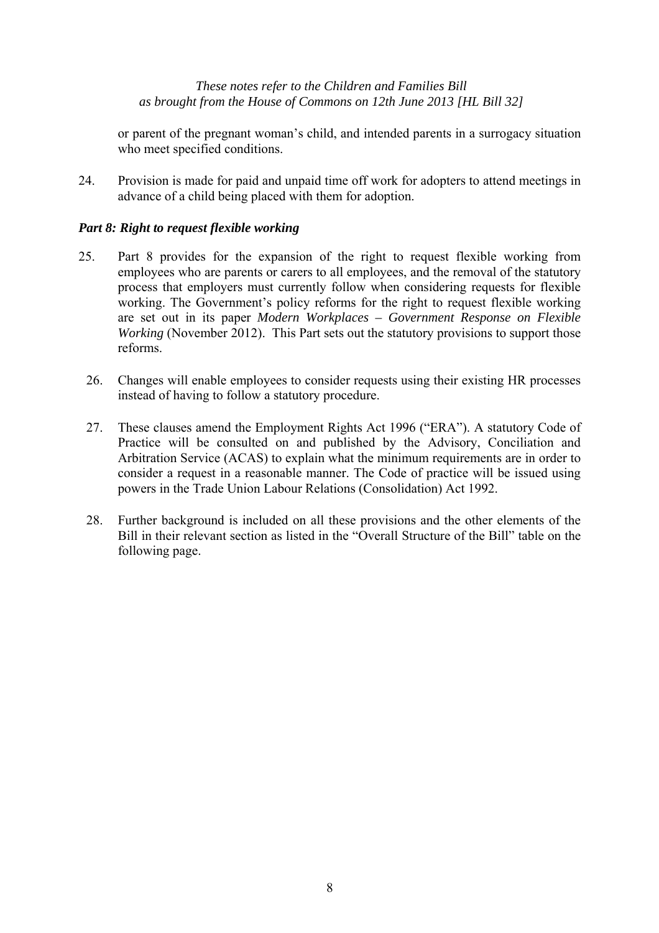or parent of the pregnant woman's child, and intended parents in a surrogacy situation who meet specified conditions.

24. Provision is made for paid and unpaid time off work for adopters to attend meetings in advance of a child being placed with them for adoption.

# *Part 8: Right to request flexible working*

- 25. Part 8 provides for the expansion of the right to request flexible working from employees who are parents or carers to all employees, and the removal of the statutory process that employers must currently follow when considering requests for flexible working. The Government's policy reforms for the right to request flexible working are set out in its paper *Modern Workplaces – Government Response on Flexible Working* (November 2012). This Part sets out the statutory provisions to support those reforms.
	- 26. Changes will enable employees to consider requests using their existing HR processes instead of having to follow a statutory procedure.
	- 27. These clauses amend the Employment Rights Act 1996 ("ERA"). A statutory Code of Practice will be consulted on and published by the Advisory, Conciliation and Arbitration Service (ACAS) to explain what the minimum requirements are in order to consider a request in a reasonable manner. The Code of practice will be issued using powers in the Trade Union Labour Relations (Consolidation) Act 1992.
	- 28. Further background is included on all these provisions and the other elements of the Bill in their relevant section as listed in the "Overall Structure of the Bill" table on the following page.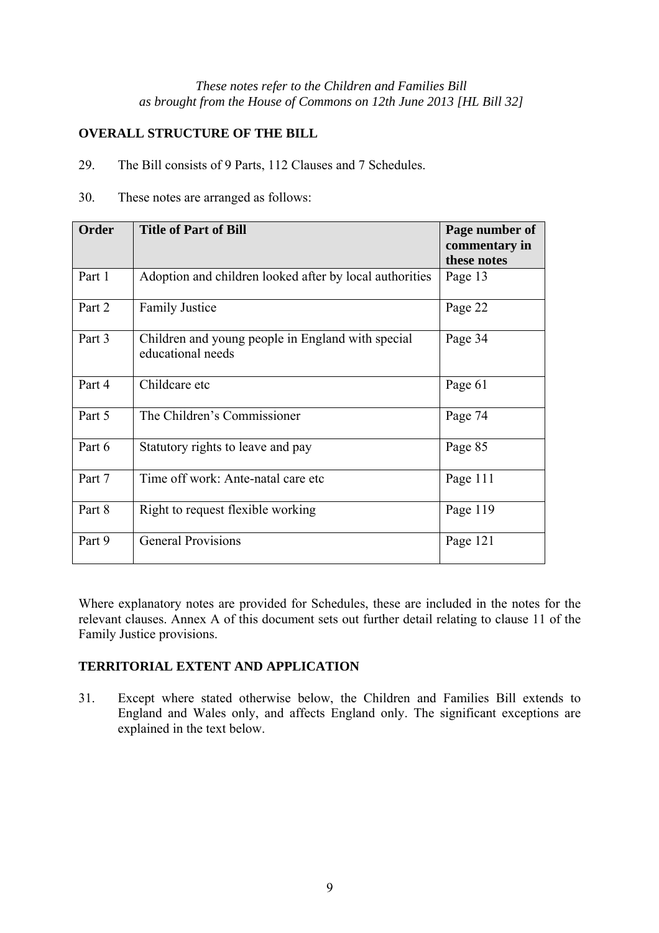# **OVERALL STRUCTURE OF THE BILL**

29. The Bill consists of 9 Parts, 112 Clauses and 7 Schedules.

30. These notes are arranged as follows:

| Order  | <b>Title of Part of Bill</b>                                           | Page number of<br>commentary in<br>these notes |
|--------|------------------------------------------------------------------------|------------------------------------------------|
| Part 1 | Adoption and children looked after by local authorities                | Page 13                                        |
| Part 2 | <b>Family Justice</b>                                                  | Page 22                                        |
| Part 3 | Children and young people in England with special<br>educational needs | Page 34                                        |
| Part 4 | Childcare etc                                                          | Page 61                                        |
| Part 5 | The Children's Commissioner                                            | Page 74                                        |
| Part 6 | Statutory rights to leave and pay                                      | Page 85                                        |
| Part 7 | Time off work: Ante-natal care etc                                     | Page 111                                       |
| Part 8 | Right to request flexible working                                      | Page 119                                       |
| Part 9 | <b>General Provisions</b>                                              | Page 121                                       |

Where explanatory notes are provided for Schedules, these are included in the notes for the relevant clauses. Annex A of this document sets out further detail relating to clause 11 of the Family Justice provisions.

# **TERRITORIAL EXTENT AND APPLICATION**

31. Except where stated otherwise below, the Children and Families Bill extends to England and Wales only, and affects England only. The significant exceptions are explained in the text below.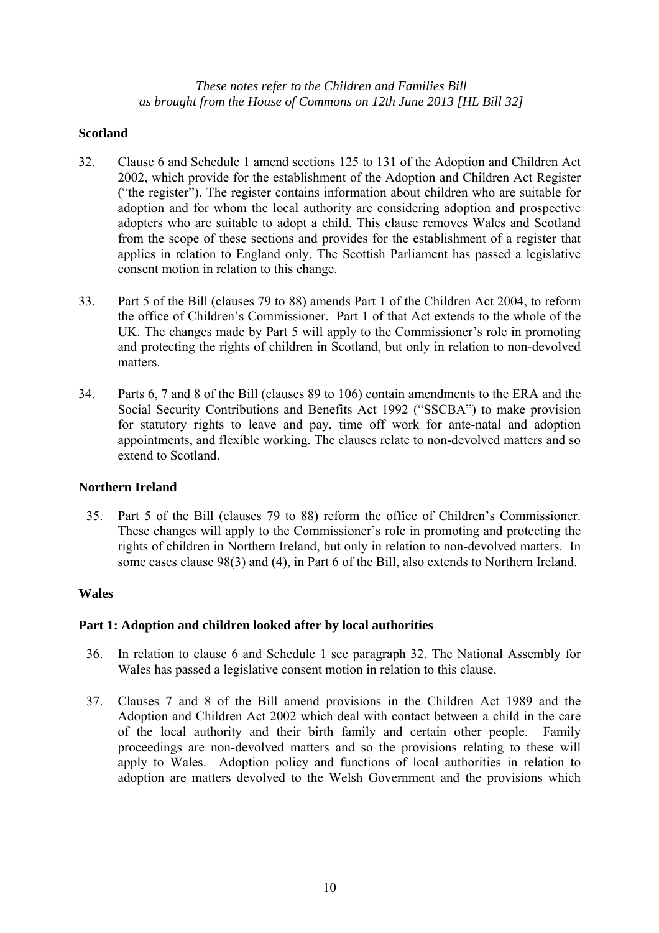## **Scotland**

- 32. Clause 6 and Schedule 1 amend sections 125 to 131 of the Adoption and Children Act 2002, which provide for the establishment of the Adoption and Children Act Register ("the register"). The register contains information about children who are suitable for adoption and for whom the local authority are considering adoption and prospective adopters who are suitable to adopt a child. This clause removes Wales and Scotland from the scope of these sections and provides for the establishment of a register that applies in relation to England only. The Scottish Parliament has passed a legislative consent motion in relation to this change.
- 33. Part 5 of the Bill (clauses 79 to 88) amends Part 1 of the Children Act 2004, to reform the office of Children's Commissioner. Part 1 of that Act extends to the whole of the UK. The changes made by Part 5 will apply to the Commissioner's role in promoting and protecting the rights of children in Scotland, but only in relation to non-devolved matters.
- 34. Parts 6, 7 and 8 of the Bill (clauses 89 to 106) contain amendments to the ERA and the Social Security Contributions and Benefits Act 1992 ("SSCBA") to make provision for statutory rights to leave and pay, time off work for ante-natal and adoption appointments, and flexible working. The clauses relate to non-devolved matters and so extend to Scotland.

## **Northern Ireland**

35. Part 5 of the Bill (clauses 79 to 88) reform the office of Children's Commissioner. These changes will apply to the Commissioner's role in promoting and protecting the rights of children in Northern Ireland, but only in relation to non-devolved matters. In some cases clause 98(3) and (4), in Part 6 of the Bill, also extends to Northern Ireland.

## **Wales**

## **Part 1: Adoption and children looked after by local authorities**

- 36. In relation to clause 6 and Schedule 1 see paragraph 32. The National Assembly for Wales has passed a legislative consent motion in relation to this clause.
- 37. Clauses 7 and 8 of the Bill amend provisions in the Children Act 1989 and the Adoption and Children Act 2002 which deal with contact between a child in the care of the local authority and their birth family and certain other people. Family proceedings are non-devolved matters and so the provisions relating to these will apply to Wales. Adoption policy and functions of local authorities in relation to adoption are matters devolved to the Welsh Government and the provisions which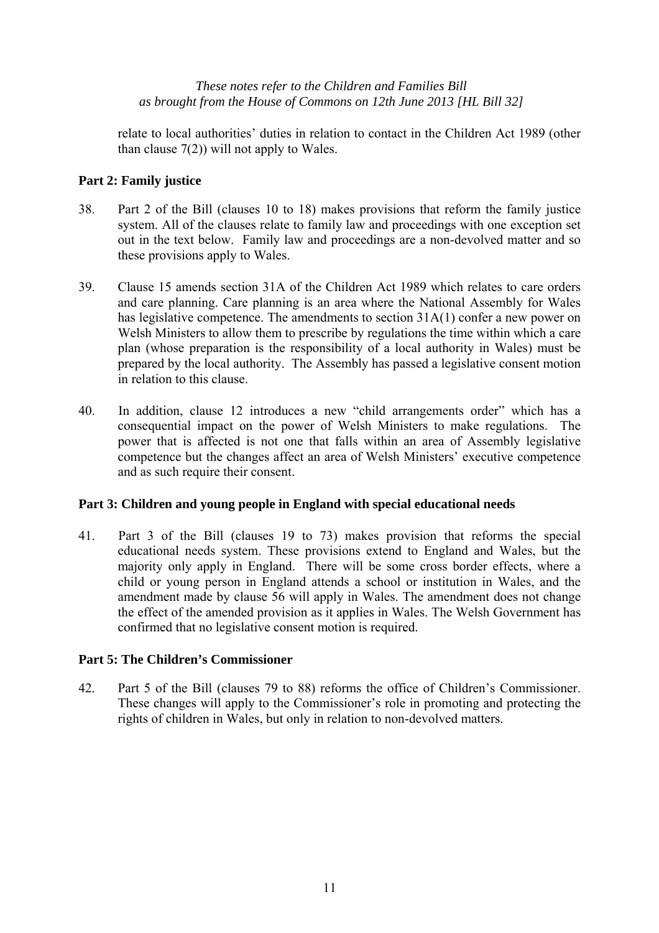relate to local authorities' duties in relation to contact in the Children Act 1989 (other than clause  $7(2)$ ) will not apply to Wales.

# **Part 2: Family justice**

- 38. Part 2 of the Bill (clauses 10 to 18) makes provisions that reform the family justice system. All of the clauses relate to family law and proceedings with one exception set out in the text below. Family law and proceedings are a non-devolved matter and so these provisions apply to Wales.
- 39. Clause 15 amends section 31A of the Children Act 1989 which relates to care orders and care planning. Care planning is an area where the National Assembly for Wales has legislative competence. The amendments to section 31A(1) confer a new power on Welsh Ministers to allow them to prescribe by regulations the time within which a care plan (whose preparation is the responsibility of a local authority in Wales) must be prepared by the local authority. The Assembly has passed a legislative consent motion in relation to this clause.
- 40. In addition, clause 12 introduces a new "child arrangements order" which has a consequential impact on the power of Welsh Ministers to make regulations. The power that is affected is not one that falls within an area of Assembly legislative competence but the changes affect an area of Welsh Ministers' executive competence and as such require their consent.

## **Part 3: Children and young people in England with special educational needs**

41. Part 3 of the Bill (clauses 19 to 73) makes provision that reforms the special educational needs system. These provisions extend to England and Wales, but the majority only apply in England. There will be some cross border effects, where a child or young person in England attends a school or institution in Wales, and the amendment made by clause 56 will apply in Wales. The amendment does not change the effect of the amended provision as it applies in Wales. The Welsh Government has confirmed that no legislative consent motion is required.

## **Part 5: The Children's Commissioner**

42. Part 5 of the Bill (clauses 79 to 88) reforms the office of Children's Commissioner. These changes will apply to the Commissioner's role in promoting and protecting the rights of children in Wales, but only in relation to non-devolved matters.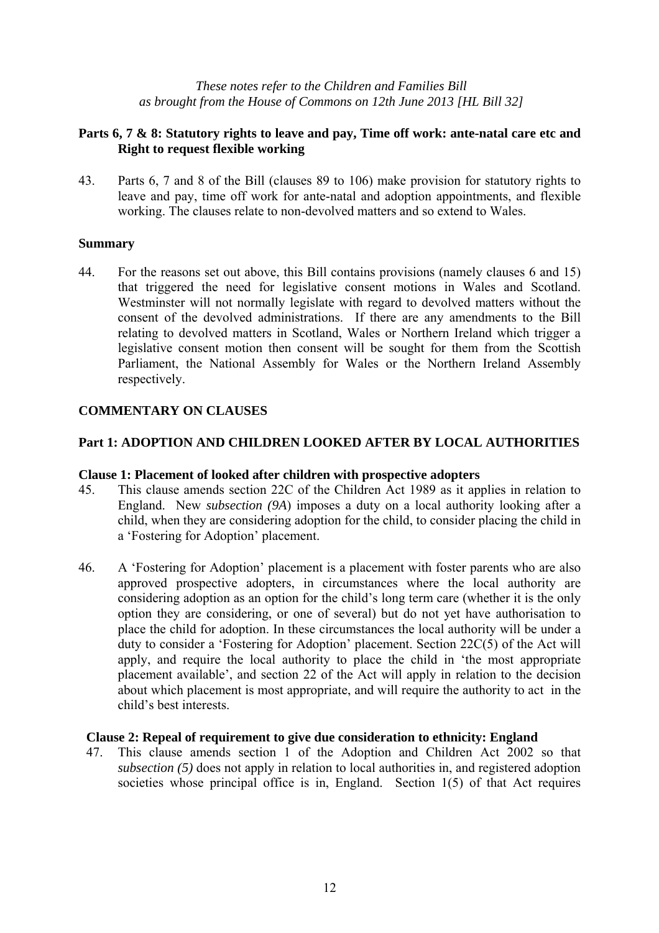# **Parts 6, 7 & 8: Statutory rights to leave and pay, Time off work: ante-natal care etc and Right to request flexible working**

43. Parts 6, 7 and 8 of the Bill (clauses 89 to 106) make provision for statutory rights to leave and pay, time off work for ante-natal and adoption appointments, and flexible working. The clauses relate to non-devolved matters and so extend to Wales.

## **Summary**

44. For the reasons set out above, this Bill contains provisions (namely clauses 6 and 15) that triggered the need for legislative consent motions in Wales and Scotland. Westminster will not normally legislate with regard to devolved matters without the consent of the devolved administrations. If there are any amendments to the Bill relating to devolved matters in Scotland, Wales or Northern Ireland which trigger a legislative consent motion then consent will be sought for them from the Scottish Parliament, the National Assembly for Wales or the Northern Ireland Assembly respectively.

# **COMMENTARY ON CLAUSES**

# **Part 1: ADOPTION AND CHILDREN LOOKED AFTER BY LOCAL AUTHORITIES**

## **Clause 1: Placement of looked after children with prospective adopters**

- 45. This clause amends section 22C of the Children Act 1989 as it applies in relation to England. New *subsection (9A*) imposes a duty on a local authority looking after a child, when they are considering adoption for the child, to consider placing the child in a 'Fostering for Adoption' placement.
- 46. A 'Fostering for Adoption' placement is a placement with foster parents who are also approved prospective adopters, in circumstances where the local authority are considering adoption as an option for the child's long term care (whether it is the only option they are considering, or one of several) but do not yet have authorisation to place the child for adoption. In these circumstances the local authority will be under a duty to consider a 'Fostering for Adoption' placement. Section 22C(5) of the Act will apply, and require the local authority to place the child in 'the most appropriate placement available', and section 22 of the Act will apply in relation to the decision about which placement is most appropriate, and will require the authority to act in the child's best interests.

## **Clause 2: Repeal of requirement to give due consideration to ethnicity: England**

47. This clause amends section 1 of the Adoption and Children Act 2002 so that *subsection (5)* does not apply in relation to local authorities in, and registered adoption societies whose principal office is in, England. Section 1(5) of that Act requires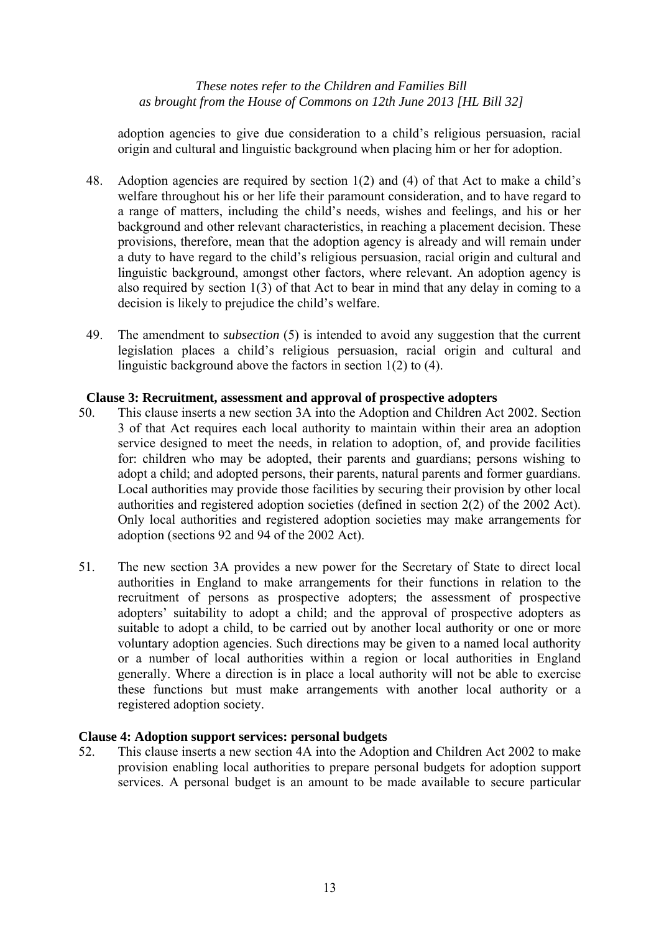adoption agencies to give due consideration to a child's religious persuasion, racial origin and cultural and linguistic background when placing him or her for adoption.

- 48. Adoption agencies are required by section 1(2) and (4) of that Act to make a child's welfare throughout his or her life their paramount consideration, and to have regard to a range of matters, including the child's needs, wishes and feelings, and his or her background and other relevant characteristics, in reaching a placement decision. These provisions, therefore, mean that the adoption agency is already and will remain under a duty to have regard to the child's religious persuasion, racial origin and cultural and linguistic background, amongst other factors, where relevant. An adoption agency is also required by section 1(3) of that Act to bear in mind that any delay in coming to a decision is likely to prejudice the child's welfare.
- 49. The amendment to *subsection* (5) is intended to avoid any suggestion that the current legislation places a child's religious persuasion, racial origin and cultural and linguistic background above the factors in section 1(2) to (4).

## **Clause 3: Recruitment, assessment and approval of prospective adopters**

- 50. This clause inserts a new section 3A into the Adoption and Children Act 2002. Section 3 of that Act requires each local authority to maintain within their area an adoption service designed to meet the needs, in relation to adoption, of, and provide facilities for: children who may be adopted, their parents and guardians; persons wishing to adopt a child; and adopted persons, their parents, natural parents and former guardians. Local authorities may provide those facilities by securing their provision by other local authorities and registered adoption societies (defined in section 2(2) of the 2002 Act). Only local authorities and registered adoption societies may make arrangements for adoption (sections 92 and 94 of the 2002 Act).
- 51. The new section 3A provides a new power for the Secretary of State to direct local authorities in England to make arrangements for their functions in relation to the recruitment of persons as prospective adopters; the assessment of prospective adopters' suitability to adopt a child; and the approval of prospective adopters as suitable to adopt a child, to be carried out by another local authority or one or more voluntary adoption agencies. Such directions may be given to a named local authority or a number of local authorities within a region or local authorities in England generally. Where a direction is in place a local authority will not be able to exercise these functions but must make arrangements with another local authority or a registered adoption society.

## **Clause 4: Adoption support services: personal budgets**

52. This clause inserts a new section 4A into the Adoption and Children Act 2002 to make provision enabling local authorities to prepare personal budgets for adoption support services. A personal budget is an amount to be made available to secure particular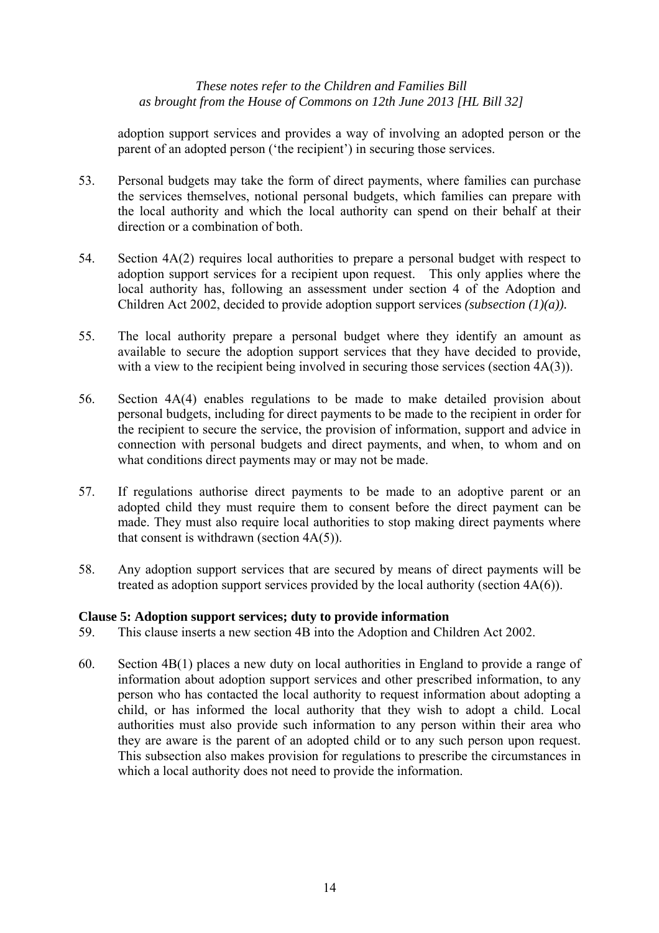adoption support services and provides a way of involving an adopted person or the parent of an adopted person ('the recipient') in securing those services.

- 53. Personal budgets may take the form of direct payments, where families can purchase the services themselves, notional personal budgets, which families can prepare with the local authority and which the local authority can spend on their behalf at their direction or a combination of both.
- 54. Section 4A(2) requires local authorities to prepare a personal budget with respect to adoption support services for a recipient upon request. This only applies where the local authority has, following an assessment under section 4 of the Adoption and Children Act 2002, decided to provide adoption support services *(subsection (1)(a)).*
- 55. The local authority prepare a personal budget where they identify an amount as available to secure the adoption support services that they have decided to provide, with a view to the recipient being involved in securing those services (section 4A(3)).
- 56. Section 4A(4) enables regulations to be made to make detailed provision about personal budgets, including for direct payments to be made to the recipient in order for the recipient to secure the service, the provision of information, support and advice in connection with personal budgets and direct payments, and when, to whom and on what conditions direct payments may or may not be made.
- 57. If regulations authorise direct payments to be made to an adoptive parent or an adopted child they must require them to consent before the direct payment can be made. They must also require local authorities to stop making direct payments where that consent is withdrawn (section 4A(5)).
- 58. Any adoption support services that are secured by means of direct payments will be treated as adoption support services provided by the local authority (section 4A(6)).

## **Clause 5: Adoption support services; duty to provide information**

- 59. This clause inserts a new section 4B into the Adoption and Children Act 2002.
- 60. Section 4B(1) places a new duty on local authorities in England to provide a range of information about adoption support services and other prescribed information, to any person who has contacted the local authority to request information about adopting a child, or has informed the local authority that they wish to adopt a child. Local authorities must also provide such information to any person within their area who they are aware is the parent of an adopted child or to any such person upon request. This subsection also makes provision for regulations to prescribe the circumstances in which a local authority does not need to provide the information.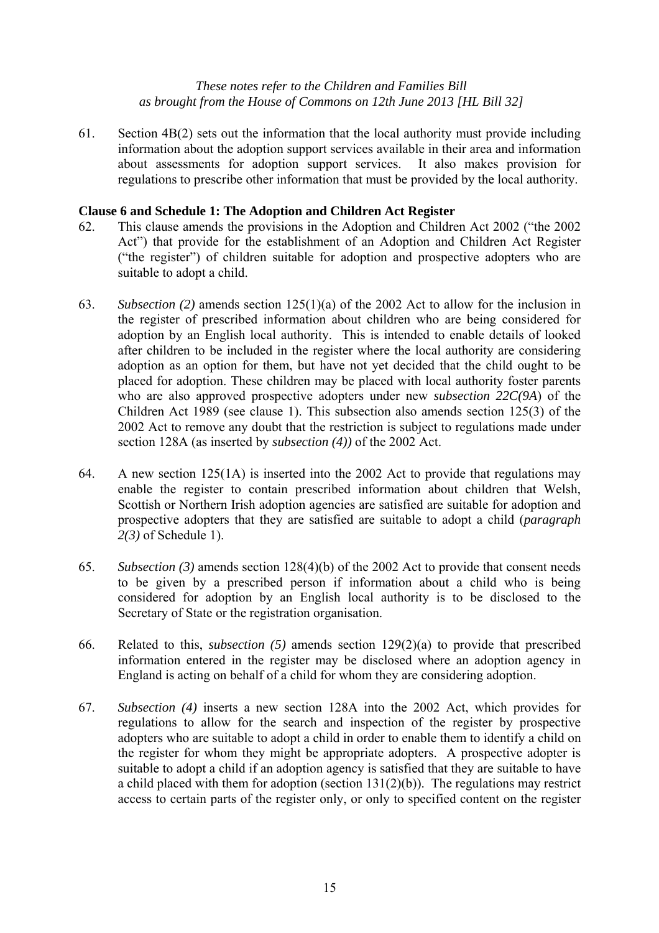61. Section 4B(2) sets out the information that the local authority must provide including information about the adoption support services available in their area and information about assessments for adoption support services. It also makes provision for regulations to prescribe other information that must be provided by the local authority.

## **Clause 6 and Schedule 1: The Adoption and Children Act Register**

- 62. This clause amends the provisions in the Adoption and Children Act 2002 ("the 2002 Act") that provide for the establishment of an Adoption and Children Act Register ("the register") of children suitable for adoption and prospective adopters who are suitable to adopt a child.
- 63. *Subsection (2)* amends section 125(1)(a) of the 2002 Act to allow for the inclusion in the register of prescribed information about children who are being considered for adoption by an English local authority. This is intended to enable details of looked after children to be included in the register where the local authority are considering adoption as an option for them, but have not yet decided that the child ought to be placed for adoption. These children may be placed with local authority foster parents who are also approved prospective adopters under new *subsection 22C(9A*) of the Children Act 1989 (see clause 1). This subsection also amends section 125(3) of the 2002 Act to remove any doubt that the restriction is subject to regulations made under section 128A (as inserted by *subsection (4))* of the 2002 Act.
- 64. A new section 125(1A) is inserted into the 2002 Act to provide that regulations may enable the register to contain prescribed information about children that Welsh, Scottish or Northern Irish adoption agencies are satisfied are suitable for adoption and prospective adopters that they are satisfied are suitable to adopt a child (*paragraph 2(3)* of Schedule 1).
- 65. *Subsection (3)* amends section 128(4)(b) of the 2002 Act to provide that consent needs to be given by a prescribed person if information about a child who is being considered for adoption by an English local authority is to be disclosed to the Secretary of State or the registration organisation.
- 66. Related to this, *subsection (5)* amends section 129(2)(a) to provide that prescribed information entered in the register may be disclosed where an adoption agency in England is acting on behalf of a child for whom they are considering adoption.
- 67. *Subsection (4)* inserts a new section 128A into the 2002 Act, which provides for regulations to allow for the search and inspection of the register by prospective adopters who are suitable to adopt a child in order to enable them to identify a child on the register for whom they might be appropriate adopters. A prospective adopter is suitable to adopt a child if an adoption agency is satisfied that they are suitable to have a child placed with them for adoption (section  $131(2)(b)$ ). The regulations may restrict access to certain parts of the register only, or only to specified content on the register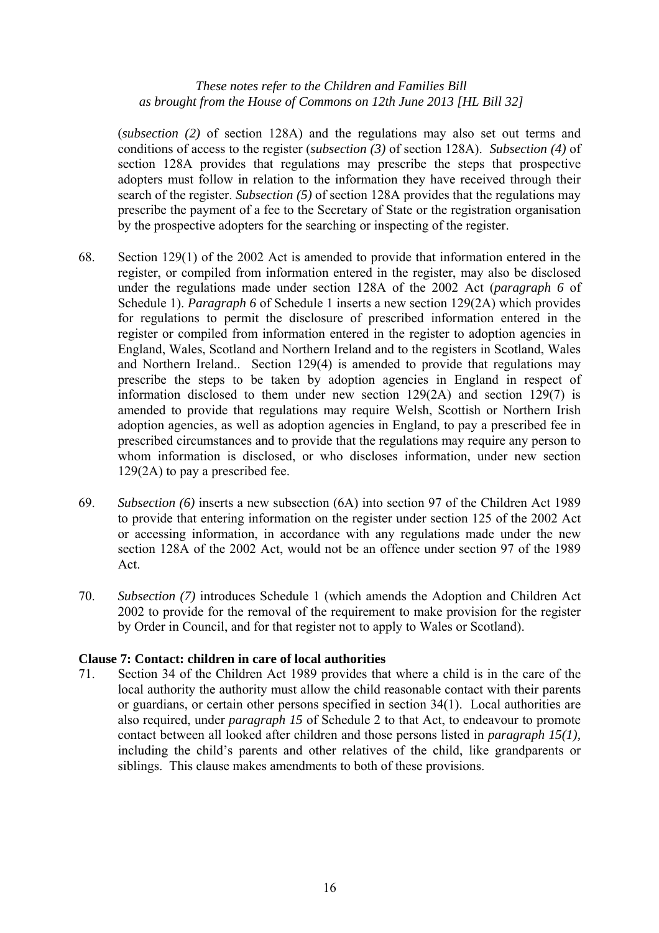(*subsection (2)* of section 128A) and the regulations may also set out terms and conditions of access to the register (*subsection (3)* of section 128A). *Subsection (4)* of section 128A provides that regulations may prescribe the steps that prospective adopters must follow in relation to the information they have received through their search of the register. *Subsection (5)* of section 128A provides that the regulations may prescribe the payment of a fee to the Secretary of State or the registration organisation by the prospective adopters for the searching or inspecting of the register.

- 68. Section 129(1) of the 2002 Act is amended to provide that information entered in the register, or compiled from information entered in the register, may also be disclosed under the regulations made under section 128A of the 2002 Act (*paragraph 6* of Schedule 1). *Paragraph 6* of Schedule 1 inserts a new section 129(2A) which provides for regulations to permit the disclosure of prescribed information entered in the register or compiled from information entered in the register to adoption agencies in England, Wales, Scotland and Northern Ireland and to the registers in Scotland, Wales and Northern Ireland.. Section 129(4) is amended to provide that regulations may prescribe the steps to be taken by adoption agencies in England in respect of information disclosed to them under new section 129(2A) and section 129(7) is amended to provide that regulations may require Welsh, Scottish or Northern Irish adoption agencies, as well as adoption agencies in England, to pay a prescribed fee in prescribed circumstances and to provide that the regulations may require any person to whom information is disclosed, or who discloses information, under new section 129(2A) to pay a prescribed fee.
- 69. *Subsection (6)* inserts a new subsection (6A) into section 97 of the Children Act 1989 to provide that entering information on the register under section 125 of the 2002 Act or accessing information, in accordance with any regulations made under the new section 128A of the 2002 Act, would not be an offence under section 97 of the 1989 Act.
- 70. *Subsection (7)* introduces Schedule 1 (which amends the Adoption and Children Act 2002 to provide for the removal of the requirement to make provision for the register by Order in Council, and for that register not to apply to Wales or Scotland).

## **Clause 7: Contact: children in care of local authorities**

71. Section 34 of the Children Act 1989 provides that where a child is in the care of the local authority the authority must allow the child reasonable contact with their parents or guardians, or certain other persons specified in section 34(1). Local authorities are also required, under *paragraph 15* of Schedule 2 to that Act, to endeavour to promote contact between all looked after children and those persons listed in *paragraph 15(1),* including the child's parents and other relatives of the child, like grandparents or siblings. This clause makes amendments to both of these provisions.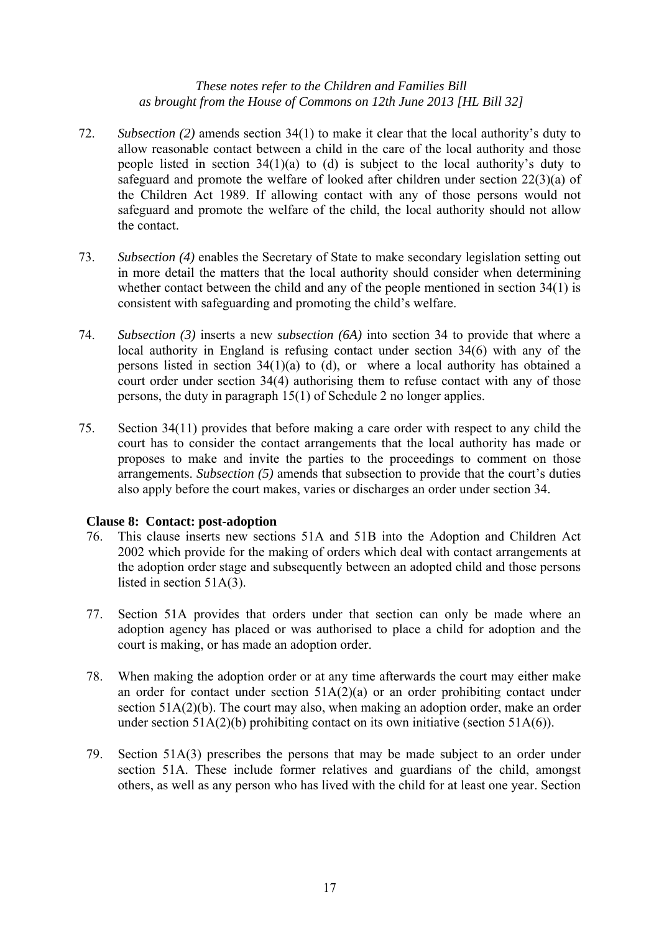- 72. *Subsection (2)* amends section 34(1) to make it clear that the local authority's duty to allow reasonable contact between a child in the care of the local authority and those people listed in section 34(1)(a) to (d) is subject to the local authority's duty to safeguard and promote the welfare of looked after children under section 22(3)(a) of the Children Act 1989. If allowing contact with any of those persons would not safeguard and promote the welfare of the child, the local authority should not allow the contact.
- 73. *Subsection (4)* enables the Secretary of State to make secondary legislation setting out in more detail the matters that the local authority should consider when determining whether contact between the child and any of the people mentioned in section 34(1) is consistent with safeguarding and promoting the child's welfare.
- 74. *Subsection (3)* inserts a new *subsection (6A)* into section 34 to provide that where a local authority in England is refusing contact under section 34(6) with any of the persons listed in section 34(1)(a) to (d), or where a local authority has obtained a court order under section 34(4) authorising them to refuse contact with any of those persons, the duty in paragraph 15(1) of Schedule 2 no longer applies.
- 75. Section 34(11) provides that before making a care order with respect to any child the court has to consider the contact arrangements that the local authority has made or proposes to make and invite the parties to the proceedings to comment on those arrangements. *Subsection (5)* amends that subsection to provide that the court's duties also apply before the court makes, varies or discharges an order under section 34.

# **Clause 8: Contact: post-adoption**

- 76. This clause inserts new sections 51A and 51B into the Adoption and Children Act 2002 which provide for the making of orders which deal with contact arrangements at the adoption order stage and subsequently between an adopted child and those persons listed in section 51A(3).
- 77. Section 51A provides that orders under that section can only be made where an adoption agency has placed or was authorised to place a child for adoption and the court is making, or has made an adoption order.
- 78. When making the adoption order or at any time afterwards the court may either make an order for contact under section  $51A(2)(a)$  or an order prohibiting contact under section 51A(2)(b). The court may also, when making an adoption order, make an order under section  $51A(2)(b)$  prohibiting contact on its own initiative (section  $51A(6)$ ).
- 79. Section 51A(3) prescribes the persons that may be made subject to an order under section 51A. These include former relatives and guardians of the child, amongst others, as well as any person who has lived with the child for at least one year. Section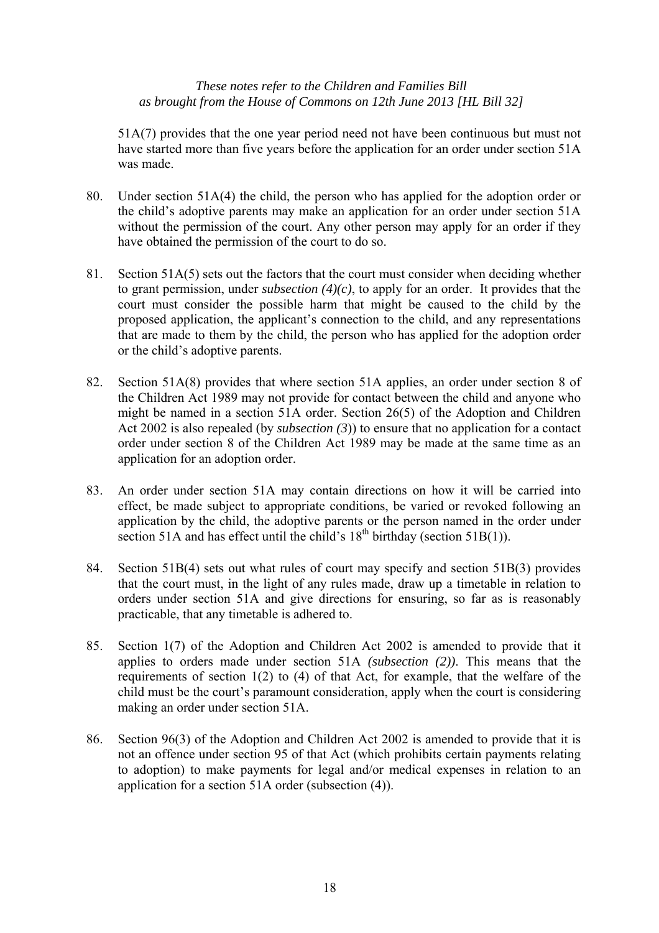51A(7) provides that the one year period need not have been continuous but must not have started more than five years before the application for an order under section 51A was made.

- 80. Under section 51A(4) the child, the person who has applied for the adoption order or the child's adoptive parents may make an application for an order under section 51A without the permission of the court. Any other person may apply for an order if they have obtained the permission of the court to do so.
- 81. Section 51A(5) sets out the factors that the court must consider when deciding whether to grant permission, under *subsection (4)(c)*, to apply for an order. It provides that the court must consider the possible harm that might be caused to the child by the proposed application, the applicant's connection to the child, and any representations that are made to them by the child, the person who has applied for the adoption order or the child's adoptive parents.
- 82. Section 51A(8) provides that where section 51A applies, an order under section 8 of the Children Act 1989 may not provide for contact between the child and anyone who might be named in a section 51A order. Section 26(5) of the Adoption and Children Act 2002 is also repealed (by *subsection (3*)) to ensure that no application for a contact order under section 8 of the Children Act 1989 may be made at the same time as an application for an adoption order.
- 83. An order under section 51A may contain directions on how it will be carried into effect, be made subject to appropriate conditions, be varied or revoked following an application by the child, the adoptive parents or the person named in the order under section 51A and has effect until the child's  $18<sup>th</sup>$  birthday (section 51B(1)).
- 84. Section 51B(4) sets out what rules of court may specify and section 51B(3) provides that the court must, in the light of any rules made, draw up a timetable in relation to orders under section 51A and give directions for ensuring, so far as is reasonably practicable, that any timetable is adhered to.
- 85. Section 1(7) of the Adoption and Children Act 2002 is amended to provide that it applies to orders made under section 51A *(subsection (2))*. This means that the requirements of section 1(2) to (4) of that Act, for example, that the welfare of the child must be the court's paramount consideration, apply when the court is considering making an order under section 51A.
- 86. Section 96(3) of the Adoption and Children Act 2002 is amended to provide that it is not an offence under section 95 of that Act (which prohibits certain payments relating to adoption) to make payments for legal and/or medical expenses in relation to an application for a section 51A order (subsection (4)).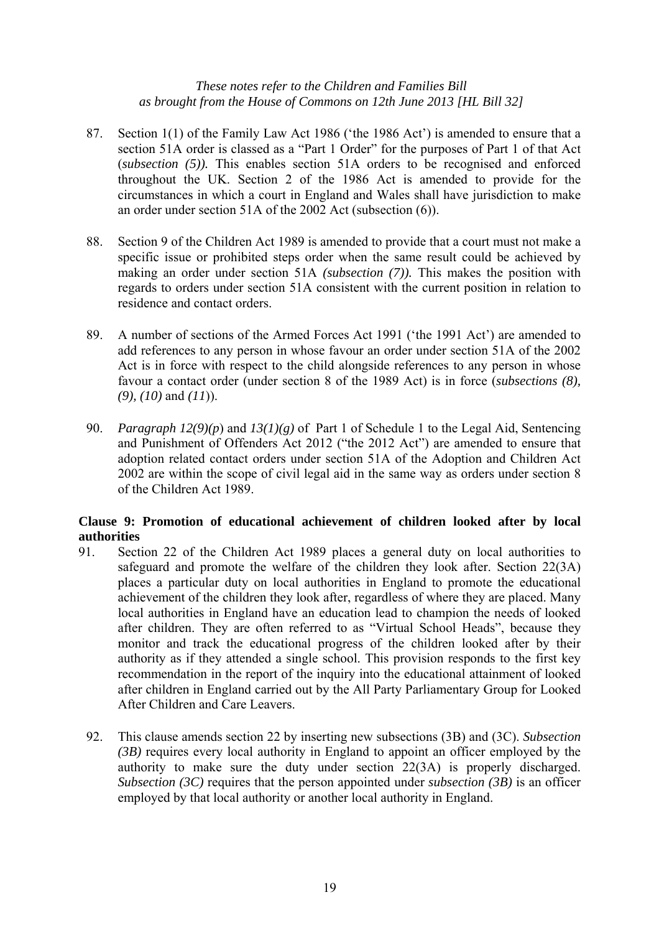- 87. Section 1(1) of the Family Law Act 1986 ('the 1986 Act') is amended to ensure that a section 51A order is classed as a "Part 1 Order" for the purposes of Part 1 of that Act (*subsection (5)).* This enables section 51A orders to be recognised and enforced throughout the UK. Section 2 of the 1986 Act is amended to provide for the circumstances in which a court in England and Wales shall have jurisdiction to make an order under section 51A of the 2002 Act (subsection (6)).
- 88. Section 9 of the Children Act 1989 is amended to provide that a court must not make a specific issue or prohibited steps order when the same result could be achieved by making an order under section 51A *(subsection (7)).* This makes the position with regards to orders under section 51A consistent with the current position in relation to residence and contact orders.
- 89. A number of sections of the Armed Forces Act 1991 ('the 1991 Act') are amended to add references to any person in whose favour an order under section 51A of the 2002 Act is in force with respect to the child alongside references to any person in whose favour a contact order (under section 8 of the 1989 Act) is in force (*subsections (8), (9), (10)* and *(11*)).
- 90. *Paragraph 12(9)(p*) and *13(1)(g)* of Part 1 of Schedule 1 to the Legal Aid, Sentencing and Punishment of Offenders Act 2012 ("the 2012 Act") are amended to ensure that adoption related contact orders under section 51A of the Adoption and Children Act 2002 are within the scope of civil legal aid in the same way as orders under section 8 of the Children Act 1989.

## **Clause 9: Promotion of educational achievement of children looked after by local authorities**

- 91. Section 22 of the Children Act 1989 places a general duty on local authorities to safeguard and promote the welfare of the children they look after. Section 22(3A) places a particular duty on local authorities in England to promote the educational achievement of the children they look after, regardless of where they are placed. Many local authorities in England have an education lead to champion the needs of looked after children. They are often referred to as "Virtual School Heads", because they monitor and track the educational progress of the children looked after by their authority as if they attended a single school. This provision responds to the first key recommendation in the report of the inquiry into the educational attainment of looked after children in England carried out by the All Party Parliamentary Group for Looked After Children and Care Leavers.
	- 92. This clause amends section 22 by inserting new subsections (3B) and (3C). *Subsection (3B)* requires every local authority in England to appoint an officer employed by the authority to make sure the duty under section 22(3A) is properly discharged. *Subsection (3C)* requires that the person appointed under *subsection (3B)* is an officer employed by that local authority or another local authority in England.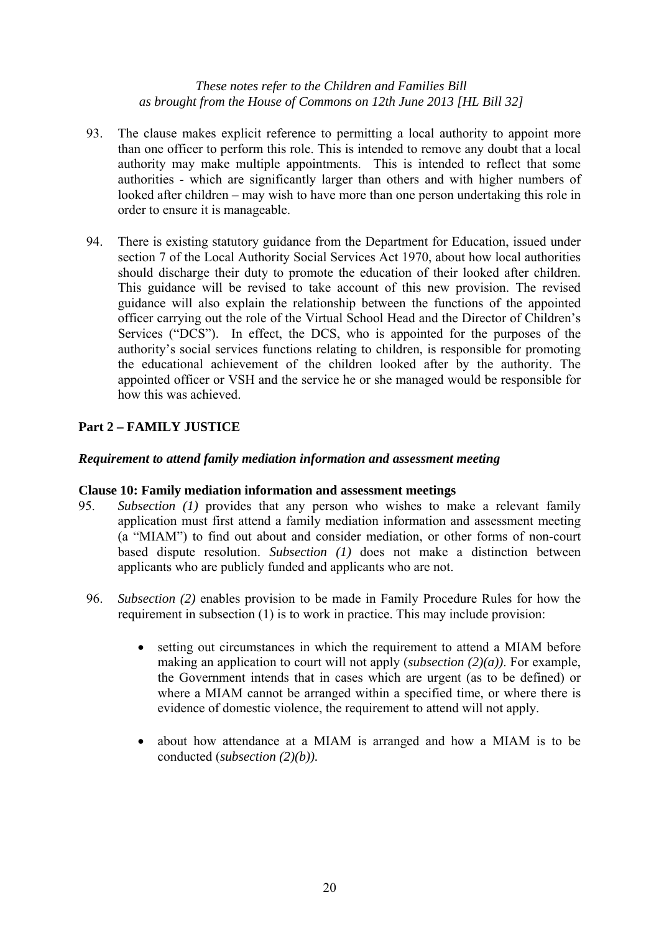- 93. The clause makes explicit reference to permitting a local authority to appoint more than one officer to perform this role. This is intended to remove any doubt that a local authority may make multiple appointments. This is intended to reflect that some authorities - which are significantly larger than others and with higher numbers of looked after children – may wish to have more than one person undertaking this role in order to ensure it is manageable.
- 94. There is existing statutory guidance from the Department for Education, issued under section 7 of the Local Authority Social Services Act 1970, about how local authorities should discharge their duty to promote the education of their looked after children. This guidance will be revised to take account of this new provision. The revised guidance will also explain the relationship between the functions of the appointed officer carrying out the role of the Virtual School Head and the Director of Children's Services ("DCS"). In effect, the DCS, who is appointed for the purposes of the authority's social services functions relating to children, is responsible for promoting the educational achievement of the children looked after by the authority. The appointed officer or VSH and the service he or she managed would be responsible for how this was achieved.

# **Part 2 – FAMILY JUSTICE**

## *Requirement to attend family mediation information and assessment meeting*

## **Clause 10: Family mediation information and assessment meetings**

- 95. *Subsection (1)* provides that any person who wishes to make a relevant family application must first attend a family mediation information and assessment meeting (a "MIAM") to find out about and consider mediation, or other forms of non-court based dispute resolution. *Subsection (1)* does not make a distinction between applicants who are publicly funded and applicants who are not.
	- 96. *Subsection (2)* enables provision to be made in Family Procedure Rules for how the requirement in subsection (1) is to work in practice. This may include provision:
		- setting out circumstances in which the requirement to attend a MIAM before making an application to court will not apply (*subsection (2)(a))*. For example, the Government intends that in cases which are urgent (as to be defined) or where a MIAM cannot be arranged within a specified time, or where there is evidence of domestic violence, the requirement to attend will not apply.
		- about how attendance at a MIAM is arranged and how a MIAM is to be conducted (*subsection (2)(b)).*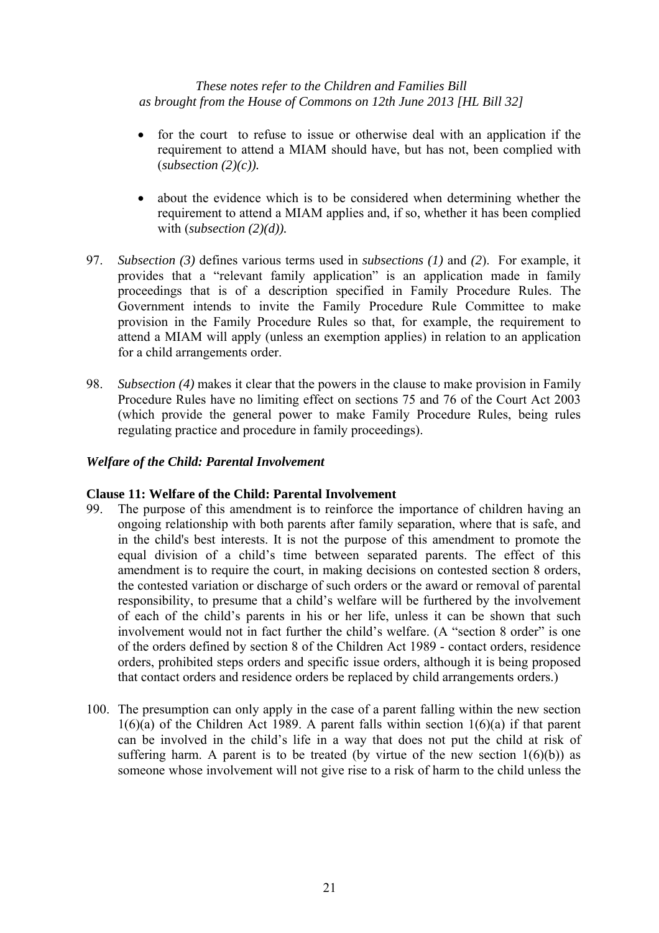- for the court to refuse to issue or otherwise deal with an application if the requirement to attend a MIAM should have, but has not, been complied with (*subsection (2)(c)).*
- about the evidence which is to be considered when determining whether the requirement to attend a MIAM applies and, if so, whether it has been complied with (*subsection (2)(d)).*
- 97. *Subsection (3)* defines various terms used in *subsections (1)* and *(2*). For example, it provides that a "relevant family application" is an application made in family proceedings that is of a description specified in Family Procedure Rules. The Government intends to invite the Family Procedure Rule Committee to make provision in the Family Procedure Rules so that, for example, the requirement to attend a MIAM will apply (unless an exemption applies) in relation to an application for a child arrangements order.
- 98. *Subsection (4)* makes it clear that the powers in the clause to make provision in Family Procedure Rules have no limiting effect on sections 75 and 76 of the Court Act 2003 (which provide the general power to make Family Procedure Rules, being rules regulating practice and procedure in family proceedings).

## *Welfare of the Child: Parental Involvement*

## **Clause 11: Welfare of the Child: Parental Involvement**

- 99. The purpose of this amendment is to reinforce the importance of children having an ongoing relationship with both parents after family separation, where that is safe, and in the child's best interests. It is not the purpose of this amendment to promote the equal division of a child's time between separated parents. The effect of this amendment is to require the court, in making decisions on contested section 8 orders, the contested variation or discharge of such orders or the award or removal of parental responsibility, to presume that a child's welfare will be furthered by the involvement of each of the child's parents in his or her life, unless it can be shown that such involvement would not in fact further the child's welfare. (A "section 8 order" is one of the orders defined by section 8 of the Children Act 1989 - contact orders, residence orders, prohibited steps orders and specific issue orders, although it is being proposed that contact orders and residence orders be replaced by child arrangements orders.)
- 100. The presumption can only apply in the case of a parent falling within the new section  $1(6)(a)$  of the Children Act 1989. A parent falls within section  $1(6)(a)$  if that parent can be involved in the child's life in a way that does not put the child at risk of suffering harm. A parent is to be treated (by virtue of the new section  $1(6)(b)$ ) as someone whose involvement will not give rise to a risk of harm to the child unless the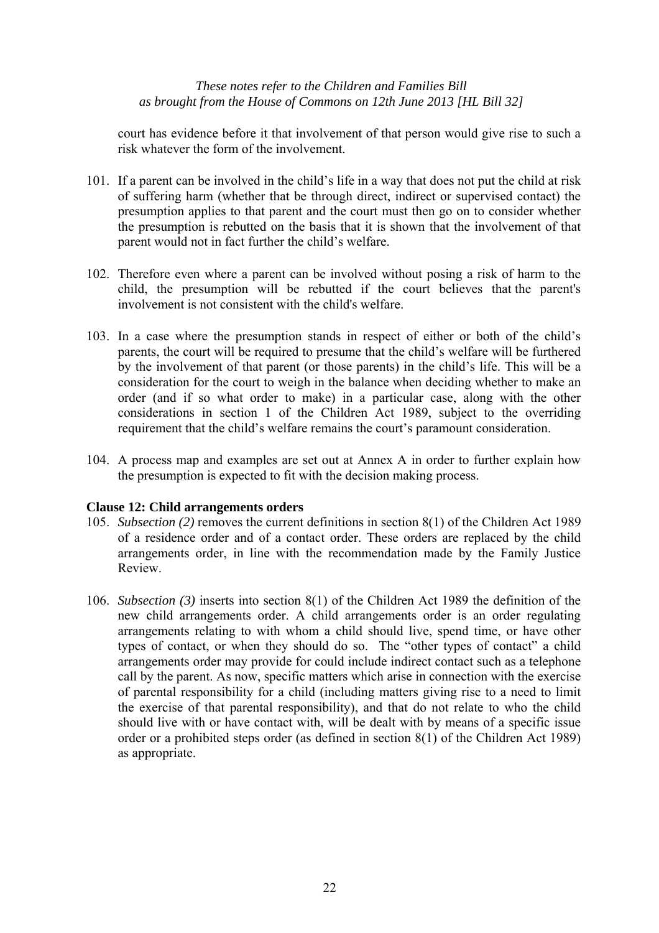court has evidence before it that involvement of that person would give rise to such a risk whatever the form of the involvement.

- 101. If a parent can be involved in the child's life in a way that does not put the child at risk of suffering harm (whether that be through direct, indirect or supervised contact) the presumption applies to that parent and the court must then go on to consider whether the presumption is rebutted on the basis that it is shown that the involvement of that parent would not in fact further the child's welfare.
- 102. Therefore even where a parent can be involved without posing a risk of harm to the child, the presumption will be rebutted if the court believes that the parent's involvement is not consistent with the child's welfare.
- 103. In a case where the presumption stands in respect of either or both of the child's parents, the court will be required to presume that the child's welfare will be furthered by the involvement of that parent (or those parents) in the child's life. This will be a consideration for the court to weigh in the balance when deciding whether to make an order (and if so what order to make) in a particular case, along with the other considerations in section 1 of the Children Act 1989, subject to the overriding requirement that the child's welfare remains the court's paramount consideration.
- 104. A process map and examples are set out at Annex A in order to further explain how the presumption is expected to fit with the decision making process.

#### **Clause 12: Child arrangements orders**

- 105. *Subsection (2)* removes the current definitions in section 8(1) of the Children Act 1989 of a residence order and of a contact order. These orders are replaced by the child arrangements order, in line with the recommendation made by the Family Justice Review.
- 106. *Subsection (3)* inserts into section 8(1) of the Children Act 1989 the definition of the new child arrangements order. A child arrangements order is an order regulating arrangements relating to with whom a child should live, spend time, or have other types of contact, or when they should do so. The "other types of contact" a child arrangements order may provide for could include indirect contact such as a telephone call by the parent. As now, specific matters which arise in connection with the exercise of parental responsibility for a child (including matters giving rise to a need to limit the exercise of that parental responsibility), and that do not relate to who the child should live with or have contact with, will be dealt with by means of a specific issue order or a prohibited steps order (as defined in section 8(1) of the Children Act 1989) as appropriate.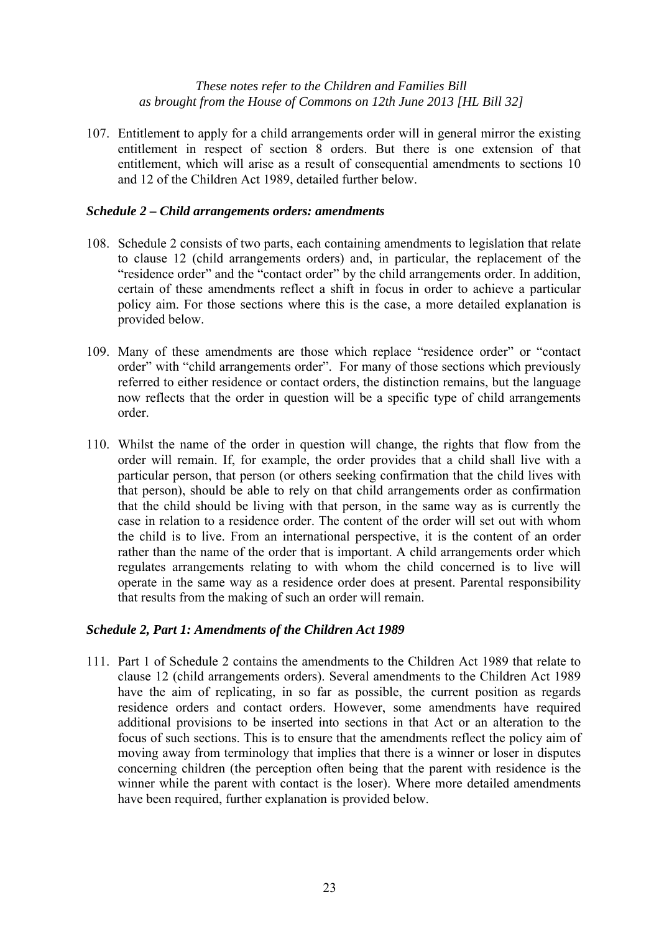107. Entitlement to apply for a child arrangements order will in general mirror the existing entitlement in respect of section 8 orders. But there is one extension of that entitlement, which will arise as a result of consequential amendments to sections 10 and 12 of the Children Act 1989, detailed further below.

## *Schedule 2 – Child arrangements orders: amendments*

- 108. Schedule 2 consists of two parts, each containing amendments to legislation that relate to clause 12 (child arrangements orders) and, in particular, the replacement of the "residence order" and the "contact order" by the child arrangements order. In addition, certain of these amendments reflect a shift in focus in order to achieve a particular policy aim. For those sections where this is the case, a more detailed explanation is provided below.
- 109. Many of these amendments are those which replace "residence order" or "contact order" with "child arrangements order". For many of those sections which previously referred to either residence or contact orders, the distinction remains, but the language now reflects that the order in question will be a specific type of child arrangements order.
- 110. Whilst the name of the order in question will change, the rights that flow from the order will remain. If, for example, the order provides that a child shall live with a particular person, that person (or others seeking confirmation that the child lives with that person), should be able to rely on that child arrangements order as confirmation that the child should be living with that person, in the same way as is currently the case in relation to a residence order. The content of the order will set out with whom the child is to live. From an international perspective, it is the content of an order rather than the name of the order that is important. A child arrangements order which regulates arrangements relating to with whom the child concerned is to live will operate in the same way as a residence order does at present. Parental responsibility that results from the making of such an order will remain.

# *Schedule 2, Part 1: Amendments of the Children Act 1989*

111. Part 1 of Schedule 2 contains the amendments to the Children Act 1989 that relate to clause 12 (child arrangements orders). Several amendments to the Children Act 1989 have the aim of replicating, in so far as possible, the current position as regards residence orders and contact orders. However, some amendments have required additional provisions to be inserted into sections in that Act or an alteration to the focus of such sections. This is to ensure that the amendments reflect the policy aim of moving away from terminology that implies that there is a winner or loser in disputes concerning children (the perception often being that the parent with residence is the winner while the parent with contact is the loser). Where more detailed amendments have been required, further explanation is provided below.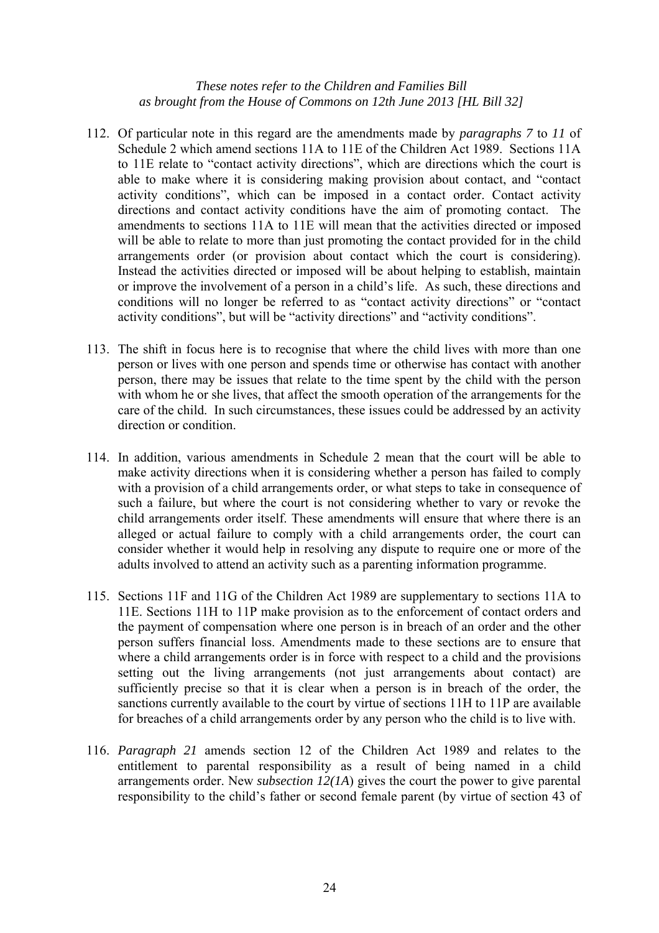- 112. Of particular note in this regard are the amendments made by *paragraphs 7* to *11* of Schedule 2 which amend sections 11A to 11E of the Children Act 1989. Sections 11A to 11E relate to "contact activity directions", which are directions which the court is able to make where it is considering making provision about contact, and "contact activity conditions", which can be imposed in a contact order. Contact activity directions and contact activity conditions have the aim of promoting contact. The amendments to sections 11A to 11E will mean that the activities directed or imposed will be able to relate to more than just promoting the contact provided for in the child arrangements order (or provision about contact which the court is considering). Instead the activities directed or imposed will be about helping to establish, maintain or improve the involvement of a person in a child's life. As such, these directions and conditions will no longer be referred to as "contact activity directions" or "contact activity conditions", but will be "activity directions" and "activity conditions".
- 113. The shift in focus here is to recognise that where the child lives with more than one person or lives with one person and spends time or otherwise has contact with another person, there may be issues that relate to the time spent by the child with the person with whom he or she lives, that affect the smooth operation of the arrangements for the care of the child. In such circumstances, these issues could be addressed by an activity direction or condition.
- 114. In addition, various amendments in Schedule 2 mean that the court will be able to make activity directions when it is considering whether a person has failed to comply with a provision of a child arrangements order, or what steps to take in consequence of such a failure, but where the court is not considering whether to vary or revoke the child arrangements order itself. These amendments will ensure that where there is an alleged or actual failure to comply with a child arrangements order, the court can consider whether it would help in resolving any dispute to require one or more of the adults involved to attend an activity such as a parenting information programme.
- 115. Sections 11F and 11G of the Children Act 1989 are supplementary to sections 11A to 11E. Sections 11H to 11P make provision as to the enforcement of contact orders and the payment of compensation where one person is in breach of an order and the other person suffers financial loss. Amendments made to these sections are to ensure that where a child arrangements order is in force with respect to a child and the provisions setting out the living arrangements (not just arrangements about contact) are sufficiently precise so that it is clear when a person is in breach of the order, the sanctions currently available to the court by virtue of sections 11H to 11P are available for breaches of a child arrangements order by any person who the child is to live with.
- 116. *Paragraph 21* amends section 12 of the Children Act 1989 and relates to the entitlement to parental responsibility as a result of being named in a child arrangements order. New *subsection 12(1A*) gives the court the power to give parental responsibility to the child's father or second female parent (by virtue of section 43 of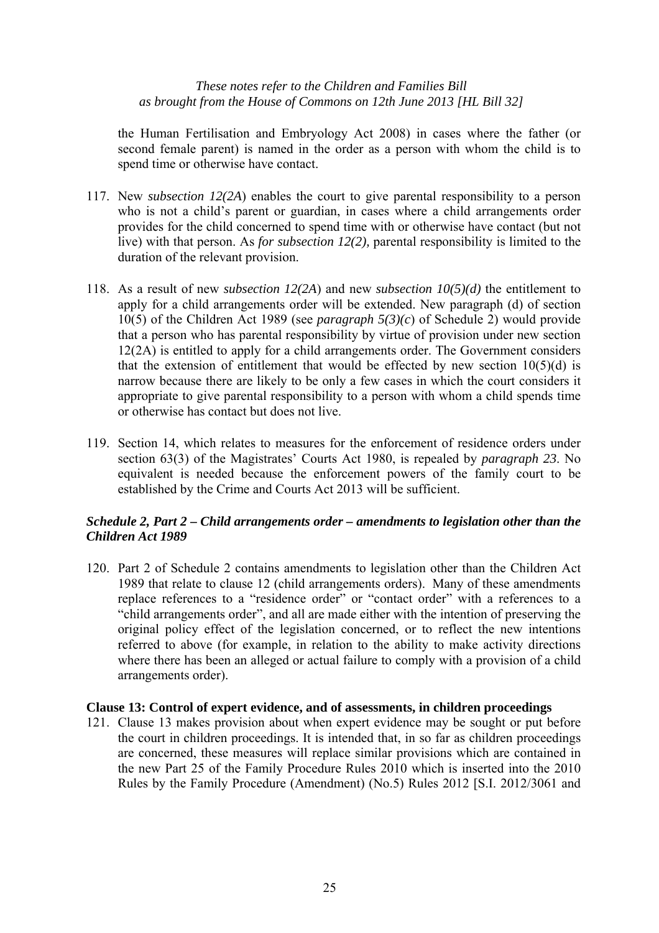the Human Fertilisation and Embryology Act 2008) in cases where the father (or second female parent) is named in the order as a person with whom the child is to spend time or otherwise have contact.

- 117. New *subsection 12(2A*) enables the court to give parental responsibility to a person who is not a child's parent or guardian, in cases where a child arrangements order provides for the child concerned to spend time with or otherwise have contact (but not live) with that person. As *for subsection 12(2),* parental responsibility is limited to the duration of the relevant provision.
- 118. As a result of new *subsection 12(2A*) and new *subsection 10(5)(d)* the entitlement to apply for a child arrangements order will be extended. New paragraph (d) of section 10(5) of the Children Act 1989 (see *paragraph 5(3)(c*) of Schedule 2) would provide that a person who has parental responsibility by virtue of provision under new section 12(2A) is entitled to apply for a child arrangements order. The Government considers that the extension of entitlement that would be effected by new section  $10(5)(d)$  is narrow because there are likely to be only a few cases in which the court considers it appropriate to give parental responsibility to a person with whom a child spends time or otherwise has contact but does not live.
- 119. Section 14, which relates to measures for the enforcement of residence orders under section 63(3) of the Magistrates' Courts Act 1980, is repealed by *paragraph 23*. No equivalent is needed because the enforcement powers of the family court to be established by the Crime and Courts Act 2013 will be sufficient.

## *Schedule 2, Part 2 – Child arrangements order – amendments to legislation other than the Children Act 1989*

120. Part 2 of Schedule 2 contains amendments to legislation other than the Children Act 1989 that relate to clause 12 (child arrangements orders). Many of these amendments replace references to a "residence order" or "contact order" with a references to a "child arrangements order", and all are made either with the intention of preserving the original policy effect of the legislation concerned, or to reflect the new intentions referred to above (for example, in relation to the ability to make activity directions where there has been an alleged or actual failure to comply with a provision of a child arrangements order).

## **Clause 13: Control of expert evidence, and of assessments, in children proceedings**

121. Clause 13 makes provision about when expert evidence may be sought or put before the court in children proceedings. It is intended that, in so far as children proceedings are concerned, these measures will replace similar provisions which are contained in the new Part 25 of the Family Procedure Rules 2010 which is inserted into the 2010 Rules by the Family Procedure (Amendment) (No.5) Rules 2012 [S.I. 2012/3061 and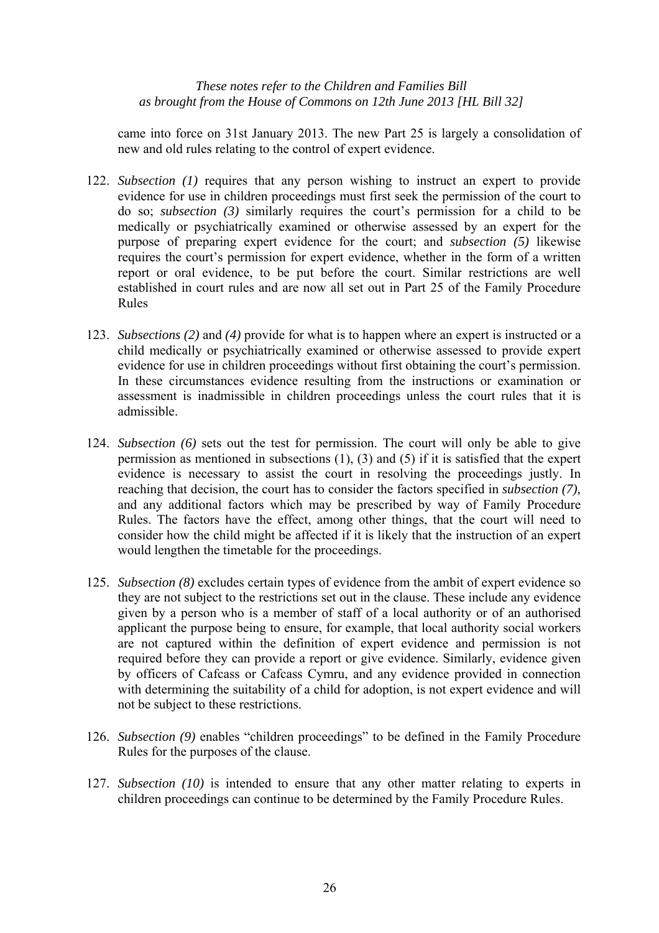came into force on 31st January 2013. The new Part 25 is largely a consolidation of new and old rules relating to the control of expert evidence.

- 122. *Subsection (1)* requires that any person wishing to instruct an expert to provide evidence for use in children proceedings must first seek the permission of the court to do so; *subsection (3)* similarly requires the court's permission for a child to be medically or psychiatrically examined or otherwise assessed by an expert for the purpose of preparing expert evidence for the court; and *subsection (5)* likewise requires the court's permission for expert evidence, whether in the form of a written report or oral evidence, to be put before the court. Similar restrictions are well established in court rules and are now all set out in Part 25 of the Family Procedure Rules
- 123. *Subsections (2)* and *(4)* provide for what is to happen where an expert is instructed or a child medically or psychiatrically examined or otherwise assessed to provide expert evidence for use in children proceedings without first obtaining the court's permission. In these circumstances evidence resulting from the instructions or examination or assessment is inadmissible in children proceedings unless the court rules that it is admissible.
- 124. *Subsection (6)* sets out the test for permission. The court will only be able to give permission as mentioned in subsections (1), (3) and (5) if it is satisfied that the expert evidence is necessary to assist the court in resolving the proceedings justly. In reaching that decision, the court has to consider the factors specified in *subsection (7),* and any additional factors which may be prescribed by way of Family Procedure Rules. The factors have the effect, among other things, that the court will need to consider how the child might be affected if it is likely that the instruction of an expert would lengthen the timetable for the proceedings.
- 125. *Subsection (8)* excludes certain types of evidence from the ambit of expert evidence so they are not subject to the restrictions set out in the clause. These include any evidence given by a person who is a member of staff of a local authority or of an authorised applicant the purpose being to ensure, for example, that local authority social workers are not captured within the definition of expert evidence and permission is not required before they can provide a report or give evidence. Similarly, evidence given by officers of Cafcass or Cafcass Cymru, and any evidence provided in connection with determining the suitability of a child for adoption, is not expert evidence and will not be subject to these restrictions.
- 126. *Subsection (9)* enables "children proceedings" to be defined in the Family Procedure Rules for the purposes of the clause.
- 127. *Subsection (10)* is intended to ensure that any other matter relating to experts in children proceedings can continue to be determined by the Family Procedure Rules.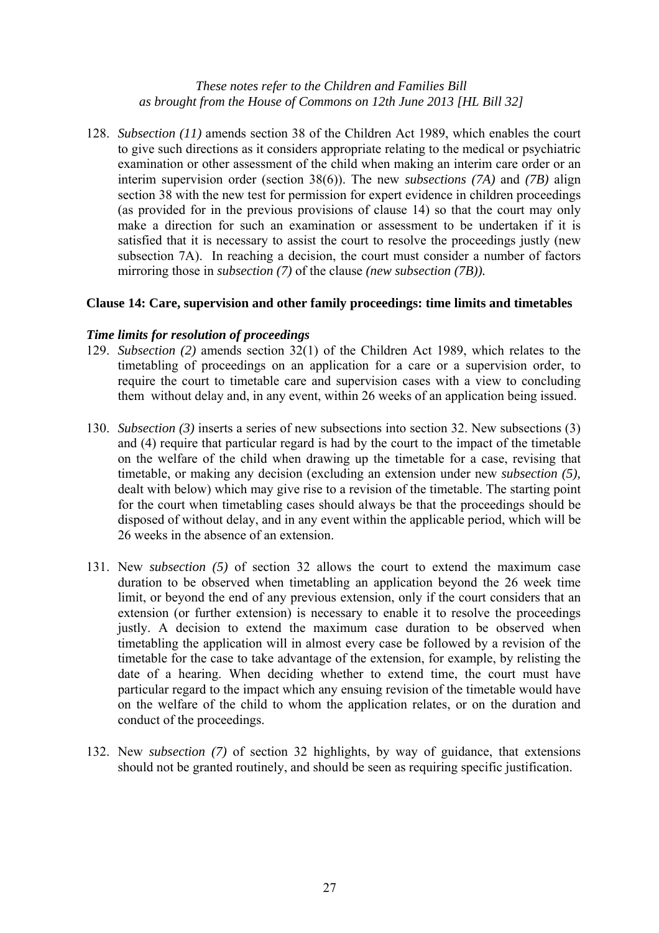128. *Subsection (11)* amends section 38 of the Children Act 1989, which enables the court to give such directions as it considers appropriate relating to the medical or psychiatric examination or other assessment of the child when making an interim care order or an interim supervision order (section 38(6)). The new *subsections (7A)* and *(7B)* align section 38 with the new test for permission for expert evidence in children proceedings (as provided for in the previous provisions of clause 14) so that the court may only make a direction for such an examination or assessment to be undertaken if it is satisfied that it is necessary to assist the court to resolve the proceedings justly (new subsection 7A). In reaching a decision, the court must consider a number of factors mirroring those in *subsection (7)* of the clause *(new subsection (7B)).*

## **Clause 14: Care, supervision and other family proceedings: time limits and timetables**

## *Time limits for resolution of proceedings*

- 129. *Subsection (2)* amends section 32(1) of the Children Act 1989, which relates to the timetabling of proceedings on an application for a care or a supervision order, to require the court to timetable care and supervision cases with a view to concluding them without delay and, in any event, within 26 weeks of an application being issued.
- 130. *Subsection (3)* inserts a series of new subsections into section 32. New subsections (3) and (4) require that particular regard is had by the court to the impact of the timetable on the welfare of the child when drawing up the timetable for a case, revising that timetable, or making any decision (excluding an extension under new *subsection (5),* dealt with below) which may give rise to a revision of the timetable. The starting point for the court when timetabling cases should always be that the proceedings should be disposed of without delay, and in any event within the applicable period, which will be 26 weeks in the absence of an extension.
- 131. New *subsection (5)* of section 32 allows the court to extend the maximum case duration to be observed when timetabling an application beyond the 26 week time limit, or beyond the end of any previous extension, only if the court considers that an extension (or further extension) is necessary to enable it to resolve the proceedings justly. A decision to extend the maximum case duration to be observed when timetabling the application will in almost every case be followed by a revision of the timetable for the case to take advantage of the extension, for example, by relisting the date of a hearing. When deciding whether to extend time, the court must have particular regard to the impact which any ensuing revision of the timetable would have on the welfare of the child to whom the application relates, or on the duration and conduct of the proceedings.
- 132. New *subsection (7)* of section 32 highlights, by way of guidance, that extensions should not be granted routinely, and should be seen as requiring specific justification.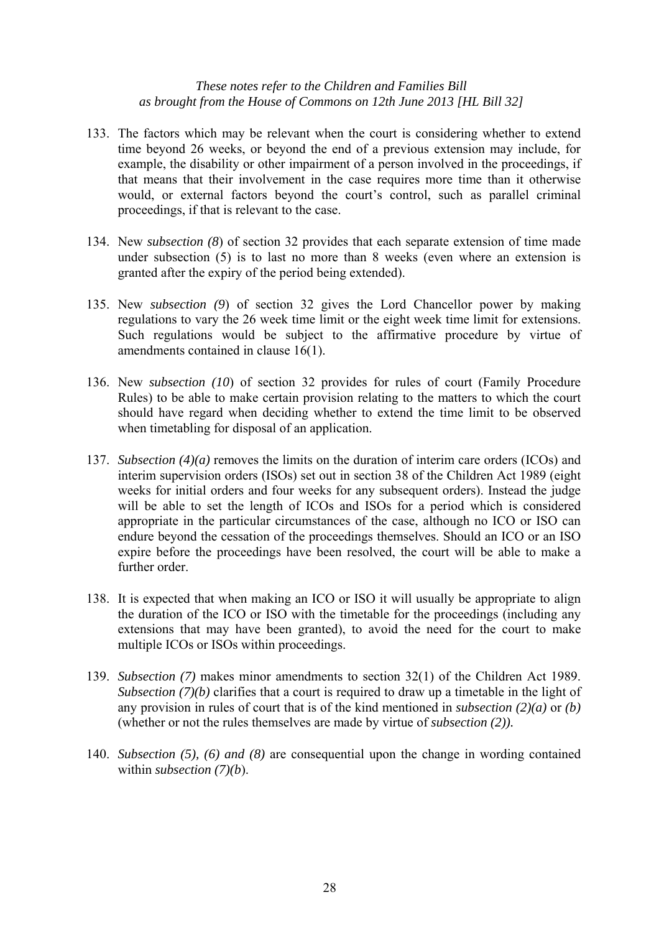- 133. The factors which may be relevant when the court is considering whether to extend time beyond 26 weeks, or beyond the end of a previous extension may include, for example, the disability or other impairment of a person involved in the proceedings, if that means that their involvement in the case requires more time than it otherwise would, or external factors beyond the court's control, such as parallel criminal proceedings, if that is relevant to the case.
- 134. New *subsection (8*) of section 32 provides that each separate extension of time made under subsection (5) is to last no more than 8 weeks (even where an extension is granted after the expiry of the period being extended).
- 135. New *subsection (9*) of section 32 gives the Lord Chancellor power by making regulations to vary the 26 week time limit or the eight week time limit for extensions. Such regulations would be subject to the affirmative procedure by virtue of amendments contained in clause 16(1).
- 136. New *subsection (10*) of section 32 provides for rules of court (Family Procedure Rules) to be able to make certain provision relating to the matters to which the court should have regard when deciding whether to extend the time limit to be observed when timetabling for disposal of an application.
- 137. *Subsection (4)(a)* removes the limits on the duration of interim care orders (ICOs) and interim supervision orders (ISOs) set out in section 38 of the Children Act 1989 (eight weeks for initial orders and four weeks for any subsequent orders). Instead the judge will be able to set the length of ICOs and ISOs for a period which is considered appropriate in the particular circumstances of the case, although no ICO or ISO can endure beyond the cessation of the proceedings themselves. Should an ICO or an ISO expire before the proceedings have been resolved, the court will be able to make a further order
- 138. It is expected that when making an ICO or ISO it will usually be appropriate to align the duration of the ICO or ISO with the timetable for the proceedings (including any extensions that may have been granted), to avoid the need for the court to make multiple ICOs or ISOs within proceedings.
- 139. *Subsection (7)* makes minor amendments to section 32(1) of the Children Act 1989. *Subsection (7)(b)* clarifies that a court is required to draw up a timetable in the light of any provision in rules of court that is of the kind mentioned in *subsection (2)(a)* or *(b)* (whether or not the rules themselves are made by virtue of *subsection (2)).*
- 140. *Subsection (5), (6) and (8)* are consequential upon the change in wording contained within *subsection (7)(b*).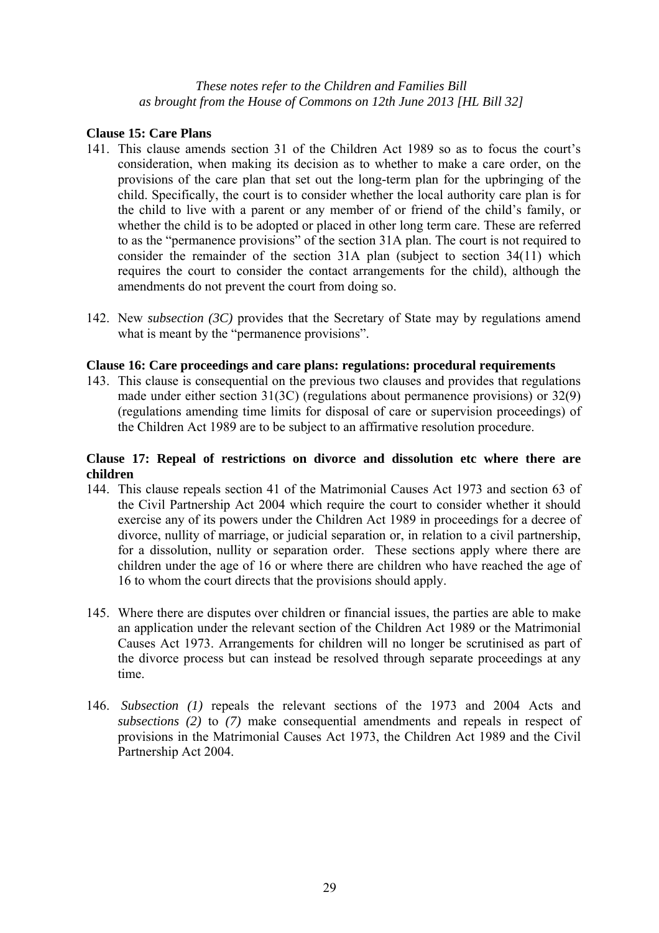## **Clause 15: Care Plans**

- 141. This clause amends section 31 of the Children Act 1989 so as to focus the court's consideration, when making its decision as to whether to make a care order, on the provisions of the care plan that set out the long-term plan for the upbringing of the child. Specifically, the court is to consider whether the local authority care plan is for the child to live with a parent or any member of or friend of the child's family, or whether the child is to be adopted or placed in other long term care. These are referred to as the "permanence provisions" of the section 31A plan. The court is not required to consider the remainder of the section 31A plan (subject to section 34(11) which requires the court to consider the contact arrangements for the child), although the amendments do not prevent the court from doing so.
- 142. New *subsection (3C)* provides that the Secretary of State may by regulations amend what is meant by the "permanence provisions".

## **Clause 16: Care proceedings and care plans: regulations: procedural requirements**

143. This clause is consequential on the previous two clauses and provides that regulations made under either section 31(3C) (regulations about permanence provisions) or 32(9) (regulations amending time limits for disposal of care or supervision proceedings) of the Children Act 1989 are to be subject to an affirmative resolution procedure.

## **Clause 17: Repeal of restrictions on divorce and dissolution etc where there are children**

- 144. This clause repeals section 41 of the Matrimonial Causes Act 1973 and section 63 of the Civil Partnership Act 2004 which require the court to consider whether it should exercise any of its powers under the Children Act 1989 in proceedings for a decree of divorce, nullity of marriage, or judicial separation or, in relation to a civil partnership, for a dissolution, nullity or separation order. These sections apply where there are children under the age of 16 or where there are children who have reached the age of 16 to whom the court directs that the provisions should apply.
- 145. Where there are disputes over children or financial issues, the parties are able to make an application under the relevant section of the Children Act 1989 or the Matrimonial Causes Act 1973. Arrangements for children will no longer be scrutinised as part of the divorce process but can instead be resolved through separate proceedings at any time.
- 146. *Subsection (1)* repeals the relevant sections of the 1973 and 2004 Acts and *subsections (2)* to *(7)* make consequential amendments and repeals in respect of provisions in the Matrimonial Causes Act 1973, the Children Act 1989 and the Civil Partnership Act 2004.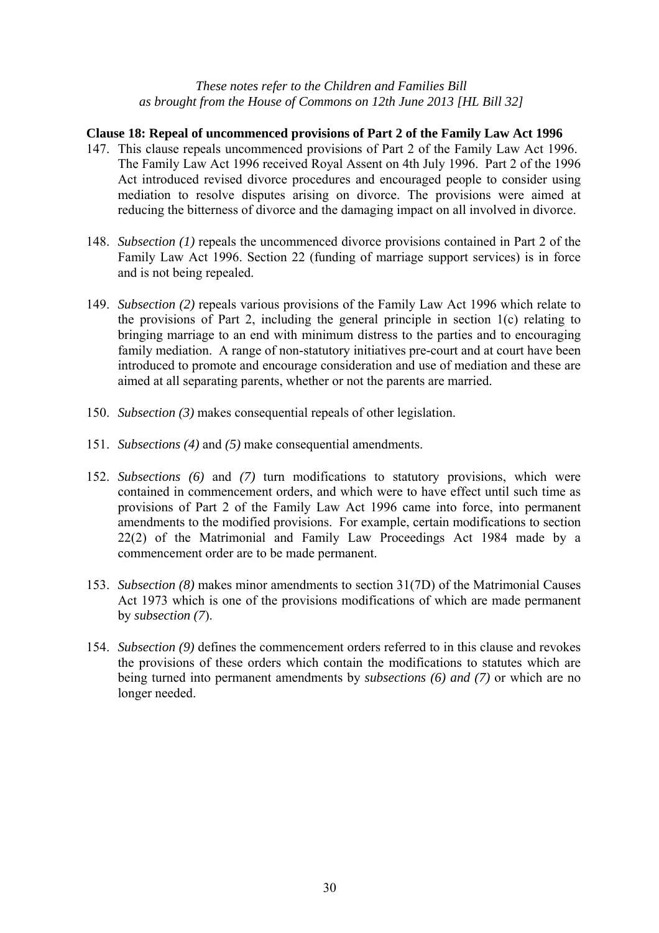# **Clause 18: Repeal of uncommenced provisions of Part 2 of the Family Law Act 1996**

- 147. This clause repeals uncommenced provisions of Part 2 of the Family Law Act 1996. The Family Law Act 1996 received Royal Assent on 4th July 1996. Part 2 of the 1996 Act introduced revised divorce procedures and encouraged people to consider using mediation to resolve disputes arising on divorce. The provisions were aimed at reducing the bitterness of divorce and the damaging impact on all involved in divorce.
- 148. *Subsection (1)* repeals the uncommenced divorce provisions contained in Part 2 of the Family Law Act 1996. Section 22 (funding of marriage support services) is in force and is not being repealed.
- 149. *Subsection (2)* repeals various provisions of the Family Law Act 1996 which relate to the provisions of Part 2, including the general principle in section 1(c) relating to bringing marriage to an end with minimum distress to the parties and to encouraging family mediation. A range of non-statutory initiatives pre-court and at court have been introduced to promote and encourage consideration and use of mediation and these are aimed at all separating parents, whether or not the parents are married.
- 150. *Subsection (3)* makes consequential repeals of other legislation.
- 151. *Subsections (4)* and *(5)* make consequential amendments.
- 152. *Subsections (6)* and *(7)* turn modifications to statutory provisions, which were contained in commencement orders, and which were to have effect until such time as provisions of Part 2 of the Family Law Act 1996 came into force, into permanent amendments to the modified provisions. For example, certain modifications to section 22(2) of the Matrimonial and Family Law Proceedings Act 1984 made by a commencement order are to be made permanent.
- 153. *Subsection (8)* makes minor amendments to section 31(7D) of the Matrimonial Causes Act 1973 which is one of the provisions modifications of which are made permanent by *subsection (7*).
- 154. *Subsection (9)* defines the commencement orders referred to in this clause and revokes the provisions of these orders which contain the modifications to statutes which are being turned into permanent amendments by *subsections (6) and (7)* or which are no longer needed.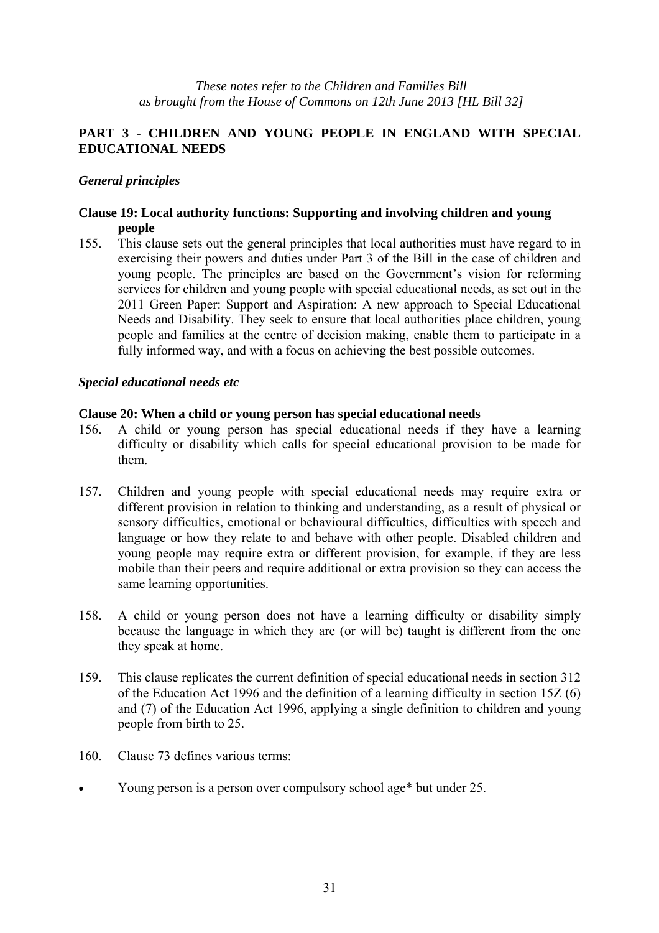# **PART 3 - CHILDREN AND YOUNG PEOPLE IN ENGLAND WITH SPECIAL EDUCATIONAL NEEDS**

## *General principles*

## **Clause 19: Local authority functions: Supporting and involving children and young people**

155. This clause sets out the general principles that local authorities must have regard to in exercising their powers and duties under Part 3 of the Bill in the case of children and young people. The principles are based on the Government's vision for reforming services for children and young people with special educational needs, as set out in the 2011 Green Paper: Support and Aspiration: A new approach to Special Educational Needs and Disability. They seek to ensure that local authorities place children, young people and families at the centre of decision making, enable them to participate in a fully informed way, and with a focus on achieving the best possible outcomes.

## *Special educational needs etc*

#### **Clause 20: When a child or young person has special educational needs**

- 156. A child or young person has special educational needs if they have a learning difficulty or disability which calls for special educational provision to be made for them.
- 157. Children and young people with special educational needs may require extra or different provision in relation to thinking and understanding, as a result of physical or sensory difficulties, emotional or behavioural difficulties, difficulties with speech and language or how they relate to and behave with other people. Disabled children and young people may require extra or different provision, for example, if they are less mobile than their peers and require additional or extra provision so they can access the same learning opportunities.
- 158. A child or young person does not have a learning difficulty or disability simply because the language in which they are (or will be) taught is different from the one they speak at home.
- 159. This clause replicates the current definition of special educational needs in section 312 of the Education Act 1996 and the definition of a learning difficulty in section 15Z (6) and (7) of the Education Act 1996, applying a single definition to children and young people from birth to 25.
- 160. Clause 73 defines various terms:
- Young person is a person over compulsory school age\* but under 25.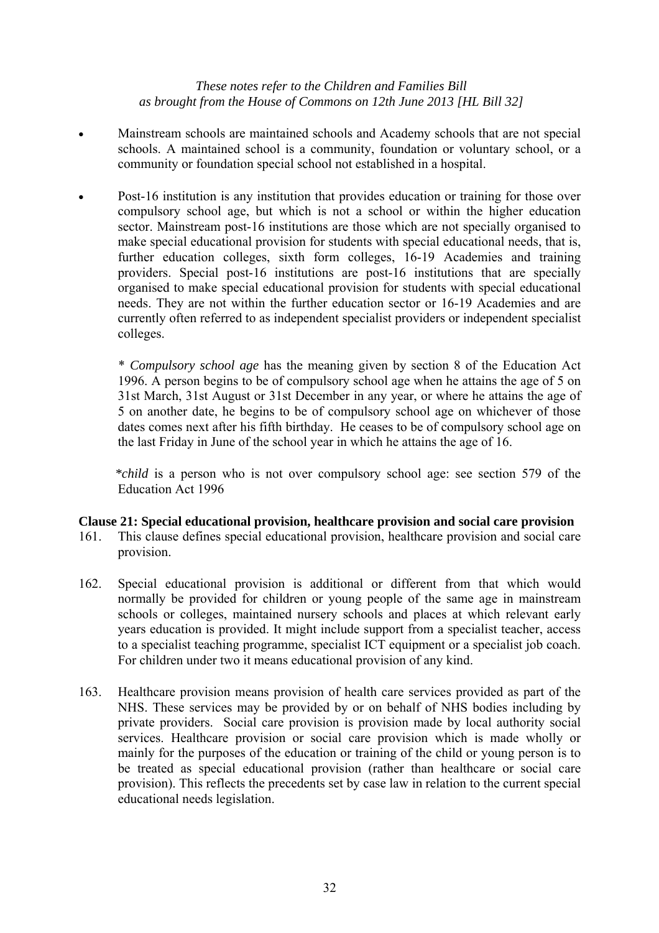- Mainstream schools are maintained schools and Academy schools that are not special schools. A maintained school is a community, foundation or voluntary school, or a community or foundation special school not established in a hospital.
- Post-16 institution is any institution that provides education or training for those over compulsory school age, but which is not a school or within the higher education sector. Mainstream post-16 institutions are those which are not specially organised to make special educational provision for students with special educational needs, that is, further education colleges, sixth form colleges, 16-19 Academies and training providers. Special post-16 institutions are post-16 institutions that are specially organised to make special educational provision for students with special educational needs. They are not within the further education sector or 16-19 Academies and are currently often referred to as independent specialist providers or independent specialist colleges.

 \* *Compulsory school age* has the meaning given by section 8 of the Education Act 1996. A person begins to be of compulsory school age when he attains the age of 5 on 31st March, 31st August or 31st December in any year, or where he attains the age of 5 on another date, he begins to be of compulsory school age on whichever of those dates comes next after his fifth birthday. He ceases to be of compulsory school age on the last Friday in June of the school year in which he attains the age of 16.

 *\*child* is a person who is not over compulsory school age: see section 579 of the Education Act 1996

## **Clause 21: Special educational provision, healthcare provision and social care provision**

- 161. This clause defines special educational provision, healthcare provision and social care provision.
- 162. Special educational provision is additional or different from that which would normally be provided for children or young people of the same age in mainstream schools or colleges, maintained nursery schools and places at which relevant early years education is provided. It might include support from a specialist teacher, access to a specialist teaching programme, specialist ICT equipment or a specialist job coach. For children under two it means educational provision of any kind.
- 163. Healthcare provision means provision of health care services provided as part of the NHS. These services may be provided by or on behalf of NHS bodies including by private providers. Social care provision is provision made by local authority social services. Healthcare provision or social care provision which is made wholly or mainly for the purposes of the education or training of the child or young person is to be treated as special educational provision (rather than healthcare or social care provision). This reflects the precedents set by case law in relation to the current special educational needs legislation.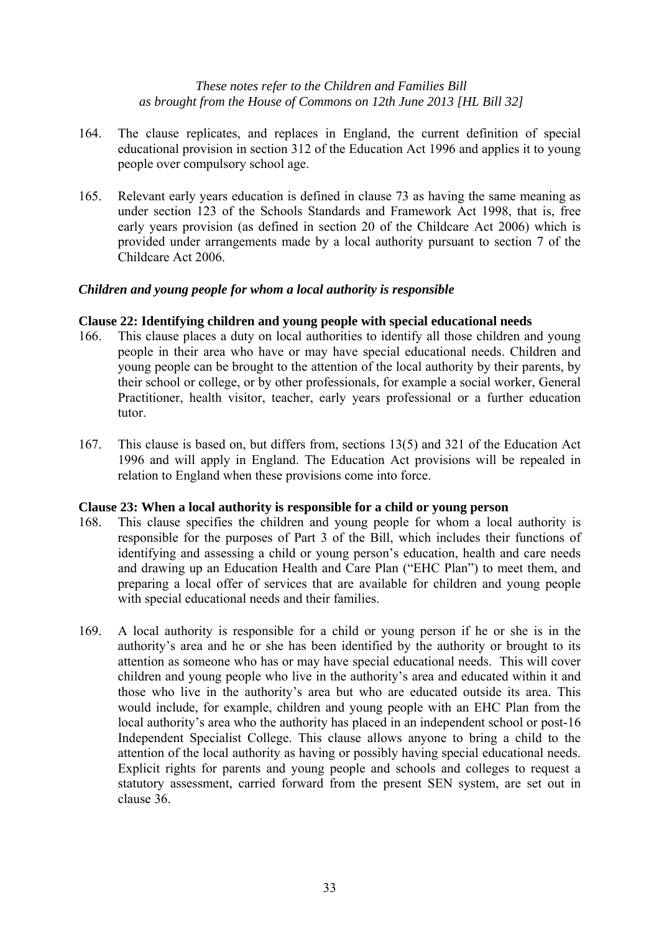- 164. The clause replicates, and replaces in England, the current definition of special educational provision in section 312 of the Education Act 1996 and applies it to young people over compulsory school age.
- 165. Relevant early years education is defined in clause 73 as having the same meaning as under section 123 of the Schools Standards and Framework Act 1998, that is, free early years provision (as defined in section 20 of the Childcare Act 2006) which is provided under arrangements made by a local authority pursuant to section 7 of the Childcare Act 2006.

## *Children and young people for whom a local authority is responsible*

## **Clause 22: Identifying children and young people with special educational needs**

- 166. This clause places a duty on local authorities to identify all those children and young people in their area who have or may have special educational needs. Children and young people can be brought to the attention of the local authority by their parents, by their school or college, or by other professionals, for example a social worker, General Practitioner, health visitor, teacher, early years professional or a further education tutor.
- 167. This clause is based on, but differs from, sections 13(5) and 321 of the Education Act 1996 and will apply in England. The Education Act provisions will be repealed in relation to England when these provisions come into force.

## **Clause 23: When a local authority is responsible for a child or young person**

- 168. This clause specifies the children and young people for whom a local authority is responsible for the purposes of Part 3 of the Bill, which includes their functions of identifying and assessing a child or young person's education, health and care needs and drawing up an Education Health and Care Plan ("EHC Plan") to meet them, and preparing a local offer of services that are available for children and young people with special educational needs and their families.
- 169. A local authority is responsible for a child or young person if he or she is in the authority's area and he or she has been identified by the authority or brought to its attention as someone who has or may have special educational needs. This will cover children and young people who live in the authority's area and educated within it and those who live in the authority's area but who are educated outside its area. This would include, for example, children and young people with an EHC Plan from the local authority's area who the authority has placed in an independent school or post-16 Independent Specialist College. This clause allows anyone to bring a child to the attention of the local authority as having or possibly having special educational needs. Explicit rights for parents and young people and schools and colleges to request a statutory assessment, carried forward from the present SEN system, are set out in clause 36.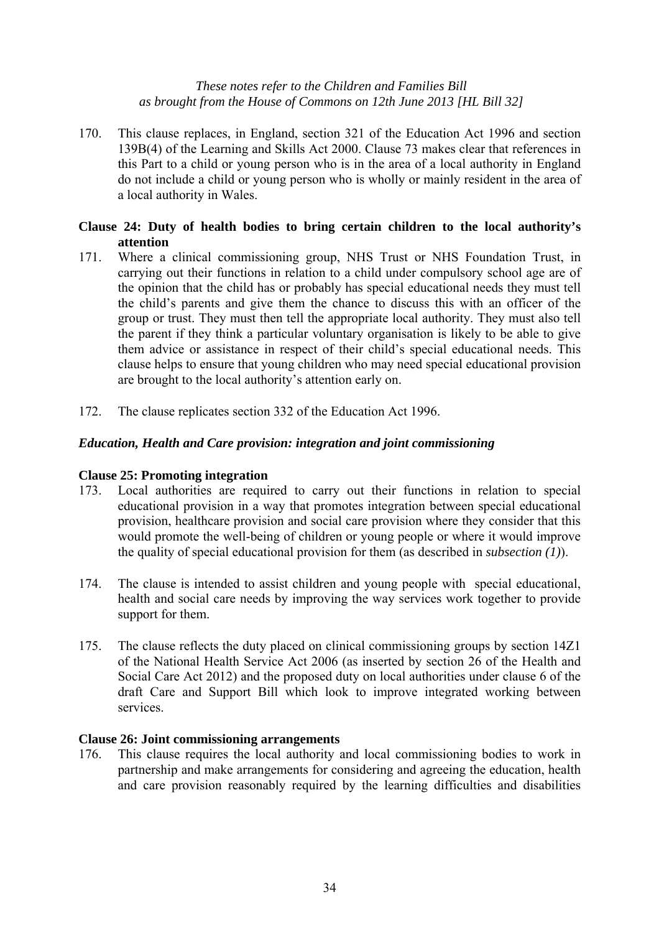170. This clause replaces, in England, section 321 of the Education Act 1996 and section 139B(4) of the Learning and Skills Act 2000. Clause 73 makes clear that references in this Part to a child or young person who is in the area of a local authority in England do not include a child or young person who is wholly or mainly resident in the area of a local authority in Wales.

## **Clause 24: Duty of health bodies to bring certain children to the local authority's attention**

- 171. Where a clinical commissioning group, NHS Trust or NHS Foundation Trust, in carrying out their functions in relation to a child under compulsory school age are of the opinion that the child has or probably has special educational needs they must tell the child's parents and give them the chance to discuss this with an officer of the group or trust. They must then tell the appropriate local authority. They must also tell the parent if they think a particular voluntary organisation is likely to be able to give them advice or assistance in respect of their child's special educational needs. This clause helps to ensure that young children who may need special educational provision are brought to the local authority's attention early on.
- 172. The clause replicates section 332 of the Education Act 1996.

## *Education, Health and Care provision: integration and joint commissioning*

## **Clause 25: Promoting integration**

- 173. Local authorities are required to carry out their functions in relation to special educational provision in a way that promotes integration between special educational provision, healthcare provision and social care provision where they consider that this would promote the well-being of children or young people or where it would improve the quality of special educational provision for them (as described in *subsection (1)*).
- 174. The clause is intended to assist children and young people with special educational, health and social care needs by improving the way services work together to provide support for them.
- 175. The clause reflects the duty placed on clinical commissioning groups by section 14Z1 of the National Health Service Act 2006 (as inserted by section 26 of the Health and Social Care Act 2012) and the proposed duty on local authorities under clause 6 of the draft Care and Support Bill which look to improve integrated working between services.

## **Clause 26: Joint commissioning arrangements**

176. This clause requires the local authority and local commissioning bodies to work in partnership and make arrangements for considering and agreeing the education, health and care provision reasonably required by the learning difficulties and disabilities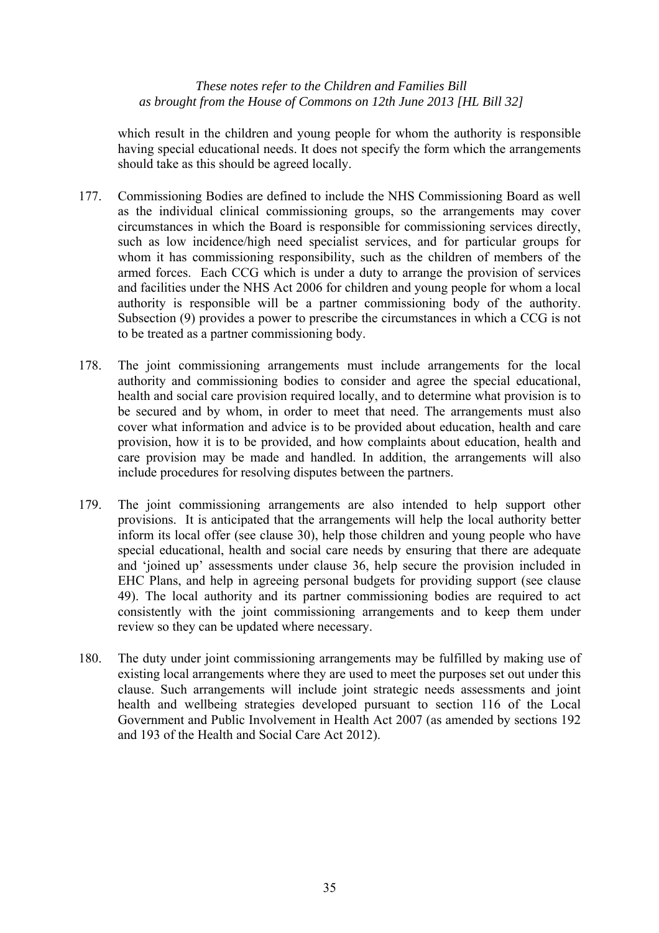which result in the children and young people for whom the authority is responsible having special educational needs. It does not specify the form which the arrangements should take as this should be agreed locally.

- 177. Commissioning Bodies are defined to include the NHS Commissioning Board as well as the individual clinical commissioning groups, so the arrangements may cover circumstances in which the Board is responsible for commissioning services directly, such as low incidence/high need specialist services, and for particular groups for whom it has commissioning responsibility, such as the children of members of the armed forces. Each CCG which is under a duty to arrange the provision of services and facilities under the NHS Act 2006 for children and young people for whom a local authority is responsible will be a partner commissioning body of the authority. Subsection (9) provides a power to prescribe the circumstances in which a CCG is not to be treated as a partner commissioning body.
- 178. The joint commissioning arrangements must include arrangements for the local authority and commissioning bodies to consider and agree the special educational, health and social care provision required locally, and to determine what provision is to be secured and by whom, in order to meet that need. The arrangements must also cover what information and advice is to be provided about education, health and care provision, how it is to be provided, and how complaints about education, health and care provision may be made and handled. In addition, the arrangements will also include procedures for resolving disputes between the partners.
- 179. The joint commissioning arrangements are also intended to help support other provisions. It is anticipated that the arrangements will help the local authority better inform its local offer (see clause 30), help those children and young people who have special educational, health and social care needs by ensuring that there are adequate and 'joined up' assessments under clause 36, help secure the provision included in EHC Plans, and help in agreeing personal budgets for providing support (see clause 49). The local authority and its partner commissioning bodies are required to act consistently with the joint commissioning arrangements and to keep them under review so they can be updated where necessary.
- 180. The duty under joint commissioning arrangements may be fulfilled by making use of existing local arrangements where they are used to meet the purposes set out under this clause. Such arrangements will include joint strategic needs assessments and joint health and wellbeing strategies developed pursuant to section 116 of the Local Government and Public Involvement in Health Act 2007 (as amended by sections 192 and 193 of the Health and Social Care Act 2012).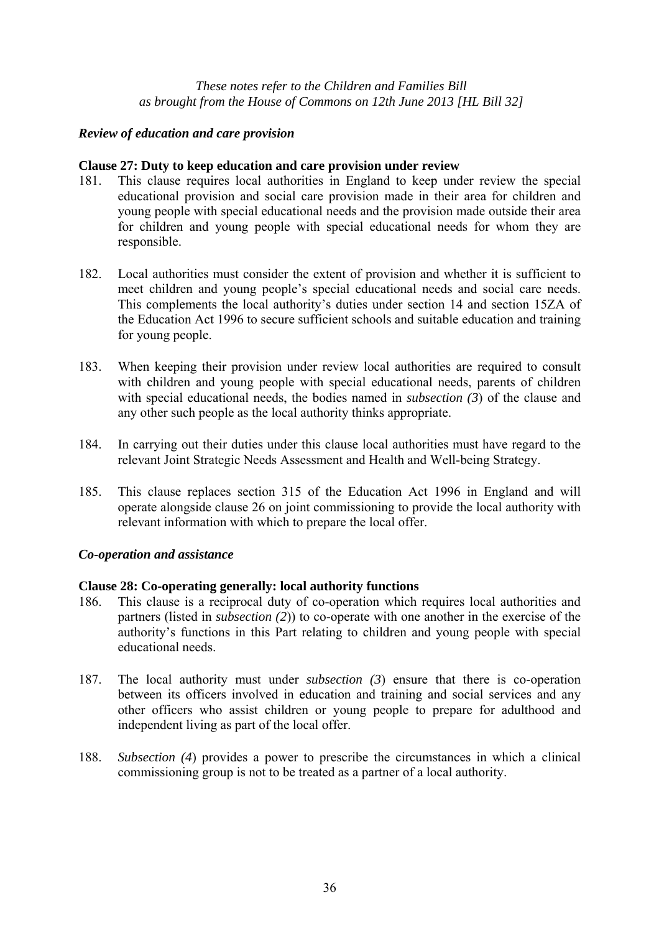## *Review of education and care provision*

## **Clause 27: Duty to keep education and care provision under review**

- 181. This clause requires local authorities in England to keep under review the special educational provision and social care provision made in their area for children and young people with special educational needs and the provision made outside their area for children and young people with special educational needs for whom they are responsible.
- 182. Local authorities must consider the extent of provision and whether it is sufficient to meet children and young people's special educational needs and social care needs. This complements the local authority's duties under section 14 and section 15ZA of the Education Act 1996 to secure sufficient schools and suitable education and training for young people.
- 183. When keeping their provision under review local authorities are required to consult with children and young people with special educational needs, parents of children with special educational needs, the bodies named in *subsection (3*) of the clause and any other such people as the local authority thinks appropriate.
- 184. In carrying out their duties under this clause local authorities must have regard to the relevant Joint Strategic Needs Assessment and Health and Well-being Strategy.
- 185. This clause replaces section 315 of the Education Act 1996 in England and will operate alongside clause 26 on joint commissioning to provide the local authority with relevant information with which to prepare the local offer.

## *Co-operation and assistance*

## **Clause 28: Co-operating generally: local authority functions**

- 186. This clause is a reciprocal duty of co-operation which requires local authorities and partners (listed in *subsection (2*)) to co-operate with one another in the exercise of the authority's functions in this Part relating to children and young people with special educational needs.
- 187. The local authority must under *subsection (3*) ensure that there is co-operation between its officers involved in education and training and social services and any other officers who assist children or young people to prepare for adulthood and independent living as part of the local offer.
- 188. *Subsection (4*) provides a power to prescribe the circumstances in which a clinical commissioning group is not to be treated as a partner of a local authority.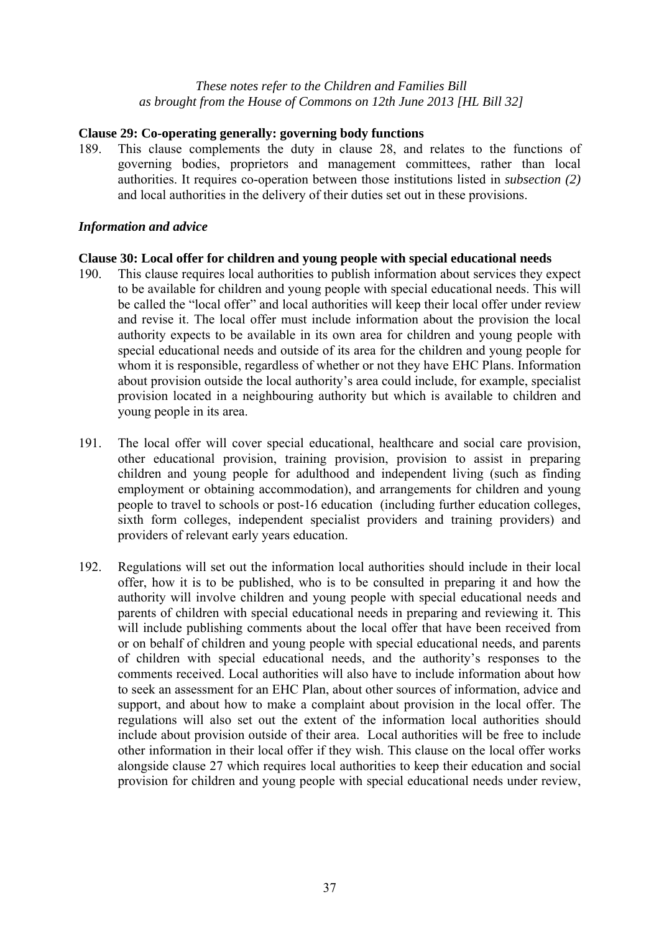# **Clause 29: Co-operating generally: governing body functions**

189. This clause complements the duty in clause 28, and relates to the functions of governing bodies, proprietors and management committees, rather than local authorities. It requires co-operation between those institutions listed in *subsection (2)* and local authorities in the delivery of their duties set out in these provisions.

# *Information and advice*

# **Clause 30: Local offer for children and young people with special educational needs**

- 190. This clause requires local authorities to publish information about services they expect to be available for children and young people with special educational needs. This will be called the "local offer" and local authorities will keep their local offer under review and revise it. The local offer must include information about the provision the local authority expects to be available in its own area for children and young people with special educational needs and outside of its area for the children and young people for whom it is responsible, regardless of whether or not they have EHC Plans. Information about provision outside the local authority's area could include, for example, specialist provision located in a neighbouring authority but which is available to children and young people in its area.
- 191. The local offer will cover special educational, healthcare and social care provision, other educational provision, training provision, provision to assist in preparing children and young people for adulthood and independent living (such as finding employment or obtaining accommodation), and arrangements for children and young people to travel to schools or post-16 education (including further education colleges, sixth form colleges, independent specialist providers and training providers) and providers of relevant early years education.
- 192. Regulations will set out the information local authorities should include in their local offer, how it is to be published, who is to be consulted in preparing it and how the authority will involve children and young people with special educational needs and parents of children with special educational needs in preparing and reviewing it. This will include publishing comments about the local offer that have been received from or on behalf of children and young people with special educational needs, and parents of children with special educational needs, and the authority's responses to the comments received. Local authorities will also have to include information about how to seek an assessment for an EHC Plan, about other sources of information, advice and support, and about how to make a complaint about provision in the local offer. The regulations will also set out the extent of the information local authorities should include about provision outside of their area. Local authorities will be free to include other information in their local offer if they wish. This clause on the local offer works alongside clause 27 which requires local authorities to keep their education and social provision for children and young people with special educational needs under review,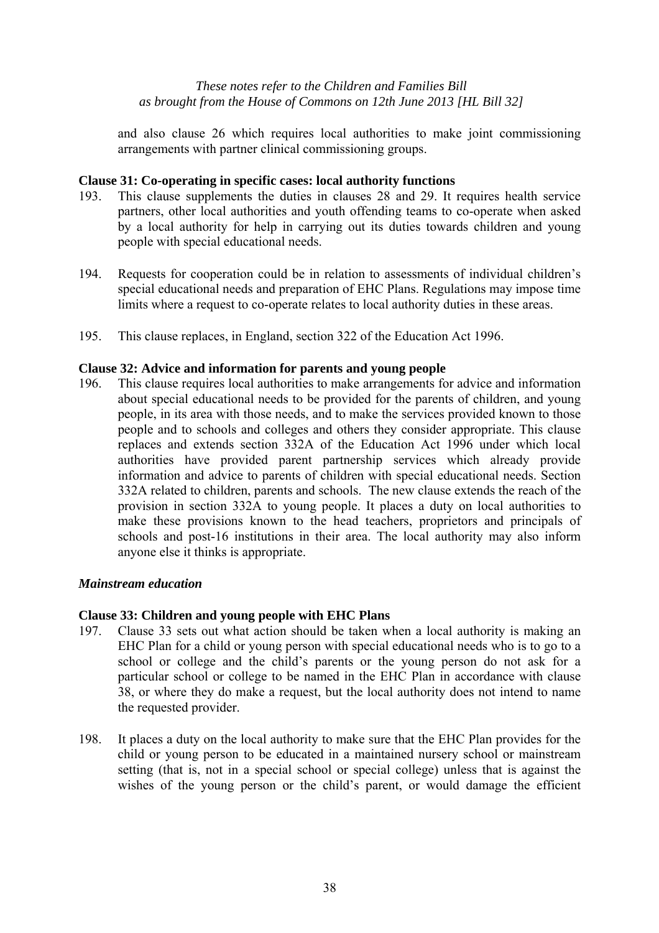and also clause 26 which requires local authorities to make joint commissioning arrangements with partner clinical commissioning groups.

# **Clause 31: Co-operating in specific cases: local authority functions**

- 193. This clause supplements the duties in clauses 28 and 29. It requires health service partners, other local authorities and youth offending teams to co-operate when asked by a local authority for help in carrying out its duties towards children and young people with special educational needs.
- 194. Requests for cooperation could be in relation to assessments of individual children's special educational needs and preparation of EHC Plans. Regulations may impose time limits where a request to co-operate relates to local authority duties in these areas.
- 195. This clause replaces, in England, section 322 of the Education Act 1996.

# **Clause 32: Advice and information for parents and young people**

196. This clause requires local authorities to make arrangements for advice and information about special educational needs to be provided for the parents of children, and young people, in its area with those needs, and to make the services provided known to those people and to schools and colleges and others they consider appropriate. This clause replaces and extends section 332A of the Education Act 1996 under which local authorities have provided parent partnership services which already provide information and advice to parents of children with special educational needs. Section 332A related to children, parents and schools. The new clause extends the reach of the provision in section 332A to young people. It places a duty on local authorities to make these provisions known to the head teachers, proprietors and principals of schools and post-16 institutions in their area. The local authority may also inform anyone else it thinks is appropriate.

# *Mainstream education*

# **Clause 33: Children and young people with EHC Plans**

- 197. Clause 33 sets out what action should be taken when a local authority is making an EHC Plan for a child or young person with special educational needs who is to go to a school or college and the child's parents or the young person do not ask for a particular school or college to be named in the EHC Plan in accordance with clause 38, or where they do make a request, but the local authority does not intend to name the requested provider.
- 198. It places a duty on the local authority to make sure that the EHC Plan provides for the child or young person to be educated in a maintained nursery school or mainstream setting (that is, not in a special school or special college) unless that is against the wishes of the young person or the child's parent, or would damage the efficient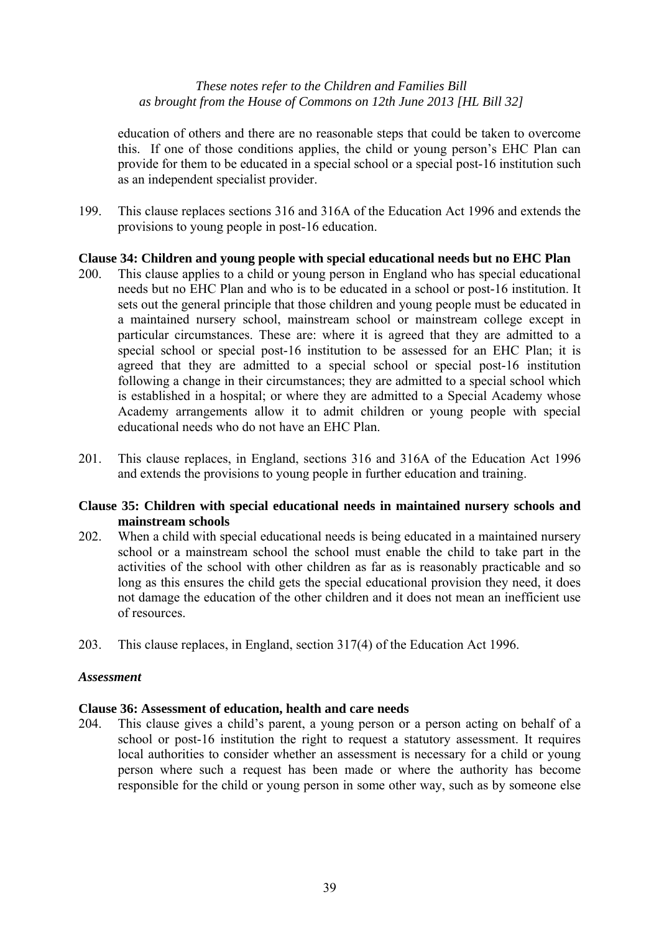education of others and there are no reasonable steps that could be taken to overcome this. If one of those conditions applies, the child or young person's EHC Plan can provide for them to be educated in a special school or a special post-16 institution such as an independent specialist provider.

199. This clause replaces sections 316 and 316A of the Education Act 1996 and extends the provisions to young people in post-16 education.

# **Clause 34: Children and young people with special educational needs but no EHC Plan**

- 200. This clause applies to a child or young person in England who has special educational needs but no EHC Plan and who is to be educated in a school or post-16 institution. It sets out the general principle that those children and young people must be educated in a maintained nursery school, mainstream school or mainstream college except in particular circumstances. These are: where it is agreed that they are admitted to a special school or special post-16 institution to be assessed for an EHC Plan; it is agreed that they are admitted to a special school or special post-16 institution following a change in their circumstances; they are admitted to a special school which is established in a hospital; or where they are admitted to a Special Academy whose Academy arrangements allow it to admit children or young people with special educational needs who do not have an EHC Plan.
- 201. This clause replaces, in England, sections 316 and 316A of the Education Act 1996 and extends the provisions to young people in further education and training.

# **Clause 35: Children with special educational needs in maintained nursery schools and mainstream schools**

- 202. When a child with special educational needs is being educated in a maintained nursery school or a mainstream school the school must enable the child to take part in the activities of the school with other children as far as is reasonably practicable and so long as this ensures the child gets the special educational provision they need, it does not damage the education of the other children and it does not mean an inefficient use of resources.
- 203. This clause replaces, in England, section 317(4) of the Education Act 1996.

# *Assessment*

# **Clause 36: Assessment of education, health and care needs**

204. This clause gives a child's parent, a young person or a person acting on behalf of a school or post-16 institution the right to request a statutory assessment. It requires local authorities to consider whether an assessment is necessary for a child or young person where such a request has been made or where the authority has become responsible for the child or young person in some other way, such as by someone else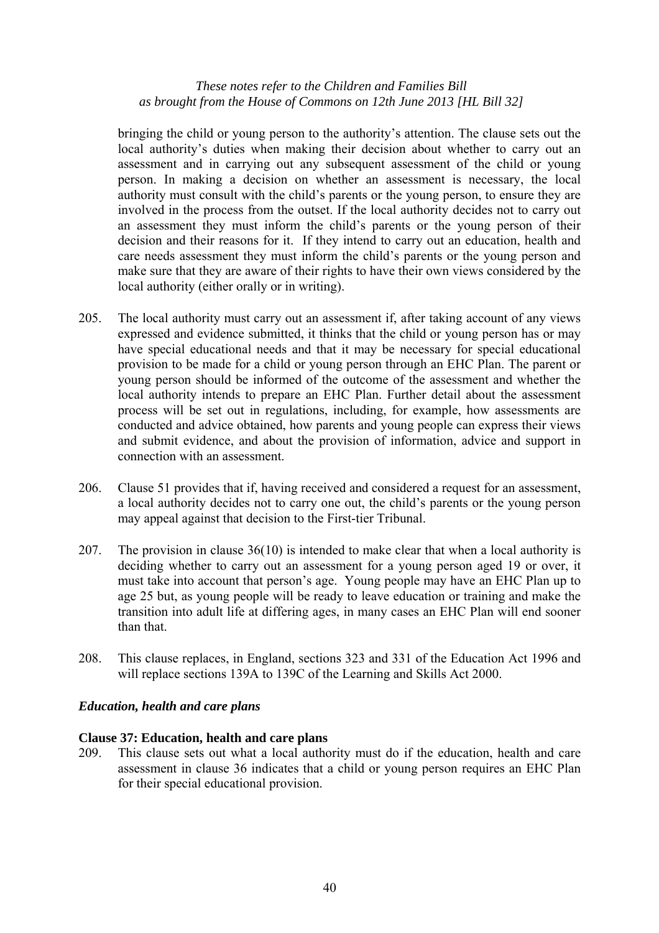bringing the child or young person to the authority's attention. The clause sets out the local authority's duties when making their decision about whether to carry out an assessment and in carrying out any subsequent assessment of the child or young person. In making a decision on whether an assessment is necessary, the local authority must consult with the child's parents or the young person, to ensure they are involved in the process from the outset. If the local authority decides not to carry out an assessment they must inform the child's parents or the young person of their decision and their reasons for it. If they intend to carry out an education, health and care needs assessment they must inform the child's parents or the young person and make sure that they are aware of their rights to have their own views considered by the local authority (either orally or in writing).

- 205. The local authority must carry out an assessment if, after taking account of any views expressed and evidence submitted, it thinks that the child or young person has or may have special educational needs and that it may be necessary for special educational provision to be made for a child or young person through an EHC Plan. The parent or young person should be informed of the outcome of the assessment and whether the local authority intends to prepare an EHC Plan. Further detail about the assessment process will be set out in regulations, including, for example, how assessments are conducted and advice obtained, how parents and young people can express their views and submit evidence, and about the provision of information, advice and support in connection with an assessment.
- 206. Clause 51 provides that if, having received and considered a request for an assessment, a local authority decides not to carry one out, the child's parents or the young person may appeal against that decision to the First-tier Tribunal.
- 207. The provision in clause 36(10) is intended to make clear that when a local authority is deciding whether to carry out an assessment for a young person aged 19 or over, it must take into account that person's age. Young people may have an EHC Plan up to age 25 but, as young people will be ready to leave education or training and make the transition into adult life at differing ages, in many cases an EHC Plan will end sooner than that.
- 208. This clause replaces, in England, sections 323 and 331 of the Education Act 1996 and will replace sections 139A to 139C of the Learning and Skills Act 2000.

# *Education, health and care plans*

# **Clause 37: Education, health and care plans**

209. This clause sets out what a local authority must do if the education, health and care assessment in clause 36 indicates that a child or young person requires an EHC Plan for their special educational provision.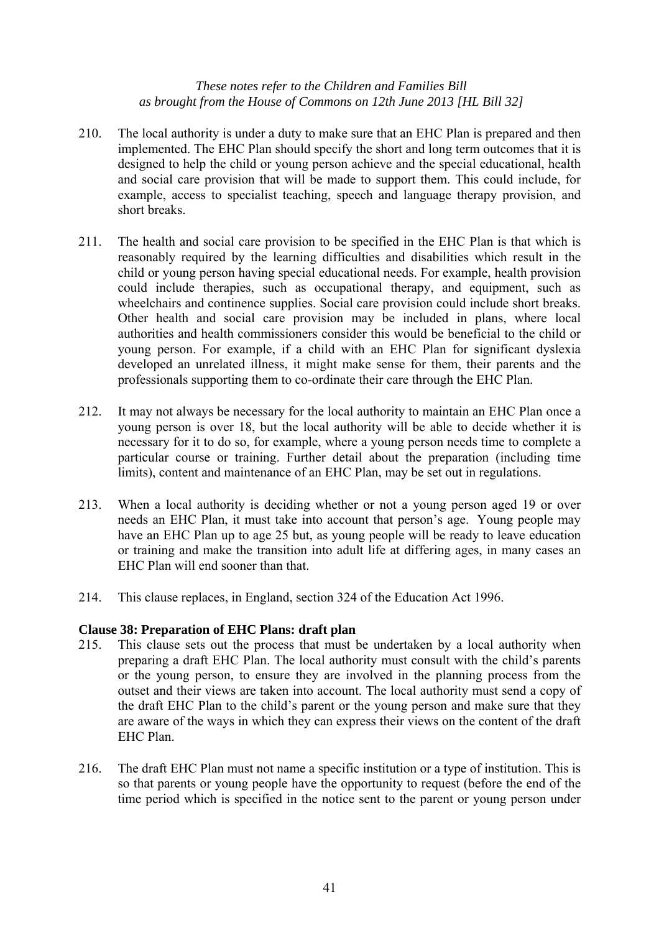- 210. The local authority is under a duty to make sure that an EHC Plan is prepared and then implemented. The EHC Plan should specify the short and long term outcomes that it is designed to help the child or young person achieve and the special educational, health and social care provision that will be made to support them. This could include, for example, access to specialist teaching, speech and language therapy provision, and short breaks.
- 211. The health and social care provision to be specified in the EHC Plan is that which is reasonably required by the learning difficulties and disabilities which result in the child or young person having special educational needs. For example, health provision could include therapies, such as occupational therapy, and equipment, such as wheelchairs and continence supplies. Social care provision could include short breaks. Other health and social care provision may be included in plans, where local authorities and health commissioners consider this would be beneficial to the child or young person. For example, if a child with an EHC Plan for significant dyslexia developed an unrelated illness, it might make sense for them, their parents and the professionals supporting them to co-ordinate their care through the EHC Plan.
- 212. It may not always be necessary for the local authority to maintain an EHC Plan once a young person is over 18, but the local authority will be able to decide whether it is necessary for it to do so, for example, where a young person needs time to complete a particular course or training. Further detail about the preparation (including time limits), content and maintenance of an EHC Plan, may be set out in regulations.
- 213. When a local authority is deciding whether or not a young person aged 19 or over needs an EHC Plan, it must take into account that person's age. Young people may have an EHC Plan up to age 25 but, as young people will be ready to leave education or training and make the transition into adult life at differing ages, in many cases an EHC Plan will end sooner than that.
- 214. This clause replaces, in England, section 324 of the Education Act 1996.

# **Clause 38: Preparation of EHC Plans: draft plan**

- 215. This clause sets out the process that must be undertaken by a local authority when preparing a draft EHC Plan. The local authority must consult with the child's parents or the young person, to ensure they are involved in the planning process from the outset and their views are taken into account. The local authority must send a copy of the draft EHC Plan to the child's parent or the young person and make sure that they are aware of the ways in which they can express their views on the content of the draft EHC Plan.
- 216. The draft EHC Plan must not name a specific institution or a type of institution. This is so that parents or young people have the opportunity to request (before the end of the time period which is specified in the notice sent to the parent or young person under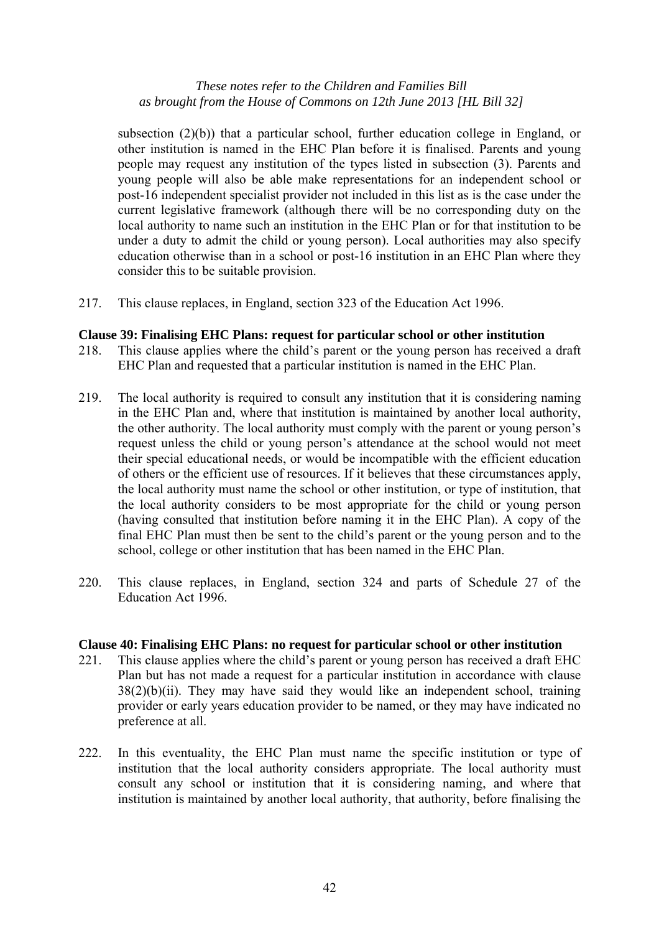subsection (2)(b)) that a particular school, further education college in England, or other institution is named in the EHC Plan before it is finalised. Parents and young people may request any institution of the types listed in subsection (3). Parents and young people will also be able make representations for an independent school or post-16 independent specialist provider not included in this list as is the case under the current legislative framework (although there will be no corresponding duty on the local authority to name such an institution in the EHC Plan or for that institution to be under a duty to admit the child or young person). Local authorities may also specify education otherwise than in a school or post-16 institution in an EHC Plan where they consider this to be suitable provision.

217. This clause replaces, in England, section 323 of the Education Act 1996.

#### **Clause 39: Finalising EHC Plans: request for particular school or other institution**

- 218. This clause applies where the child's parent or the young person has received a draft EHC Plan and requested that a particular institution is named in the EHC Plan.
- 219. The local authority is required to consult any institution that it is considering naming in the EHC Plan and, where that institution is maintained by another local authority, the other authority. The local authority must comply with the parent or young person's request unless the child or young person's attendance at the school would not meet their special educational needs, or would be incompatible with the efficient education of others or the efficient use of resources. If it believes that these circumstances apply, the local authority must name the school or other institution, or type of institution, that the local authority considers to be most appropriate for the child or young person (having consulted that institution before naming it in the EHC Plan). A copy of the final EHC Plan must then be sent to the child's parent or the young person and to the school, college or other institution that has been named in the EHC Plan.
- 220. This clause replaces, in England, section 324 and parts of Schedule 27 of the Education Act 1996.

#### **Clause 40: Finalising EHC Plans: no request for particular school or other institution**

- 221. This clause applies where the child's parent or young person has received a draft EHC Plan but has not made a request for a particular institution in accordance with clause  $38(2)(b)(ii)$ . They may have said they would like an independent school, training provider or early years education provider to be named, or they may have indicated no preference at all.
- 222. In this eventuality, the EHC Plan must name the specific institution or type of institution that the local authority considers appropriate. The local authority must consult any school or institution that it is considering naming, and where that institution is maintained by another local authority, that authority, before finalising the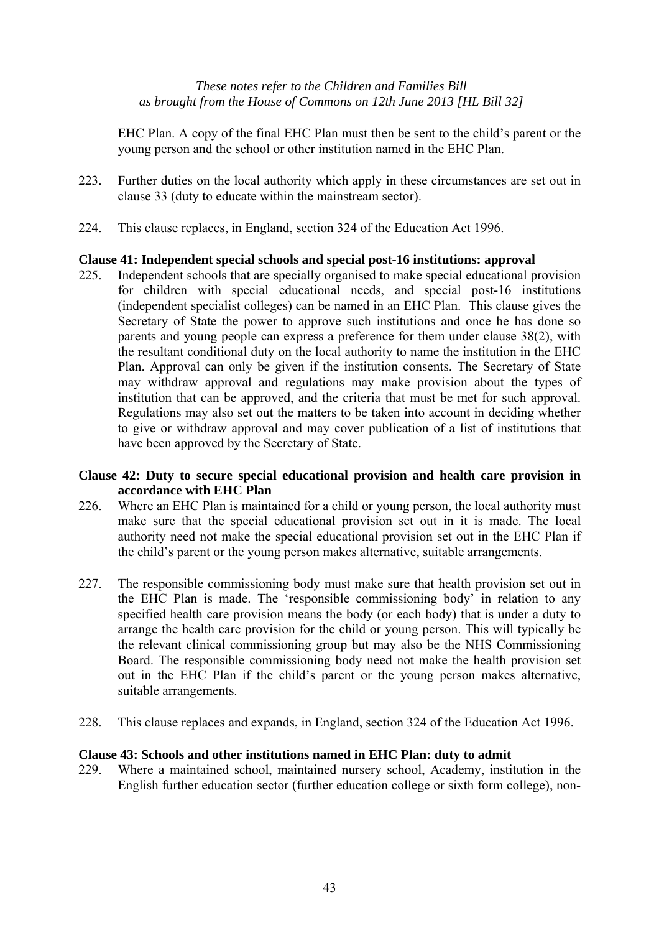EHC Plan. A copy of the final EHC Plan must then be sent to the child's parent or the young person and the school or other institution named in the EHC Plan.

- 223. Further duties on the local authority which apply in these circumstances are set out in clause 33 (duty to educate within the mainstream sector).
- 224. This clause replaces, in England, section 324 of the Education Act 1996.

# **Clause 41: Independent special schools and special post-16 institutions: approval**

225. Independent schools that are specially organised to make special educational provision for children with special educational needs, and special post-16 institutions (independent specialist colleges) can be named in an EHC Plan. This clause gives the Secretary of State the power to approve such institutions and once he has done so parents and young people can express a preference for them under clause 38(2), with the resultant conditional duty on the local authority to name the institution in the EHC Plan. Approval can only be given if the institution consents. The Secretary of State may withdraw approval and regulations may make provision about the types of institution that can be approved, and the criteria that must be met for such approval. Regulations may also set out the matters to be taken into account in deciding whether to give or withdraw approval and may cover publication of a list of institutions that have been approved by the Secretary of State.

# **Clause 42: Duty to secure special educational provision and health care provision in accordance with EHC Plan**

- 226. Where an EHC Plan is maintained for a child or young person, the local authority must make sure that the special educational provision set out in it is made. The local authority need not make the special educational provision set out in the EHC Plan if the child's parent or the young person makes alternative, suitable arrangements.
- 227. The responsible commissioning body must make sure that health provision set out in the EHC Plan is made. The 'responsible commissioning body' in relation to any specified health care provision means the body (or each body) that is under a duty to arrange the health care provision for the child or young person. This will typically be the relevant clinical commissioning group but may also be the NHS Commissioning Board. The responsible commissioning body need not make the health provision set out in the EHC Plan if the child's parent or the young person makes alternative, suitable arrangements.
- 228. This clause replaces and expands, in England, section 324 of the Education Act 1996.

# **Clause 43: Schools and other institutions named in EHC Plan: duty to admit**

229. Where a maintained school, maintained nursery school, Academy, institution in the English further education sector (further education college or sixth form college), non-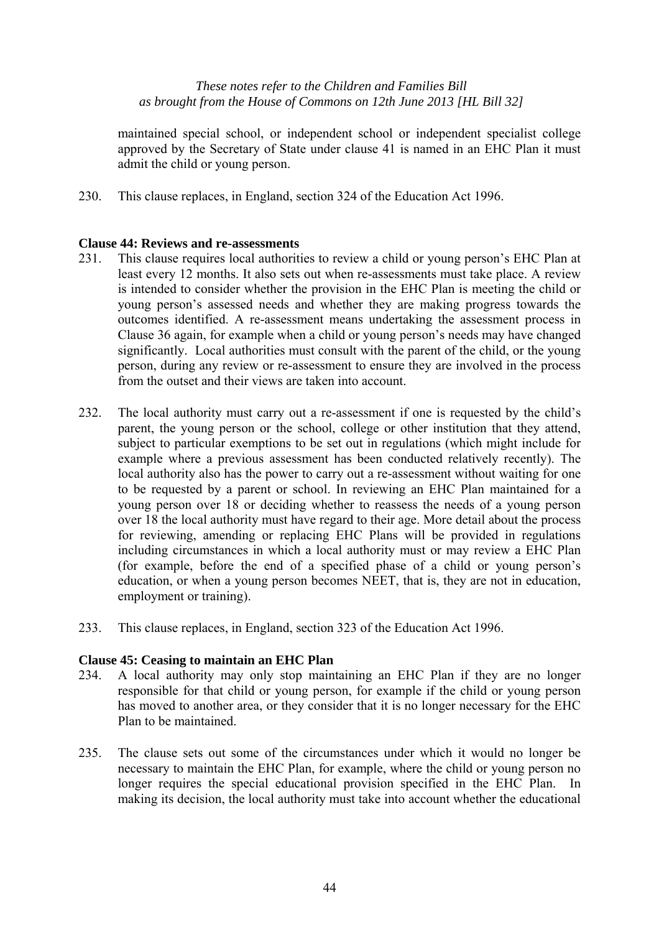maintained special school, or independent school or independent specialist college approved by the Secretary of State under clause 41 is named in an EHC Plan it must admit the child or young person.

230. This clause replaces, in England, section 324 of the Education Act 1996.

# **Clause 44: Reviews and re-assessments**

- 231. This clause requires local authorities to review a child or young person's EHC Plan at least every 12 months. It also sets out when re-assessments must take place. A review is intended to consider whether the provision in the EHC Plan is meeting the child or young person's assessed needs and whether they are making progress towards the outcomes identified. A re-assessment means undertaking the assessment process in Clause 36 again, for example when a child or young person's needs may have changed significantly. Local authorities must consult with the parent of the child, or the young person, during any review or re-assessment to ensure they are involved in the process from the outset and their views are taken into account.
- 232. The local authority must carry out a re-assessment if one is requested by the child's parent, the young person or the school, college or other institution that they attend, subject to particular exemptions to be set out in regulations (which might include for example where a previous assessment has been conducted relatively recently). The local authority also has the power to carry out a re-assessment without waiting for one to be requested by a parent or school. In reviewing an EHC Plan maintained for a young person over 18 or deciding whether to reassess the needs of a young person over 18 the local authority must have regard to their age. More detail about the process for reviewing, amending or replacing EHC Plans will be provided in regulations including circumstances in which a local authority must or may review a EHC Plan (for example, before the end of a specified phase of a child or young person's education, or when a young person becomes NEET, that is, they are not in education, employment or training).
- 233. This clause replaces, in England, section 323 of the Education Act 1996.

# **Clause 45: Ceasing to maintain an EHC Plan**

- 234. A local authority may only stop maintaining an EHC Plan if they are no longer responsible for that child or young person, for example if the child or young person has moved to another area, or they consider that it is no longer necessary for the EHC Plan to be maintained.
- 235. The clause sets out some of the circumstances under which it would no longer be necessary to maintain the EHC Plan, for example, where the child or young person no longer requires the special educational provision specified in the EHC Plan. In making its decision, the local authority must take into account whether the educational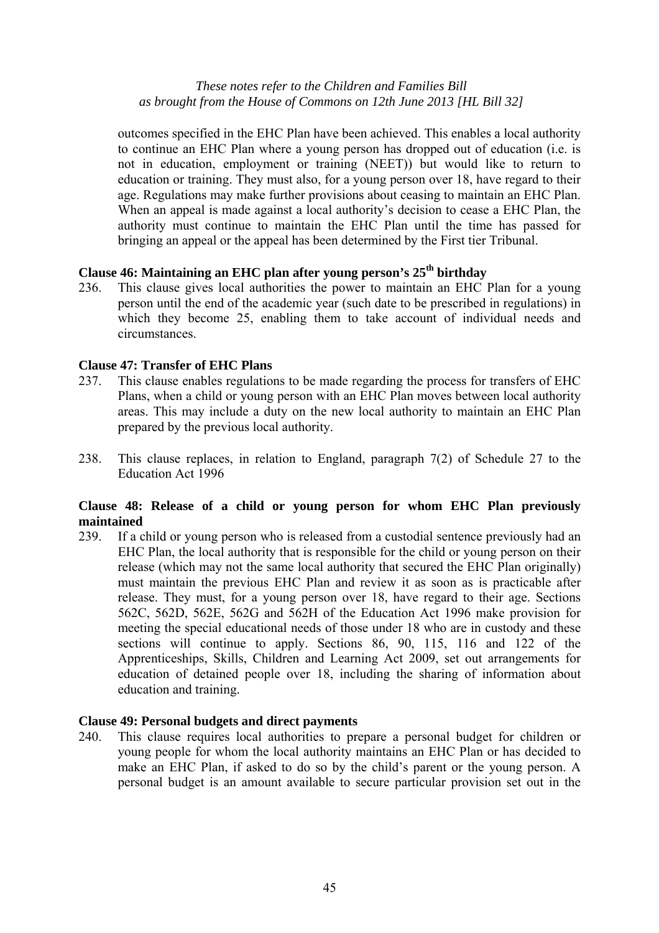outcomes specified in the EHC Plan have been achieved. This enables a local authority to continue an EHC Plan where a young person has dropped out of education (i.e. is not in education, employment or training (NEET)) but would like to return to education or training. They must also, for a young person over 18, have regard to their age. Regulations may make further provisions about ceasing to maintain an EHC Plan. When an appeal is made against a local authority's decision to cease a EHC Plan, the authority must continue to maintain the EHC Plan until the time has passed for bringing an appeal or the appeal has been determined by the First tier Tribunal.

# **Clause 46: Maintaining an EHC plan after young person's 25th birthday**

236. This clause gives local authorities the power to maintain an EHC Plan for a young person until the end of the academic year (such date to be prescribed in regulations) in which they become 25, enabling them to take account of individual needs and circumstances.

# **Clause 47: Transfer of EHC Plans**

- 237. This clause enables regulations to be made regarding the process for transfers of EHC Plans, when a child or young person with an EHC Plan moves between local authority areas. This may include a duty on the new local authority to maintain an EHC Plan prepared by the previous local authority.
- 238. This clause replaces, in relation to England, paragraph 7(2) of Schedule 27 to the Education Act 1996

# **Clause 48: Release of a child or young person for whom EHC Plan previously maintained**

239. If a child or young person who is released from a custodial sentence previously had an EHC Plan, the local authority that is responsible for the child or young person on their release (which may not the same local authority that secured the EHC Plan originally) must maintain the previous EHC Plan and review it as soon as is practicable after release. They must, for a young person over 18, have regard to their age. Sections 562C, 562D, 562E, 562G and 562H of the Education Act 1996 make provision for meeting the special educational needs of those under 18 who are in custody and these sections will continue to apply. Sections 86, 90, 115, 116 and 122 of the Apprenticeships, Skills, Children and Learning Act 2009, set out arrangements for education of detained people over 18, including the sharing of information about education and training.

# **Clause 49: Personal budgets and direct payments**

240. This clause requires local authorities to prepare a personal budget for children or young people for whom the local authority maintains an EHC Plan or has decided to make an EHC Plan, if asked to do so by the child's parent or the young person. A personal budget is an amount available to secure particular provision set out in the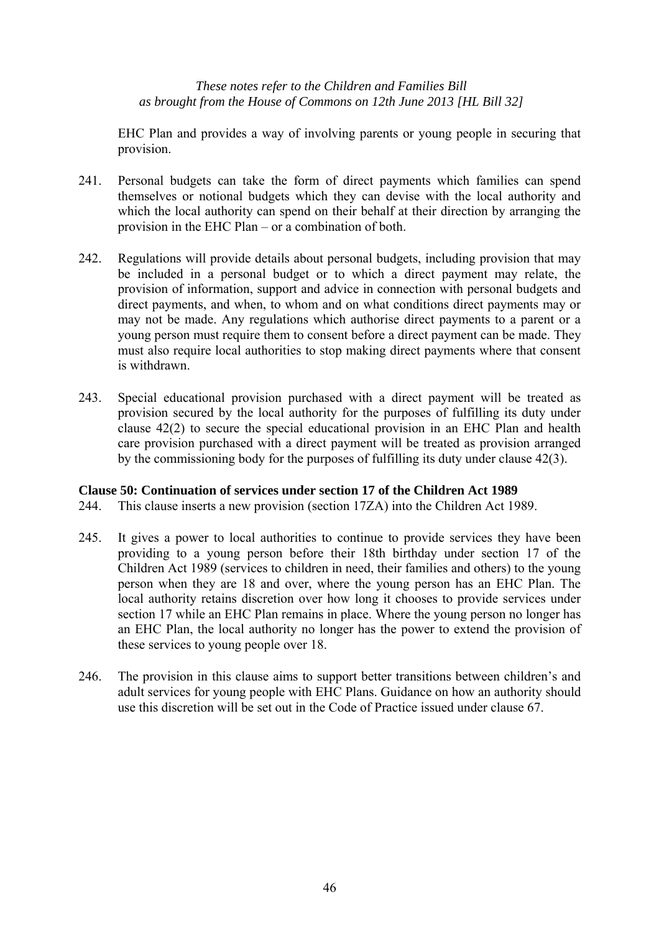EHC Plan and provides a way of involving parents or young people in securing that provision.

- 241. Personal budgets can take the form of direct payments which families can spend themselves or notional budgets which they can devise with the local authority and which the local authority can spend on their behalf at their direction by arranging the provision in the EHC Plan – or a combination of both.
- 242. Regulations will provide details about personal budgets, including provision that may be included in a personal budget or to which a direct payment may relate, the provision of information, support and advice in connection with personal budgets and direct payments, and when, to whom and on what conditions direct payments may or may not be made. Any regulations which authorise direct payments to a parent or a young person must require them to consent before a direct payment can be made. They must also require local authorities to stop making direct payments where that consent is withdrawn.
- 243. Special educational provision purchased with a direct payment will be treated as provision secured by the local authority for the purposes of fulfilling its duty under clause 42(2) to secure the special educational provision in an EHC Plan and health care provision purchased with a direct payment will be treated as provision arranged by the commissioning body for the purposes of fulfilling its duty under clause 42(3).

# **Clause 50: Continuation of services under section 17 of the Children Act 1989**

- 244. This clause inserts a new provision (section 17ZA) into the Children Act 1989.
- 245. It gives a power to local authorities to continue to provide services they have been providing to a young person before their 18th birthday under section 17 of the Children Act 1989 (services to children in need, their families and others) to the young person when they are 18 and over, where the young person has an EHC Plan. The local authority retains discretion over how long it chooses to provide services under section 17 while an EHC Plan remains in place. Where the young person no longer has an EHC Plan, the local authority no longer has the power to extend the provision of these services to young people over 18.
- 246. The provision in this clause aims to support better transitions between children's and adult services for young people with EHC Plans. Guidance on how an authority should use this discretion will be set out in the Code of Practice issued under clause 67.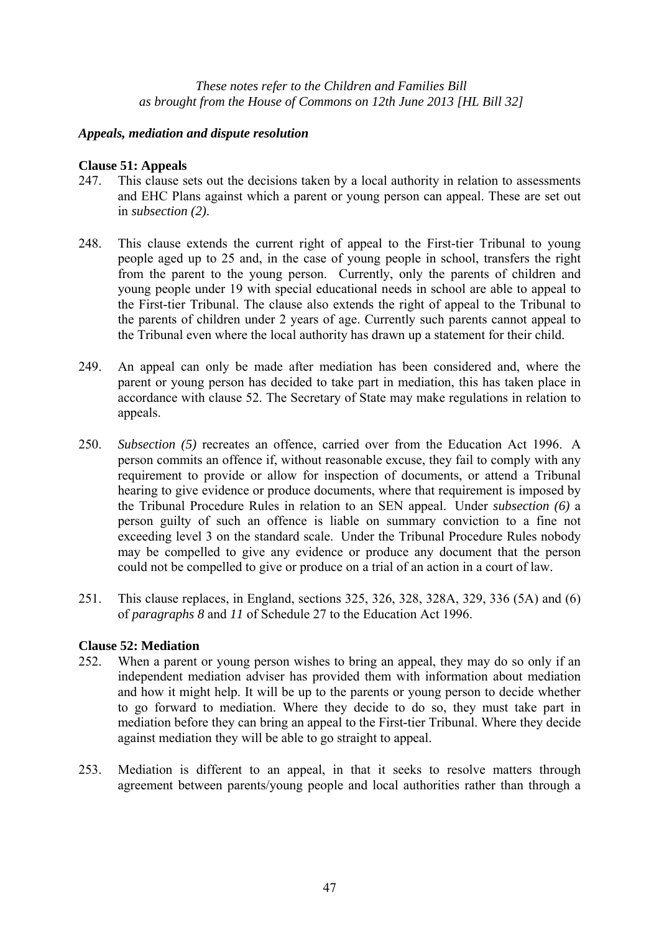# *Appeals, mediation and dispute resolution*

# **Clause 51: Appeals**

- 247. This clause sets out the decisions taken by a local authority in relation to assessments and EHC Plans against which a parent or young person can appeal. These are set out in *subsection (2)*.
- 248. This clause extends the current right of appeal to the First-tier Tribunal to young people aged up to 25 and, in the case of young people in school, transfers the right from the parent to the young person. Currently, only the parents of children and young people under 19 with special educational needs in school are able to appeal to the First-tier Tribunal. The clause also extends the right of appeal to the Tribunal to the parents of children under 2 years of age. Currently such parents cannot appeal to the Tribunal even where the local authority has drawn up a statement for their child.
- 249. An appeal can only be made after mediation has been considered and, where the parent or young person has decided to take part in mediation, this has taken place in accordance with clause 52. The Secretary of State may make regulations in relation to appeals.
- 250. *Subsection (5)* recreates an offence, carried over from the Education Act 1996. A person commits an offence if, without reasonable excuse, they fail to comply with any requirement to provide or allow for inspection of documents, or attend a Tribunal hearing to give evidence or produce documents, where that requirement is imposed by the Tribunal Procedure Rules in relation to an SEN appeal. Under *subsection (6)* a person guilty of such an offence is liable on summary conviction to a fine not exceeding level 3 on the standard scale. Under the Tribunal Procedure Rules nobody may be compelled to give any evidence or produce any document that the person could not be compelled to give or produce on a trial of an action in a court of law.
- 251. This clause replaces, in England, sections 325, 326, 328, 328A, 329, 336 (5A) and (6) of *paragraphs 8* and *11* of Schedule 27 to the Education Act 1996.

# **Clause 52: Mediation**

- 252. When a parent or young person wishes to bring an appeal, they may do so only if an independent mediation adviser has provided them with information about mediation and how it might help. It will be up to the parents or young person to decide whether to go forward to mediation. Where they decide to do so, they must take part in mediation before they can bring an appeal to the First-tier Tribunal. Where they decide against mediation they will be able to go straight to appeal.
- 253. Mediation is different to an appeal, in that it seeks to resolve matters through agreement between parents/young people and local authorities rather than through a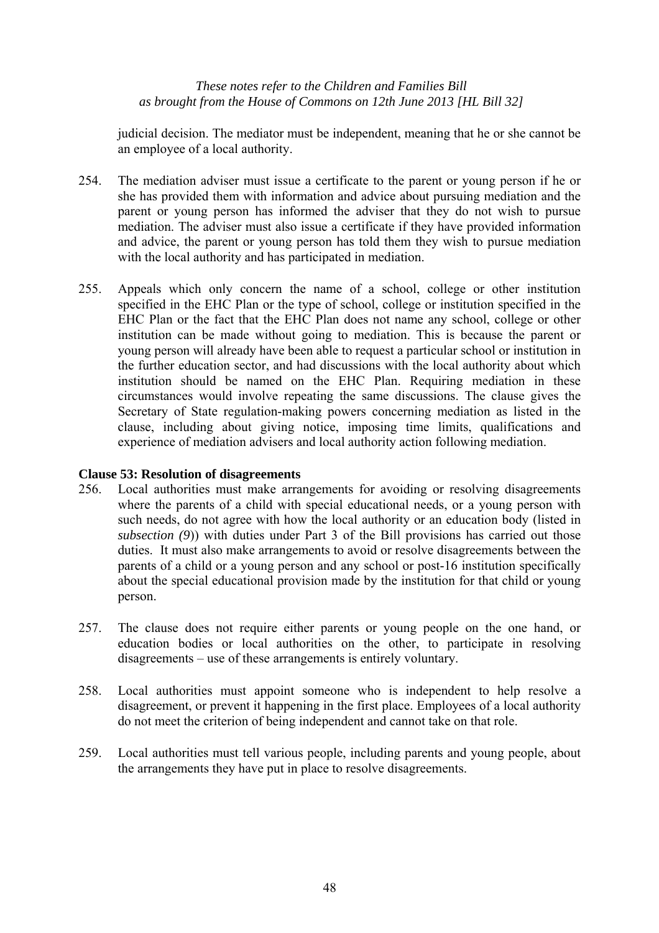judicial decision. The mediator must be independent, meaning that he or she cannot be an employee of a local authority.

- 254. The mediation adviser must issue a certificate to the parent or young person if he or she has provided them with information and advice about pursuing mediation and the parent or young person has informed the adviser that they do not wish to pursue mediation. The adviser must also issue a certificate if they have provided information and advice, the parent or young person has told them they wish to pursue mediation with the local authority and has participated in mediation.
- 255. Appeals which only concern the name of a school, college or other institution specified in the EHC Plan or the type of school, college or institution specified in the EHC Plan or the fact that the EHC Plan does not name any school, college or other institution can be made without going to mediation. This is because the parent or young person will already have been able to request a particular school or institution in the further education sector, and had discussions with the local authority about which institution should be named on the EHC Plan. Requiring mediation in these circumstances would involve repeating the same discussions. The clause gives the Secretary of State regulation-making powers concerning mediation as listed in the clause, including about giving notice, imposing time limits, qualifications and experience of mediation advisers and local authority action following mediation.

# **Clause 53: Resolution of disagreements**

- 256. Local authorities must make arrangements for avoiding or resolving disagreements where the parents of a child with special educational needs, or a young person with such needs, do not agree with how the local authority or an education body (listed in *subsection (9*)) with duties under Part 3 of the Bill provisions has carried out those duties. It must also make arrangements to avoid or resolve disagreements between the parents of a child or a young person and any school or post-16 institution specifically about the special educational provision made by the institution for that child or young person.
- 257. The clause does not require either parents or young people on the one hand, or education bodies or local authorities on the other, to participate in resolving disagreements – use of these arrangements is entirely voluntary.
- 258. Local authorities must appoint someone who is independent to help resolve a disagreement, or prevent it happening in the first place. Employees of a local authority do not meet the criterion of being independent and cannot take on that role.
- 259. Local authorities must tell various people, including parents and young people, about the arrangements they have put in place to resolve disagreements.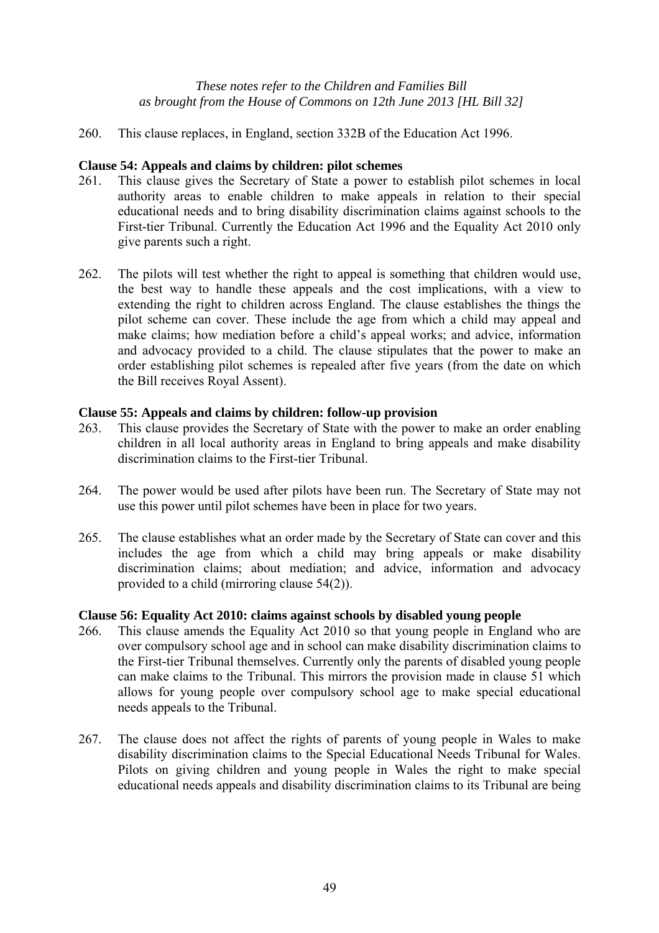260. This clause replaces, in England, section 332B of the Education Act 1996.

# **Clause 54: Appeals and claims by children: pilot schemes**

- 261. This clause gives the Secretary of State a power to establish pilot schemes in local authority areas to enable children to make appeals in relation to their special educational needs and to bring disability discrimination claims against schools to the First-tier Tribunal. Currently the Education Act 1996 and the Equality Act 2010 only give parents such a right.
- 262. The pilots will test whether the right to appeal is something that children would use, the best way to handle these appeals and the cost implications, with a view to extending the right to children across England. The clause establishes the things the pilot scheme can cover. These include the age from which a child may appeal and make claims; how mediation before a child's appeal works; and advice, information and advocacy provided to a child. The clause stipulates that the power to make an order establishing pilot schemes is repealed after five years (from the date on which the Bill receives Royal Assent).

# **Clause 55: Appeals and claims by children: follow-up provision**

- 263. This clause provides the Secretary of State with the power to make an order enabling children in all local authority areas in England to bring appeals and make disability discrimination claims to the First-tier Tribunal.
- 264. The power would be used after pilots have been run. The Secretary of State may not use this power until pilot schemes have been in place for two years.
- 265. The clause establishes what an order made by the Secretary of State can cover and this includes the age from which a child may bring appeals or make disability discrimination claims; about mediation; and advice, information and advocacy provided to a child (mirroring clause 54(2)).

# **Clause 56: Equality Act 2010: claims against schools by disabled young people**

- 266. This clause amends the Equality Act 2010 so that young people in England who are over compulsory school age and in school can make disability discrimination claims to the First-tier Tribunal themselves. Currently only the parents of disabled young people can make claims to the Tribunal. This mirrors the provision made in clause 51 which allows for young people over compulsory school age to make special educational needs appeals to the Tribunal.
- 267. The clause does not affect the rights of parents of young people in Wales to make disability discrimination claims to the Special Educational Needs Tribunal for Wales. Pilots on giving children and young people in Wales the right to make special educational needs appeals and disability discrimination claims to its Tribunal are being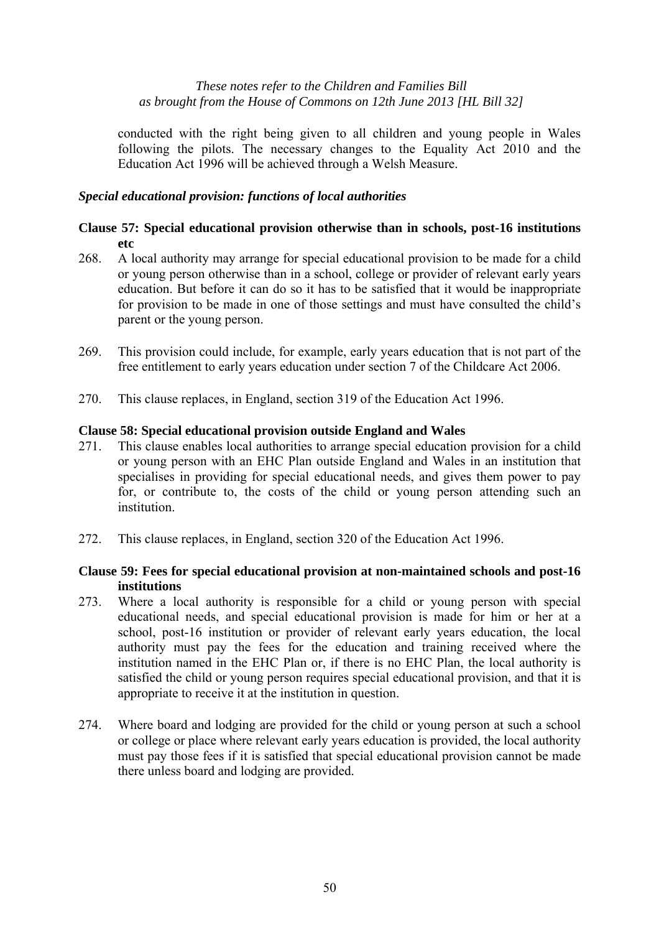conducted with the right being given to all children and young people in Wales following the pilots. The necessary changes to the Equality Act 2010 and the Education Act 1996 will be achieved through a Welsh Measure.

# *Special educational provision: functions of local authorities*

# **Clause 57: Special educational provision otherwise than in schools, post-16 institutions etc**

- 268. A local authority may arrange for special educational provision to be made for a child or young person otherwise than in a school, college or provider of relevant early years education. But before it can do so it has to be satisfied that it would be inappropriate for provision to be made in one of those settings and must have consulted the child's parent or the young person.
- 269. This provision could include, for example, early years education that is not part of the free entitlement to early years education under section 7 of the Childcare Act 2006.
- 270. This clause replaces, in England, section 319 of the Education Act 1996.

# **Clause 58: Special educational provision outside England and Wales**

- 271. This clause enables local authorities to arrange special education provision for a child or young person with an EHC Plan outside England and Wales in an institution that specialises in providing for special educational needs, and gives them power to pay for, or contribute to, the costs of the child or young person attending such an institution.
- 272. This clause replaces, in England, section 320 of the Education Act 1996.

# **Clause 59: Fees for special educational provision at non-maintained schools and post-16 institutions**

- 273. Where a local authority is responsible for a child or young person with special educational needs, and special educational provision is made for him or her at a school, post-16 institution or provider of relevant early years education, the local authority must pay the fees for the education and training received where the institution named in the EHC Plan or, if there is no EHC Plan, the local authority is satisfied the child or young person requires special educational provision, and that it is appropriate to receive it at the institution in question.
- 274. Where board and lodging are provided for the child or young person at such a school or college or place where relevant early years education is provided, the local authority must pay those fees if it is satisfied that special educational provision cannot be made there unless board and lodging are provided.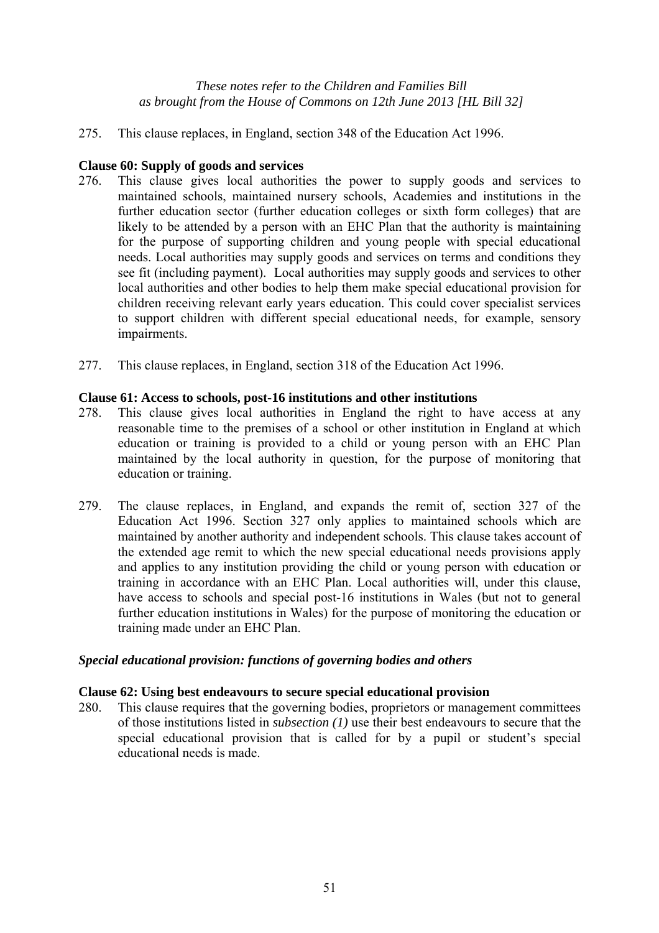275. This clause replaces, in England, section 348 of the Education Act 1996.

# **Clause 60: Supply of goods and services**

- 276. This clause gives local authorities the power to supply goods and services to maintained schools, maintained nursery schools, Academies and institutions in the further education sector (further education colleges or sixth form colleges) that are likely to be attended by a person with an EHC Plan that the authority is maintaining for the purpose of supporting children and young people with special educational needs. Local authorities may supply goods and services on terms and conditions they see fit (including payment). Local authorities may supply goods and services to other local authorities and other bodies to help them make special educational provision for children receiving relevant early years education. This could cover specialist services to support children with different special educational needs, for example, sensory impairments.
- 277. This clause replaces, in England, section 318 of the Education Act 1996.

# **Clause 61: Access to schools, post-16 institutions and other institutions**

- 278. This clause gives local authorities in England the right to have access at any reasonable time to the premises of a school or other institution in England at which education or training is provided to a child or young person with an EHC Plan maintained by the local authority in question, for the purpose of monitoring that education or training.
- 279. The clause replaces, in England, and expands the remit of, section 327 of the Education Act 1996. Section 327 only applies to maintained schools which are maintained by another authority and independent schools. This clause takes account of the extended age remit to which the new special educational needs provisions apply and applies to any institution providing the child or young person with education or training in accordance with an EHC Plan. Local authorities will, under this clause, have access to schools and special post-16 institutions in Wales (but not to general further education institutions in Wales) for the purpose of monitoring the education or training made under an EHC Plan.

# *Special educational provision: functions of governing bodies and others*

# **Clause 62: Using best endeavours to secure special educational provision**

280. This clause requires that the governing bodies, proprietors or management committees of those institutions listed in *subsection (1)* use their best endeavours to secure that the special educational provision that is called for by a pupil or student's special educational needs is made.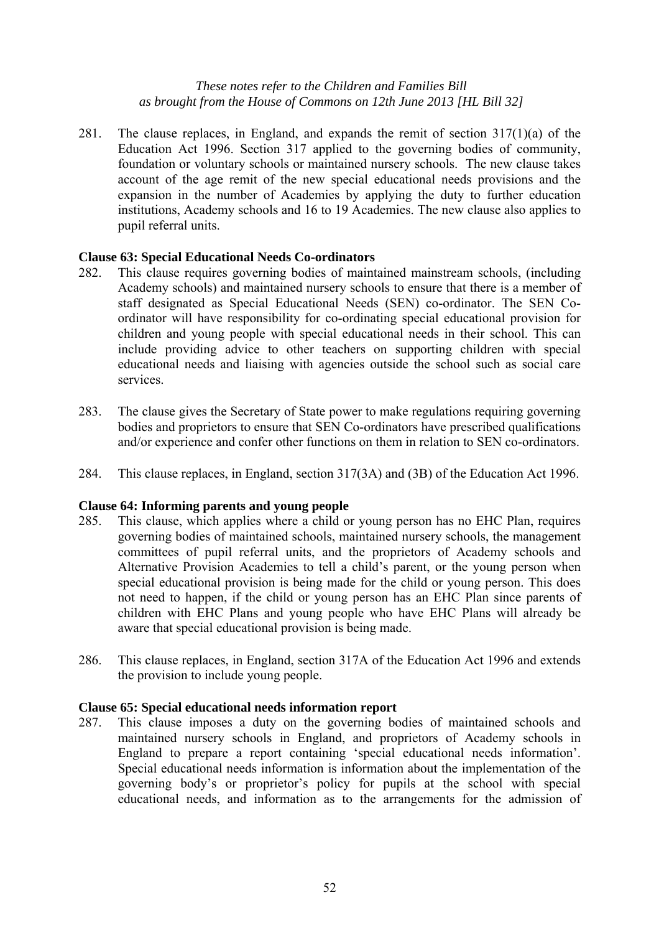281. The clause replaces, in England, and expands the remit of section 317(1)(a) of the Education Act 1996. Section 317 applied to the governing bodies of community, foundation or voluntary schools or maintained nursery schools. The new clause takes account of the age remit of the new special educational needs provisions and the expansion in the number of Academies by applying the duty to further education institutions, Academy schools and 16 to 19 Academies. The new clause also applies to pupil referral units.

# **Clause 63: Special Educational Needs Co-ordinators**

- 282. This clause requires governing bodies of maintained mainstream schools, (including Academy schools) and maintained nursery schools to ensure that there is a member of staff designated as Special Educational Needs (SEN) co-ordinator. The SEN Coordinator will have responsibility for co-ordinating special educational provision for children and young people with special educational needs in their school. This can include providing advice to other teachers on supporting children with special educational needs and liaising with agencies outside the school such as social care services.
- 283. The clause gives the Secretary of State power to make regulations requiring governing bodies and proprietors to ensure that SEN Co-ordinators have prescribed qualifications and/or experience and confer other functions on them in relation to SEN co-ordinators.
- 284. This clause replaces, in England, section 317(3A) and (3B) of the Education Act 1996.

#### **Clause 64: Informing parents and young people**

- 285. This clause, which applies where a child or young person has no EHC Plan, requires governing bodies of maintained schools, maintained nursery schools, the management committees of pupil referral units, and the proprietors of Academy schools and Alternative Provision Academies to tell a child's parent, or the young person when special educational provision is being made for the child or young person. This does not need to happen, if the child or young person has an EHC Plan since parents of children with EHC Plans and young people who have EHC Plans will already be aware that special educational provision is being made.
- 286. This clause replaces, in England, section 317A of the Education Act 1996 and extends the provision to include young people.

#### **Clause 65: Special educational needs information report**

287. This clause imposes a duty on the governing bodies of maintained schools and maintained nursery schools in England, and proprietors of Academy schools in England to prepare a report containing 'special educational needs information'. Special educational needs information is information about the implementation of the governing body's or proprietor's policy for pupils at the school with special educational needs, and information as to the arrangements for the admission of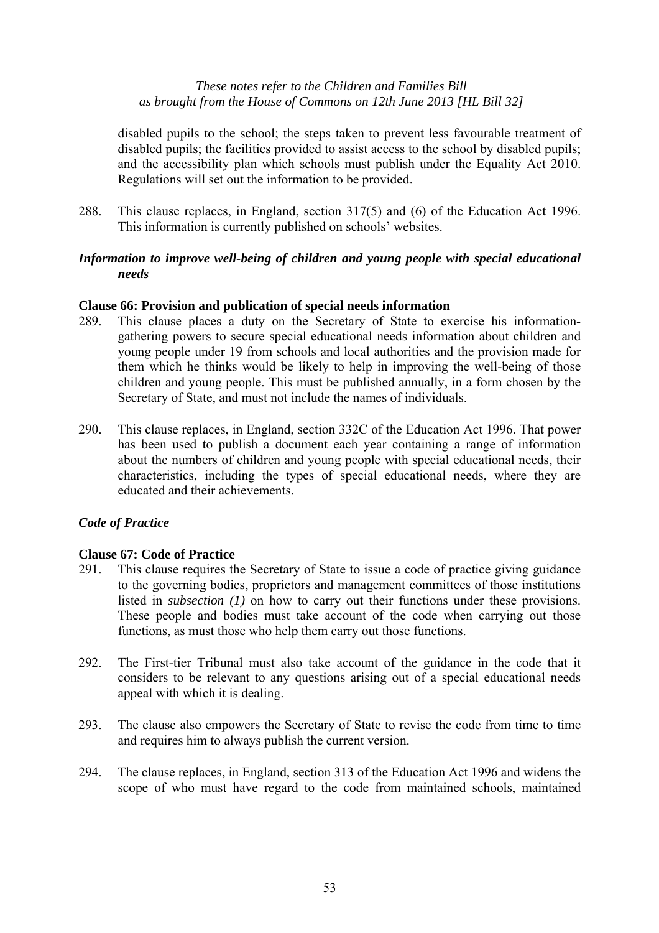disabled pupils to the school; the steps taken to prevent less favourable treatment of disabled pupils; the facilities provided to assist access to the school by disabled pupils; and the accessibility plan which schools must publish under the Equality Act 2010. Regulations will set out the information to be provided.

288. This clause replaces, in England, section 317(5) and (6) of the Education Act 1996. This information is currently published on schools' websites.

# *Information to improve well-being of children and young people with special educational needs*

# **Clause 66: Provision and publication of special needs information**

- 289. This clause places a duty on the Secretary of State to exercise his informationgathering powers to secure special educational needs information about children and young people under 19 from schools and local authorities and the provision made for them which he thinks would be likely to help in improving the well-being of those children and young people. This must be published annually, in a form chosen by the Secretary of State, and must not include the names of individuals.
- 290. This clause replaces, in England, section 332C of the Education Act 1996. That power has been used to publish a document each year containing a range of information about the numbers of children and young people with special educational needs, their characteristics, including the types of special educational needs, where they are educated and their achievements.

# *Code of Practice*

# **Clause 67: Code of Practice**

- 291. This clause requires the Secretary of State to issue a code of practice giving guidance to the governing bodies, proprietors and management committees of those institutions listed in *subsection* (1) on how to carry out their functions under these provisions. These people and bodies must take account of the code when carrying out those functions, as must those who help them carry out those functions.
- 292. The First-tier Tribunal must also take account of the guidance in the code that it considers to be relevant to any questions arising out of a special educational needs appeal with which it is dealing.
- 293. The clause also empowers the Secretary of State to revise the code from time to time and requires him to always publish the current version.
- 294. The clause replaces, in England, section 313 of the Education Act 1996 and widens the scope of who must have regard to the code from maintained schools, maintained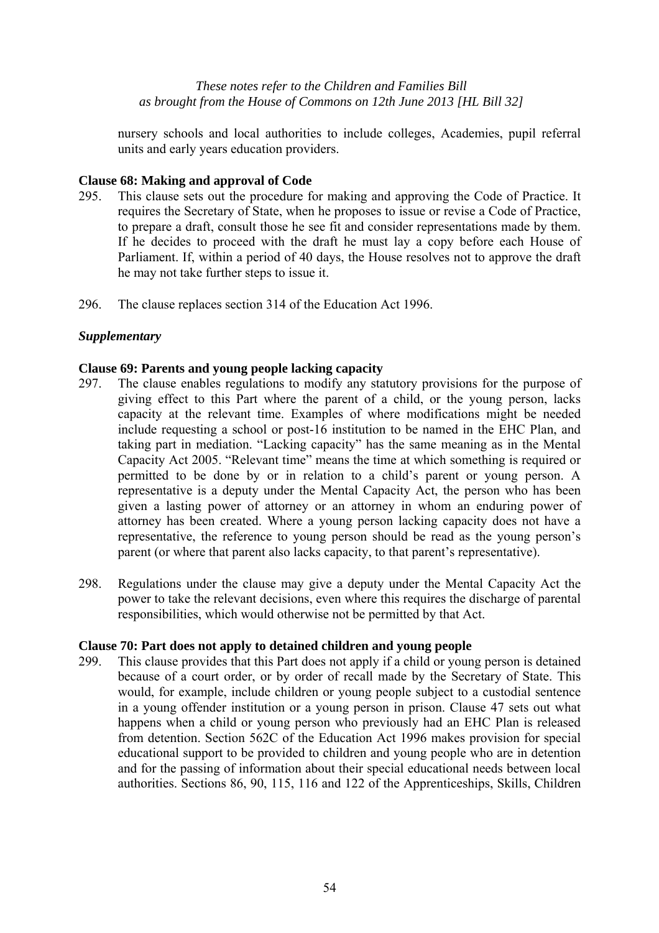nursery schools and local authorities to include colleges, Academies, pupil referral units and early years education providers.

# **Clause 68: Making and approval of Code**

- 295. This clause sets out the procedure for making and approving the Code of Practice. It requires the Secretary of State, when he proposes to issue or revise a Code of Practice, to prepare a draft, consult those he see fit and consider representations made by them. If he decides to proceed with the draft he must lay a copy before each House of Parliament. If, within a period of 40 days, the House resolves not to approve the draft he may not take further steps to issue it.
- 296. The clause replaces section 314 of the Education Act 1996.

# *Supplementary*

# **Clause 69: Parents and young people lacking capacity**

- 297. The clause enables regulations to modify any statutory provisions for the purpose of giving effect to this Part where the parent of a child, or the young person, lacks capacity at the relevant time. Examples of where modifications might be needed include requesting a school or post-16 institution to be named in the EHC Plan, and taking part in mediation. "Lacking capacity" has the same meaning as in the Mental Capacity Act 2005. "Relevant time" means the time at which something is required or permitted to be done by or in relation to a child's parent or young person. A representative is a deputy under the Mental Capacity Act, the person who has been given a lasting power of attorney or an attorney in whom an enduring power of attorney has been created. Where a young person lacking capacity does not have a representative, the reference to young person should be read as the young person's parent (or where that parent also lacks capacity, to that parent's representative).
- 298. Regulations under the clause may give a deputy under the Mental Capacity Act the power to take the relevant decisions, even where this requires the discharge of parental responsibilities, which would otherwise not be permitted by that Act.

# **Clause 70: Part does not apply to detained children and young people**

299. This clause provides that this Part does not apply if a child or young person is detained because of a court order, or by order of recall made by the Secretary of State. This would, for example, include children or young people subject to a custodial sentence in a young offender institution or a young person in prison. Clause 47 sets out what happens when a child or young person who previously had an EHC Plan is released from detention. Section 562C of the Education Act 1996 makes provision for special educational support to be provided to children and young people who are in detention and for the passing of information about their special educational needs between local authorities. Sections 86, 90, 115, 116 and 122 of the Apprenticeships, Skills, Children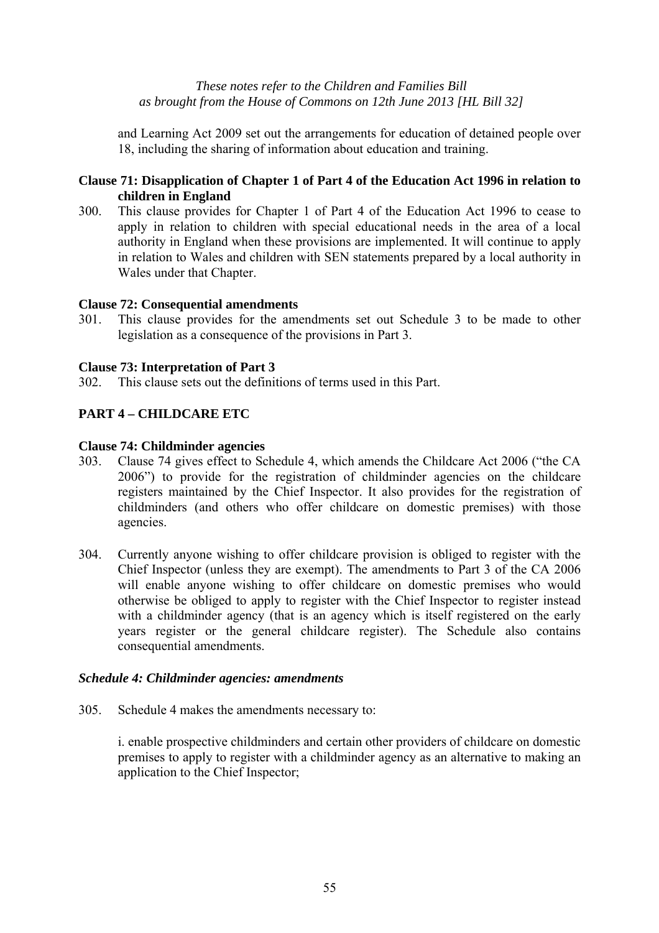and Learning Act 2009 set out the arrangements for education of detained people over 18, including the sharing of information about education and training.

# **Clause 71: Disapplication of Chapter 1 of Part 4 of the Education Act 1996 in relation to children in England**

300. This clause provides for Chapter 1 of Part 4 of the Education Act 1996 to cease to apply in relation to children with special educational needs in the area of a local authority in England when these provisions are implemented. It will continue to apply in relation to Wales and children with SEN statements prepared by a local authority in Wales under that Chapter.

# **Clause 72: Consequential amendments**

301. This clause provides for the amendments set out Schedule 3 to be made to other legislation as a consequence of the provisions in Part 3.

# **Clause 73: Interpretation of Part 3**

302. This clause sets out the definitions of terms used in this Part.

# **PART 4 – CHILDCARE ETC**

# **Clause 74: Childminder agencies**

- 303. Clause 74 gives effect to Schedule 4, which amends the Childcare Act 2006 ("the CA 2006") to provide for the registration of childminder agencies on the childcare registers maintained by the Chief Inspector. It also provides for the registration of childminders (and others who offer childcare on domestic premises) with those agencies.
- 304. Currently anyone wishing to offer childcare provision is obliged to register with the Chief Inspector (unless they are exempt). The amendments to Part 3 of the CA 2006 will enable anyone wishing to offer childcare on domestic premises who would otherwise be obliged to apply to register with the Chief Inspector to register instead with a childminder agency (that is an agency which is itself registered on the early years register or the general childcare register). The Schedule also contains consequential amendments.

# *Schedule 4: Childminder agencies: amendments*

305. Schedule 4 makes the amendments necessary to:

i. enable prospective childminders and certain other providers of childcare on domestic premises to apply to register with a childminder agency as an alternative to making an application to the Chief Inspector;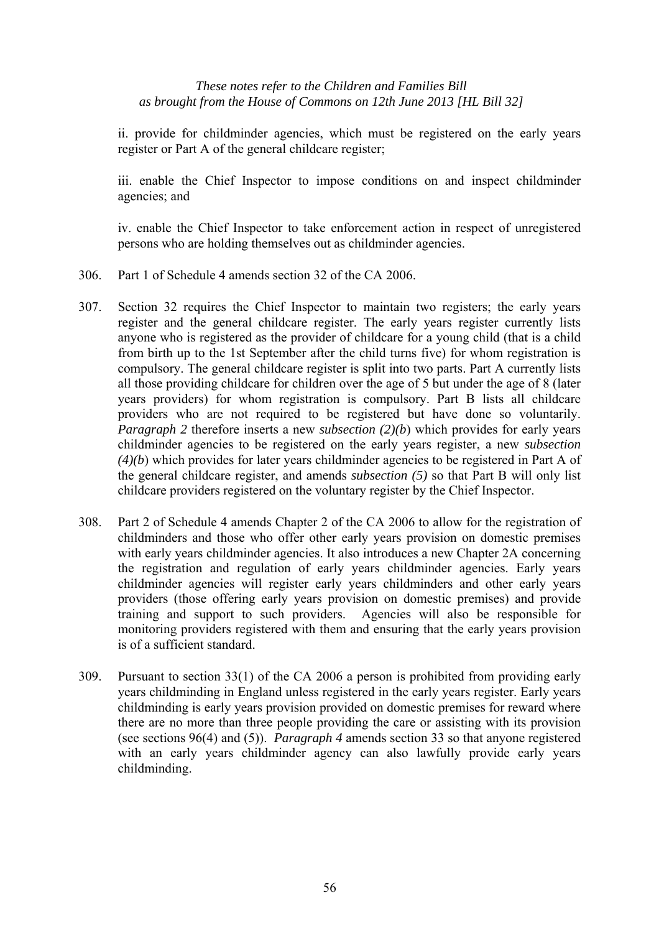ii. provide for childminder agencies, which must be registered on the early years register or Part A of the general childcare register;

iii. enable the Chief Inspector to impose conditions on and inspect childminder agencies; and

iv. enable the Chief Inspector to take enforcement action in respect of unregistered persons who are holding themselves out as childminder agencies.

- 306. Part 1 of Schedule 4 amends section 32 of the CA 2006.
- 307. Section 32 requires the Chief Inspector to maintain two registers; the early years register and the general childcare register. The early years register currently lists anyone who is registered as the provider of childcare for a young child (that is a child from birth up to the 1st September after the child turns five) for whom registration is compulsory. The general childcare register is split into two parts. Part A currently lists all those providing childcare for children over the age of 5 but under the age of 8 (later years providers) for whom registration is compulsory. Part B lists all childcare providers who are not required to be registered but have done so voluntarily. *Paragraph 2* therefore inserts a new *subsection* (2)(b) which provides for early years childminder agencies to be registered on the early years register, a new *subsection (4)(b*) which provides for later years childminder agencies to be registered in Part A of the general childcare register, and amends *subsection (5)* so that Part B will only list childcare providers registered on the voluntary register by the Chief Inspector.
- 308. Part 2 of Schedule 4 amends Chapter 2 of the CA 2006 to allow for the registration of childminders and those who offer other early years provision on domestic premises with early years childminder agencies. It also introduces a new Chapter 2A concerning the registration and regulation of early years childminder agencies. Early years childminder agencies will register early years childminders and other early years providers (those offering early years provision on domestic premises) and provide training and support to such providers. Agencies will also be responsible for monitoring providers registered with them and ensuring that the early years provision is of a sufficient standard.
- 309. Pursuant to section 33(1) of the CA 2006 a person is prohibited from providing early years childminding in England unless registered in the early years register. Early years childminding is early years provision provided on domestic premises for reward where there are no more than three people providing the care or assisting with its provision (see sections 96(4) and (5)). *Paragraph 4* amends section 33 so that anyone registered with an early years childminder agency can also lawfully provide early years childminding.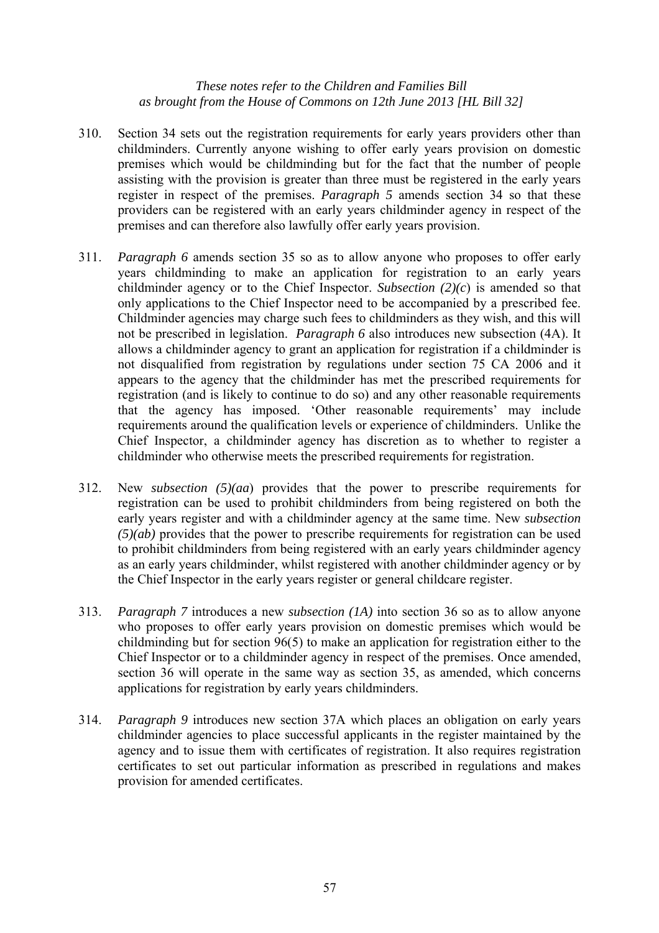- 310. Section 34 sets out the registration requirements for early years providers other than childminders. Currently anyone wishing to offer early years provision on domestic premises which would be childminding but for the fact that the number of people assisting with the provision is greater than three must be registered in the early years register in respect of the premises. *Paragraph 5* amends section 34 so that these providers can be registered with an early years childminder agency in respect of the premises and can therefore also lawfully offer early years provision.
- 311. *Paragraph 6* amends section 35 so as to allow anyone who proposes to offer early years childminding to make an application for registration to an early years childminder agency or to the Chief Inspector. *Subsection (2)(c*) is amended so that only applications to the Chief Inspector need to be accompanied by a prescribed fee. Childminder agencies may charge such fees to childminders as they wish, and this will not be prescribed in legislation. *Paragraph 6* also introduces new subsection (4A). It allows a childminder agency to grant an application for registration if a childminder is not disqualified from registration by regulations under section 75 CA 2006 and it appears to the agency that the childminder has met the prescribed requirements for registration (and is likely to continue to do so) and any other reasonable requirements that the agency has imposed. 'Other reasonable requirements' may include requirements around the qualification levels or experience of childminders. Unlike the Chief Inspector, a childminder agency has discretion as to whether to register a childminder who otherwise meets the prescribed requirements for registration.
- 312. New *subsection (5)(aa*) provides that the power to prescribe requirements for registration can be used to prohibit childminders from being registered on both the early years register and with a childminder agency at the same time. New *subsection (5)(ab)* provides that the power to prescribe requirements for registration can be used to prohibit childminders from being registered with an early years childminder agency as an early years childminder, whilst registered with another childminder agency or by the Chief Inspector in the early years register or general childcare register.
- 313. *Paragraph 7* introduces a new *subsection (1A)* into section 36 so as to allow anyone who proposes to offer early years provision on domestic premises which would be childminding but for section 96(5) to make an application for registration either to the Chief Inspector or to a childminder agency in respect of the premises. Once amended, section 36 will operate in the same way as section 35, as amended, which concerns applications for registration by early years childminders.
- 314. *Paragraph 9* introduces new section 37A which places an obligation on early years childminder agencies to place successful applicants in the register maintained by the agency and to issue them with certificates of registration. It also requires registration certificates to set out particular information as prescribed in regulations and makes provision for amended certificates.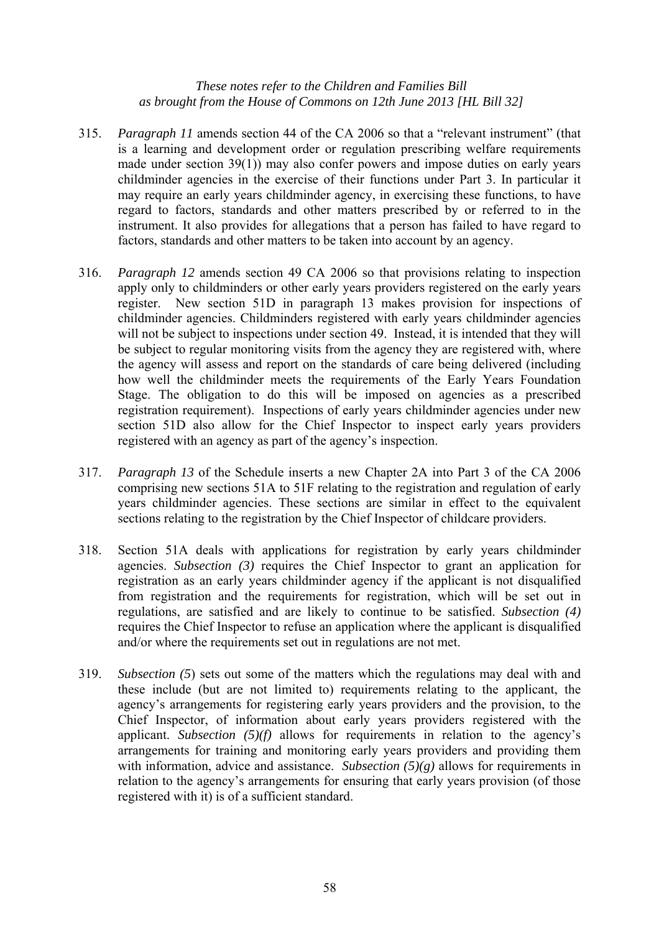- 315. *Paragraph 11* amends section 44 of the CA 2006 so that a "relevant instrument" (that is a learning and development order or regulation prescribing welfare requirements made under section 39(1)) may also confer powers and impose duties on early years childminder agencies in the exercise of their functions under Part 3. In particular it may require an early years childminder agency, in exercising these functions, to have regard to factors, standards and other matters prescribed by or referred to in the instrument. It also provides for allegations that a person has failed to have regard to factors, standards and other matters to be taken into account by an agency.
- 316. *Paragraph 12* amends section 49 CA 2006 so that provisions relating to inspection apply only to childminders or other early years providers registered on the early years register. New section 51D in paragraph 13 makes provision for inspections of childminder agencies. Childminders registered with early years childminder agencies will not be subject to inspections under section 49. Instead, it is intended that they will be subject to regular monitoring visits from the agency they are registered with, where the agency will assess and report on the standards of care being delivered (including how well the childminder meets the requirements of the Early Years Foundation Stage. The obligation to do this will be imposed on agencies as a prescribed registration requirement). Inspections of early years childminder agencies under new section 51D also allow for the Chief Inspector to inspect early years providers registered with an agency as part of the agency's inspection.
- 317. *Paragraph 13* of the Schedule inserts a new Chapter 2A into Part 3 of the CA 2006 comprising new sections 51A to 51F relating to the registration and regulation of early years childminder agencies. These sections are similar in effect to the equivalent sections relating to the registration by the Chief Inspector of childcare providers.
- 318. Section 51A deals with applications for registration by early years childminder agencies. *Subsection (3)* requires the Chief Inspector to grant an application for registration as an early years childminder agency if the applicant is not disqualified from registration and the requirements for registration, which will be set out in regulations, are satisfied and are likely to continue to be satisfied. *Subsection (4)* requires the Chief Inspector to refuse an application where the applicant is disqualified and/or where the requirements set out in regulations are not met.
- 319. *Subsection (5*) sets out some of the matters which the regulations may deal with and these include (but are not limited to) requirements relating to the applicant, the agency's arrangements for registering early years providers and the provision, to the Chief Inspector, of information about early years providers registered with the applicant. *Subsection (5)(f)* allows for requirements in relation to the agency's arrangements for training and monitoring early years providers and providing them with information, advice and assistance. *Subsection*  $(5)(g)$  allows for requirements in relation to the agency's arrangements for ensuring that early years provision (of those registered with it) is of a sufficient standard.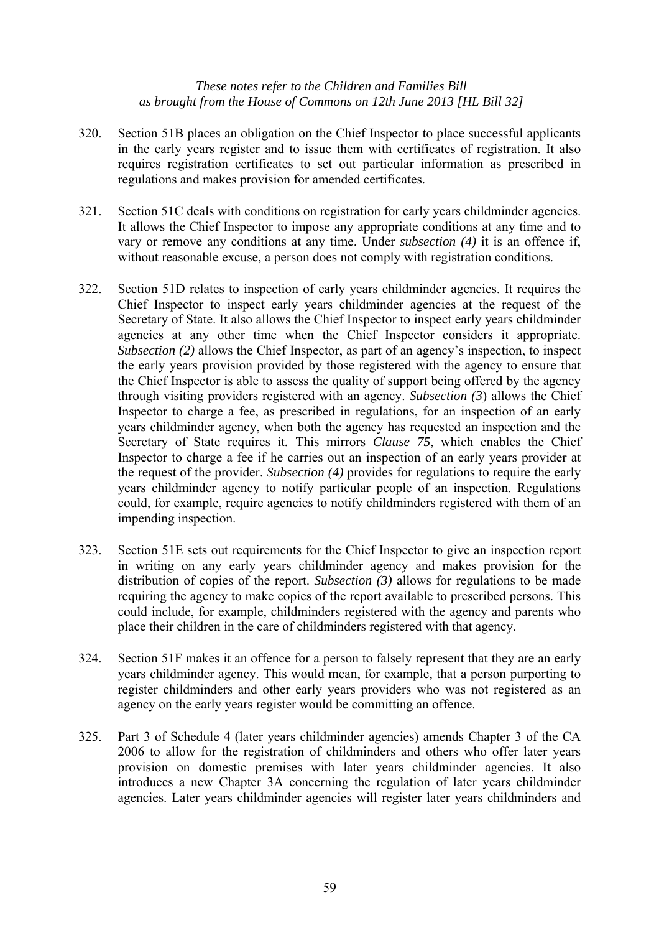- 320. Section 51B places an obligation on the Chief Inspector to place successful applicants in the early years register and to issue them with certificates of registration. It also requires registration certificates to set out particular information as prescribed in regulations and makes provision for amended certificates.
- 321. Section 51C deals with conditions on registration for early years childminder agencies. It allows the Chief Inspector to impose any appropriate conditions at any time and to vary or remove any conditions at any time. Under *subsection (4)* it is an offence if, without reasonable excuse, a person does not comply with registration conditions.
- 322. Section 51D relates to inspection of early years childminder agencies. It requires the Chief Inspector to inspect early years childminder agencies at the request of the Secretary of State. It also allows the Chief Inspector to inspect early years childminder agencies at any other time when the Chief Inspector considers it appropriate. *Subsection (2)* allows the Chief Inspector, as part of an agency's inspection, to inspect the early years provision provided by those registered with the agency to ensure that the Chief Inspector is able to assess the quality of support being offered by the agency through visiting providers registered with an agency. *Subsection (3*) allows the Chief Inspector to charge a fee, as prescribed in regulations, for an inspection of an early years childminder agency, when both the agency has requested an inspection and the Secretary of State requires it*.* This mirrors *Clause 75*, which enables the Chief Inspector to charge a fee if he carries out an inspection of an early years provider at the request of the provider. *Subsection (4)* provides for regulations to require the early years childminder agency to notify particular people of an inspection. Regulations could, for example, require agencies to notify childminders registered with them of an impending inspection.
- 323. Section 51E sets out requirements for the Chief Inspector to give an inspection report in writing on any early years childminder agency and makes provision for the distribution of copies of the report. *Subsection (3)* allows for regulations to be made requiring the agency to make copies of the report available to prescribed persons. This could include, for example, childminders registered with the agency and parents who place their children in the care of childminders registered with that agency.
- 324. Section 51F makes it an offence for a person to falsely represent that they are an early years childminder agency. This would mean, for example, that a person purporting to register childminders and other early years providers who was not registered as an agency on the early years register would be committing an offence.
- 325. Part 3 of Schedule 4 (later years childminder agencies) amends Chapter 3 of the CA 2006 to allow for the registration of childminders and others who offer later years provision on domestic premises with later years childminder agencies. It also introduces a new Chapter 3A concerning the regulation of later years childminder agencies. Later years childminder agencies will register later years childminders and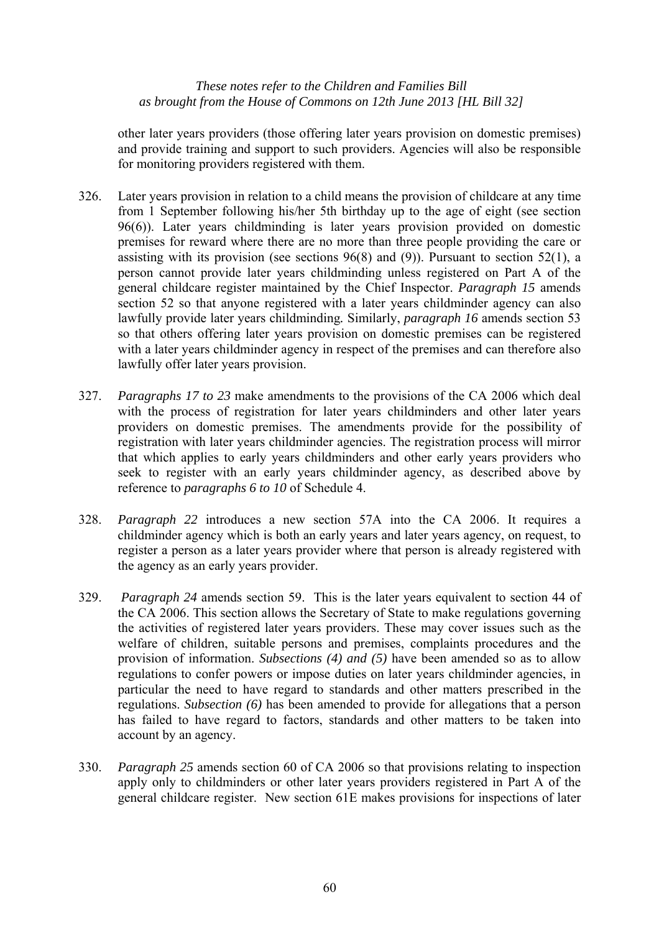other later years providers (those offering later years provision on domestic premises) and provide training and support to such providers. Agencies will also be responsible for monitoring providers registered with them.

- 326. Later years provision in relation to a child means the provision of childcare at any time from 1 September following his/her 5th birthday up to the age of eight (see section 96(6)). Later years childminding is later years provision provided on domestic premises for reward where there are no more than three people providing the care or assisting with its provision (see sections 96(8) and (9)). Pursuant to section 52(1), a person cannot provide later years childminding unless registered on Part A of the general childcare register maintained by the Chief Inspector. *Paragraph 15* amends section 52 so that anyone registered with a later years childminder agency can also lawfully provide later years childminding*.* Similarly, *paragraph 16* amends section 53 so that others offering later years provision on domestic premises can be registered with a later years childminder agency in respect of the premises and can therefore also lawfully offer later years provision.
- 327. *Paragraphs 17 to 23* make amendments to the provisions of the CA 2006 which deal with the process of registration for later years childminders and other later years providers on domestic premises. The amendments provide for the possibility of registration with later years childminder agencies. The registration process will mirror that which applies to early years childminders and other early years providers who seek to register with an early years childminder agency, as described above by reference to *paragraphs 6 to 10* of Schedule 4.
- 328. *Paragraph 22* introduces a new section 57A into the CA 2006. It requires a childminder agency which is both an early years and later years agency, on request, to register a person as a later years provider where that person is already registered with the agency as an early years provider.
- 329. *Paragraph 24* amends section 59. This is the later years equivalent to section 44 of the CA 2006. This section allows the Secretary of State to make regulations governing the activities of registered later years providers. These may cover issues such as the welfare of children, suitable persons and premises, complaints procedures and the provision of information. *Subsections (4) and (5)* have been amended so as to allow regulations to confer powers or impose duties on later years childminder agencies, in particular the need to have regard to standards and other matters prescribed in the regulations. *Subsection (6)* has been amended to provide for allegations that a person has failed to have regard to factors, standards and other matters to be taken into account by an agency.
- 330. *Paragraph 25* amends section 60 of CA 2006 so that provisions relating to inspection apply only to childminders or other later years providers registered in Part A of the general childcare register. New section 61E makes provisions for inspections of later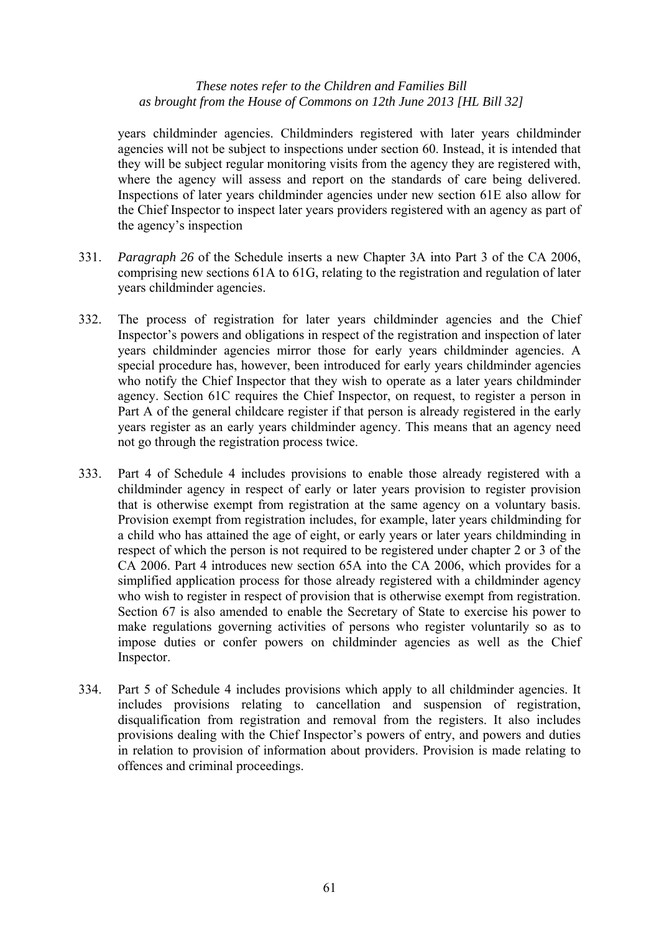years childminder agencies. Childminders registered with later years childminder agencies will not be subject to inspections under section 60. Instead, it is intended that they will be subject regular monitoring visits from the agency they are registered with, where the agency will assess and report on the standards of care being delivered. Inspections of later years childminder agencies under new section 61E also allow for the Chief Inspector to inspect later years providers registered with an agency as part of the agency's inspection

- 331. *Paragraph 26* of the Schedule inserts a new Chapter 3A into Part 3 of the CA 2006, comprising new sections 61A to 61G, relating to the registration and regulation of later years childminder agencies.
- 332. The process of registration for later years childminder agencies and the Chief Inspector's powers and obligations in respect of the registration and inspection of later years childminder agencies mirror those for early years childminder agencies. A special procedure has, however, been introduced for early years childminder agencies who notify the Chief Inspector that they wish to operate as a later years childminder agency. Section 61C requires the Chief Inspector, on request, to register a person in Part A of the general childcare register if that person is already registered in the early years register as an early years childminder agency. This means that an agency need not go through the registration process twice.
- 333. Part 4 of Schedule 4 includes provisions to enable those already registered with a childminder agency in respect of early or later years provision to register provision that is otherwise exempt from registration at the same agency on a voluntary basis. Provision exempt from registration includes, for example, later years childminding for a child who has attained the age of eight, or early years or later years childminding in respect of which the person is not required to be registered under chapter 2 or 3 of the CA 2006. Part 4 introduces new section 65A into the CA 2006, which provides for a simplified application process for those already registered with a childminder agency who wish to register in respect of provision that is otherwise exempt from registration. Section 67 is also amended to enable the Secretary of State to exercise his power to make regulations governing activities of persons who register voluntarily so as to impose duties or confer powers on childminder agencies as well as the Chief Inspector.
- 334. Part 5 of Schedule 4 includes provisions which apply to all childminder agencies. It includes provisions relating to cancellation and suspension of registration, disqualification from registration and removal from the registers. It also includes provisions dealing with the Chief Inspector's powers of entry, and powers and duties in relation to provision of information about providers. Provision is made relating to offences and criminal proceedings.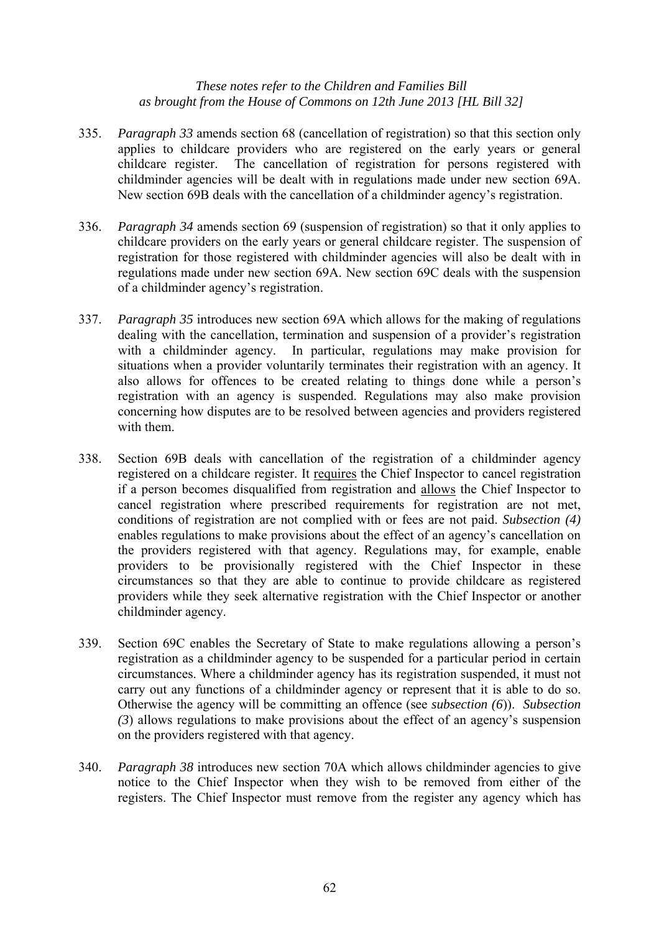- 335. *Paragraph 33* amends section 68 (cancellation of registration) so that this section only applies to childcare providers who are registered on the early years or general childcare register. The cancellation of registration for persons registered with childminder agencies will be dealt with in regulations made under new section 69A. New section 69B deals with the cancellation of a childminder agency's registration.
- 336. *Paragraph 34* amends section 69 (suspension of registration) so that it only applies to childcare providers on the early years or general childcare register. The suspension of registration for those registered with childminder agencies will also be dealt with in regulations made under new section 69A. New section 69C deals with the suspension of a childminder agency's registration.
- 337. *Paragraph 35* introduces new section 69A which allows for the making of regulations dealing with the cancellation, termination and suspension of a provider's registration with a childminder agency. In particular, regulations may make provision for situations when a provider voluntarily terminates their registration with an agency. It also allows for offences to be created relating to things done while a person's registration with an agency is suspended. Regulations may also make provision concerning how disputes are to be resolved between agencies and providers registered with them.
- 338. Section 69B deals with cancellation of the registration of a childminder agency registered on a childcare register. It requires the Chief Inspector to cancel registration if a person becomes disqualified from registration and allows the Chief Inspector to cancel registration where prescribed requirements for registration are not met, conditions of registration are not complied with or fees are not paid. *Subsection (4)* enables regulations to make provisions about the effect of an agency's cancellation on the providers registered with that agency. Regulations may, for example, enable providers to be provisionally registered with the Chief Inspector in these circumstances so that they are able to continue to provide childcare as registered providers while they seek alternative registration with the Chief Inspector or another childminder agency.
- 339. Section 69C enables the Secretary of State to make regulations allowing a person's registration as a childminder agency to be suspended for a particular period in certain circumstances. Where a childminder agency has its registration suspended, it must not carry out any functions of a childminder agency or represent that it is able to do so. Otherwise the agency will be committing an offence (see *subsection (6*)). *Subsection (3*) allows regulations to make provisions about the effect of an agency's suspension on the providers registered with that agency.
- 340. *Paragraph 38* introduces new section 70A which allows childminder agencies to give notice to the Chief Inspector when they wish to be removed from either of the registers. The Chief Inspector must remove from the register any agency which has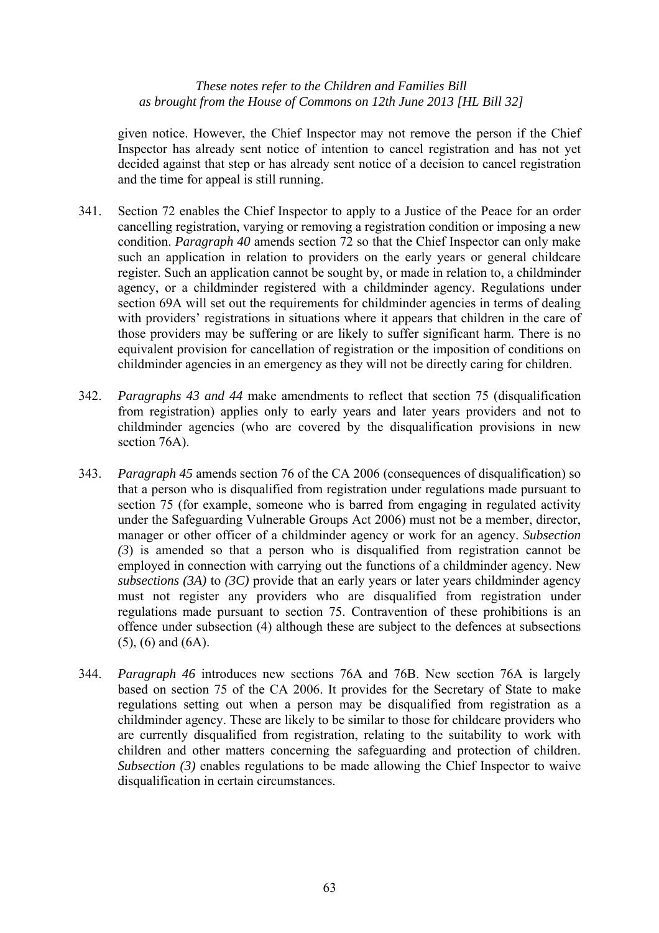given notice. However, the Chief Inspector may not remove the person if the Chief Inspector has already sent notice of intention to cancel registration and has not yet decided against that step or has already sent notice of a decision to cancel registration and the time for appeal is still running.

- 341. Section 72 enables the Chief Inspector to apply to a Justice of the Peace for an order cancelling registration, varying or removing a registration condition or imposing a new condition. *Paragraph 40* amends section 72 so that the Chief Inspector can only make such an application in relation to providers on the early years or general childcare register. Such an application cannot be sought by, or made in relation to, a childminder agency, or a childminder registered with a childminder agency. Regulations under section 69A will set out the requirements for childminder agencies in terms of dealing with providers' registrations in situations where it appears that children in the care of those providers may be suffering or are likely to suffer significant harm. There is no equivalent provision for cancellation of registration or the imposition of conditions on childminder agencies in an emergency as they will not be directly caring for children.
- 342. *Paragraphs 43 and 44* make amendments to reflect that section 75 (disqualification from registration) applies only to early years and later years providers and not to childminder agencies (who are covered by the disqualification provisions in new section 76A).
- 343. *Paragraph 45* amends section 76 of the CA 2006 (consequences of disqualification) so that a person who is disqualified from registration under regulations made pursuant to section 75 (for example, someone who is barred from engaging in regulated activity under the Safeguarding Vulnerable Groups Act 2006) must not be a member, director, manager or other officer of a childminder agency or work for an agency. *Subsection (3*) is amended so that a person who is disqualified from registration cannot be employed in connection with carrying out the functions of a childminder agency. New *subsections (3A)* to *(3C)* provide that an early years or later years childminder agency must not register any providers who are disqualified from registration under regulations made pursuant to section 75. Contravention of these prohibitions is an offence under subsection (4) although these are subject to the defences at subsections (5), (6) and (6A).
- 344. *Paragraph 46* introduces new sections 76A and 76B. New section 76A is largely based on section 75 of the CA 2006. It provides for the Secretary of State to make regulations setting out when a person may be disqualified from registration as a childminder agency. These are likely to be similar to those for childcare providers who are currently disqualified from registration, relating to the suitability to work with children and other matters concerning the safeguarding and protection of children. *Subsection (3)* enables regulations to be made allowing the Chief Inspector to waive disqualification in certain circumstances.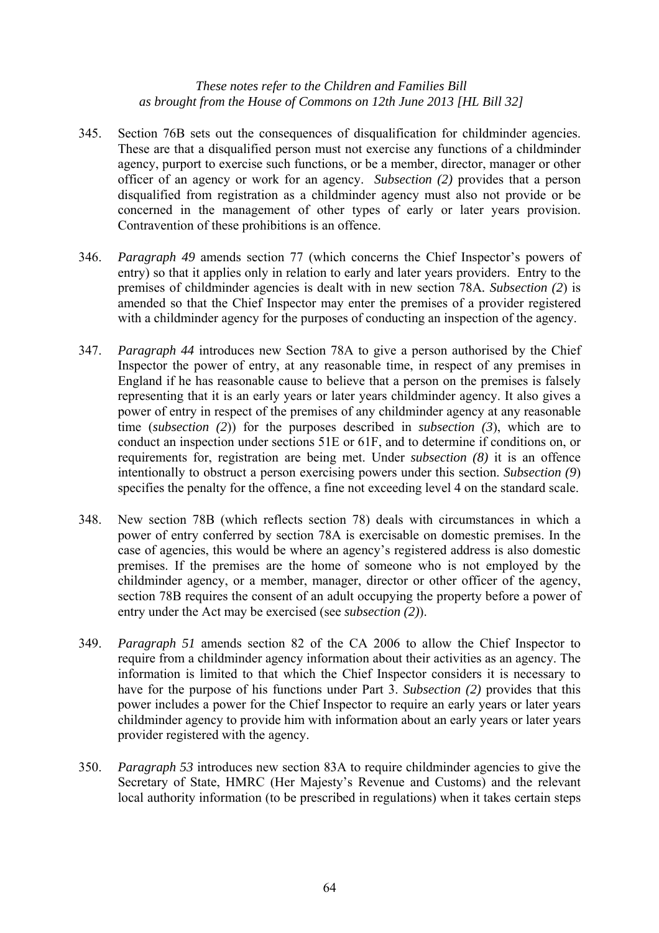- 345. Section 76B sets out the consequences of disqualification for childminder agencies. These are that a disqualified person must not exercise any functions of a childminder agency, purport to exercise such functions, or be a member, director, manager or other officer of an agency or work for an agency. *Subsection (2)* provides that a person disqualified from registration as a childminder agency must also not provide or be concerned in the management of other types of early or later years provision. Contravention of these prohibitions is an offence.
- 346. *Paragraph 49* amends section 77 (which concerns the Chief Inspector's powers of entry) so that it applies only in relation to early and later years providers. Entry to the premises of childminder agencies is dealt with in new section 78A*. Subsection (2*) is amended so that the Chief Inspector may enter the premises of a provider registered with a childminder agency for the purposes of conducting an inspection of the agency.
- 347. *Paragraph 44* introduces new Section 78A to give a person authorised by the Chief Inspector the power of entry, at any reasonable time, in respect of any premises in England if he has reasonable cause to believe that a person on the premises is falsely representing that it is an early years or later years childminder agency. It also gives a power of entry in respect of the premises of any childminder agency at any reasonable time (*subsection (2*)) for the purposes described in *subsection (3*), which are to conduct an inspection under sections 51E or 61F, and to determine if conditions on, or requirements for, registration are being met. Under *subsection (8)* it is an offence intentionally to obstruct a person exercising powers under this section. *Subsection (9*) specifies the penalty for the offence, a fine not exceeding level 4 on the standard scale.
- 348. New section 78B (which reflects section 78) deals with circumstances in which a power of entry conferred by section 78A is exercisable on domestic premises. In the case of agencies, this would be where an agency's registered address is also domestic premises. If the premises are the home of someone who is not employed by the childminder agency, or a member, manager, director or other officer of the agency, section 78B requires the consent of an adult occupying the property before a power of entry under the Act may be exercised (see *subsection (2)*).
- 349. *Paragraph 51* amends section 82 of the CA 2006 to allow the Chief Inspector to require from a childminder agency information about their activities as an agency. The information is limited to that which the Chief Inspector considers it is necessary to have for the purpose of his functions under Part 3. *Subsection (2)* provides that this power includes a power for the Chief Inspector to require an early years or later years childminder agency to provide him with information about an early years or later years provider registered with the agency.
- 350. *Paragraph 53* introduces new section 83A to require childminder agencies to give the Secretary of State, HMRC (Her Majesty's Revenue and Customs) and the relevant local authority information (to be prescribed in regulations) when it takes certain steps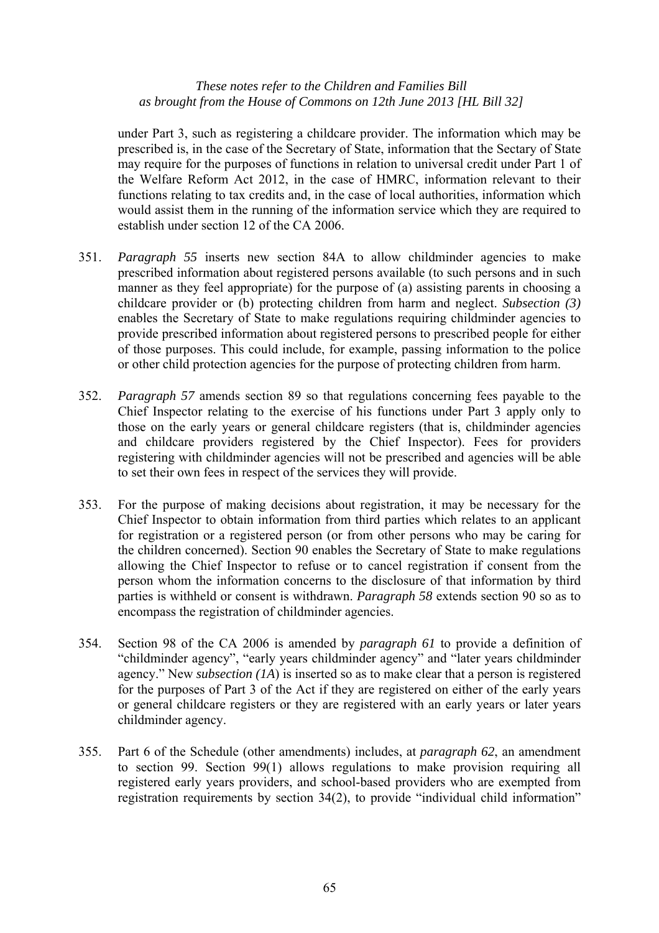under Part 3, such as registering a childcare provider. The information which may be prescribed is, in the case of the Secretary of State, information that the Sectary of State may require for the purposes of functions in relation to universal credit under Part 1 of the Welfare Reform Act 2012, in the case of HMRC, information relevant to their functions relating to tax credits and, in the case of local authorities, information which would assist them in the running of the information service which they are required to establish under section 12 of the CA 2006.

- 351. *Paragraph 55* inserts new section 84A to allow childminder agencies to make prescribed information about registered persons available (to such persons and in such manner as they feel appropriate) for the purpose of (a) assisting parents in choosing a childcare provider or (b) protecting children from harm and neglect. *Subsection (3)* enables the Secretary of State to make regulations requiring childminder agencies to provide prescribed information about registered persons to prescribed people for either of those purposes. This could include, for example, passing information to the police or other child protection agencies for the purpose of protecting children from harm.
- 352. *Paragraph 57* amends section 89 so that regulations concerning fees payable to the Chief Inspector relating to the exercise of his functions under Part 3 apply only to those on the early years or general childcare registers (that is, childminder agencies and childcare providers registered by the Chief Inspector). Fees for providers registering with childminder agencies will not be prescribed and agencies will be able to set their own fees in respect of the services they will provide.
- 353. For the purpose of making decisions about registration, it may be necessary for the Chief Inspector to obtain information from third parties which relates to an applicant for registration or a registered person (or from other persons who may be caring for the children concerned). Section 90 enables the Secretary of State to make regulations allowing the Chief Inspector to refuse or to cancel registration if consent from the person whom the information concerns to the disclosure of that information by third parties is withheld or consent is withdrawn. *Paragraph 58* extends section 90 so as to encompass the registration of childminder agencies.
- 354. Section 98 of the CA 2006 is amended by *paragraph 61* to provide a definition of "childminder agency", "early years childminder agency" and "later years childminder agency." New *subsection (1A*) is inserted so as to make clear that a person is registered for the purposes of Part 3 of the Act if they are registered on either of the early years or general childcare registers or they are registered with an early years or later years childminder agency.
- 355. Part 6 of the Schedule (other amendments) includes, at *paragraph 62*, an amendment to section 99. Section 99(1) allows regulations to make provision requiring all registered early years providers, and school-based providers who are exempted from registration requirements by section 34(2), to provide "individual child information"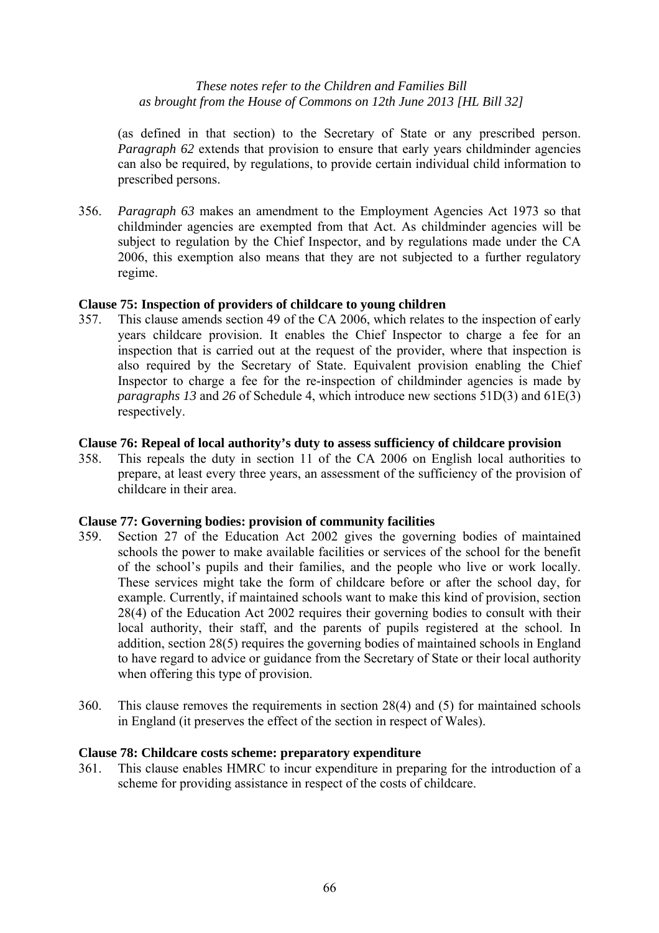(as defined in that section) to the Secretary of State or any prescribed person. *Paragraph 62* extends that provision to ensure that early years childminder agencies can also be required, by regulations, to provide certain individual child information to prescribed persons.

356. *Paragraph 63* makes an amendment to the Employment Agencies Act 1973 so that childminder agencies are exempted from that Act. As childminder agencies will be subject to regulation by the Chief Inspector, and by regulations made under the CA 2006, this exemption also means that they are not subjected to a further regulatory regime.

# **Clause 75: Inspection of providers of childcare to young children**

357. This clause amends section 49 of the CA 2006, which relates to the inspection of early years childcare provision. It enables the Chief Inspector to charge a fee for an inspection that is carried out at the request of the provider, where that inspection is also required by the Secretary of State. Equivalent provision enabling the Chief Inspector to charge a fee for the re-inspection of childminder agencies is made by *paragraphs 13* and *26* of Schedule 4, which introduce new sections 51D(3) and 61E(3) respectively.

# **Clause 76: Repeal of local authority's duty to assess sufficiency of childcare provision**

358. This repeals the duty in section 11 of the CA 2006 on English local authorities to prepare, at least every three years, an assessment of the sufficiency of the provision of childcare in their area.

# **Clause 77: Governing bodies: provision of community facilities**

- 359. Section 27 of the Education Act 2002 gives the governing bodies of maintained schools the power to make available facilities or services of the school for the benefit of the school's pupils and their families, and the people who live or work locally. These services might take the form of childcare before or after the school day, for example. Currently, if maintained schools want to make this kind of provision, section 28(4) of the Education Act 2002 requires their governing bodies to consult with their local authority, their staff, and the parents of pupils registered at the school. In addition, section 28(5) requires the governing bodies of maintained schools in England to have regard to advice or guidance from the Secretary of State or their local authority when offering this type of provision.
- 360. This clause removes the requirements in section 28(4) and (5) for maintained schools in England (it preserves the effect of the section in respect of Wales).

# **Clause 78: Childcare costs scheme: preparatory expenditure**

361. This clause enables HMRC to incur expenditure in preparing for the introduction of a scheme for providing assistance in respect of the costs of childcare.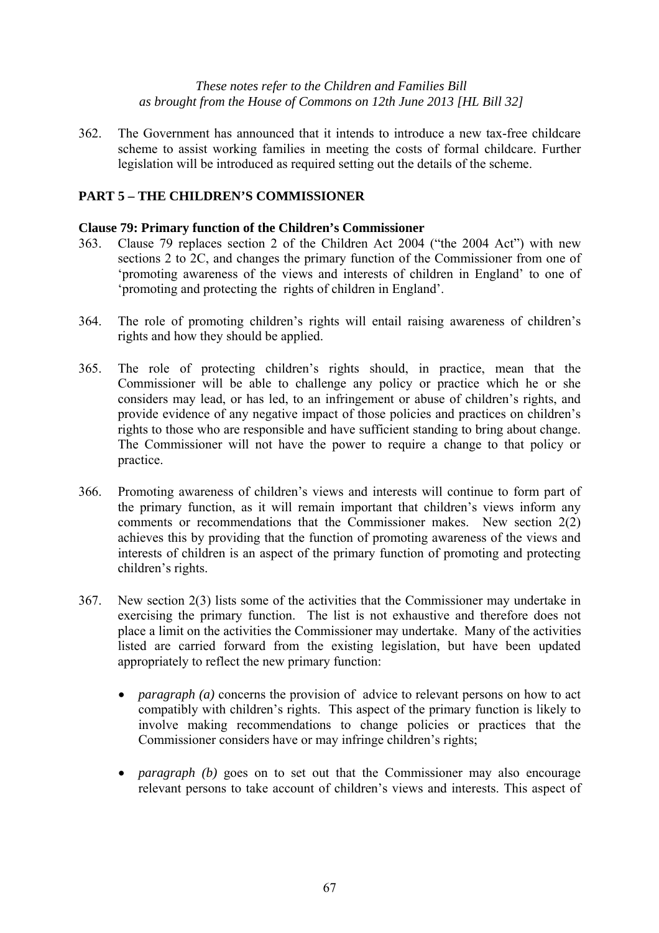362. The Government has announced that it intends to introduce a new tax-free childcare scheme to assist working families in meeting the costs of formal childcare. Further legislation will be introduced as required setting out the details of the scheme.

# **PART 5 – THE CHILDREN'S COMMISSIONER**

#### **Clause 79: Primary function of the Children's Commissioner**

- 363. Clause 79 replaces section 2 of the Children Act 2004 ("the 2004 Act") with new sections 2 to 2C, and changes the primary function of the Commissioner from one of 'promoting awareness of the views and interests of children in England' to one of 'promoting and protecting the rights of children in England'.
- 364. The role of promoting children's rights will entail raising awareness of children's rights and how they should be applied.
- 365. The role of protecting children's rights should, in practice, mean that the Commissioner will be able to challenge any policy or practice which he or she considers may lead, or has led, to an infringement or abuse of children's rights, and provide evidence of any negative impact of those policies and practices on children's rights to those who are responsible and have sufficient standing to bring about change. The Commissioner will not have the power to require a change to that policy or practice.
- 366. Promoting awareness of children's views and interests will continue to form part of the primary function, as it will remain important that children's views inform any comments or recommendations that the Commissioner makes. New section 2(2) achieves this by providing that the function of promoting awareness of the views and interests of children is an aspect of the primary function of promoting and protecting children's rights.
- 367. New section 2(3) lists some of the activities that the Commissioner may undertake in exercising the primary function. The list is not exhaustive and therefore does not place a limit on the activities the Commissioner may undertake. Many of the activities listed are carried forward from the existing legislation, but have been updated appropriately to reflect the new primary function:
	- *paragraph* (*a*) concerns the provision of advice to relevant persons on how to act compatibly with children's rights. This aspect of the primary function is likely to involve making recommendations to change policies or practices that the Commissioner considers have or may infringe children's rights;
	- *paragraph* (b) goes on to set out that the Commissioner may also encourage relevant persons to take account of children's views and interests. This aspect of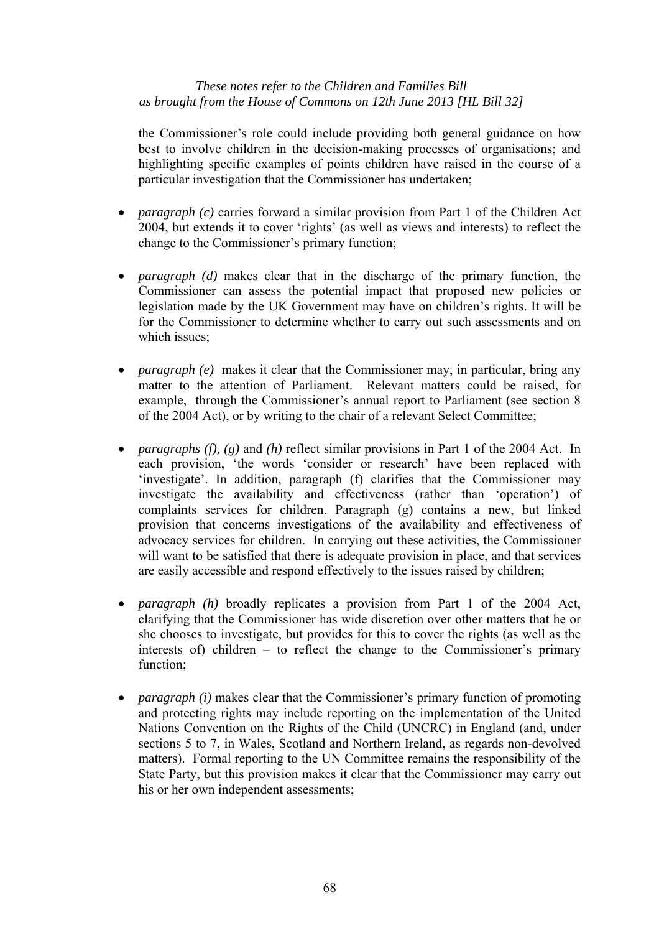the Commissioner's role could include providing both general guidance on how best to involve children in the decision-making processes of organisations; and highlighting specific examples of points children have raised in the course of a particular investigation that the Commissioner has undertaken;

- *paragraph (c)* carries forward a similar provision from Part 1 of the Children Act 2004, but extends it to cover 'rights' (as well as views and interests) to reflect the change to the Commissioner's primary function;
- *paragraph (d)* makes clear that in the discharge of the primary function, the Commissioner can assess the potential impact that proposed new policies or legislation made by the UK Government may have on children's rights. It will be for the Commissioner to determine whether to carry out such assessments and on which issues;
- *paragraph (e)* makes it clear that the Commissioner may, in particular, bring any matter to the attention of Parliament. Relevant matters could be raised, for example, through the Commissioner's annual report to Parliament (see section 8 of the 2004 Act), or by writing to the chair of a relevant Select Committee;
- *paragraphs (f), (g)* and *(h)* reflect similar provisions in Part 1 of the 2004 Act. In each provision, 'the words 'consider or research' have been replaced with 'investigate'. In addition, paragraph (f) clarifies that the Commissioner may investigate the availability and effectiveness (rather than 'operation') of complaints services for children. Paragraph (g) contains a new, but linked provision that concerns investigations of the availability and effectiveness of advocacy services for children. In carrying out these activities, the Commissioner will want to be satisfied that there is adequate provision in place, and that services are easily accessible and respond effectively to the issues raised by children;
- *paragraph (h)* broadly replicates a provision from Part 1 of the 2004 Act, clarifying that the Commissioner has wide discretion over other matters that he or she chooses to investigate, but provides for this to cover the rights (as well as the interests of) children – to reflect the change to the Commissioner's primary function;
- *paragraph (i)* makes clear that the Commissioner's primary function of promoting and protecting rights may include reporting on the implementation of the United Nations Convention on the Rights of the Child (UNCRC) in England (and, under sections 5 to 7, in Wales, Scotland and Northern Ireland, as regards non-devolved matters). Formal reporting to the UN Committee remains the responsibility of the State Party, but this provision makes it clear that the Commissioner may carry out his or her own independent assessments;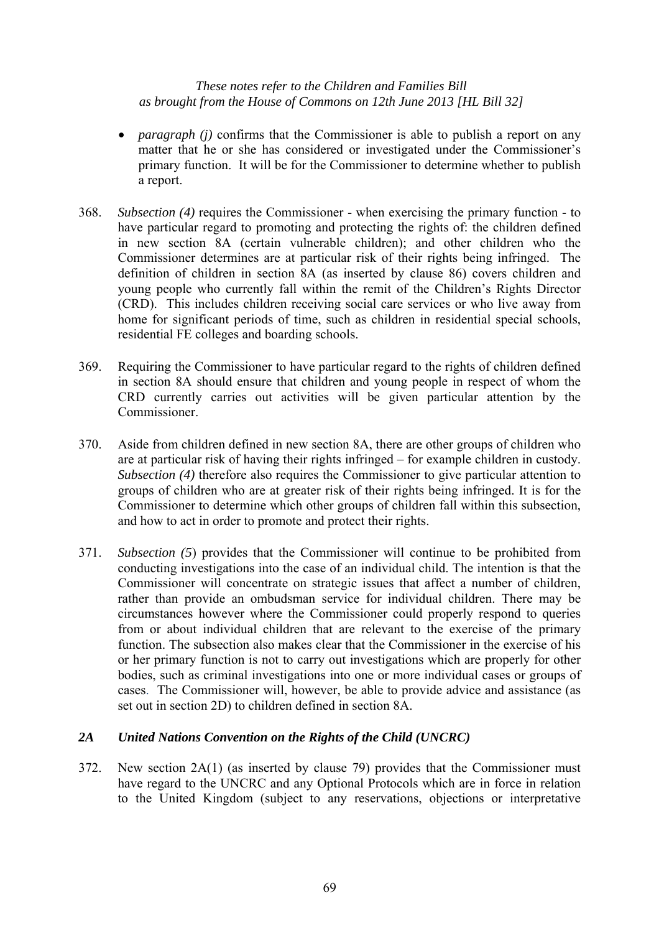- *paragraph (j)* confirms that the Commissioner is able to publish a report on any matter that he or she has considered or investigated under the Commissioner's primary function. It will be for the Commissioner to determine whether to publish a report.
- 368. *Subsection (4)* requires the Commissioner when exercising the primary function to have particular regard to promoting and protecting the rights of: the children defined in new section 8A (certain vulnerable children); and other children who the Commissioner determines are at particular risk of their rights being infringed. The definition of children in section 8A (as inserted by clause 86) covers children and young people who currently fall within the remit of the Children's Rights Director (CRD). This includes children receiving social care services or who live away from home for significant periods of time, such as children in residential special schools, residential FE colleges and boarding schools.
- 369. Requiring the Commissioner to have particular regard to the rights of children defined in section 8A should ensure that children and young people in respect of whom the CRD currently carries out activities will be given particular attention by the Commissioner.
- 370. Aside from children defined in new section 8A, there are other groups of children who are at particular risk of having their rights infringed – for example children in custody. *Subsection (4)* therefore also requires the Commissioner to give particular attention to groups of children who are at greater risk of their rights being infringed. It is for the Commissioner to determine which other groups of children fall within this subsection, and how to act in order to promote and protect their rights.
- 371. *Subsection (5*) provides that the Commissioner will continue to be prohibited from conducting investigations into the case of an individual child. The intention is that the Commissioner will concentrate on strategic issues that affect a number of children, rather than provide an ombudsman service for individual children. There may be circumstances however where the Commissioner could properly respond to queries from or about individual children that are relevant to the exercise of the primary function. The subsection also makes clear that the Commissioner in the exercise of his or her primary function is not to carry out investigations which are properly for other bodies, such as criminal investigations into one or more individual cases or groups of cases. The Commissioner will, however, be able to provide advice and assistance (as set out in section 2D) to children defined in section 8A.

# *2A United Nations Convention on the Rights of the Child (UNCRC)*

372. New section 2A(1) (as inserted by clause 79) provides that the Commissioner must have regard to the UNCRC and any Optional Protocols which are in force in relation to the United Kingdom (subject to any reservations, objections or interpretative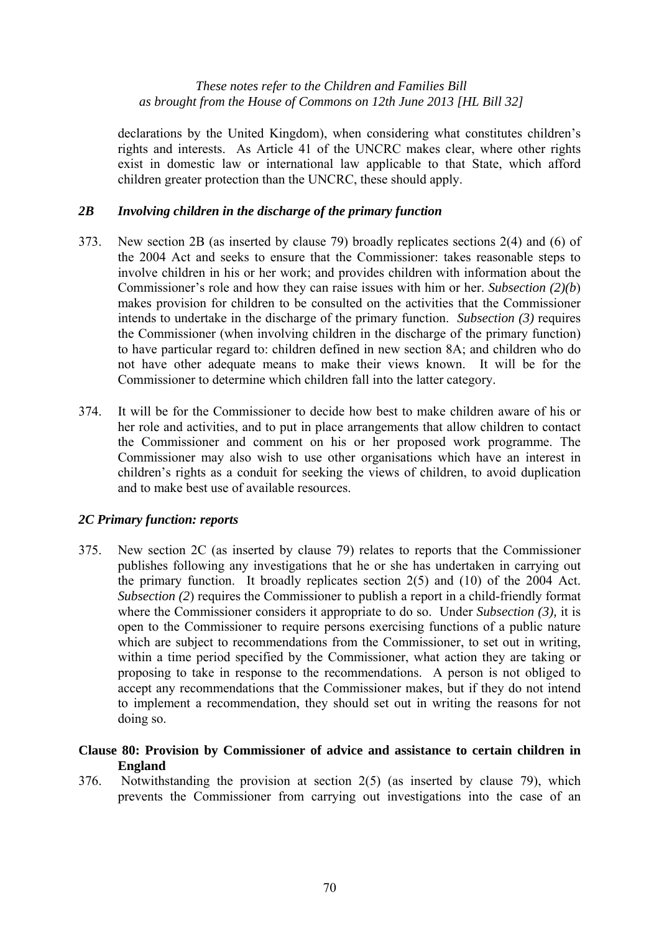declarations by the United Kingdom), when considering what constitutes children's rights and interests. As Article 41 of the UNCRC makes clear, where other rights exist in domestic law or international law applicable to that State, which afford children greater protection than the UNCRC, these should apply.

# *2B Involving children in the discharge of the primary function*

- 373. New section 2B (as inserted by clause 79) broadly replicates sections 2(4) and (6) of the 2004 Act and seeks to ensure that the Commissioner: takes reasonable steps to involve children in his or her work; and provides children with information about the Commissioner's role and how they can raise issues with him or her. *Subsection (2)(b*) makes provision for children to be consulted on the activities that the Commissioner intends to undertake in the discharge of the primary function. *Subsection (3)* requires the Commissioner (when involving children in the discharge of the primary function) to have particular regard to: children defined in new section 8A; and children who do not have other adequate means to make their views known. It will be for the Commissioner to determine which children fall into the latter category.
- 374. It will be for the Commissioner to decide how best to make children aware of his or her role and activities, and to put in place arrangements that allow children to contact the Commissioner and comment on his or her proposed work programme. The Commissioner may also wish to use other organisations which have an interest in children's rights as a conduit for seeking the views of children, to avoid duplication and to make best use of available resources.

# *2C Primary function: reports*

375. New section 2C (as inserted by clause 79) relates to reports that the Commissioner publishes following any investigations that he or she has undertaken in carrying out the primary function. It broadly replicates section 2(5) and (10) of the 2004 Act. *Subsection (2)* requires the Commissioner to publish a report in a child-friendly format where the Commissioner considers it appropriate to do so. Under *Subsection (3),* it is open to the Commissioner to require persons exercising functions of a public nature which are subject to recommendations from the Commissioner, to set out in writing, within a time period specified by the Commissioner, what action they are taking or proposing to take in response to the recommendations. A person is not obliged to accept any recommendations that the Commissioner makes, but if they do not intend to implement a recommendation, they should set out in writing the reasons for not doing so.

# **Clause 80: Provision by Commissioner of advice and assistance to certain children in England**

376. Notwithstanding the provision at section 2(5) (as inserted by clause 79), which prevents the Commissioner from carrying out investigations into the case of an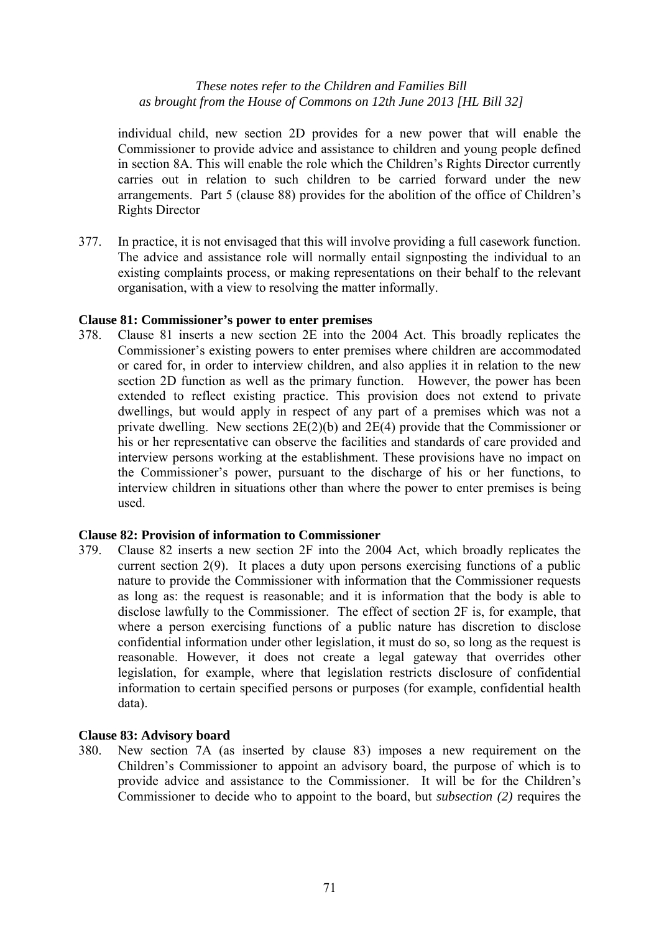individual child, new section 2D provides for a new power that will enable the Commissioner to provide advice and assistance to children and young people defined in section 8A. This will enable the role which the Children's Rights Director currently carries out in relation to such children to be carried forward under the new arrangements. Part 5 (clause 88) provides for the abolition of the office of Children's Rights Director

377. In practice, it is not envisaged that this will involve providing a full casework function. The advice and assistance role will normally entail signposting the individual to an existing complaints process, or making representations on their behalf to the relevant organisation, with a view to resolving the matter informally.

# **Clause 81: Commissioner's power to enter premises**

378. Clause 81 inserts a new section 2E into the 2004 Act. This broadly replicates the Commissioner's existing powers to enter premises where children are accommodated or cared for, in order to interview children, and also applies it in relation to the new section 2D function as well as the primary function. However, the power has been extended to reflect existing practice. This provision does not extend to private dwellings, but would apply in respect of any part of a premises which was not a private dwelling. New sections 2E(2)(b) and 2E(4) provide that the Commissioner or his or her representative can observe the facilities and standards of care provided and interview persons working at the establishment. These provisions have no impact on the Commissioner's power, pursuant to the discharge of his or her functions, to interview children in situations other than where the power to enter premises is being used.

# **Clause 82: Provision of information to Commissioner**

379. Clause 82 inserts a new section 2F into the 2004 Act, which broadly replicates the current section 2(9). It places a duty upon persons exercising functions of a public nature to provide the Commissioner with information that the Commissioner requests as long as: the request is reasonable; and it is information that the body is able to disclose lawfully to the Commissioner. The effect of section 2F is, for example, that where a person exercising functions of a public nature has discretion to disclose confidential information under other legislation, it must do so, so long as the request is reasonable. However, it does not create a legal gateway that overrides other legislation, for example, where that legislation restricts disclosure of confidential information to certain specified persons or purposes (for example, confidential health data).

# **Clause 83: Advisory board**

380. New section 7A (as inserted by clause 83) imposes a new requirement on the Children's Commissioner to appoint an advisory board, the purpose of which is to provide advice and assistance to the Commissioner. It will be for the Children's Commissioner to decide who to appoint to the board, but *subsection (2)* requires the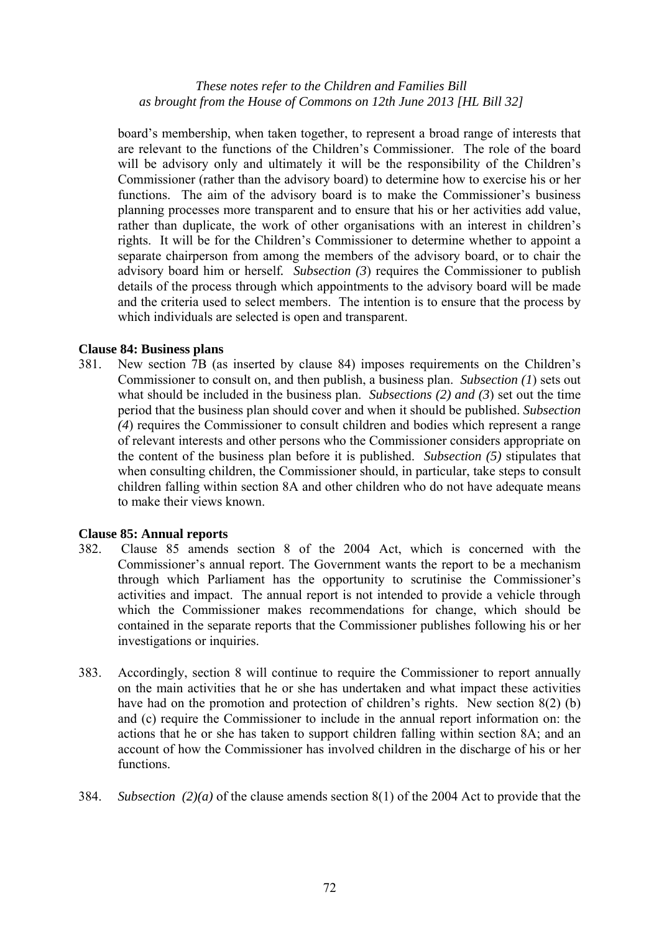board's membership, when taken together, to represent a broad range of interests that are relevant to the functions of the Children's Commissioner. The role of the board will be advisory only and ultimately it will be the responsibility of the Children's Commissioner (rather than the advisory board) to determine how to exercise his or her functions. The aim of the advisory board is to make the Commissioner's business planning processes more transparent and to ensure that his or her activities add value, rather than duplicate, the work of other organisations with an interest in children's rights. It will be for the Children's Commissioner to determine whether to appoint a separate chairperson from among the members of the advisory board, or to chair the advisory board him or herself*. Subsection (3*) requires the Commissioner to publish details of the process through which appointments to the advisory board will be made and the criteria used to select members. The intention is to ensure that the process by which individuals are selected is open and transparent.

# **Clause 84: Business plans**

381. New section 7B (as inserted by clause 84) imposes requirements on the Children's Commissioner to consult on, and then publish, a business plan. *Subsection (1*) sets out what should be included in the business plan. *Subsections (2) and (3*) set out the time period that the business plan should cover and when it should be published. *Subsection (4*) requires the Commissioner to consult children and bodies which represent a range of relevant interests and other persons who the Commissioner considers appropriate on the content of the business plan before it is published. *Subsection (5)* stipulates that when consulting children, the Commissioner should, in particular, take steps to consult children falling within section 8A and other children who do not have adequate means to make their views known.

# **Clause 85: Annual reports**

- 382. Clause 85 amends section 8 of the 2004 Act, which is concerned with the Commissioner's annual report. The Government wants the report to be a mechanism through which Parliament has the opportunity to scrutinise the Commissioner's activities and impact. The annual report is not intended to provide a vehicle through which the Commissioner makes recommendations for change, which should be contained in the separate reports that the Commissioner publishes following his or her investigations or inquiries.
- 383. Accordingly, section 8 will continue to require the Commissioner to report annually on the main activities that he or she has undertaken and what impact these activities have had on the promotion and protection of children's rights. New section 8(2) (b) and (c) require the Commissioner to include in the annual report information on: the actions that he or she has taken to support children falling within section 8A; and an account of how the Commissioner has involved children in the discharge of his or her functions.
- 384. *Subsection (2)(a)* of the clause amends section 8(1) of the 2004 Act to provide that the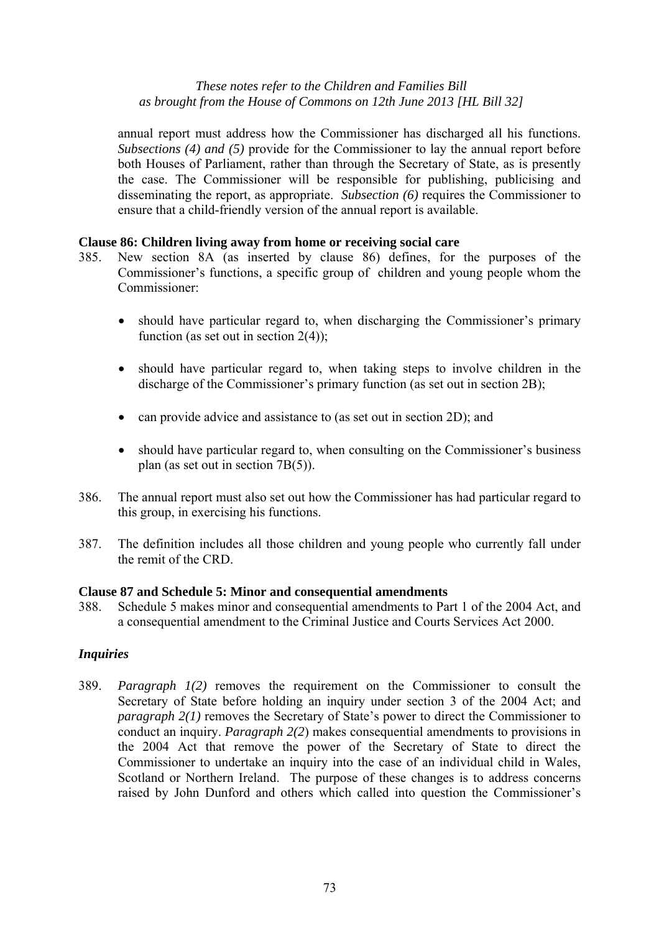annual report must address how the Commissioner has discharged all his functions. *Subsections (4) and (5)* provide for the Commissioner to lay the annual report before both Houses of Parliament, rather than through the Secretary of State, as is presently the case. The Commissioner will be responsible for publishing, publicising and disseminating the report, as appropriate. *Subsection (6)* requires the Commissioner to ensure that a child-friendly version of the annual report is available.

#### **Clause 86: Children living away from home or receiving social care**

- 385. New section 8A (as inserted by clause 86) defines, for the purposes of the Commissioner's functions, a specific group of children and young people whom the Commissioner:
	- should have particular regard to, when discharging the Commissioner's primary function (as set out in section  $2(4)$ );
	- should have particular regard to, when taking steps to involve children in the discharge of the Commissioner's primary function (as set out in section 2B);
	- can provide advice and assistance to (as set out in section 2D); and
	- should have particular regard to, when consulting on the Commissioner's business plan (as set out in section 7B(5)).
- 386. The annual report must also set out how the Commissioner has had particular regard to this group, in exercising his functions.
- 387. The definition includes all those children and young people who currently fall under the remit of the CRD.

#### **Clause 87 and Schedule 5: Minor and consequential amendments**

388. Schedule 5 makes minor and consequential amendments to Part 1 of the 2004 Act, and a consequential amendment to the Criminal Justice and Courts Services Act 2000.

# *Inquiries*

389. *Paragraph 1(2)* removes the requirement on the Commissioner to consult the Secretary of State before holding an inquiry under section 3 of the 2004 Act; and *paragraph 2(1)* removes the Secretary of State's power to direct the Commissioner to conduct an inquiry. *Paragraph 2(2*) makes consequential amendments to provisions in the 2004 Act that remove the power of the Secretary of State to direct the Commissioner to undertake an inquiry into the case of an individual child in Wales, Scotland or Northern Ireland. The purpose of these changes is to address concerns raised by John Dunford and others which called into question the Commissioner's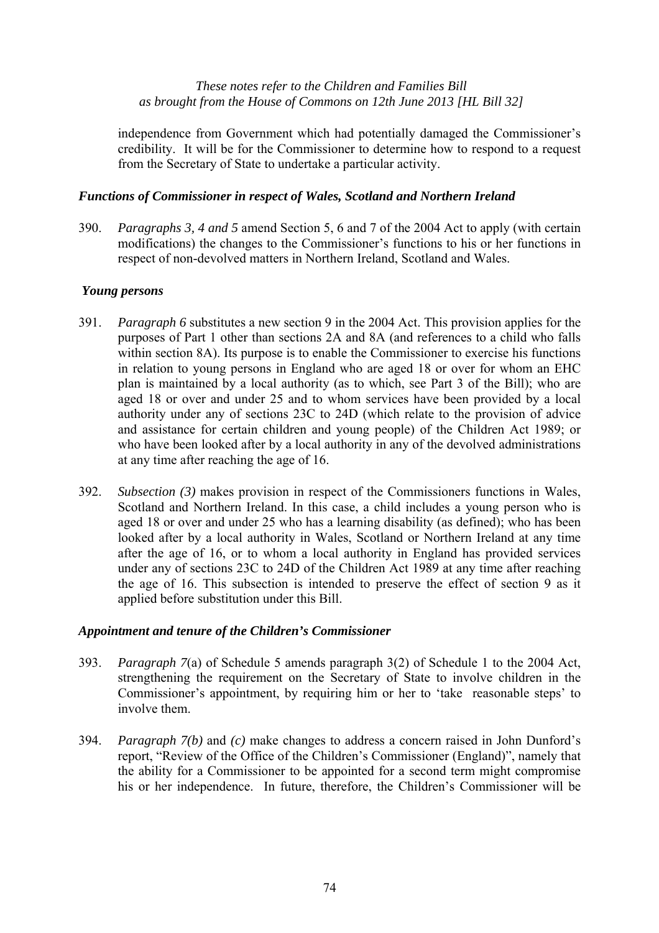independence from Government which had potentially damaged the Commissioner's credibility. It will be for the Commissioner to determine how to respond to a request from the Secretary of State to undertake a particular activity.

# *Functions of Commissioner in respect of Wales, Scotland and Northern Ireland*

390. *Paragraphs 3, 4 and 5* amend Section 5, 6 and 7 of the 2004 Act to apply (with certain modifications) the changes to the Commissioner's functions to his or her functions in respect of non-devolved matters in Northern Ireland, Scotland and Wales.

# *Young persons*

- 391. *Paragraph 6* substitutes a new section 9 in the 2004 Act. This provision applies for the purposes of Part 1 other than sections 2A and 8A (and references to a child who falls within section 8A). Its purpose is to enable the Commissioner to exercise his functions in relation to young persons in England who are aged 18 or over for whom an EHC plan is maintained by a local authority (as to which, see Part 3 of the Bill); who are aged 18 or over and under 25 and to whom services have been provided by a local authority under any of sections 23C to 24D (which relate to the provision of advice and assistance for certain children and young people) of the Children Act 1989; or who have been looked after by a local authority in any of the devolved administrations at any time after reaching the age of 16.
- 392. *Subsection (3)* makes provision in respect of the Commissioners functions in Wales, Scotland and Northern Ireland. In this case, a child includes a young person who is aged 18 or over and under 25 who has a learning disability (as defined); who has been looked after by a local authority in Wales, Scotland or Northern Ireland at any time after the age of 16, or to whom a local authority in England has provided services under any of sections 23C to 24D of the Children Act 1989 at any time after reaching the age of 16. This subsection is intended to preserve the effect of section 9 as it applied before substitution under this Bill.

#### *Appointment and tenure of the Children's Commissioner*

- 393. *Paragraph 7*(a) of Schedule 5 amends paragraph 3(2) of Schedule 1 to the 2004 Act, strengthening the requirement on the Secretary of State to involve children in the Commissioner's appointment, by requiring him or her to 'take reasonable steps' to involve them.
- 394. *Paragraph 7(b)* and *(c)* make changes to address a concern raised in John Dunford's report, "Review of the Office of the Children's Commissioner (England)", namely that the ability for a Commissioner to be appointed for a second term might compromise his or her independence. In future, therefore, the Children's Commissioner will be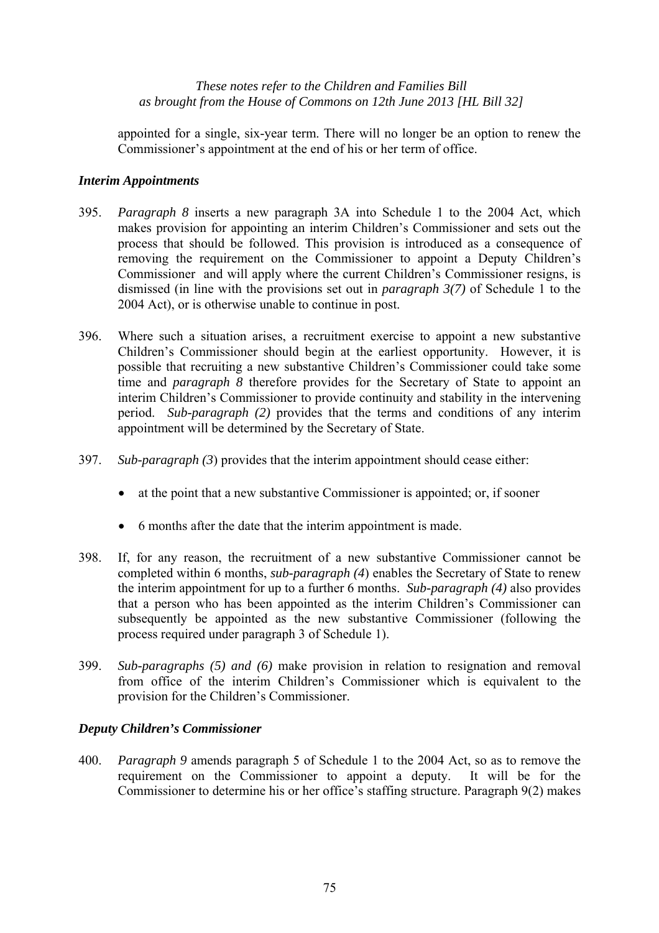appointed for a single, six-year term. There will no longer be an option to renew the Commissioner's appointment at the end of his or her term of office.

# *Interim Appointments*

- 395. *Paragraph 8* inserts a new paragraph 3A into Schedule 1 to the 2004 Act, which makes provision for appointing an interim Children's Commissioner and sets out the process that should be followed. This provision is introduced as a consequence of removing the requirement on the Commissioner to appoint a Deputy Children's Commissioner and will apply where the current Children's Commissioner resigns, is dismissed (in line with the provisions set out in *paragraph 3(7)* of Schedule 1 to the 2004 Act), or is otherwise unable to continue in post.
- 396. Where such a situation arises, a recruitment exercise to appoint a new substantive Children's Commissioner should begin at the earliest opportunity. However, it is possible that recruiting a new substantive Children's Commissioner could take some time and *paragraph 8* therefore provides for the Secretary of State to appoint an interim Children's Commissioner to provide continuity and stability in the intervening period. *Sub-paragraph (2)* provides that the terms and conditions of any interim appointment will be determined by the Secretary of State.
- 397. *Sub-paragraph (3*) provides that the interim appointment should cease either:
	- at the point that a new substantive Commissioner is appointed; or, if sooner
	- 6 months after the date that the interim appointment is made.
- 398. If, for any reason, the recruitment of a new substantive Commissioner cannot be completed within 6 months, *sub-paragraph (4*) enables the Secretary of State to renew the interim appointment for up to a further 6 months. *Sub-paragraph (4)* also provides that a person who has been appointed as the interim Children's Commissioner can subsequently be appointed as the new substantive Commissioner (following the process required under paragraph 3 of Schedule 1).
- 399. *Sub-paragraphs (5) and (6)* make provision in relation to resignation and removal from office of the interim Children's Commissioner which is equivalent to the provision for the Children's Commissioner.

#### *Deputy Children's Commissioner*

400. *Paragraph 9* amends paragraph 5 of Schedule 1 to the 2004 Act, so as to remove the requirement on the Commissioner to appoint a deputy. It will be for the Commissioner to determine his or her office's staffing structure. Paragraph 9(2) makes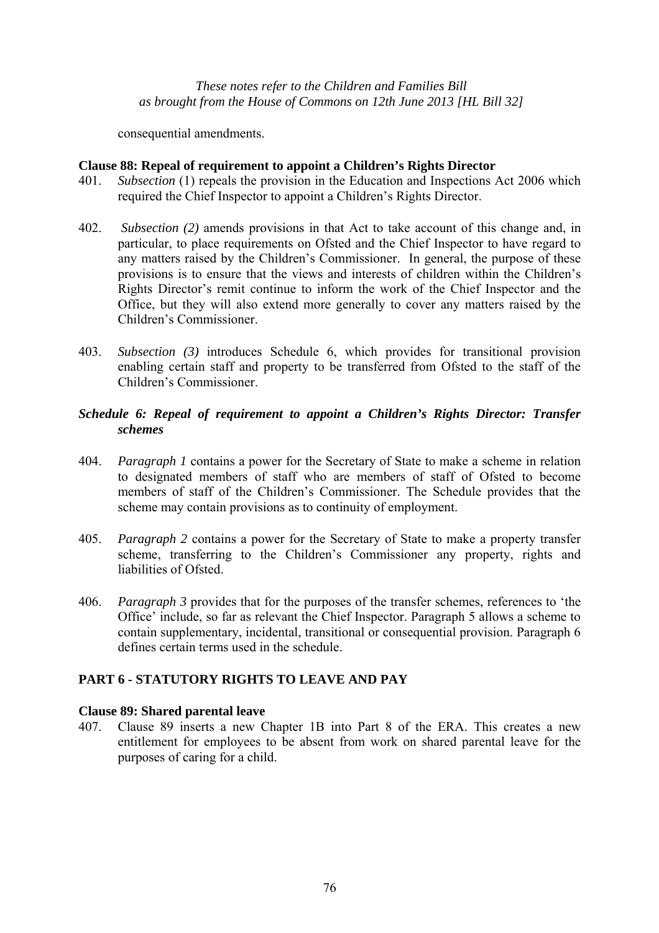consequential amendments.

# **Clause 88: Repeal of requirement to appoint a Children's Rights Director**

- 401. *Subsection* (1) repeals the provision in the Education and Inspections Act 2006 which required the Chief Inspector to appoint a Children's Rights Director.
- 402. *Subsection (2)* amends provisions in that Act to take account of this change and, in particular, to place requirements on Ofsted and the Chief Inspector to have regard to any matters raised by the Children's Commissioner. In general, the purpose of these provisions is to ensure that the views and interests of children within the Children's Rights Director's remit continue to inform the work of the Chief Inspector and the Office, but they will also extend more generally to cover any matters raised by the Children's Commissioner.
- 403. *Subsection (3)* introduces Schedule 6, which provides for transitional provision enabling certain staff and property to be transferred from Ofsted to the staff of the Children's Commissioner.

# *Schedule 6: Repeal of requirement to appoint a Children's Rights Director: Transfer schemes*

- 404. *Paragraph 1* contains a power for the Secretary of State to make a scheme in relation to designated members of staff who are members of staff of Ofsted to become members of staff of the Children's Commissioner. The Schedule provides that the scheme may contain provisions as to continuity of employment.
- 405. *Paragraph 2* contains a power for the Secretary of State to make a property transfer scheme, transferring to the Children's Commissioner any property, rights and liabilities of Ofsted.
- 406. *Paragraph 3* provides that for the purposes of the transfer schemes, references to 'the Office' include, so far as relevant the Chief Inspector. Paragraph 5 allows a scheme to contain supplementary, incidental, transitional or consequential provision. Paragraph 6 defines certain terms used in the schedule.

# **PART 6 - STATUTORY RIGHTS TO LEAVE AND PAY**

#### **Clause 89: Shared parental leave**

407. Clause 89 inserts a new Chapter 1B into Part 8 of the ERA. This creates a new entitlement for employees to be absent from work on shared parental leave for the purposes of caring for a child.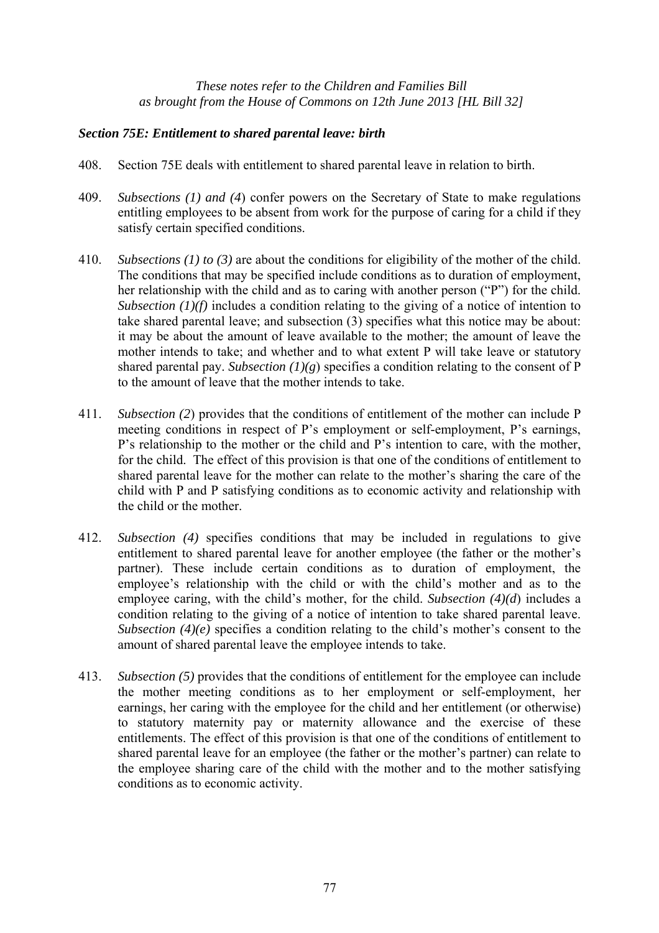# *Section 75E: Entitlement to shared parental leave: birth*

- 408. Section 75E deals with entitlement to shared parental leave in relation to birth.
- 409. *Subsections (1) and (4*) confer powers on the Secretary of State to make regulations entitling employees to be absent from work for the purpose of caring for a child if they satisfy certain specified conditions.
- 410. *Subsections (1) to (3)* are about the conditions for eligibility of the mother of the child. The conditions that may be specified include conditions as to duration of employment, her relationship with the child and as to caring with another person ("P") for the child. *Subsection (1)(f)* includes a condition relating to the giving of a notice of intention to take shared parental leave; and subsection (3) specifies what this notice may be about: it may be about the amount of leave available to the mother; the amount of leave the mother intends to take; and whether and to what extent P will take leave or statutory shared parental pay. *Subsection*  $(1)(g)$  specifies a condition relating to the consent of P to the amount of leave that the mother intends to take.
- 411. *Subsection (2*) provides that the conditions of entitlement of the mother can include P meeting conditions in respect of P's employment or self-employment, P's earnings, P's relationship to the mother or the child and P's intention to care, with the mother, for the child. The effect of this provision is that one of the conditions of entitlement to shared parental leave for the mother can relate to the mother's sharing the care of the child with P and P satisfying conditions as to economic activity and relationship with the child or the mother.
- 412. *Subsection (4)* specifies conditions that may be included in regulations to give entitlement to shared parental leave for another employee (the father or the mother's partner). These include certain conditions as to duration of employment, the employee's relationship with the child or with the child's mother and as to the employee caring, with the child's mother, for the child. *Subsection (4)(d*) includes a condition relating to the giving of a notice of intention to take shared parental leave. *Subsection (4)(e)* specifies a condition relating to the child's mother's consent to the amount of shared parental leave the employee intends to take.
- 413. *Subsection (5)* provides that the conditions of entitlement for the employee can include the mother meeting conditions as to her employment or self-employment, her earnings, her caring with the employee for the child and her entitlement (or otherwise) to statutory maternity pay or maternity allowance and the exercise of these entitlements. The effect of this provision is that one of the conditions of entitlement to shared parental leave for an employee (the father or the mother's partner) can relate to the employee sharing care of the child with the mother and to the mother satisfying conditions as to economic activity.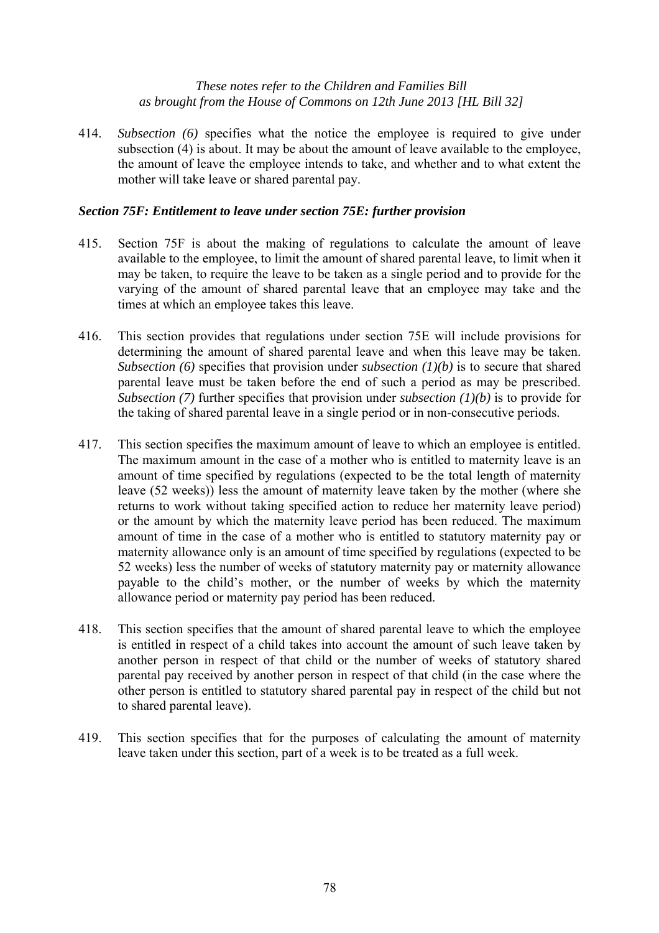414. *Subsection (6)* specifies what the notice the employee is required to give under subsection (4) is about. It may be about the amount of leave available to the employee, the amount of leave the employee intends to take, and whether and to what extent the mother will take leave or shared parental pay.

# *Section 75F: Entitlement to leave under section 75E: further provision*

- 415. Section 75F is about the making of regulations to calculate the amount of leave available to the employee, to limit the amount of shared parental leave, to limit when it may be taken, to require the leave to be taken as a single period and to provide for the varying of the amount of shared parental leave that an employee may take and the times at which an employee takes this leave.
- 416. This section provides that regulations under section 75E will include provisions for determining the amount of shared parental leave and when this leave may be taken. *Subsection (6)* specifies that provision under *subsection (1)(b)* is to secure that shared parental leave must be taken before the end of such a period as may be prescribed. *Subsection (7)* further specifies that provision under *subsection (1)(b)* is to provide for the taking of shared parental leave in a single period or in non-consecutive periods.
- 417. This section specifies the maximum amount of leave to which an employee is entitled. The maximum amount in the case of a mother who is entitled to maternity leave is an amount of time specified by regulations (expected to be the total length of maternity leave (52 weeks)) less the amount of maternity leave taken by the mother (where she returns to work without taking specified action to reduce her maternity leave period) or the amount by which the maternity leave period has been reduced. The maximum amount of time in the case of a mother who is entitled to statutory maternity pay or maternity allowance only is an amount of time specified by regulations (expected to be 52 weeks) less the number of weeks of statutory maternity pay or maternity allowance payable to the child's mother, or the number of weeks by which the maternity allowance period or maternity pay period has been reduced.
- 418. This section specifies that the amount of shared parental leave to which the employee is entitled in respect of a child takes into account the amount of such leave taken by another person in respect of that child or the number of weeks of statutory shared parental pay received by another person in respect of that child (in the case where the other person is entitled to statutory shared parental pay in respect of the child but not to shared parental leave).
- 419. This section specifies that for the purposes of calculating the amount of maternity leave taken under this section, part of a week is to be treated as a full week.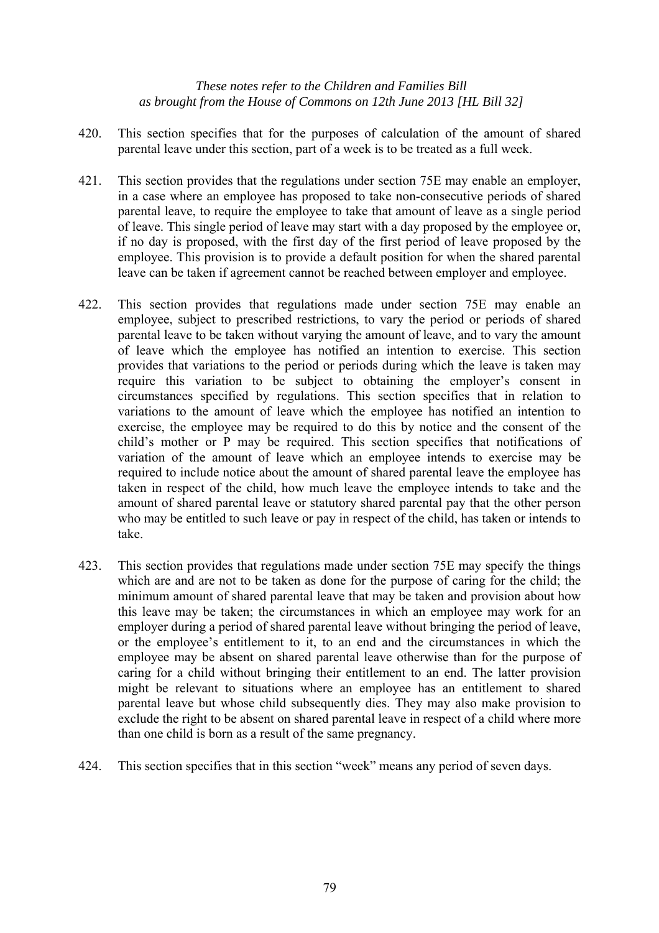- 420. This section specifies that for the purposes of calculation of the amount of shared parental leave under this section, part of a week is to be treated as a full week.
- 421. This section provides that the regulations under section 75E may enable an employer, in a case where an employee has proposed to take non-consecutive periods of shared parental leave, to require the employee to take that amount of leave as a single period of leave. This single period of leave may start with a day proposed by the employee or, if no day is proposed, with the first day of the first period of leave proposed by the employee. This provision is to provide a default position for when the shared parental leave can be taken if agreement cannot be reached between employer and employee.
- 422. This section provides that regulations made under section 75E may enable an employee, subject to prescribed restrictions, to vary the period or periods of shared parental leave to be taken without varying the amount of leave, and to vary the amount of leave which the employee has notified an intention to exercise. This section provides that variations to the period or periods during which the leave is taken may require this variation to be subject to obtaining the employer's consent in circumstances specified by regulations. This section specifies that in relation to variations to the amount of leave which the employee has notified an intention to exercise, the employee may be required to do this by notice and the consent of the child's mother or P may be required. This section specifies that notifications of variation of the amount of leave which an employee intends to exercise may be required to include notice about the amount of shared parental leave the employee has taken in respect of the child, how much leave the employee intends to take and the amount of shared parental leave or statutory shared parental pay that the other person who may be entitled to such leave or pay in respect of the child, has taken or intends to take.
- 423. This section provides that regulations made under section 75E may specify the things which are and are not to be taken as done for the purpose of caring for the child; the minimum amount of shared parental leave that may be taken and provision about how this leave may be taken; the circumstances in which an employee may work for an employer during a period of shared parental leave without bringing the period of leave, or the employee's entitlement to it, to an end and the circumstances in which the employee may be absent on shared parental leave otherwise than for the purpose of caring for a child without bringing their entitlement to an end. The latter provision might be relevant to situations where an employee has an entitlement to shared parental leave but whose child subsequently dies. They may also make provision to exclude the right to be absent on shared parental leave in respect of a child where more than one child is born as a result of the same pregnancy.
- 424. This section specifies that in this section "week" means any period of seven days.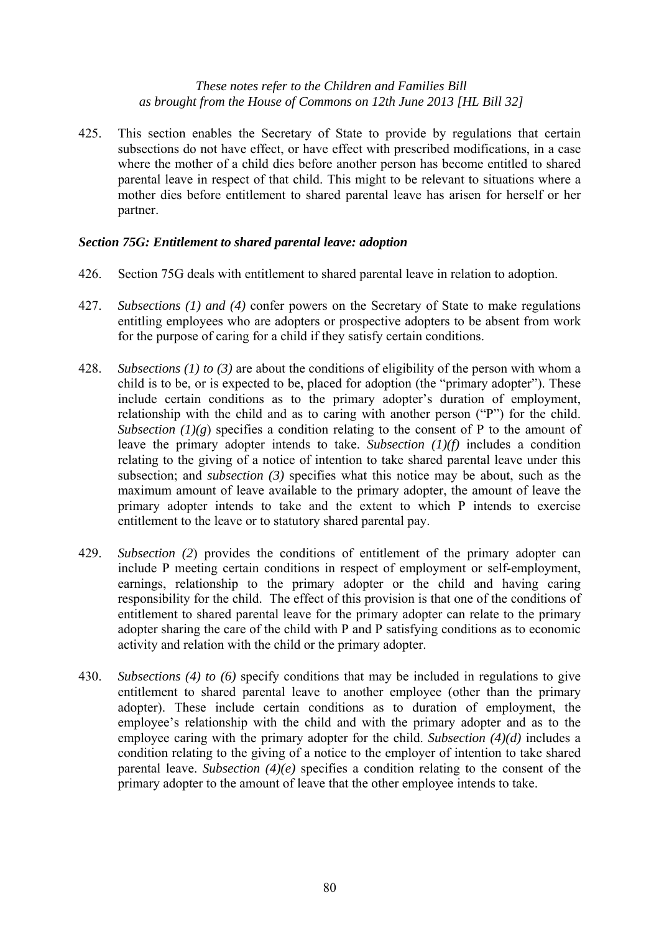425. This section enables the Secretary of State to provide by regulations that certain subsections do not have effect, or have effect with prescribed modifications, in a case where the mother of a child dies before another person has become entitled to shared parental leave in respect of that child. This might to be relevant to situations where a mother dies before entitlement to shared parental leave has arisen for herself or her partner.

# *Section 75G: Entitlement to shared parental leave: adoption*

- 426. Section 75G deals with entitlement to shared parental leave in relation to adoption.
- 427. *Subsections (1) and (4)* confer powers on the Secretary of State to make regulations entitling employees who are adopters or prospective adopters to be absent from work for the purpose of caring for a child if they satisfy certain conditions.
- 428. *Subsections (1) to (3)* are about the conditions of eligibility of the person with whom a child is to be, or is expected to be, placed for adoption (the "primary adopter"). These include certain conditions as to the primary adopter's duration of employment, relationship with the child and as to caring with another person ("P") for the child. *Subsection*  $(1)(g)$  specifies a condition relating to the consent of P to the amount of leave the primary adopter intends to take. *Subsection (1)(f)* includes a condition relating to the giving of a notice of intention to take shared parental leave under this subsection; and *subsection (3)* specifies what this notice may be about, such as the maximum amount of leave available to the primary adopter, the amount of leave the primary adopter intends to take and the extent to which P intends to exercise entitlement to the leave or to statutory shared parental pay.
- 429. *Subsection (2*) provides the conditions of entitlement of the primary adopter can include P meeting certain conditions in respect of employment or self-employment, earnings, relationship to the primary adopter or the child and having caring responsibility for the child. The effect of this provision is that one of the conditions of entitlement to shared parental leave for the primary adopter can relate to the primary adopter sharing the care of the child with P and P satisfying conditions as to economic activity and relation with the child or the primary adopter.
- 430. *Subsections (4) to (6)* specify conditions that may be included in regulations to give entitlement to shared parental leave to another employee (other than the primary adopter). These include certain conditions as to duration of employment, the employee's relationship with the child and with the primary adopter and as to the employee caring with the primary adopter for the child. *Subsection (4)(d)* includes a condition relating to the giving of a notice to the employer of intention to take shared parental leave. *Subsection (4)(e)* specifies a condition relating to the consent of the primary adopter to the amount of leave that the other employee intends to take.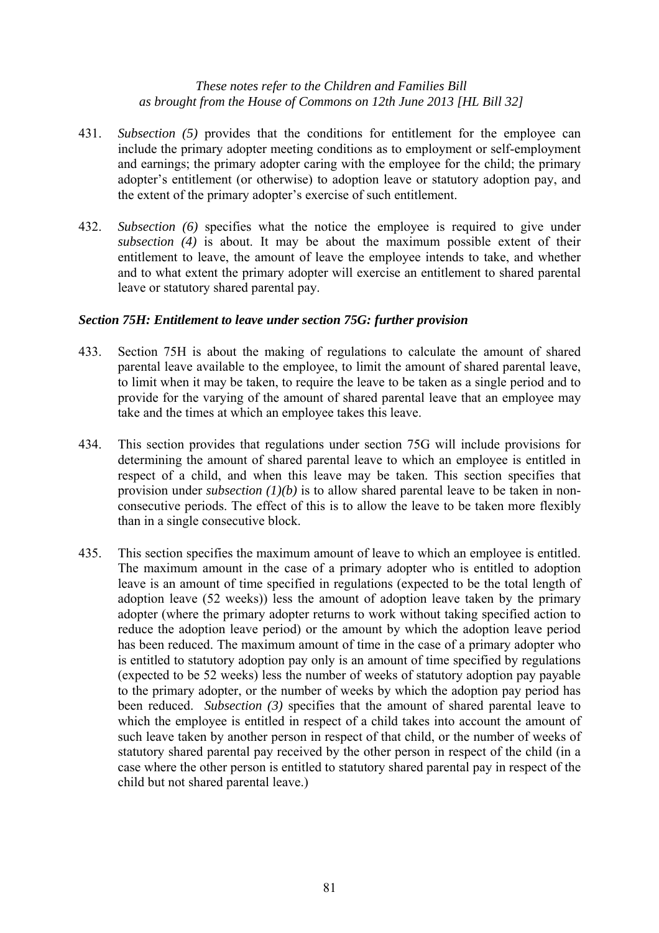- 431. *Subsection (5)* provides that the conditions for entitlement for the employee can include the primary adopter meeting conditions as to employment or self-employment and earnings; the primary adopter caring with the employee for the child; the primary adopter's entitlement (or otherwise) to adoption leave or statutory adoption pay, and the extent of the primary adopter's exercise of such entitlement.
- 432. *Subsection (6)* specifies what the notice the employee is required to give under *subsection (4)* is about. It may be about the maximum possible extent of their entitlement to leave, the amount of leave the employee intends to take, and whether and to what extent the primary adopter will exercise an entitlement to shared parental leave or statutory shared parental pay.

# *Section 75H: Entitlement to leave under section 75G: further provision*

- 433. Section 75H is about the making of regulations to calculate the amount of shared parental leave available to the employee, to limit the amount of shared parental leave, to limit when it may be taken, to require the leave to be taken as a single period and to provide for the varying of the amount of shared parental leave that an employee may take and the times at which an employee takes this leave.
- 434. This section provides that regulations under section 75G will include provisions for determining the amount of shared parental leave to which an employee is entitled in respect of a child, and when this leave may be taken. This section specifies that provision under *subsection (1)(b)* is to allow shared parental leave to be taken in nonconsecutive periods. The effect of this is to allow the leave to be taken more flexibly than in a single consecutive block.
- 435. This section specifies the maximum amount of leave to which an employee is entitled. The maximum amount in the case of a primary adopter who is entitled to adoption leave is an amount of time specified in regulations (expected to be the total length of adoption leave (52 weeks)) less the amount of adoption leave taken by the primary adopter (where the primary adopter returns to work without taking specified action to reduce the adoption leave period) or the amount by which the adoption leave period has been reduced. The maximum amount of time in the case of a primary adopter who is entitled to statutory adoption pay only is an amount of time specified by regulations (expected to be 52 weeks) less the number of weeks of statutory adoption pay payable to the primary adopter, or the number of weeks by which the adoption pay period has been reduced. *Subsection (3)* specifies that the amount of shared parental leave to which the employee is entitled in respect of a child takes into account the amount of such leave taken by another person in respect of that child, or the number of weeks of statutory shared parental pay received by the other person in respect of the child (in a case where the other person is entitled to statutory shared parental pay in respect of the child but not shared parental leave.)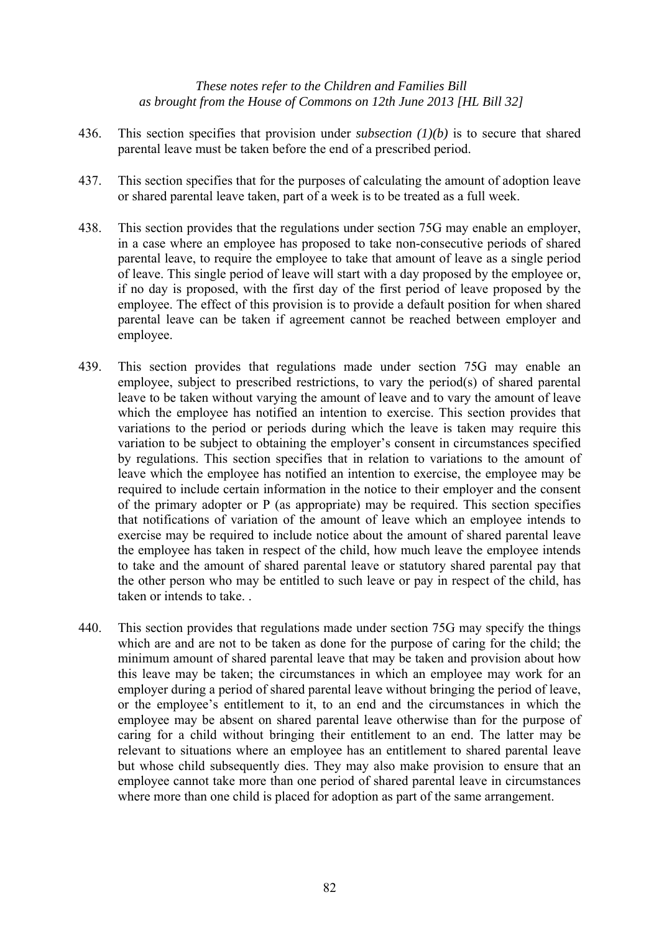- 436. This section specifies that provision under *subsection (1)(b)* is to secure that shared parental leave must be taken before the end of a prescribed period.
- 437. This section specifies that for the purposes of calculating the amount of adoption leave or shared parental leave taken, part of a week is to be treated as a full week.
- 438. This section provides that the regulations under section 75G may enable an employer, in a case where an employee has proposed to take non-consecutive periods of shared parental leave, to require the employee to take that amount of leave as a single period of leave. This single period of leave will start with a day proposed by the employee or, if no day is proposed, with the first day of the first period of leave proposed by the employee. The effect of this provision is to provide a default position for when shared parental leave can be taken if agreement cannot be reached between employer and employee.
- 439. This section provides that regulations made under section 75G may enable an employee, subject to prescribed restrictions, to vary the period(s) of shared parental leave to be taken without varying the amount of leave and to vary the amount of leave which the employee has notified an intention to exercise. This section provides that variations to the period or periods during which the leave is taken may require this variation to be subject to obtaining the employer's consent in circumstances specified by regulations. This section specifies that in relation to variations to the amount of leave which the employee has notified an intention to exercise, the employee may be required to include certain information in the notice to their employer and the consent of the primary adopter or P (as appropriate) may be required. This section specifies that notifications of variation of the amount of leave which an employee intends to exercise may be required to include notice about the amount of shared parental leave the employee has taken in respect of the child, how much leave the employee intends to take and the amount of shared parental leave or statutory shared parental pay that the other person who may be entitled to such leave or pay in respect of the child, has taken or intends to take. .
- 440. This section provides that regulations made under section 75G may specify the things which are and are not to be taken as done for the purpose of caring for the child; the minimum amount of shared parental leave that may be taken and provision about how this leave may be taken; the circumstances in which an employee may work for an employer during a period of shared parental leave without bringing the period of leave, or the employee's entitlement to it, to an end and the circumstances in which the employee may be absent on shared parental leave otherwise than for the purpose of caring for a child without bringing their entitlement to an end. The latter may be relevant to situations where an employee has an entitlement to shared parental leave but whose child subsequently dies. They may also make provision to ensure that an employee cannot take more than one period of shared parental leave in circumstances where more than one child is placed for adoption as part of the same arrangement.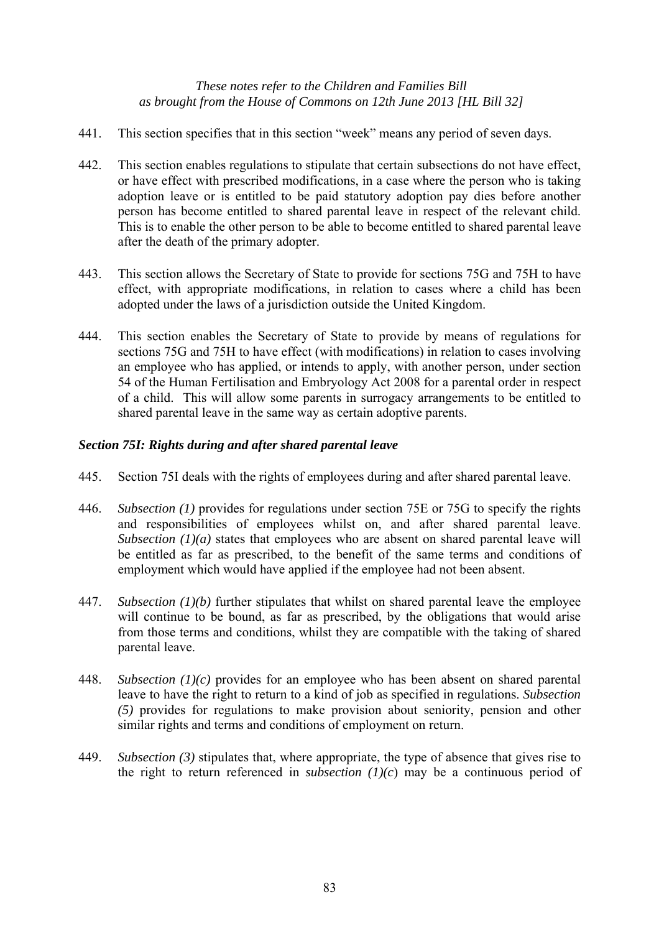- 441. This section specifies that in this section "week" means any period of seven days.
- 442. This section enables regulations to stipulate that certain subsections do not have effect, or have effect with prescribed modifications, in a case where the person who is taking adoption leave or is entitled to be paid statutory adoption pay dies before another person has become entitled to shared parental leave in respect of the relevant child. This is to enable the other person to be able to become entitled to shared parental leave after the death of the primary adopter.
- 443. This section allows the Secretary of State to provide for sections 75G and 75H to have effect, with appropriate modifications, in relation to cases where a child has been adopted under the laws of a jurisdiction outside the United Kingdom.
- 444. This section enables the Secretary of State to provide by means of regulations for sections 75G and 75H to have effect (with modifications) in relation to cases involving an employee who has applied, or intends to apply, with another person, under section 54 of the Human Fertilisation and Embryology Act 2008 for a parental order in respect of a child. This will allow some parents in surrogacy arrangements to be entitled to shared parental leave in the same way as certain adoptive parents.

# *Section 75I: Rights during and after shared parental leave*

- 445. Section 75I deals with the rights of employees during and after shared parental leave.
- 446. *Subsection (1)* provides for regulations under section 75E or 75G to specify the rights and responsibilities of employees whilst on, and after shared parental leave. *Subsection (1)(a)* states that employees who are absent on shared parental leave will be entitled as far as prescribed, to the benefit of the same terms and conditions of employment which would have applied if the employee had not been absent.
- 447. *Subsection (1)(b)* further stipulates that whilst on shared parental leave the employee will continue to be bound, as far as prescribed, by the obligations that would arise from those terms and conditions, whilst they are compatible with the taking of shared parental leave.
- 448. *Subsection (1)(c)* provides for an employee who has been absent on shared parental leave to have the right to return to a kind of job as specified in regulations. *Subsection (5)* provides for regulations to make provision about seniority, pension and other similar rights and terms and conditions of employment on return.
- 449. *Subsection (3)* stipulates that, where appropriate, the type of absence that gives rise to the right to return referenced in *subsection*  $(1)(c)$  may be a continuous period of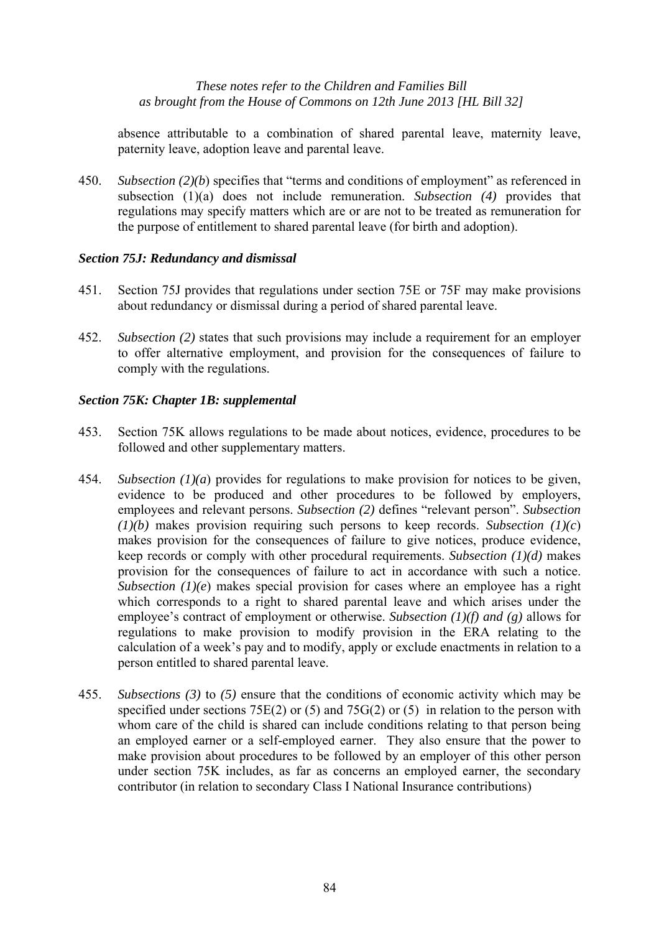absence attributable to a combination of shared parental leave, maternity leave, paternity leave, adoption leave and parental leave.

450. *Subsection (2)(b*) specifies that "terms and conditions of employment" as referenced in subsection (1)(a) does not include remuneration. *Subsection (4)* provides that regulations may specify matters which are or are not to be treated as remuneration for the purpose of entitlement to shared parental leave (for birth and adoption).

# *Section 75J: Redundancy and dismissal*

- 451. Section 75J provides that regulations under section 75E or 75F may make provisions about redundancy or dismissal during a period of shared parental leave.
- 452. *Subsection (2)* states that such provisions may include a requirement for an employer to offer alternative employment, and provision for the consequences of failure to comply with the regulations.

# *Section 75K: Chapter 1B: supplemental*

- 453. Section 75K allows regulations to be made about notices, evidence, procedures to be followed and other supplementary matters.
- 454. *Subsection (1)(a*) provides for regulations to make provision for notices to be given, evidence to be produced and other procedures to be followed by employers, employees and relevant persons. *Subsection (2)* defines "relevant person". *Subsection (1)(b)* makes provision requiring such persons to keep records. *Subsection (1)(c*) makes provision for the consequences of failure to give notices, produce evidence, keep records or comply with other procedural requirements. *Subsection (1)(d)* makes provision for the consequences of failure to act in accordance with such a notice. *Subsection* (1)(e) makes special provision for cases where an employee has a right which corresponds to a right to shared parental leave and which arises under the employee's contract of employment or otherwise. *Subsection (1)(f) and (g)* allows for regulations to make provision to modify provision in the ERA relating to the calculation of a week's pay and to modify, apply or exclude enactments in relation to a person entitled to shared parental leave.
- 455. *Subsections (3)* to *(5)* ensure that the conditions of economic activity which may be specified under sections 75E(2) or (5) and 75G(2) or (5) in relation to the person with whom care of the child is shared can include conditions relating to that person being an employed earner or a self-employed earner. They also ensure that the power to make provision about procedures to be followed by an employer of this other person under section 75K includes, as far as concerns an employed earner, the secondary contributor (in relation to secondary Class I National Insurance contributions)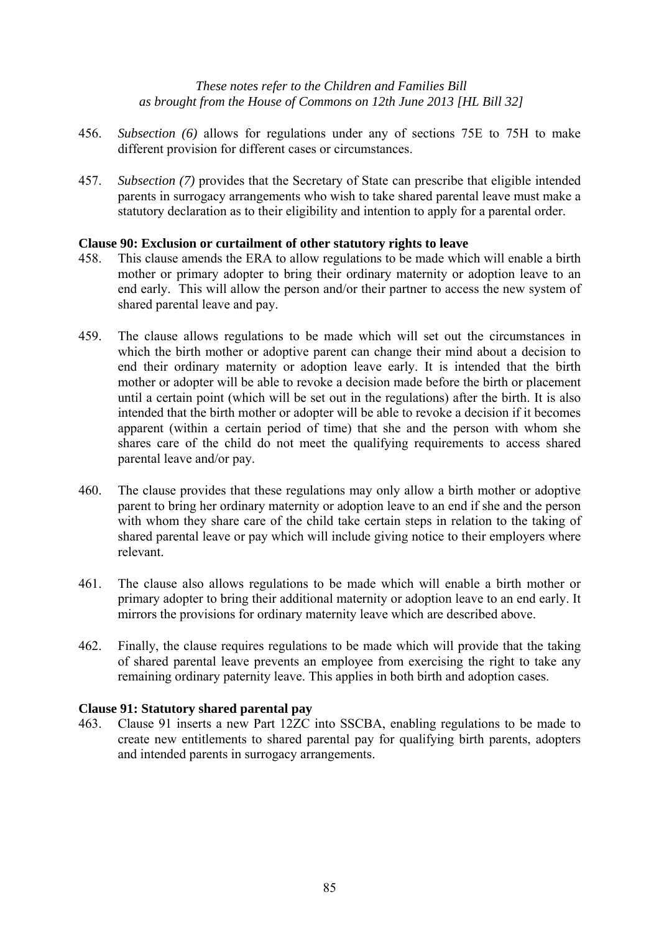- 456. *Subsection (6)* allows for regulations under any of sections 75E to 75H to make different provision for different cases or circumstances.
- 457. *Subsection (7)* provides that the Secretary of State can prescribe that eligible intended parents in surrogacy arrangements who wish to take shared parental leave must make a statutory declaration as to their eligibility and intention to apply for a parental order.

# **Clause 90: Exclusion or curtailment of other statutory rights to leave**

- 458. This clause amends the ERA to allow regulations to be made which will enable a birth mother or primary adopter to bring their ordinary maternity or adoption leave to an end early. This will allow the person and/or their partner to access the new system of shared parental leave and pay.
- 459. The clause allows regulations to be made which will set out the circumstances in which the birth mother or adoptive parent can change their mind about a decision to end their ordinary maternity or adoption leave early. It is intended that the birth mother or adopter will be able to revoke a decision made before the birth or placement until a certain point (which will be set out in the regulations) after the birth. It is also intended that the birth mother or adopter will be able to revoke a decision if it becomes apparent (within a certain period of time) that she and the person with whom she shares care of the child do not meet the qualifying requirements to access shared parental leave and/or pay.
- 460. The clause provides that these regulations may only allow a birth mother or adoptive parent to bring her ordinary maternity or adoption leave to an end if she and the person with whom they share care of the child take certain steps in relation to the taking of shared parental leave or pay which will include giving notice to their employers where relevant.
- 461. The clause also allows regulations to be made which will enable a birth mother or primary adopter to bring their additional maternity or adoption leave to an end early. It mirrors the provisions for ordinary maternity leave which are described above.
- 462. Finally, the clause requires regulations to be made which will provide that the taking of shared parental leave prevents an employee from exercising the right to take any remaining ordinary paternity leave. This applies in both birth and adoption cases.

# **Clause 91: Statutory shared parental pay**

463. Clause 91 inserts a new Part 12ZC into SSCBA, enabling regulations to be made to create new entitlements to shared parental pay for qualifying birth parents, adopters and intended parents in surrogacy arrangements.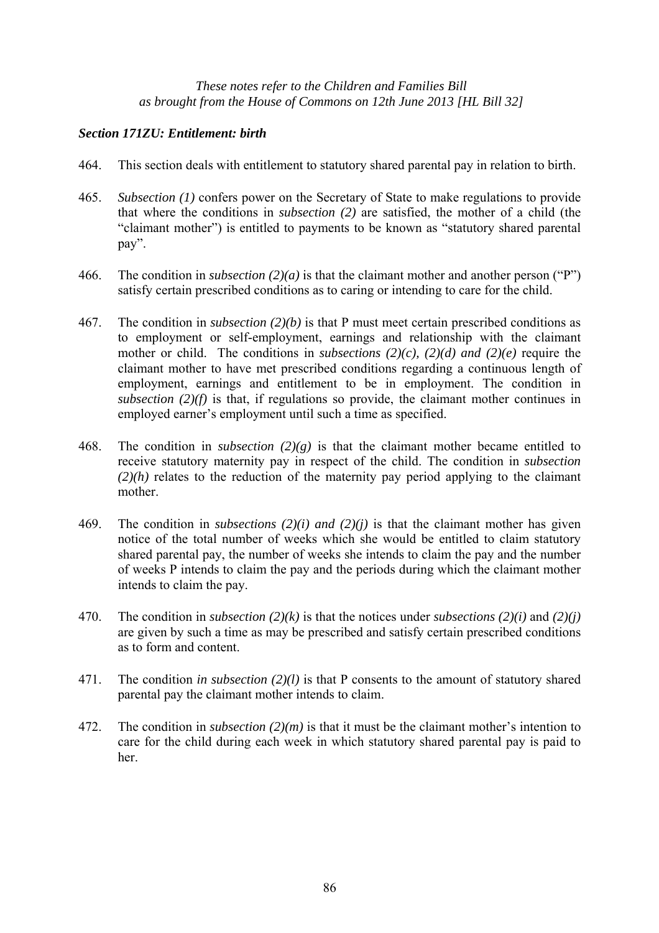# *Section 171ZU: Entitlement: birth*

- 464. This section deals with entitlement to statutory shared parental pay in relation to birth.
- 465. *Subsection (1)* confers power on the Secretary of State to make regulations to provide that where the conditions in *subsection (2)* are satisfied, the mother of a child (the "claimant mother") is entitled to payments to be known as "statutory shared parental pay".
- 466. The condition in *subsection (2)(a)* is that the claimant mother and another person ("P") satisfy certain prescribed conditions as to caring or intending to care for the child.
- 467. The condition in *subsection (2)(b)* is that P must meet certain prescribed conditions as to employment or self-employment, earnings and relationship with the claimant mother or child. The conditions in *subsections (2)(c), (2)(d) and (2)(e)* require the claimant mother to have met prescribed conditions regarding a continuous length of employment, earnings and entitlement to be in employment. The condition in *subsection (2)(f)* is that, if regulations so provide, the claimant mother continues in employed earner's employment until such a time as specified.
- 468. The condition in *subsection (2)(g)* is that the claimant mother became entitled to receive statutory maternity pay in respect of the child. The condition in *subsection (2)(h)* relates to the reduction of the maternity pay period applying to the claimant mother.
- 469. The condition in *subsections (2)(i) and (2)(j)* is that the claimant mother has given notice of the total number of weeks which she would be entitled to claim statutory shared parental pay, the number of weeks she intends to claim the pay and the number of weeks P intends to claim the pay and the periods during which the claimant mother intends to claim the pay.
- 470. The condition in *subsection (2)(k)* is that the notices under *subsections (2)(i)* and *(2)(j)* are given by such a time as may be prescribed and satisfy certain prescribed conditions as to form and content.
- 471. The condition *in subsection (2)(l)* is that P consents to the amount of statutory shared parental pay the claimant mother intends to claim.
- 472. The condition in *subsection (2)(m)* is that it must be the claimant mother's intention to care for the child during each week in which statutory shared parental pay is paid to her.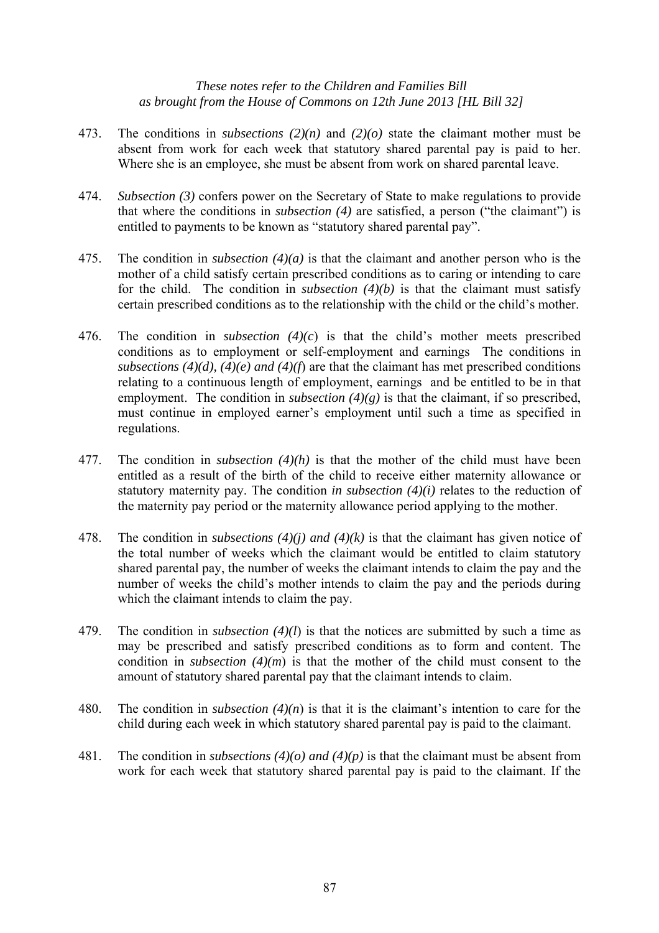- 473. The conditions in *subsections (2)(n)* and *(2)(o)* state the claimant mother must be absent from work for each week that statutory shared parental pay is paid to her. Where she is an employee, she must be absent from work on shared parental leave.
- 474. *Subsection (3)* confers power on the Secretary of State to make regulations to provide that where the conditions in *subsection (4)* are satisfied, a person ("the claimant") is entitled to payments to be known as "statutory shared parental pay".
- 475. The condition in *subsection (4)(a)* is that the claimant and another person who is the mother of a child satisfy certain prescribed conditions as to caring or intending to care for the child. The condition in *subsection (4)(b)* is that the claimant must satisfy certain prescribed conditions as to the relationship with the child or the child's mother.
- 476. The condition in *subsection (4)(c*) is that the child's mother meets prescribed conditions as to employment or self-employment and earnings The conditions in *subsections (4)(d), (4)(e) and (4)(f*) are that the claimant has met prescribed conditions relating to a continuous length of employment, earnings and be entitled to be in that employment. The condition in *subsection*  $(4)(g)$  is that the claimant, if so prescribed, must continue in employed earner's employment until such a time as specified in regulations.
- 477. The condition in *subsection (4)(h)* is that the mother of the child must have been entitled as a result of the birth of the child to receive either maternity allowance or statutory maternity pay. The condition *in subsection (4)(i)* relates to the reduction of the maternity pay period or the maternity allowance period applying to the mother.
- 478. The condition in *subsections (4)(j) and (4)(k)* is that the claimant has given notice of the total number of weeks which the claimant would be entitled to claim statutory shared parental pay, the number of weeks the claimant intends to claim the pay and the number of weeks the child's mother intends to claim the pay and the periods during which the claimant intends to claim the pay.
- 479. The condition in *subsection (4)(l*) is that the notices are submitted by such a time as may be prescribed and satisfy prescribed conditions as to form and content. The condition in *subsection (4)(m*) is that the mother of the child must consent to the amount of statutory shared parental pay that the claimant intends to claim.
- 480. The condition in *subsection (4)(n*) is that it is the claimant's intention to care for the child during each week in which statutory shared parental pay is paid to the claimant.
- 481. The condition in *subsections (4)(o) and (4)(p)* is that the claimant must be absent from work for each week that statutory shared parental pay is paid to the claimant. If the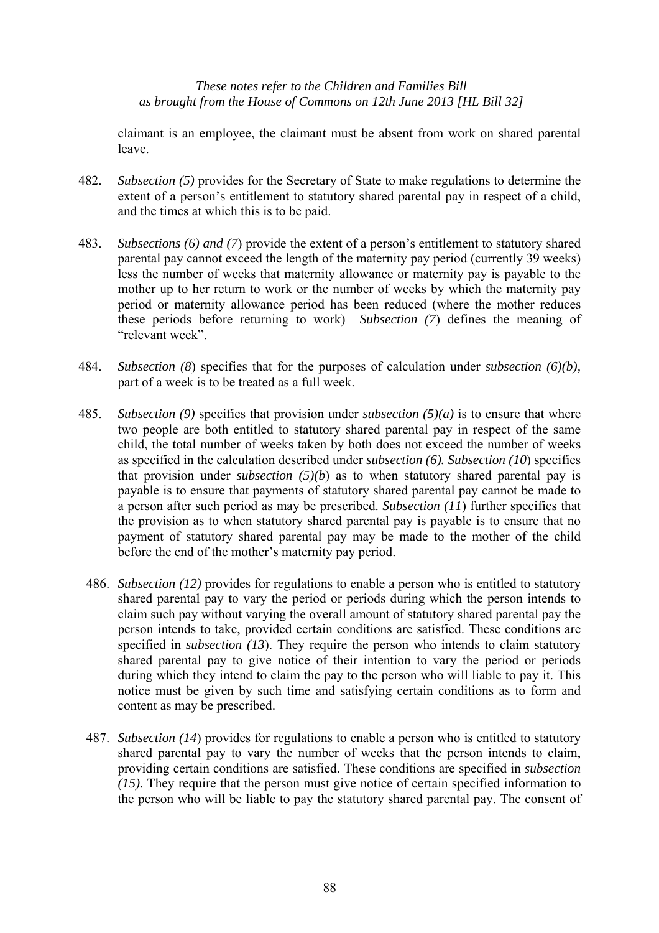claimant is an employee, the claimant must be absent from work on shared parental leave.

- 482. *Subsection (5)* provides for the Secretary of State to make regulations to determine the extent of a person's entitlement to statutory shared parental pay in respect of a child, and the times at which this is to be paid.
- 483. *Subsections (6) and (7*) provide the extent of a person's entitlement to statutory shared parental pay cannot exceed the length of the maternity pay period (currently 39 weeks) less the number of weeks that maternity allowance or maternity pay is payable to the mother up to her return to work or the number of weeks by which the maternity pay period or maternity allowance period has been reduced (where the mother reduces these periods before returning to work) *Subsection (7*) defines the meaning of "relevant week".
- 484. *Subsection (8*) specifies that for the purposes of calculation under *subsection (6)(b),* part of a week is to be treated as a full week.
- 485. *Subsection (9)* specifies that provision under *subsection (5)(a)* is to ensure that where two people are both entitled to statutory shared parental pay in respect of the same child, the total number of weeks taken by both does not exceed the number of weeks as specified in the calculation described under *subsection (6). Subsection (10*) specifies that provision under *subsection*  $(5)(b)$  as to when statutory shared parental pay is payable is to ensure that payments of statutory shared parental pay cannot be made to a person after such period as may be prescribed. *Subsection (11*) further specifies that the provision as to when statutory shared parental pay is payable is to ensure that no payment of statutory shared parental pay may be made to the mother of the child before the end of the mother's maternity pay period.
	- 486. *Subsection (12)* provides for regulations to enable a person who is entitled to statutory shared parental pay to vary the period or periods during which the person intends to claim such pay without varying the overall amount of statutory shared parental pay the person intends to take, provided certain conditions are satisfied. These conditions are specified in *subsection (13*). They require the person who intends to claim statutory shared parental pay to give notice of their intention to vary the period or periods during which they intend to claim the pay to the person who will liable to pay it. This notice must be given by such time and satisfying certain conditions as to form and content as may be prescribed.
	- 487. *Subsection (14*) provides for regulations to enable a person who is entitled to statutory shared parental pay to vary the number of weeks that the person intends to claim, providing certain conditions are satisfied. These conditions are specified in *subsection (15).* They require that the person must give notice of certain specified information to the person who will be liable to pay the statutory shared parental pay. The consent of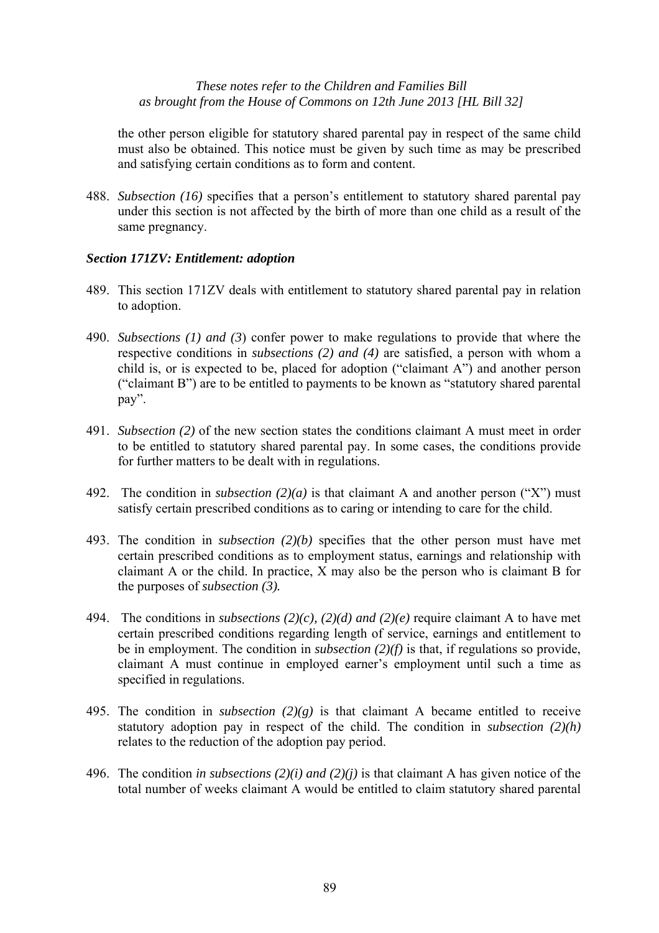the other person eligible for statutory shared parental pay in respect of the same child must also be obtained. This notice must be given by such time as may be prescribed and satisfying certain conditions as to form and content.

488. *Subsection (16)* specifies that a person's entitlement to statutory shared parental pay under this section is not affected by the birth of more than one child as a result of the same pregnancy.

#### *Section 171ZV: Entitlement: adoption*

- 489. This section 171ZV deals with entitlement to statutory shared parental pay in relation to adoption.
- 490. *Subsections (1) and (3*) confer power to make regulations to provide that where the respective conditions in *subsections (2) and (4)* are satisfied, a person with whom a child is, or is expected to be, placed for adoption ("claimant A") and another person ("claimant B") are to be entitled to payments to be known as "statutory shared parental pay".
- 491. *Subsection (2)* of the new section states the conditions claimant A must meet in order to be entitled to statutory shared parental pay. In some cases, the conditions provide for further matters to be dealt with in regulations.
- 492. The condition in *subsection (2)(a)* is that claimant A and another person ("X") must satisfy certain prescribed conditions as to caring or intending to care for the child.
- 493. The condition in *subsection (2)(b)* specifies that the other person must have met certain prescribed conditions as to employment status, earnings and relationship with claimant A or the child. In practice, X may also be the person who is claimant B for the purposes of *subsection (3).*
- 494. The conditions in *subsections (2)(c), (2)(d) and (2)(e)* require claimant A to have met certain prescribed conditions regarding length of service, earnings and entitlement to be in employment. The condition in *subsection (2)(f)* is that, if regulations so provide, claimant A must continue in employed earner's employment until such a time as specified in regulations.
- 495. The condition in *subsection*  $(2)(g)$  is that claimant A became entitled to receive statutory adoption pay in respect of the child. The condition in *subsection (2)(h)* relates to the reduction of the adoption pay period.
- 496. The condition *in subsections (2)(i) and (2)(j)* is that claimant A has given notice of the total number of weeks claimant A would be entitled to claim statutory shared parental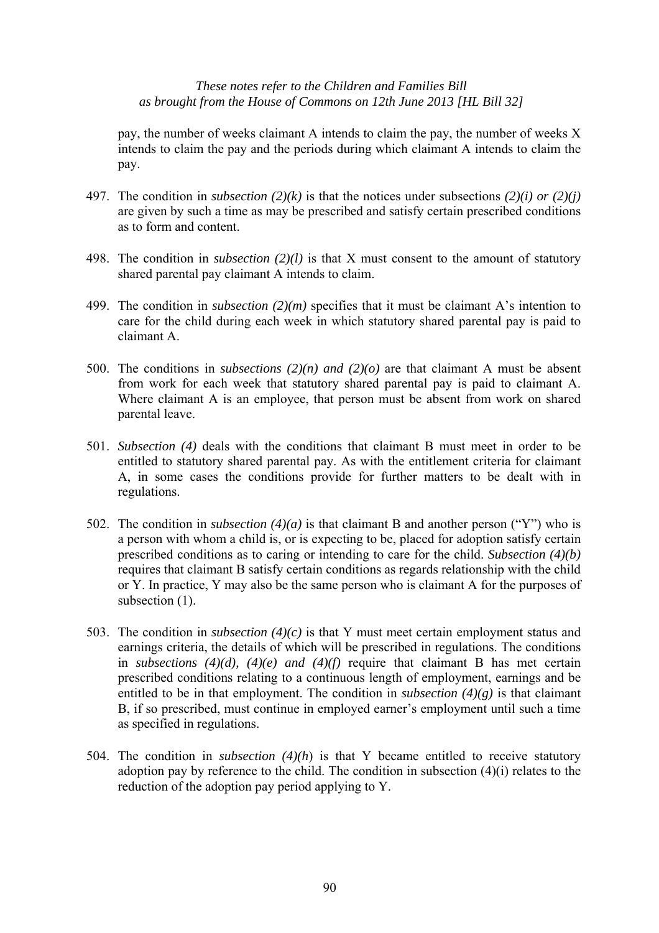pay, the number of weeks claimant A intends to claim the pay, the number of weeks X intends to claim the pay and the periods during which claimant A intends to claim the pay.

- 497. The condition in *subsection (2)(k)* is that the notices under subsections *(2)(i) or (2)(j)* are given by such a time as may be prescribed and satisfy certain prescribed conditions as to form and content.
- 498. The condition in *subsection (2)(l)* is that X must consent to the amount of statutory shared parental pay claimant A intends to claim.
- 499. The condition in *subsection (2)(m)* specifies that it must be claimant A's intention to care for the child during each week in which statutory shared parental pay is paid to claimant A.
- 500. The conditions in *subsections (2)(n) and (2)(o)* are that claimant A must be absent from work for each week that statutory shared parental pay is paid to claimant A. Where claimant A is an employee, that person must be absent from work on shared parental leave.
- 501. *Subsection (4)* deals with the conditions that claimant B must meet in order to be entitled to statutory shared parental pay. As with the entitlement criteria for claimant A, in some cases the conditions provide for further matters to be dealt with in regulations.
- 502. The condition in *subsection (4)(a)* is that claimant B and another person ("Y") who is a person with whom a child is, or is expecting to be, placed for adoption satisfy certain prescribed conditions as to caring or intending to care for the child. *Subsection (4)(b)* requires that claimant B satisfy certain conditions as regards relationship with the child or Y. In practice, Y may also be the same person who is claimant A for the purposes of subsection (1).
- 503. The condition in *subsection (4)(c)* is that Y must meet certain employment status and earnings criteria, the details of which will be prescribed in regulations. The conditions in *subsections (4)(d), (4)(e) and (4)(f)* require that claimant B has met certain prescribed conditions relating to a continuous length of employment, earnings and be entitled to be in that employment. The condition in *subsection*  $(4)(g)$  is that claimant B, if so prescribed, must continue in employed earner's employment until such a time as specified in regulations.
- 504. The condition in *subsection (4)(h*) is that Y became entitled to receive statutory adoption pay by reference to the child. The condition in subsection (4)(i) relates to the reduction of the adoption pay period applying to Y.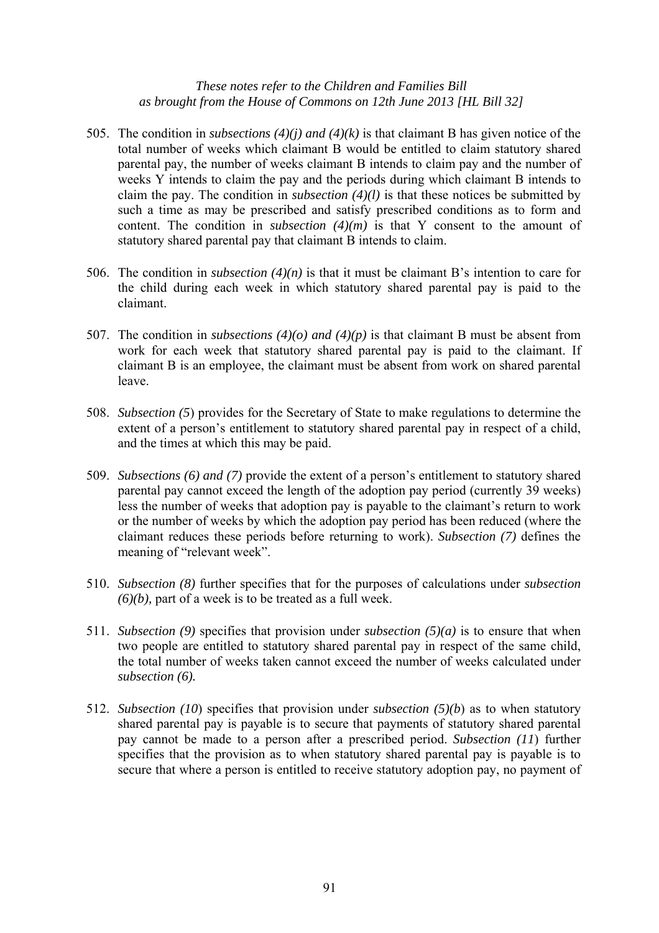- 505. The condition in *subsections (4)(j) and (4)(k)* is that claimant B has given notice of the total number of weeks which claimant B would be entitled to claim statutory shared parental pay, the number of weeks claimant B intends to claim pay and the number of weeks Y intends to claim the pay and the periods during which claimant B intends to claim the pay. The condition in *subsection (4)(l)* is that these notices be submitted by such a time as may be prescribed and satisfy prescribed conditions as to form and content. The condition in *subsection (4)(m)* is that Y consent to the amount of statutory shared parental pay that claimant B intends to claim.
- 506. The condition in *subsection (4)(n)* is that it must be claimant B's intention to care for the child during each week in which statutory shared parental pay is paid to the claimant.
- 507. The condition in *subsections (4)(o) and (4)(p)* is that claimant B must be absent from work for each week that statutory shared parental pay is paid to the claimant. If claimant B is an employee, the claimant must be absent from work on shared parental leave.
- 508. *Subsection (5*) provides for the Secretary of State to make regulations to determine the extent of a person's entitlement to statutory shared parental pay in respect of a child, and the times at which this may be paid.
- 509. *Subsections (6) and (7)* provide the extent of a person's entitlement to statutory shared parental pay cannot exceed the length of the adoption pay period (currently 39 weeks) less the number of weeks that adoption pay is payable to the claimant's return to work or the number of weeks by which the adoption pay period has been reduced (where the claimant reduces these periods before returning to work). *Subsection (7)* defines the meaning of "relevant week".
- 510. *Subsection (8)* further specifies that for the purposes of calculations under *subsection (6)(b),* part of a week is to be treated as a full week.
- 511. *Subsection (9)* specifies that provision under *subsection (5)(a)* is to ensure that when two people are entitled to statutory shared parental pay in respect of the same child, the total number of weeks taken cannot exceed the number of weeks calculated under *subsection (6).*
- 512. *Subsection (10*) specifies that provision under *subsection (5)(b*) as to when statutory shared parental pay is payable is to secure that payments of statutory shared parental pay cannot be made to a person after a prescribed period. *Subsection (11*) further specifies that the provision as to when statutory shared parental pay is payable is to secure that where a person is entitled to receive statutory adoption pay, no payment of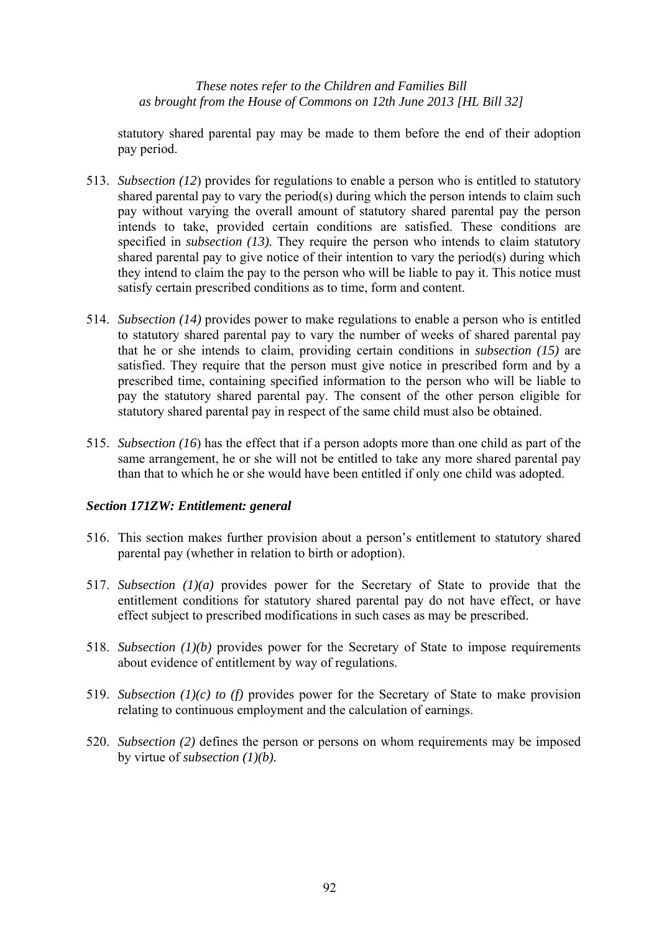statutory shared parental pay may be made to them before the end of their adoption pay period.

- 513. *Subsection (12*) provides for regulations to enable a person who is entitled to statutory shared parental pay to vary the period(s) during which the person intends to claim such pay without varying the overall amount of statutory shared parental pay the person intends to take, provided certain conditions are satisfied. These conditions are specified in *subsection (13).* They require the person who intends to claim statutory shared parental pay to give notice of their intention to vary the period(s) during which they intend to claim the pay to the person who will be liable to pay it. This notice must satisfy certain prescribed conditions as to time, form and content.
- 514. *Subsection (14)* provides power to make regulations to enable a person who is entitled to statutory shared parental pay to vary the number of weeks of shared parental pay that he or she intends to claim, providing certain conditions in *subsection (15)* are satisfied. They require that the person must give notice in prescribed form and by a prescribed time, containing specified information to the person who will be liable to pay the statutory shared parental pay. The consent of the other person eligible for statutory shared parental pay in respect of the same child must also be obtained.
- 515. *Subsection (16*) has the effect that if a person adopts more than one child as part of the same arrangement, he or she will not be entitled to take any more shared parental pay than that to which he or she would have been entitled if only one child was adopted.

# *Section 171ZW: Entitlement: general*

- 516. This section makes further provision about a person's entitlement to statutory shared parental pay (whether in relation to birth or adoption).
- 517. *Subsection (1)(a)* provides power for the Secretary of State to provide that the entitlement conditions for statutory shared parental pay do not have effect, or have effect subject to prescribed modifications in such cases as may be prescribed.
- 518. *Subsection (1)(b)* provides power for the Secretary of State to impose requirements about evidence of entitlement by way of regulations.
- 519. *Subsection (1)(c) to (f)* provides power for the Secretary of State to make provision relating to continuous employment and the calculation of earnings.
- 520. *Subsection (2)* defines the person or persons on whom requirements may be imposed by virtue of *subsection (1)(b).*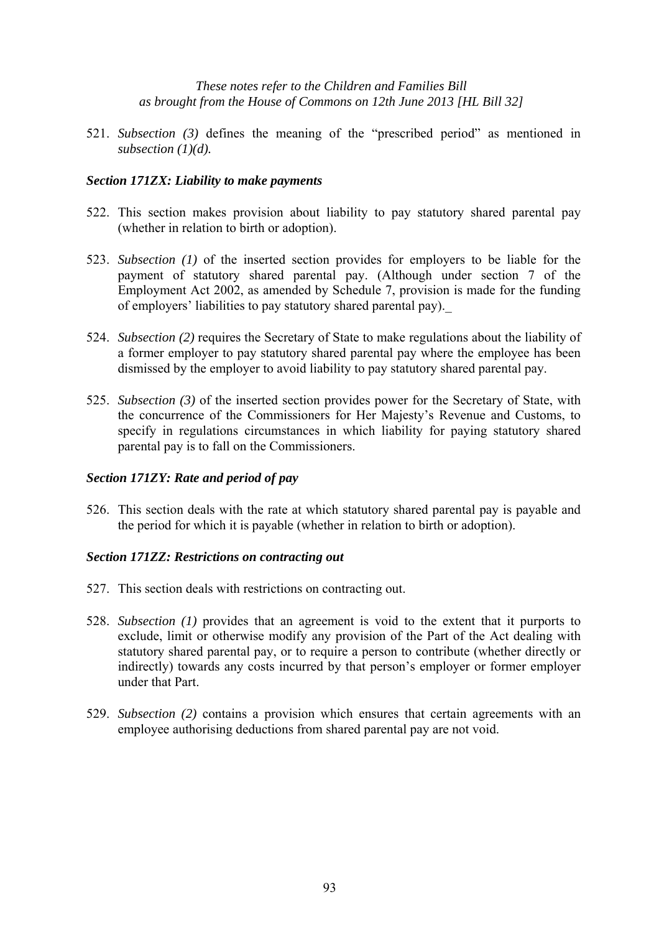521. *Subsection (3)* defines the meaning of the "prescribed period" as mentioned in *subsection (1)(d).*

## *Section 171ZX: Liability to make payments*

- 522. This section makes provision about liability to pay statutory shared parental pay (whether in relation to birth or adoption).
- 523. *Subsection (1)* of the inserted section provides for employers to be liable for the payment of statutory shared parental pay. (Although under section 7 of the Employment Act 2002, as amended by Schedule 7, provision is made for the funding of employers' liabilities to pay statutory shared parental pay).\_
- 524. *Subsection (2)* requires the Secretary of State to make regulations about the liability of a former employer to pay statutory shared parental pay where the employee has been dismissed by the employer to avoid liability to pay statutory shared parental pay.
- 525. *Subsection (3)* of the inserted section provides power for the Secretary of State, with the concurrence of the Commissioners for Her Majesty's Revenue and Customs, to specify in regulations circumstances in which liability for paying statutory shared parental pay is to fall on the Commissioners.

#### *Section 171ZY: Rate and period of pay*

526. This section deals with the rate at which statutory shared parental pay is payable and the period for which it is payable (whether in relation to birth or adoption).

#### *Section 171ZZ: Restrictions on contracting out*

- 527. This section deals with restrictions on contracting out.
- 528. *Subsection (1)* provides that an agreement is void to the extent that it purports to exclude, limit or otherwise modify any provision of the Part of the Act dealing with statutory shared parental pay, or to require a person to contribute (whether directly or indirectly) towards any costs incurred by that person's employer or former employer under that Part.
- 529. *Subsection (2)* contains a provision which ensures that certain agreements with an employee authorising deductions from shared parental pay are not void.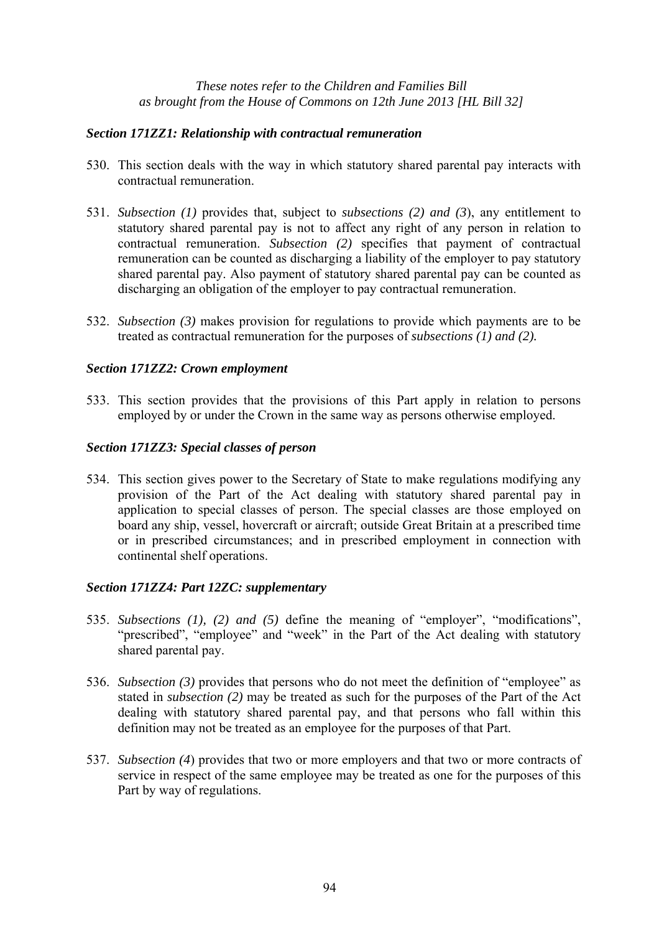# *Section 171ZZ1: Relationship with contractual remuneration*

- 530. This section deals with the way in which statutory shared parental pay interacts with contractual remuneration.
- 531. *Subsection (1)* provides that, subject to *subsections (2) and (3*), any entitlement to statutory shared parental pay is not to affect any right of any person in relation to contractual remuneration. *Subsection (2)* specifies that payment of contractual remuneration can be counted as discharging a liability of the employer to pay statutory shared parental pay. Also payment of statutory shared parental pay can be counted as discharging an obligation of the employer to pay contractual remuneration.
- 532. *Subsection (3)* makes provision for regulations to provide which payments are to be treated as contractual remuneration for the purposes of *subsections (1) and (2).*

# *Section 171ZZ2: Crown employment*

533. This section provides that the provisions of this Part apply in relation to persons employed by or under the Crown in the same way as persons otherwise employed.

# *Section 171ZZ3: Special classes of person*

534. This section gives power to the Secretary of State to make regulations modifying any provision of the Part of the Act dealing with statutory shared parental pay in application to special classes of person. The special classes are those employed on board any ship, vessel, hovercraft or aircraft; outside Great Britain at a prescribed time or in prescribed circumstances; and in prescribed employment in connection with continental shelf operations.

#### *Section 171ZZ4: Part 12ZC: supplementary*

- 535. *Subsections (1), (2) and (5)* define the meaning of "employer", "modifications", "prescribed", "employee" and "week" in the Part of the Act dealing with statutory shared parental pay.
- 536. *Subsection (3)* provides that persons who do not meet the definition of "employee" as stated in *subsection (2)* may be treated as such for the purposes of the Part of the Act dealing with statutory shared parental pay, and that persons who fall within this definition may not be treated as an employee for the purposes of that Part.
- 537. *Subsection (4*) provides that two or more employers and that two or more contracts of service in respect of the same employee may be treated as one for the purposes of this Part by way of regulations.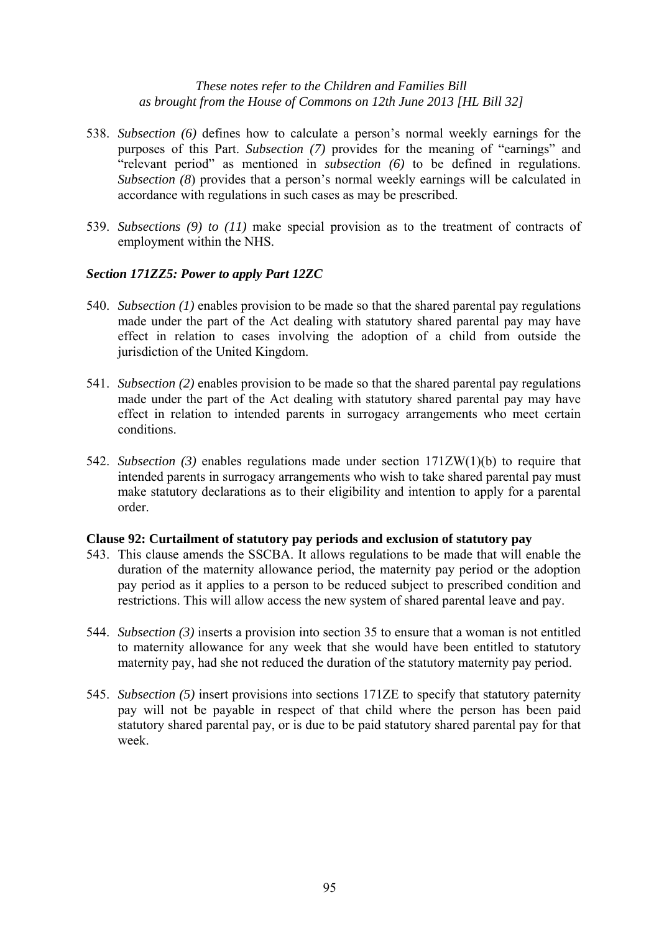- 538. *Subsection (6)* defines how to calculate a person's normal weekly earnings for the purposes of this Part. *Subsection (7)* provides for the meaning of "earnings" and "relevant period" as mentioned in *subsection (6)* to be defined in regulations. *Subsection (8)* provides that a person's normal weekly earnings will be calculated in accordance with regulations in such cases as may be prescribed.
- 539. *Subsections (9) to (11)* make special provision as to the treatment of contracts of employment within the NHS.

#### *Section 171ZZ5: Power to apply Part 12ZC*

- 540. *Subsection (1)* enables provision to be made so that the shared parental pay regulations made under the part of the Act dealing with statutory shared parental pay may have effect in relation to cases involving the adoption of a child from outside the jurisdiction of the United Kingdom.
- 541. *Subsection (2)* enables provision to be made so that the shared parental pay regulations made under the part of the Act dealing with statutory shared parental pay may have effect in relation to intended parents in surrogacy arrangements who meet certain conditions.
- 542. *Subsection (3)* enables regulations made under section 171ZW(1)(b) to require that intended parents in surrogacy arrangements who wish to take shared parental pay must make statutory declarations as to their eligibility and intention to apply for a parental order.

#### **Clause 92: Curtailment of statutory pay periods and exclusion of statutory pay**

- 543. This clause amends the SSCBA. It allows regulations to be made that will enable the duration of the maternity allowance period, the maternity pay period or the adoption pay period as it applies to a person to be reduced subject to prescribed condition and restrictions. This will allow access the new system of shared parental leave and pay.
- 544. *Subsection (3)* inserts a provision into section 35 to ensure that a woman is not entitled to maternity allowance for any week that she would have been entitled to statutory maternity pay, had she not reduced the duration of the statutory maternity pay period.
- 545. *Subsection (5)* insert provisions into sections 171ZE to specify that statutory paternity pay will not be payable in respect of that child where the person has been paid statutory shared parental pay, or is due to be paid statutory shared parental pay for that week.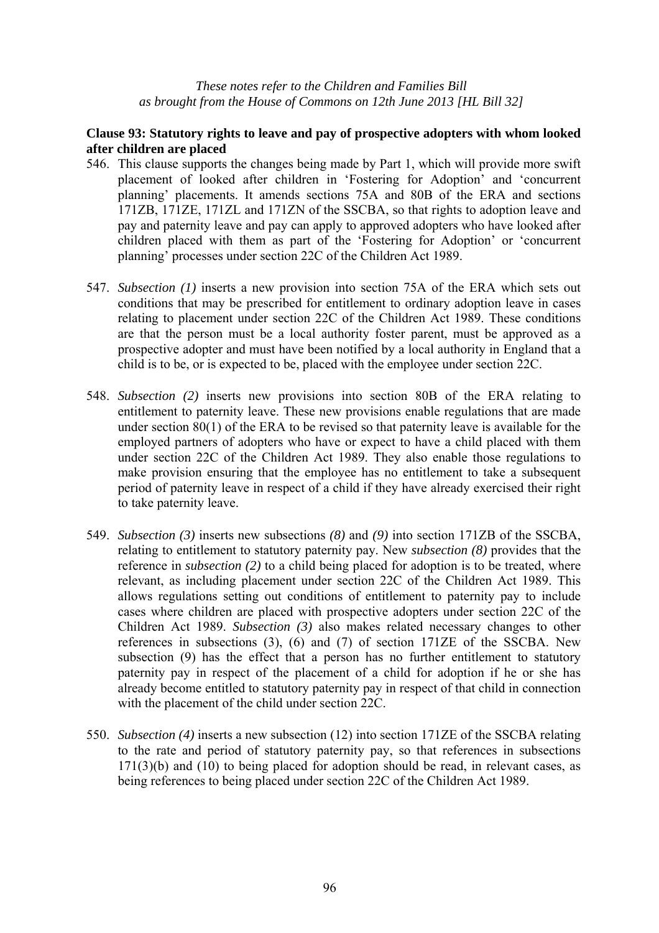## **Clause 93: Statutory rights to leave and pay of prospective adopters with whom looked after children are placed**

- 546. This clause supports the changes being made by Part 1, which will provide more swift placement of looked after children in 'Fostering for Adoption' and 'concurrent planning' placements. It amends sections 75A and 80B of the ERA and sections 171ZB, 171ZE, 171ZL and 171ZN of the SSCBA, so that rights to adoption leave and pay and paternity leave and pay can apply to approved adopters who have looked after children placed with them as part of the 'Fostering for Adoption' or 'concurrent planning' processes under section 22C of the Children Act 1989.
- 547. *Subsection (1)* inserts a new provision into section 75A of the ERA which sets out conditions that may be prescribed for entitlement to ordinary adoption leave in cases relating to placement under section 22C of the Children Act 1989. These conditions are that the person must be a local authority foster parent, must be approved as a prospective adopter and must have been notified by a local authority in England that a child is to be, or is expected to be, placed with the employee under section 22C.
- 548. *Subsection (2)* inserts new provisions into section 80B of the ERA relating to entitlement to paternity leave. These new provisions enable regulations that are made under section 80(1) of the ERA to be revised so that paternity leave is available for the employed partners of adopters who have or expect to have a child placed with them under section 22C of the Children Act 1989. They also enable those regulations to make provision ensuring that the employee has no entitlement to take a subsequent period of paternity leave in respect of a child if they have already exercised their right to take paternity leave.
- 549. *Subsection (3)* inserts new subsections *(8)* and *(9)* into section 171ZB of the SSCBA, relating to entitlement to statutory paternity pay. New *subsection (8)* provides that the reference in *subsection (2)* to a child being placed for adoption is to be treated, where relevant, as including placement under section 22C of the Children Act 1989. This allows regulations setting out conditions of entitlement to paternity pay to include cases where children are placed with prospective adopters under section 22C of the Children Act 1989. *Subsection (3)* also makes related necessary changes to other references in subsections (3), (6) and (7) of section 171ZE of the SSCBA. New subsection (9) has the effect that a person has no further entitlement to statutory paternity pay in respect of the placement of a child for adoption if he or she has already become entitled to statutory paternity pay in respect of that child in connection with the placement of the child under section 22C.
- 550. *Subsection (4)* inserts a new subsection (12) into section 171ZE of the SSCBA relating to the rate and period of statutory paternity pay, so that references in subsections  $171(3)(b)$  and  $(10)$  to being placed for adoption should be read, in relevant cases, as being references to being placed under section 22C of the Children Act 1989.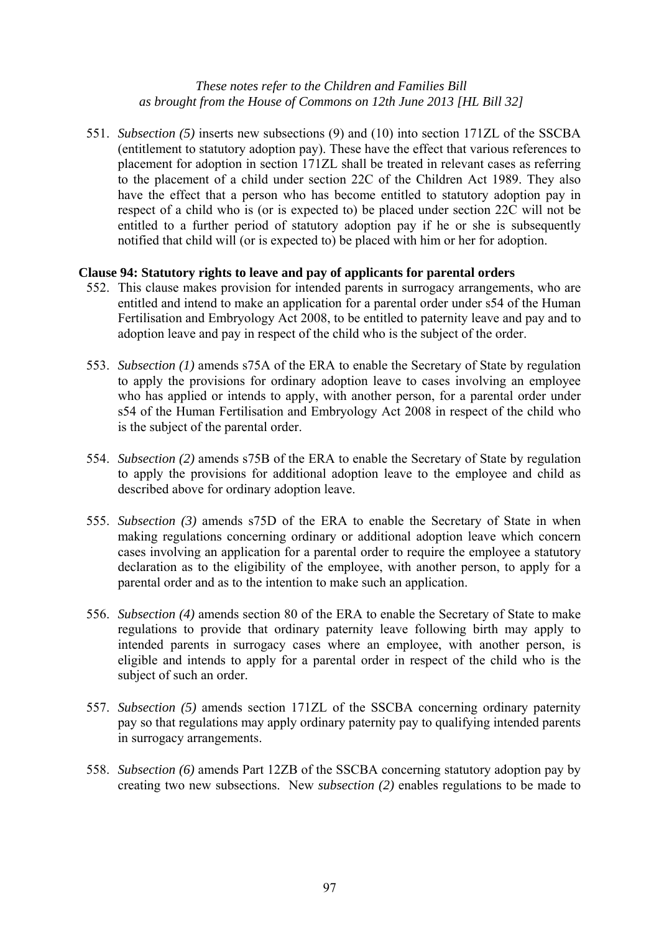551. *Subsection (5)* inserts new subsections (9) and (10) into section 171ZL of the SSCBA (entitlement to statutory adoption pay). These have the effect that various references to placement for adoption in section 171ZL shall be treated in relevant cases as referring to the placement of a child under section 22C of the Children Act 1989. They also have the effect that a person who has become entitled to statutory adoption pay in respect of a child who is (or is expected to) be placed under section 22C will not be entitled to a further period of statutory adoption pay if he or she is subsequently notified that child will (or is expected to) be placed with him or her for adoption.

#### **Clause 94: Statutory rights to leave and pay of applicants for parental orders**

- 552. This clause makes provision for intended parents in surrogacy arrangements, who are entitled and intend to make an application for a parental order under s54 of the Human Fertilisation and Embryology Act 2008, to be entitled to paternity leave and pay and to adoption leave and pay in respect of the child who is the subject of the order.
- 553. *Subsection (1)* amends s75A of the ERA to enable the Secretary of State by regulation to apply the provisions for ordinary adoption leave to cases involving an employee who has applied or intends to apply, with another person, for a parental order under s54 of the Human Fertilisation and Embryology Act 2008 in respect of the child who is the subject of the parental order.
- 554. *Subsection (2)* amends s75B of the ERA to enable the Secretary of State by regulation to apply the provisions for additional adoption leave to the employee and child as described above for ordinary adoption leave.
- 555. *Subsection (3)* amends s75D of the ERA to enable the Secretary of State in when making regulations concerning ordinary or additional adoption leave which concern cases involving an application for a parental order to require the employee a statutory declaration as to the eligibility of the employee, with another person, to apply for a parental order and as to the intention to make such an application.
- 556. *Subsection (4)* amends section 80 of the ERA to enable the Secretary of State to make regulations to provide that ordinary paternity leave following birth may apply to intended parents in surrogacy cases where an employee, with another person, is eligible and intends to apply for a parental order in respect of the child who is the subject of such an order.
- 557. *Subsection (5)* amends section 171ZL of the SSCBA concerning ordinary paternity pay so that regulations may apply ordinary paternity pay to qualifying intended parents in surrogacy arrangements.
- 558. *Subsection (6)* amends Part 12ZB of the SSCBA concerning statutory adoption pay by creating two new subsections. New *subsection (2)* enables regulations to be made to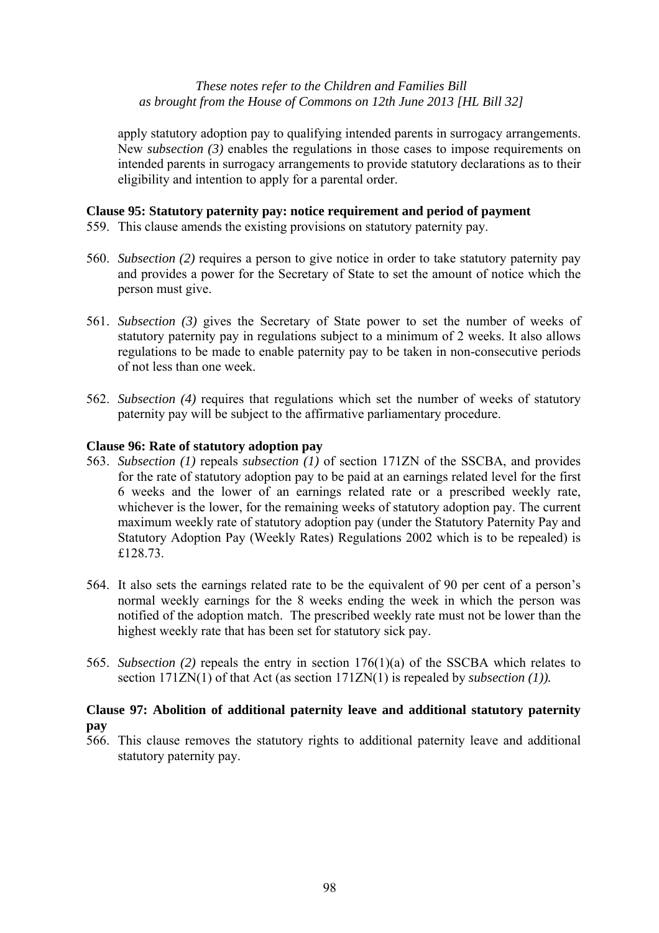apply statutory adoption pay to qualifying intended parents in surrogacy arrangements. New *subsection (3)* enables the regulations in those cases to impose requirements on intended parents in surrogacy arrangements to provide statutory declarations as to their eligibility and intention to apply for a parental order.

## **Clause 95: Statutory paternity pay: notice requirement and period of payment**

- 559. This clause amends the existing provisions on statutory paternity pay.
- 560. *Subsection (2)* requires a person to give notice in order to take statutory paternity pay and provides a power for the Secretary of State to set the amount of notice which the person must give.
- 561. *Subsection (3)* gives the Secretary of State power to set the number of weeks of statutory paternity pay in regulations subject to a minimum of 2 weeks. It also allows regulations to be made to enable paternity pay to be taken in non-consecutive periods of not less than one week.
- 562. *Subsection (4)* requires that regulations which set the number of weeks of statutory paternity pay will be subject to the affirmative parliamentary procedure.

# **Clause 96: Rate of statutory adoption pay**

- 563. *Subsection (1)* repeals *subsection (1)* of section 171ZN of the SSCBA, and provides for the rate of statutory adoption pay to be paid at an earnings related level for the first 6 weeks and the lower of an earnings related rate or a prescribed weekly rate, whichever is the lower, for the remaining weeks of statutory adoption pay. The current maximum weekly rate of statutory adoption pay (under the Statutory Paternity Pay and Statutory Adoption Pay (Weekly Rates) Regulations 2002 which is to be repealed) is £128.73.
- 564. It also sets the earnings related rate to be the equivalent of 90 per cent of a person's normal weekly earnings for the 8 weeks ending the week in which the person was notified of the adoption match. The prescribed weekly rate must not be lower than the highest weekly rate that has been set for statutory sick pay.
- 565. *Subsection (2)* repeals the entry in section 176(1)(a) of the SSCBA which relates to section 171ZN(1) of that Act (as section 171ZN(1) is repealed by *subsection (1)).*

# **Clause 97: Abolition of additional paternity leave and additional statutory paternity pay**

566. This clause removes the statutory rights to additional paternity leave and additional statutory paternity pay.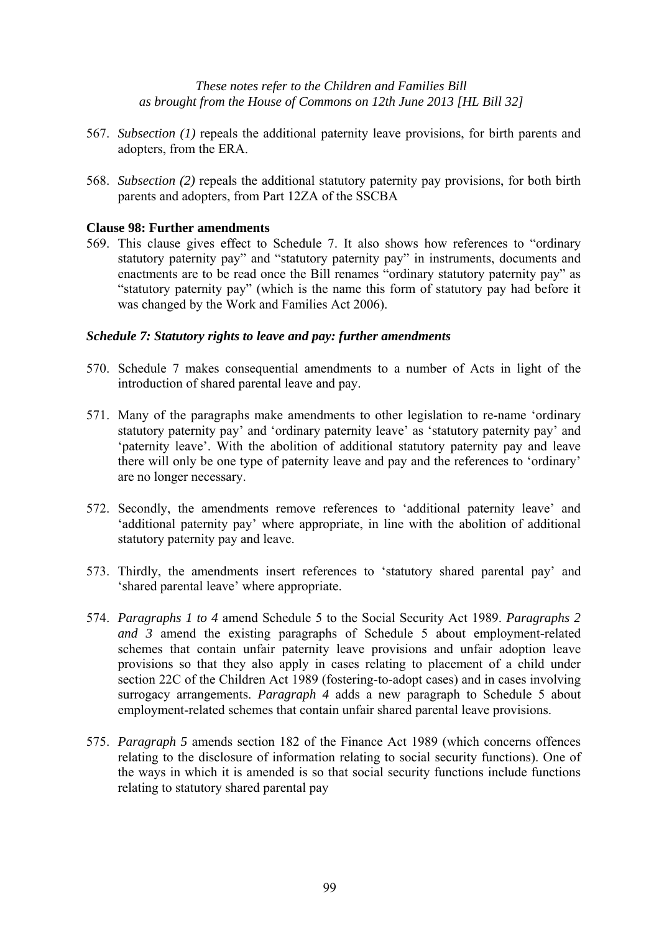- 567. *Subsection (1)* repeals the additional paternity leave provisions, for birth parents and adopters, from the ERA.
- 568. *Subsection (2)* repeals the additional statutory paternity pay provisions, for both birth parents and adopters, from Part 12ZA of the SSCBA

#### **Clause 98: Further amendments**

569. This clause gives effect to Schedule 7. It also shows how references to "ordinary statutory paternity pay" and "statutory paternity pay" in instruments, documents and enactments are to be read once the Bill renames "ordinary statutory paternity pay" as "statutory paternity pay" (which is the name this form of statutory pay had before it was changed by the Work and Families Act 2006).

#### *Schedule 7: Statutory rights to leave and pay: further amendments*

- 570. Schedule 7 makes consequential amendments to a number of Acts in light of the introduction of shared parental leave and pay.
- 571. Many of the paragraphs make amendments to other legislation to re-name 'ordinary statutory paternity pay' and 'ordinary paternity leave' as 'statutory paternity pay' and 'paternity leave'. With the abolition of additional statutory paternity pay and leave there will only be one type of paternity leave and pay and the references to 'ordinary' are no longer necessary.
- 572. Secondly, the amendments remove references to 'additional paternity leave' and 'additional paternity pay' where appropriate, in line with the abolition of additional statutory paternity pay and leave.
- 573. Thirdly, the amendments insert references to 'statutory shared parental pay' and 'shared parental leave' where appropriate.
- 574. *Paragraphs 1 to 4* amend Schedule 5 to the Social Security Act 1989. *Paragraphs 2 and 3* amend the existing paragraphs of Schedule 5 about employment-related schemes that contain unfair paternity leave provisions and unfair adoption leave provisions so that they also apply in cases relating to placement of a child under section 22C of the Children Act 1989 (fostering-to-adopt cases) and in cases involving surrogacy arrangements. *Paragraph 4* adds a new paragraph to Schedule 5 about employment-related schemes that contain unfair shared parental leave provisions.
- 575. *Paragraph 5* amends section 182 of the Finance Act 1989 (which concerns offences relating to the disclosure of information relating to social security functions). One of the ways in which it is amended is so that social security functions include functions relating to statutory shared parental pay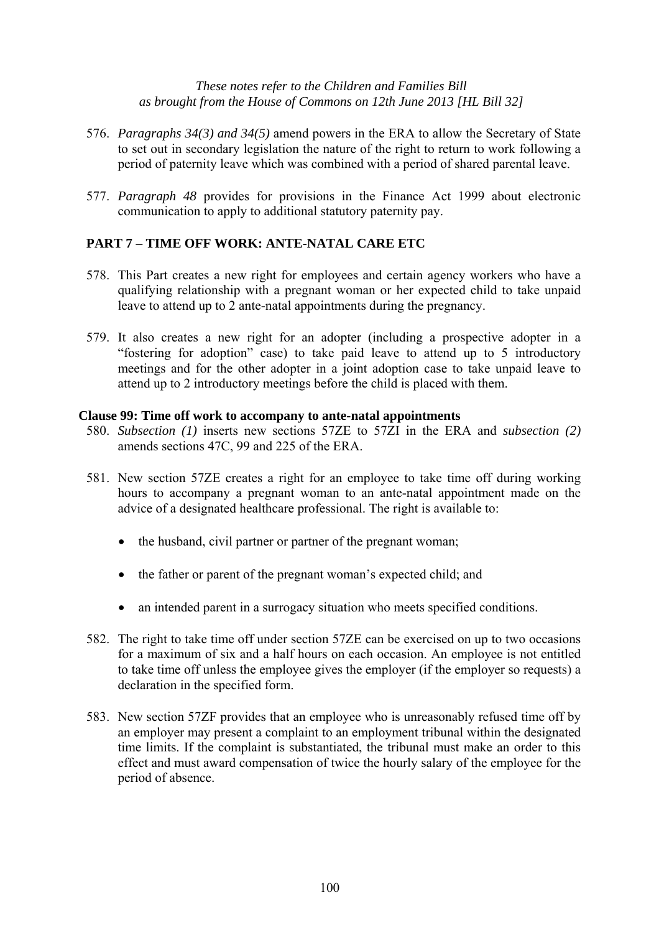- 576. *Paragraphs 34(3) and 34(5)* amend powers in the ERA to allow the Secretary of State to set out in secondary legislation the nature of the right to return to work following a period of paternity leave which was combined with a period of shared parental leave.
- 577. *Paragraph 48* provides for provisions in the Finance Act 1999 about electronic communication to apply to additional statutory paternity pay.

# **PART 7 – TIME OFF WORK: ANTE-NATAL CARE ETC**

- 578. This Part creates a new right for employees and certain agency workers who have a qualifying relationship with a pregnant woman or her expected child to take unpaid leave to attend up to 2 ante-natal appointments during the pregnancy.
- 579. It also creates a new right for an adopter (including a prospective adopter in a "fostering for adoption" case) to take paid leave to attend up to 5 introductory meetings and for the other adopter in a joint adoption case to take unpaid leave to attend up to 2 introductory meetings before the child is placed with them.

#### **Clause 99: Time off work to accompany to ante-natal appointments**

- 580. *Subsection (1)* inserts new sections 57ZE to 57ZI in the ERA and *subsection (2)* amends sections 47C, 99 and 225 of the ERA.
- 581. New section 57ZE creates a right for an employee to take time off during working hours to accompany a pregnant woman to an ante-natal appointment made on the advice of a designated healthcare professional. The right is available to:
	- the husband, civil partner or partner of the pregnant woman;
	- the father or parent of the pregnant woman's expected child; and
	- an intended parent in a surrogacy situation who meets specified conditions.
- 582. The right to take time off under section 57ZE can be exercised on up to two occasions for a maximum of six and a half hours on each occasion. An employee is not entitled to take time off unless the employee gives the employer (if the employer so requests) a declaration in the specified form.
- 583. New section 57ZF provides that an employee who is unreasonably refused time off by an employer may present a complaint to an employment tribunal within the designated time limits. If the complaint is substantiated, the tribunal must make an order to this effect and must award compensation of twice the hourly salary of the employee for the period of absence.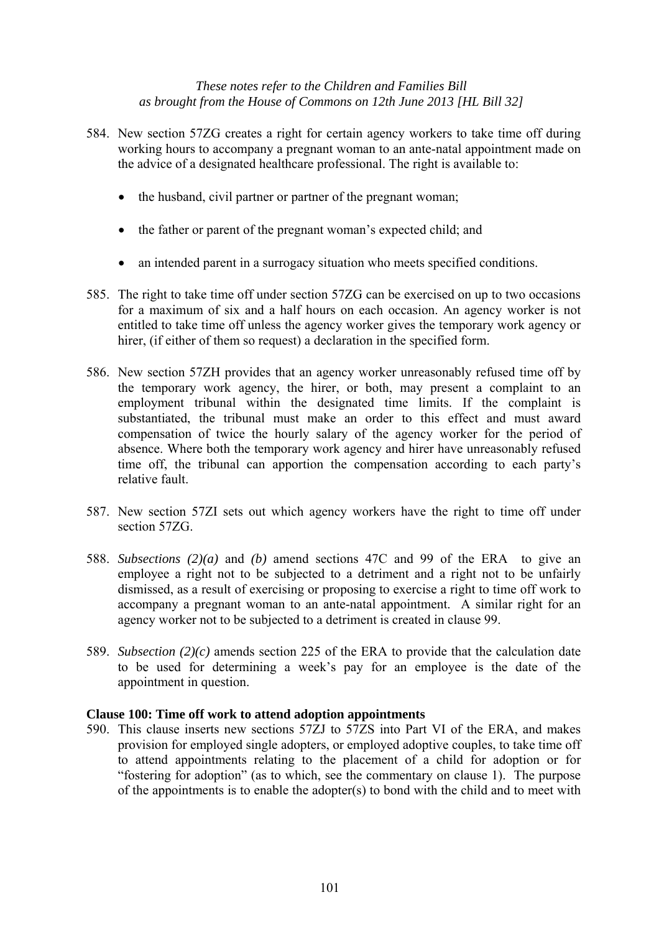- 584. New section 57ZG creates a right for certain agency workers to take time off during working hours to accompany a pregnant woman to an ante-natal appointment made on the advice of a designated healthcare professional. The right is available to:
	- the husband, civil partner or partner of the pregnant woman;
	- the father or parent of the pregnant woman's expected child; and
	- an intended parent in a surrogacy situation who meets specified conditions.
- 585. The right to take time off under section 57ZG can be exercised on up to two occasions for a maximum of six and a half hours on each occasion. An agency worker is not entitled to take time off unless the agency worker gives the temporary work agency or hirer, (if either of them so request) a declaration in the specified form.
- 586. New section 57ZH provides that an agency worker unreasonably refused time off by the temporary work agency, the hirer, or both, may present a complaint to an employment tribunal within the designated time limits. If the complaint is substantiated, the tribunal must make an order to this effect and must award compensation of twice the hourly salary of the agency worker for the period of absence. Where both the temporary work agency and hirer have unreasonably refused time off, the tribunal can apportion the compensation according to each party's relative fault.
- 587. New section 57ZI sets out which agency workers have the right to time off under section 57ZG.
- 588. *Subsections (2)(a)* and *(b)* amend sections 47C and 99 of the ERA to give an employee a right not to be subjected to a detriment and a right not to be unfairly dismissed, as a result of exercising or proposing to exercise a right to time off work to accompany a pregnant woman to an ante-natal appointment. A similar right for an agency worker not to be subjected to a detriment is created in clause 99.
- 589. *Subsection (2)(c)* amends section 225 of the ERA to provide that the calculation date to be used for determining a week's pay for an employee is the date of the appointment in question.

#### **Clause 100: Time off work to attend adoption appointments**

590. This clause inserts new sections 57ZJ to 57ZS into Part VI of the ERA, and makes provision for employed single adopters, or employed adoptive couples, to take time off to attend appointments relating to the placement of a child for adoption or for "fostering for adoption" (as to which, see the commentary on clause 1). The purpose of the appointments is to enable the adopter(s) to bond with the child and to meet with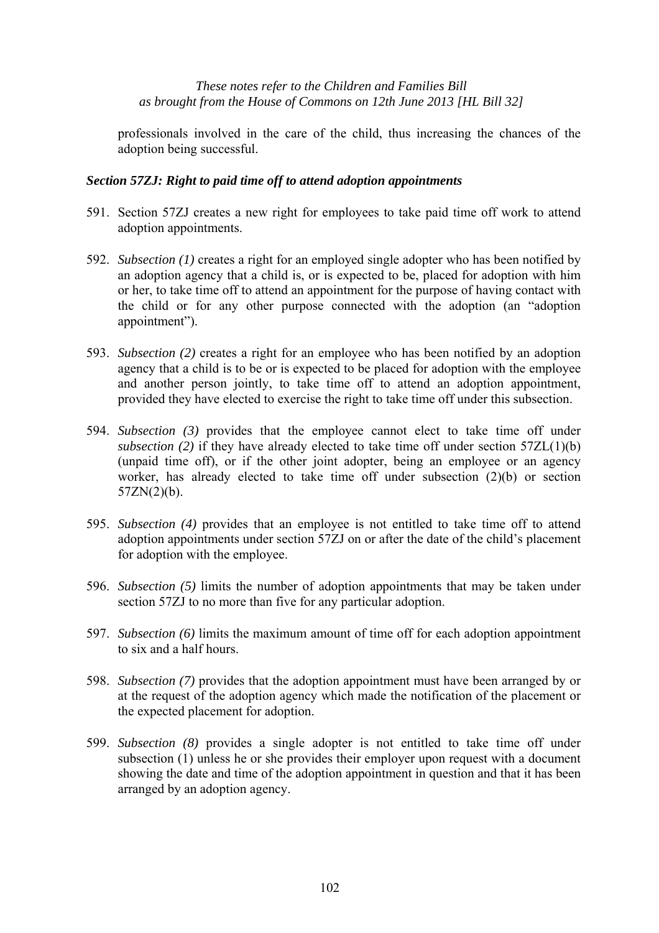professionals involved in the care of the child, thus increasing the chances of the adoption being successful.

# *Section 57ZJ: Right to paid time off to attend adoption appointments*

- 591. Section 57ZJ creates a new right for employees to take paid time off work to attend adoption appointments.
- 592. *Subsection (1)* creates a right for an employed single adopter who has been notified by an adoption agency that a child is, or is expected to be, placed for adoption with him or her, to take time off to attend an appointment for the purpose of having contact with the child or for any other purpose connected with the adoption (an "adoption appointment").
- 593. *Subsection (2)* creates a right for an employee who has been notified by an adoption agency that a child is to be or is expected to be placed for adoption with the employee and another person jointly, to take time off to attend an adoption appointment, provided they have elected to exercise the right to take time off under this subsection.
- 594. *Subsection (3)* provides that the employee cannot elect to take time off under *subsection (2)* if they have already elected to take time off under section 57ZL(1)(b) (unpaid time off), or if the other joint adopter, being an employee or an agency worker, has already elected to take time off under subsection (2)(b) or section  $57ZN(2)(b)$ .
- 595. *Subsection (4)* provides that an employee is not entitled to take time off to attend adoption appointments under section 57ZJ on or after the date of the child's placement for adoption with the employee.
- 596. *Subsection (5)* limits the number of adoption appointments that may be taken under section 57ZJ to no more than five for any particular adoption.
- 597. *Subsection (6)* limits the maximum amount of time off for each adoption appointment to six and a half hours.
- 598. *Subsection (7)* provides that the adoption appointment must have been arranged by or at the request of the adoption agency which made the notification of the placement or the expected placement for adoption.
- 599. *Subsection (8)* provides a single adopter is not entitled to take time off under subsection (1) unless he or she provides their employer upon request with a document showing the date and time of the adoption appointment in question and that it has been arranged by an adoption agency.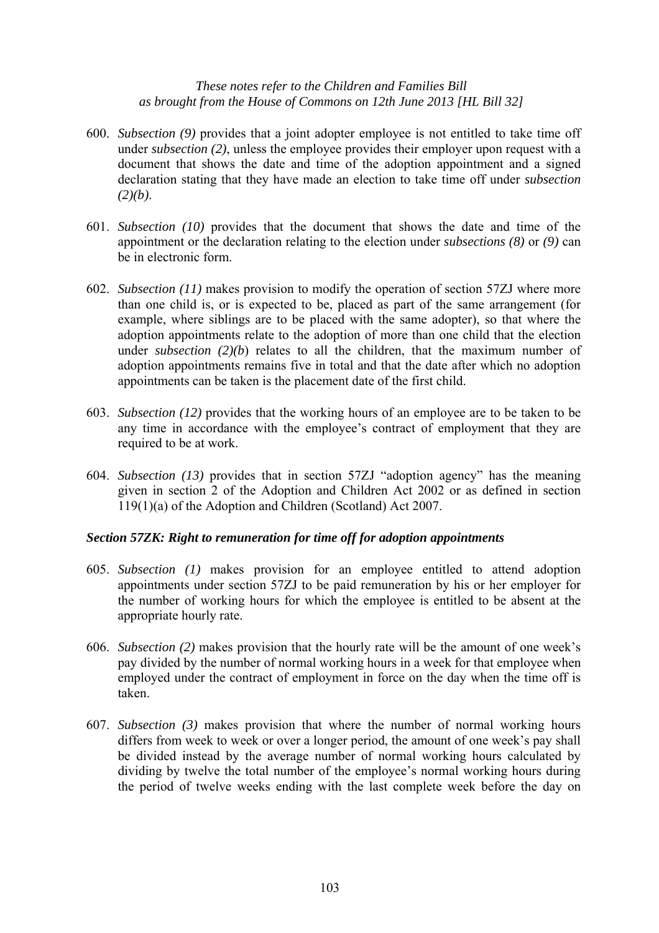- 600. *Subsection (9)* provides that a joint adopter employee is not entitled to take time off under *subsection (2)*, unless the employee provides their employer upon request with a document that shows the date and time of the adoption appointment and a signed declaration stating that they have made an election to take time off under *subsection (2)(b)*.
- 601. *Subsection (10)* provides that the document that shows the date and time of the appointment or the declaration relating to the election under *subsections (8)* or *(9)* can be in electronic form.
- 602. *Subsection (11)* makes provision to modify the operation of section 57ZJ where more than one child is, or is expected to be, placed as part of the same arrangement (for example, where siblings are to be placed with the same adopter), so that where the adoption appointments relate to the adoption of more than one child that the election under *subsection (2)(b*) relates to all the children, that the maximum number of adoption appointments remains five in total and that the date after which no adoption appointments can be taken is the placement date of the first child.
- 603. *Subsection (12)* provides that the working hours of an employee are to be taken to be any time in accordance with the employee's contract of employment that they are required to be at work.
- 604. *Subsection (13)* provides that in section 57ZJ "adoption agency" has the meaning given in section 2 of the Adoption and Children Act 2002 or as defined in section 119(1)(a) of the Adoption and Children (Scotland) Act 2007.

# *Section 57ZK: Right to remuneration for time off for adoption appointments*

- 605. *Subsection (1)* makes provision for an employee entitled to attend adoption appointments under section 57ZJ to be paid remuneration by his or her employer for the number of working hours for which the employee is entitled to be absent at the appropriate hourly rate.
- 606. *Subsection (2)* makes provision that the hourly rate will be the amount of one week's pay divided by the number of normal working hours in a week for that employee when employed under the contract of employment in force on the day when the time off is taken.
- 607. *Subsection (3)* makes provision that where the number of normal working hours differs from week to week or over a longer period, the amount of one week's pay shall be divided instead by the average number of normal working hours calculated by dividing by twelve the total number of the employee's normal working hours during the period of twelve weeks ending with the last complete week before the day on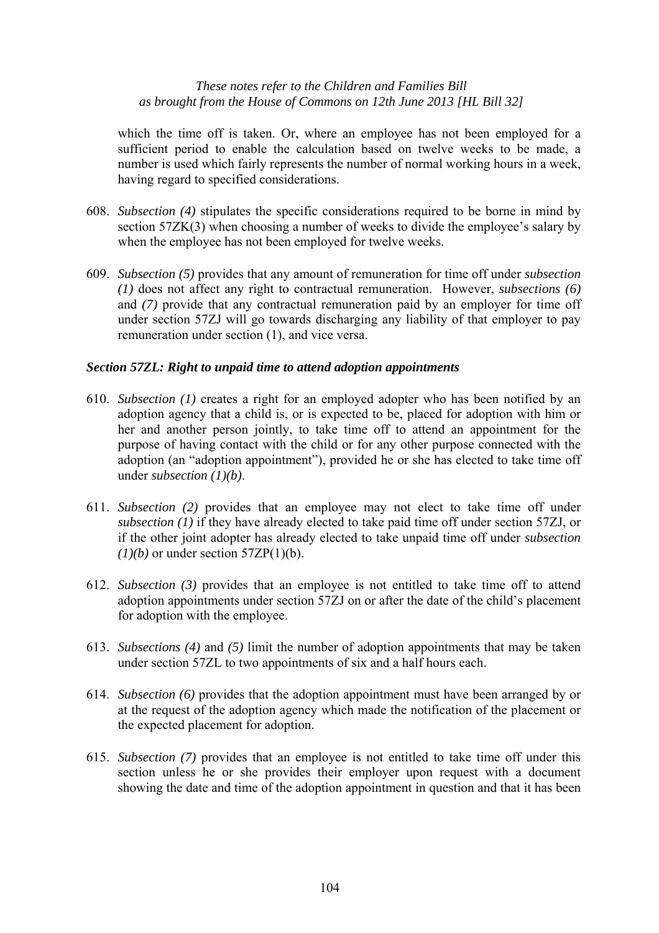which the time off is taken. Or, where an employee has not been employed for a sufficient period to enable the calculation based on twelve weeks to be made, a number is used which fairly represents the number of normal working hours in a week, having regard to specified considerations.

- 608. *Subsection (4)* stipulates the specific considerations required to be borne in mind by section 57ZK(3) when choosing a number of weeks to divide the employee's salary by when the employee has not been employed for twelve weeks.
- 609. *Subsection (5)* provides that any amount of remuneration for time off under *subsection (1)* does not affect any right to contractual remuneration. However, *subsections (6)* and *(7)* provide that any contractual remuneration paid by an employer for time off under section 57ZJ will go towards discharging any liability of that employer to pay remuneration under section (1), and vice versa.

# *Section 57ZL: Right to unpaid time to attend adoption appointments*

- 610. *Subsection (1)* creates a right for an employed adopter who has been notified by an adoption agency that a child is, or is expected to be, placed for adoption with him or her and another person jointly, to take time off to attend an appointment for the purpose of having contact with the child or for any other purpose connected with the adoption (an "adoption appointment"), provided he or she has elected to take time off under *subsection (1)(b)*.
- 611. *Subsection (2)* provides that an employee may not elect to take time off under *subsection (1)* if they have already elected to take paid time off under section 57ZJ, or if the other joint adopter has already elected to take unpaid time off under *subsection*   $(I)(b)$  or under section 57ZP(1)(b).
- 612. *Subsection (3)* provides that an employee is not entitled to take time off to attend adoption appointments under section 57ZJ on or after the date of the child's placement for adoption with the employee.
- 613. *Subsections (4)* and *(5)* limit the number of adoption appointments that may be taken under section 57ZL to two appointments of six and a half hours each.
- 614. *Subsection (6)* provides that the adoption appointment must have been arranged by or at the request of the adoption agency which made the notification of the placement or the expected placement for adoption.
- 615. *Subsection (7)* provides that an employee is not entitled to take time off under this section unless he or she provides their employer upon request with a document showing the date and time of the adoption appointment in question and that it has been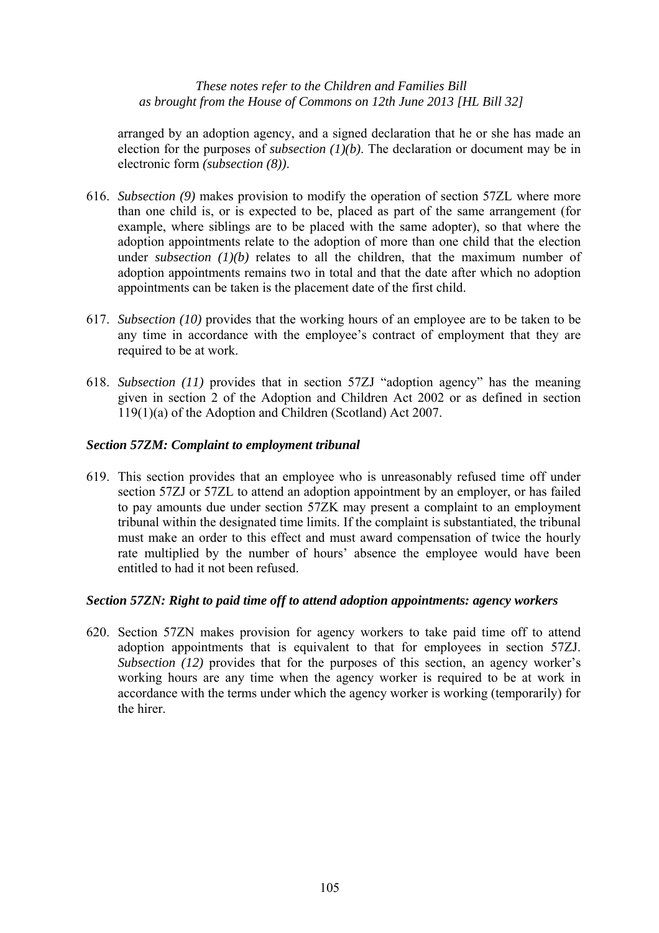arranged by an adoption agency, and a signed declaration that he or she has made an election for the purposes of *subsection (1)(b)*. The declaration or document may be in electronic form *(subsection (8))*.

- 616. *Subsection (9)* makes provision to modify the operation of section 57ZL where more than one child is, or is expected to be, placed as part of the same arrangement (for example, where siblings are to be placed with the same adopter), so that where the adoption appointments relate to the adoption of more than one child that the election under *subsection (1)(b)* relates to all the children, that the maximum number of adoption appointments remains two in total and that the date after which no adoption appointments can be taken is the placement date of the first child.
- 617. *Subsection (10)* provides that the working hours of an employee are to be taken to be any time in accordance with the employee's contract of employment that they are required to be at work.
- 618. *Subsection (11)* provides that in section 57ZJ "adoption agency" has the meaning given in section 2 of the Adoption and Children Act 2002 or as defined in section 119(1)(a) of the Adoption and Children (Scotland) Act 2007.

# *Section 57ZM: Complaint to employment tribunal*

619. This section provides that an employee who is unreasonably refused time off under section 57ZJ or 57ZL to attend an adoption appointment by an employer, or has failed to pay amounts due under section 57ZK may present a complaint to an employment tribunal within the designated time limits. If the complaint is substantiated, the tribunal must make an order to this effect and must award compensation of twice the hourly rate multiplied by the number of hours' absence the employee would have been entitled to had it not been refused.

#### *Section 57ZN: Right to paid time off to attend adoption appointments: agency workers*

620. Section 57ZN makes provision for agency workers to take paid time off to attend adoption appointments that is equivalent to that for employees in section 57ZJ. *Subsection (12)* provides that for the purposes of this section, an agency worker's working hours are any time when the agency worker is required to be at work in accordance with the terms under which the agency worker is working (temporarily) for the hirer.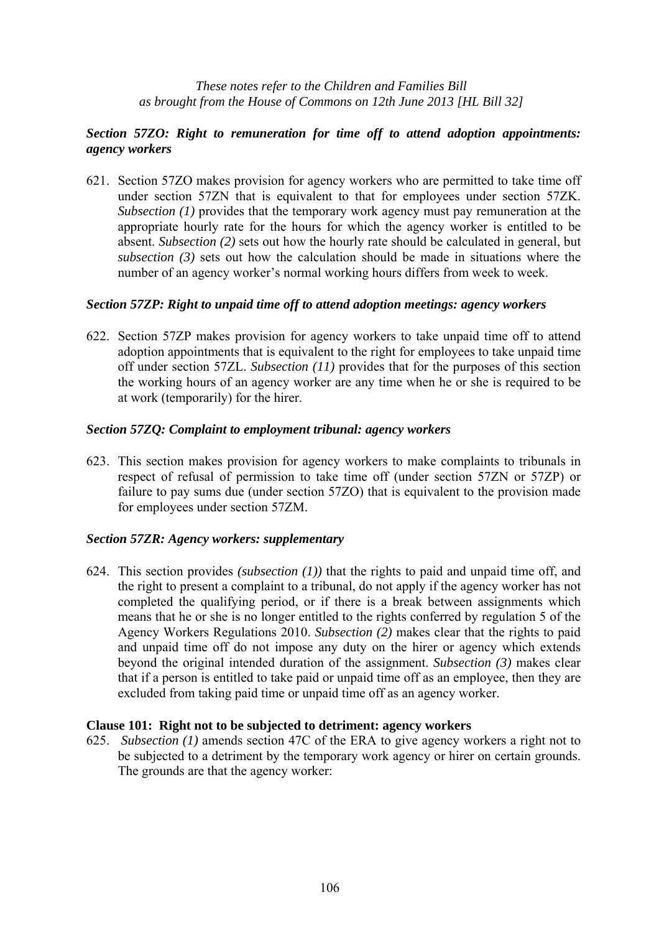# *Section 57ZO: Right to remuneration for time off to attend adoption appointments: agency workers*

621. Section 57ZO makes provision for agency workers who are permitted to take time off under section 57ZN that is equivalent to that for employees under section 57ZK. *Subsection (1)* provides that the temporary work agency must pay remuneration at the appropriate hourly rate for the hours for which the agency worker is entitled to be absent. *Subsection (2)* sets out how the hourly rate should be calculated in general, but *subsection (3)* sets out how the calculation should be made in situations where the number of an agency worker's normal working hours differs from week to week.

#### *Section 57ZP: Right to unpaid time off to attend adoption meetings: agency workers*

622. Section 57ZP makes provision for agency workers to take unpaid time off to attend adoption appointments that is equivalent to the right for employees to take unpaid time off under section 57ZL. *Subsection (11)* provides that for the purposes of this section the working hours of an agency worker are any time when he or she is required to be at work (temporarily) for the hirer.

#### *Section 57ZQ: Complaint to employment tribunal: agency workers*

623. This section makes provision for agency workers to make complaints to tribunals in respect of refusal of permission to take time off (under section 57ZN or 57ZP) or failure to pay sums due (under section 57ZO) that is equivalent to the provision made for employees under section 57ZM.

#### *Section 57ZR: Agency workers: supplementary*

624. This section provides *(subsection (1))* that the rights to paid and unpaid time off, and the right to present a complaint to a tribunal, do not apply if the agency worker has not completed the qualifying period, or if there is a break between assignments which means that he or she is no longer entitled to the rights conferred by regulation 5 of the Agency Workers Regulations 2010. *Subsection (2)* makes clear that the rights to paid and unpaid time off do not impose any duty on the hirer or agency which extends beyond the original intended duration of the assignment. *Subsection (3)* makes clear that if a person is entitled to take paid or unpaid time off as an employee, then they are excluded from taking paid time or unpaid time off as an agency worker.

#### **Clause 101: Right not to be subjected to detriment: agency workers**

625. *Subsection (1)* amends section 47C of the ERA to give agency workers a right not to be subjected to a detriment by the temporary work agency or hirer on certain grounds. The grounds are that the agency worker: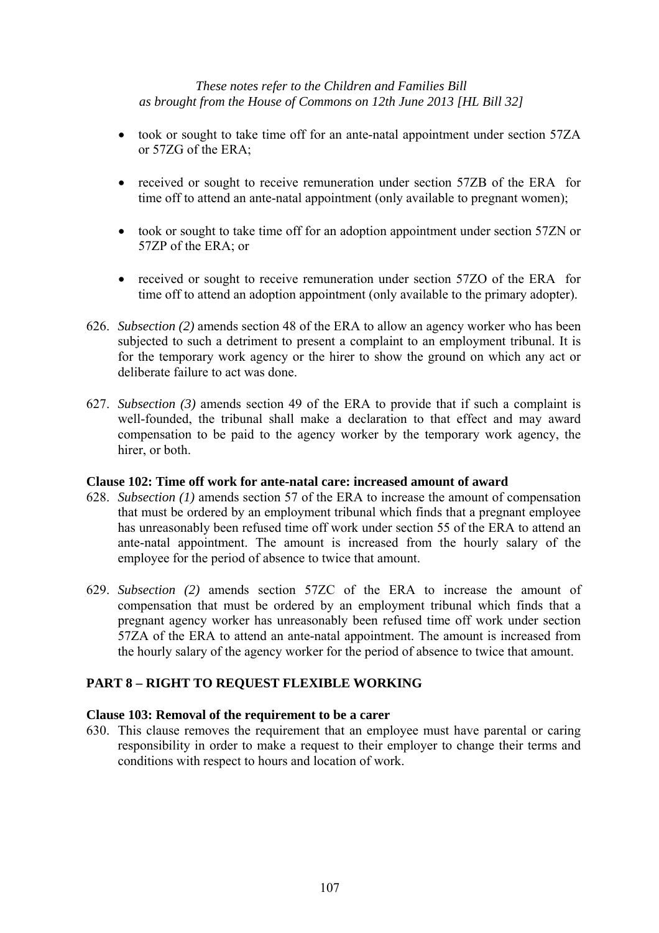- took or sought to take time off for an ante-natal appointment under section 57ZA or 57ZG of the ERA;
- received or sought to receive remuneration under section 57ZB of the ERA for time off to attend an ante-natal appointment (only available to pregnant women);
- took or sought to take time off for an adoption appointment under section 57ZN or 57ZP of the ERA; or
- received or sought to receive remuneration under section 57ZO of the ERA for time off to attend an adoption appointment (only available to the primary adopter).
- 626. *Subsection (2)* amends section 48 of the ERA to allow an agency worker who has been subjected to such a detriment to present a complaint to an employment tribunal. It is for the temporary work agency or the hirer to show the ground on which any act or deliberate failure to act was done.
- 627. *Subsection (3)* amends section 49 of the ERA to provide that if such a complaint is well-founded, the tribunal shall make a declaration to that effect and may award compensation to be paid to the agency worker by the temporary work agency, the hirer, or both.

#### **Clause 102: Time off work for ante-natal care: increased amount of award**

- 628. *Subsection (1)* amends section 57 of the ERA to increase the amount of compensation that must be ordered by an employment tribunal which finds that a pregnant employee has unreasonably been refused time off work under section 55 of the ERA to attend an ante-natal appointment. The amount is increased from the hourly salary of the employee for the period of absence to twice that amount.
- 629. *Subsection (2)* amends section 57ZC of the ERA to increase the amount of compensation that must be ordered by an employment tribunal which finds that a pregnant agency worker has unreasonably been refused time off work under section 57ZA of the ERA to attend an ante-natal appointment. The amount is increased from the hourly salary of the agency worker for the period of absence to twice that amount.

#### **PART 8 – RIGHT TO REQUEST FLEXIBLE WORKING**

#### **Clause 103: Removal of the requirement to be a carer**

630. This clause removes the requirement that an employee must have parental or caring responsibility in order to make a request to their employer to change their terms and conditions with respect to hours and location of work.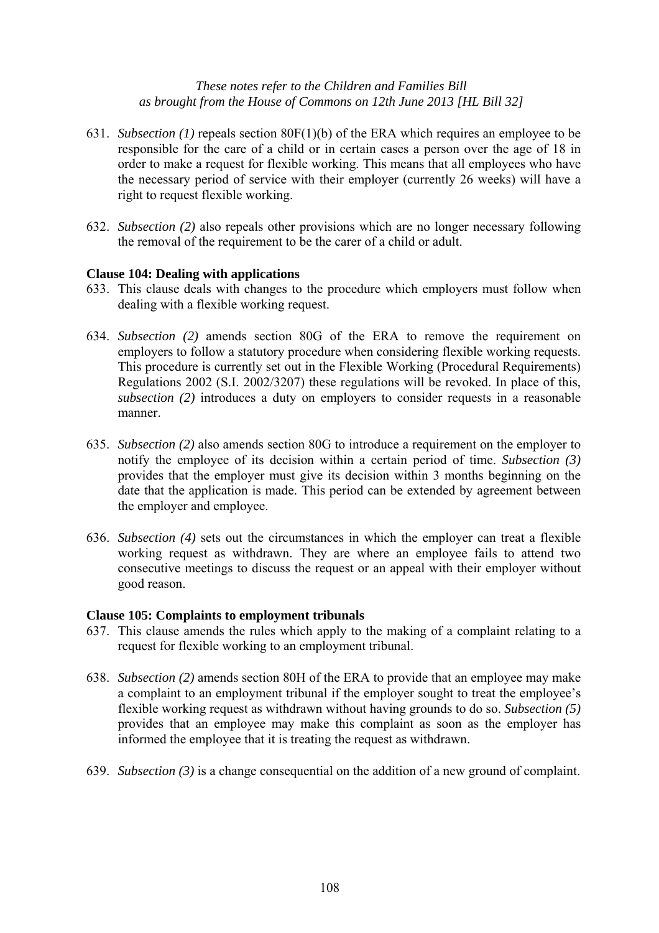- 631. *Subsection (1)* repeals section 80F(1)(b) of the ERA which requires an employee to be responsible for the care of a child or in certain cases a person over the age of 18 in order to make a request for flexible working. This means that all employees who have the necessary period of service with their employer (currently 26 weeks) will have a right to request flexible working.
- 632. *Subsection (2)* also repeals other provisions which are no longer necessary following the removal of the requirement to be the carer of a child or adult.

#### **Clause 104: Dealing with applications**

- 633. This clause deals with changes to the procedure which employers must follow when dealing with a flexible working request.
- 634. *Subsection (2)* amends section 80G of the ERA to remove the requirement on employers to follow a statutory procedure when considering flexible working requests. This procedure is currently set out in the Flexible Working (Procedural Requirements) Regulations 2002 (S.I. 2002/3207) these regulations will be revoked. In place of this, *subsection (2)* introduces a duty on employers to consider requests in a reasonable manner.
- 635. *Subsection (2)* also amends section 80G to introduce a requirement on the employer to notify the employee of its decision within a certain period of time. *Subsection (3)* provides that the employer must give its decision within 3 months beginning on the date that the application is made. This period can be extended by agreement between the employer and employee.
- 636. *Subsection (4)* sets out the circumstances in which the employer can treat a flexible working request as withdrawn. They are where an employee fails to attend two consecutive meetings to discuss the request or an appeal with their employer without good reason.

#### **Clause 105: Complaints to employment tribunals**

- 637. This clause amends the rules which apply to the making of a complaint relating to a request for flexible working to an employment tribunal.
- 638. *Subsection (2)* amends section 80H of the ERA to provide that an employee may make a complaint to an employment tribunal if the employer sought to treat the employee's flexible working request as withdrawn without having grounds to do so. *Subsection (5)* provides that an employee may make this complaint as soon as the employer has informed the employee that it is treating the request as withdrawn.
- 639. *Subsection (3)* is a change consequential on the addition of a new ground of complaint.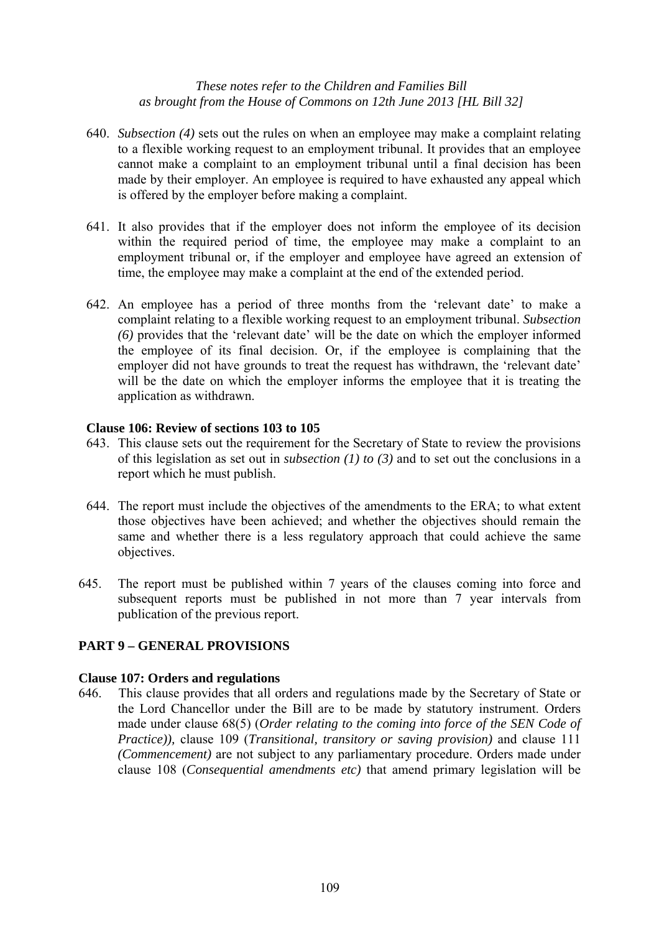- 640. *Subsection (4)* sets out the rules on when an employee may make a complaint relating to a flexible working request to an employment tribunal. It provides that an employee cannot make a complaint to an employment tribunal until a final decision has been made by their employer. An employee is required to have exhausted any appeal which is offered by the employer before making a complaint.
- 641. It also provides that if the employer does not inform the employee of its decision within the required period of time, the employee may make a complaint to an employment tribunal or, if the employer and employee have agreed an extension of time, the employee may make a complaint at the end of the extended period.
- 642. An employee has a period of three months from the 'relevant date' to make a complaint relating to a flexible working request to an employment tribunal. *Subsection (6)* provides that the 'relevant date' will be the date on which the employer informed the employee of its final decision. Or, if the employee is complaining that the employer did not have grounds to treat the request has withdrawn, the 'relevant date' will be the date on which the employer informs the employee that it is treating the application as withdrawn.

#### **Clause 106: Review of sections 103 to 105**

- 643. This clause sets out the requirement for the Secretary of State to review the provisions of this legislation as set out in *subsection (1) to (3)* and to set out the conclusions in a report which he must publish.
- 644. The report must include the objectives of the amendments to the ERA; to what extent those objectives have been achieved; and whether the objectives should remain the same and whether there is a less regulatory approach that could achieve the same objectives.
- 645. The report must be published within 7 years of the clauses coming into force and subsequent reports must be published in not more than 7 year intervals from publication of the previous report.

## **PART 9 – GENERAL PROVISIONS**

#### **Clause 107: Orders and regulations**

646. This clause provides that all orders and regulations made by the Secretary of State or the Lord Chancellor under the Bill are to be made by statutory instrument. Orders made under clause 68(5) (*Order relating to the coming into force of the SEN Code of Practice)),* clause 109 (*Transitional, transitory or saving provision)* and clause 111 *(Commencement)* are not subject to any parliamentary procedure. Orders made under clause 108 (*Consequential amendments etc)* that amend primary legislation will be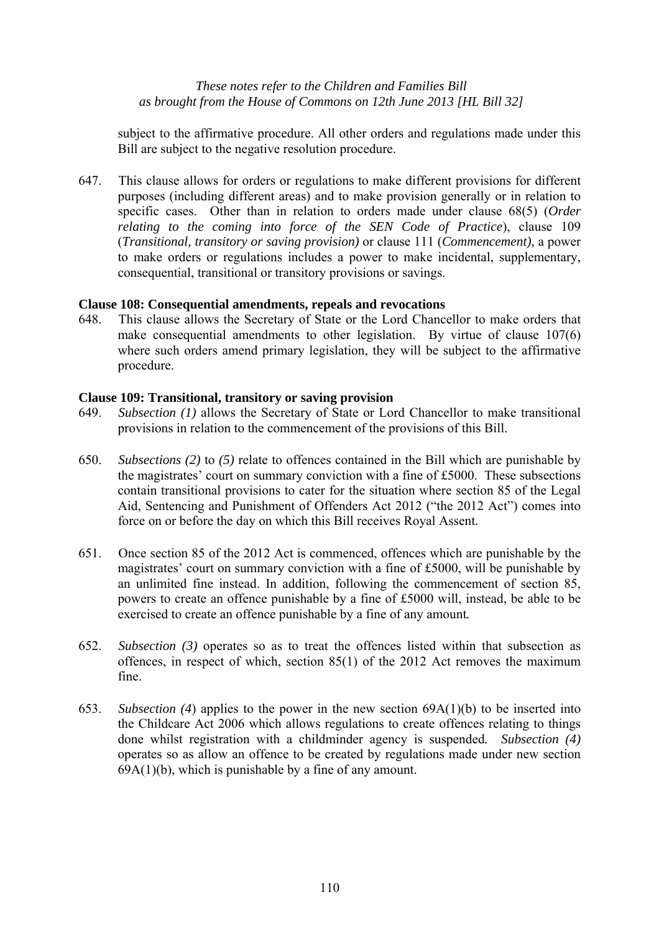subject to the affirmative procedure. All other orders and regulations made under this Bill are subject to the negative resolution procedure.

647. This clause allows for orders or regulations to make different provisions for different purposes (including different areas) and to make provision generally or in relation to specific cases. Other than in relation to orders made under clause 68(5) (*Order relating to the coming into force of the SEN Code of Practice*), clause 109 (*Transitional, transitory or saving provision)* or clause 111 (*Commencement),* a power to make orders or regulations includes a power to make incidental, supplementary, consequential, transitional or transitory provisions or savings.

#### **Clause 108: Consequential amendments, repeals and revocations**

648. This clause allows the Secretary of State or the Lord Chancellor to make orders that make consequential amendments to other legislation. By virtue of clause 107(6) where such orders amend primary legislation, they will be subject to the affirmative procedure.

#### **Clause 109: Transitional, transitory or saving provision**

- 649. *Subsection (1)* allows the Secretary of State or Lord Chancellor to make transitional provisions in relation to the commencement of the provisions of this Bill.
- 650. *Subsections (2)* to *(5)* relate to offences contained in the Bill which are punishable by the magistrates' court on summary conviction with a fine of £5000. These subsections contain transitional provisions to cater for the situation where section 85 of the Legal Aid, Sentencing and Punishment of Offenders Act 2012 ("the 2012 Act") comes into force on or before the day on which this Bill receives Royal Assent.
- 651. Once section 85 of the 2012 Act is commenced, offences which are punishable by the magistrates' court on summary conviction with a fine of £5000, will be punishable by an unlimited fine instead. In addition, following the commencement of section 85, powers to create an offence punishable by a fine of £5000 will, instead, be able to be exercised to create an offence punishable by a fine of any amount*.*
- 652. *Subsection (3)* operates so as to treat the offences listed within that subsection as offences, in respect of which, section 85(1) of the 2012 Act removes the maximum fine.
- 653. *Subsection (4*) applies to the power in the new section 69A(1)(b) to be inserted into the Childcare Act 2006 which allows regulations to create offences relating to things done whilst registration with a childminder agency is suspended*. Subsection (4)*  operates so as allow an offence to be created by regulations made under new section  $69A(1)(b)$ , which is punishable by a fine of any amount.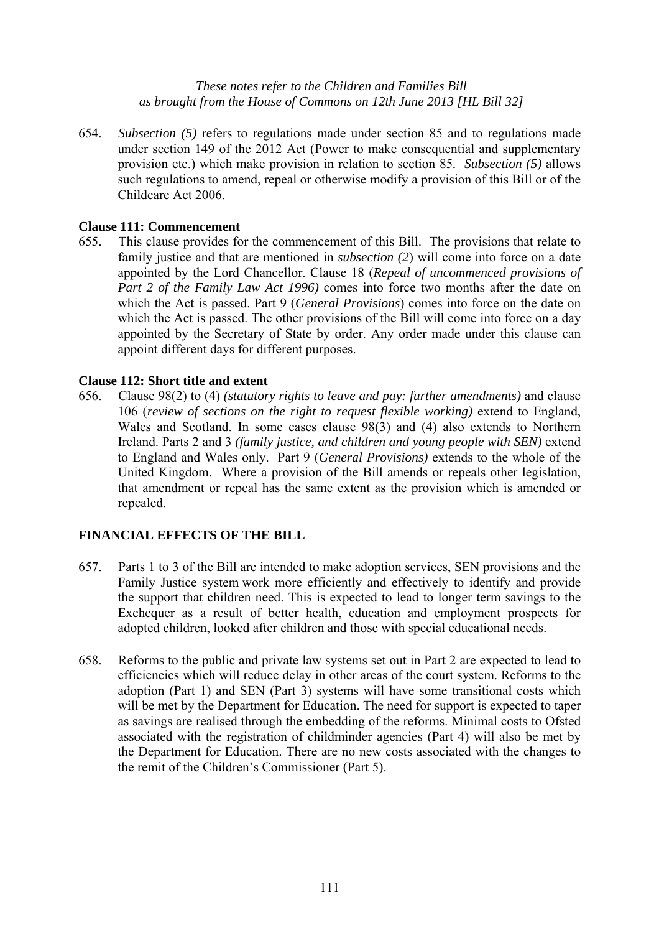654. *Subsection (5)* refers to regulations made under section 85 and to regulations made under section 149 of the 2012 Act (Power to make consequential and supplementary provision etc.) which make provision in relation to section 85*. Subsection (5)* allows such regulations to amend, repeal or otherwise modify a provision of this Bill or of the Childcare Act 2006.

## **Clause 111: Commencement**

655. This clause provides for the commencement of this Bill. The provisions that relate to family justice and that are mentioned in *subsection* (2) will come into force on a date appointed by the Lord Chancellor. Clause 18 (*Repeal of uncommenced provisions of Part 2 of the Family Law Act 1996)* comes into force two months after the date on which the Act is passed. Part 9 (*General Provisions*) comes into force on the date on which the Act is passed. The other provisions of the Bill will come into force on a day appointed by the Secretary of State by order. Any order made under this clause can appoint different days for different purposes.

#### **Clause 112: Short title and extent**

656. Clause 98(2) to (4) *(statutory rights to leave and pay: further amendments)* and clause 106 (*review of sections on the right to request flexible working)* extend to England, Wales and Scotland. In some cases clause 98(3) and (4) also extends to Northern Ireland. Parts 2 and 3 *(family justice, and children and young people with SEN)* extend to England and Wales only. Part 9 (*General Provisions)* extends to the whole of the United Kingdom. Where a provision of the Bill amends or repeals other legislation, that amendment or repeal has the same extent as the provision which is amended or repealed.

## **FINANCIAL EFFECTS OF THE BILL**

- 657. Parts 1 to 3 of the Bill are intended to make adoption services, SEN provisions and the Family Justice system work more efficiently and effectively to identify and provide the support that children need. This is expected to lead to longer term savings to the Exchequer as a result of better health, education and employment prospects for adopted children, looked after children and those with special educational needs.
- 658. Reforms to the public and private law systems set out in Part 2 are expected to lead to efficiencies which will reduce delay in other areas of the court system. Reforms to the adoption (Part 1) and SEN (Part 3) systems will have some transitional costs which will be met by the Department for Education. The need for support is expected to taper as savings are realised through the embedding of the reforms. Minimal costs to Ofsted associated with the registration of childminder agencies (Part 4) will also be met by the Department for Education. There are no new costs associated with the changes to the remit of the Children's Commissioner (Part 5).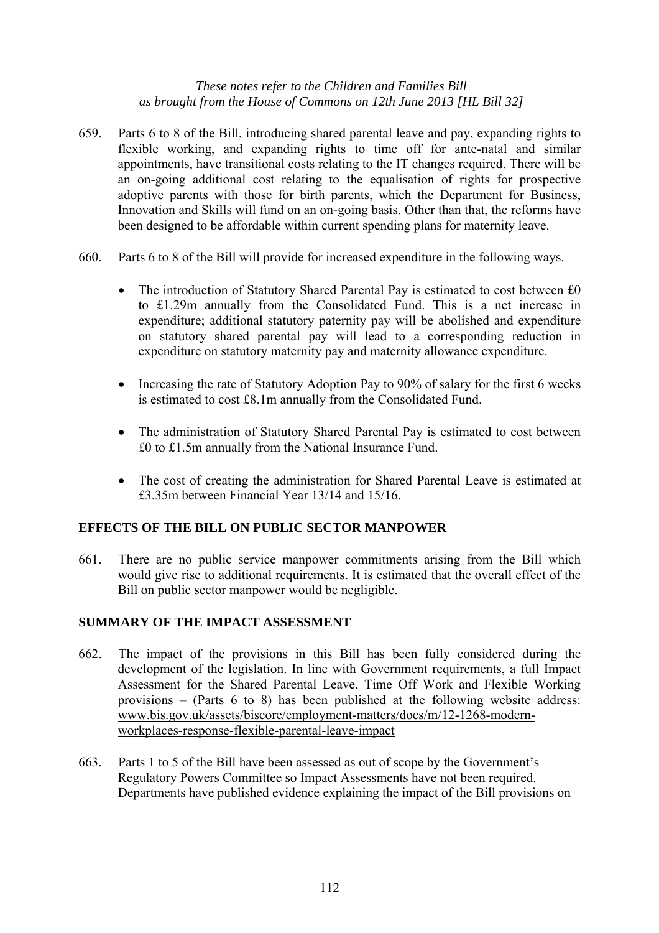- 659. Parts 6 to 8 of the Bill, introducing shared parental leave and pay, expanding rights to flexible working, and expanding rights to time off for ante-natal and similar appointments, have transitional costs relating to the IT changes required. There will be an on-going additional cost relating to the equalisation of rights for prospective adoptive parents with those for birth parents, which the Department for Business, Innovation and Skills will fund on an on-going basis. Other than that, the reforms have been designed to be affordable within current spending plans for maternity leave.
- 660. Parts 6 to 8 of the Bill will provide for increased expenditure in the following ways.
	- The introduction of Statutory Shared Parental Pay is estimated to cost between £0 to £1.29m annually from the Consolidated Fund. This is a net increase in expenditure; additional statutory paternity pay will be abolished and expenditure on statutory shared parental pay will lead to a corresponding reduction in expenditure on statutory maternity pay and maternity allowance expenditure.
	- Increasing the rate of Statutory Adoption Pay to 90% of salary for the first 6 weeks is estimated to cost £8.1m annually from the Consolidated Fund.
	- The administration of Statutory Shared Parental Pay is estimated to cost between £0 to £1.5m annually from the National Insurance Fund.
	- The cost of creating the administration for Shared Parental Leave is estimated at £3.35m between Financial Year 13/14 and 15/16.

## **EFFECTS OF THE BILL ON PUBLIC SECTOR MANPOWER**

661. There are no public service manpower commitments arising from the Bill which would give rise to additional requirements. It is estimated that the overall effect of the Bill on public sector manpower would be negligible.

## **SUMMARY OF THE IMPACT ASSESSMENT**

- 662. The impact of the provisions in this Bill has been fully considered during the development of the legislation. In line with Government requirements, a full Impact Assessment for the Shared Parental Leave, Time Off Work and Flexible Working provisions – (Parts 6 to 8) has been published at the following website address: www.bis.gov.uk/assets/biscore/employment-matters/docs/m/12-1268-modernworkplaces-response-flexible-parental-leave-impact
- 663. Parts 1 to 5 of the Bill have been assessed as out of scope by the Government's Regulatory Powers Committee so Impact Assessments have not been required. Departments have published evidence explaining the impact of the Bill provisions on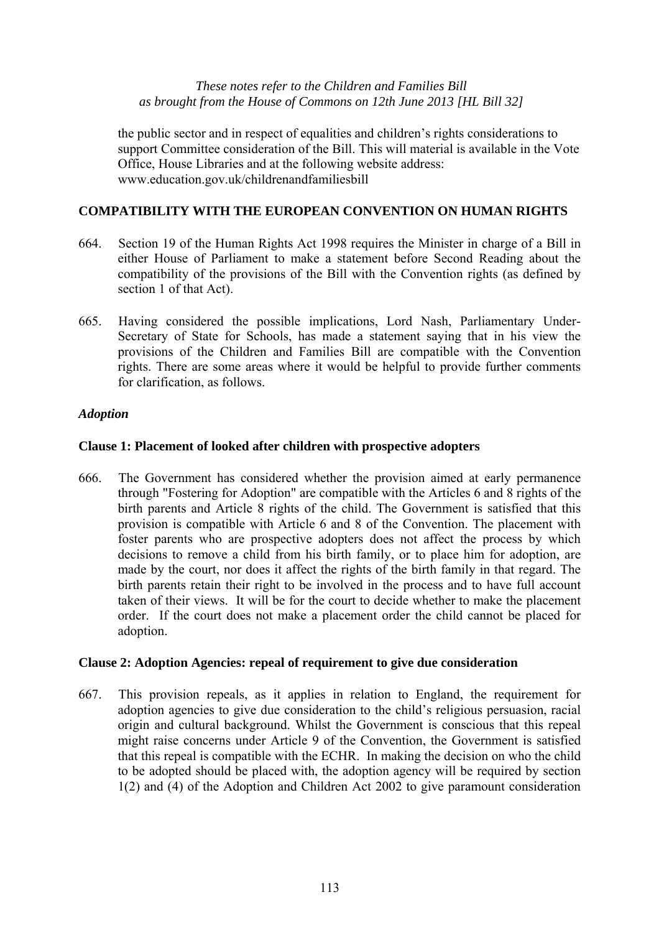the public sector and in respect of equalities and children's rights considerations to support Committee consideration of the Bill. This will material is available in the Vote Office, House Libraries and at the following website address: www.education.gov.uk/childrenandfamiliesbill

# **COMPATIBILITY WITH THE EUROPEAN CONVENTION ON HUMAN RIGHTS**

- 664. Section 19 of the Human Rights Act 1998 requires the Minister in charge of a Bill in either House of Parliament to make a statement before Second Reading about the compatibility of the provisions of the Bill with the Convention rights (as defined by section 1 of that Act).
- 665. Having considered the possible implications, Lord Nash, Parliamentary Under-Secretary of State for Schools, has made a statement saying that in his view the provisions of the Children and Families Bill are compatible with the Convention rights. There are some areas where it would be helpful to provide further comments for clarification, as follows.

## *Adoption*

## **Clause 1: Placement of looked after children with prospective adopters**

666. The Government has considered whether the provision aimed at early permanence through "Fostering for Adoption" are compatible with the Articles 6 and 8 rights of the birth parents and Article 8 rights of the child. The Government is satisfied that this provision is compatible with Article 6 and 8 of the Convention. The placement with foster parents who are prospective adopters does not affect the process by which decisions to remove a child from his birth family, or to place him for adoption, are made by the court, nor does it affect the rights of the birth family in that regard. The birth parents retain their right to be involved in the process and to have full account taken of their views. It will be for the court to decide whether to make the placement order. If the court does not make a placement order the child cannot be placed for adoption.

#### **Clause 2: Adoption Agencies: repeal of requirement to give due consideration**

667. This provision repeals, as it applies in relation to England, the requirement for adoption agencies to give due consideration to the child's religious persuasion, racial origin and cultural background. Whilst the Government is conscious that this repeal might raise concerns under Article 9 of the Convention, the Government is satisfied that this repeal is compatible with the ECHR. In making the decision on who the child to be adopted should be placed with, the adoption agency will be required by section 1(2) and (4) of the Adoption and Children Act 2002 to give paramount consideration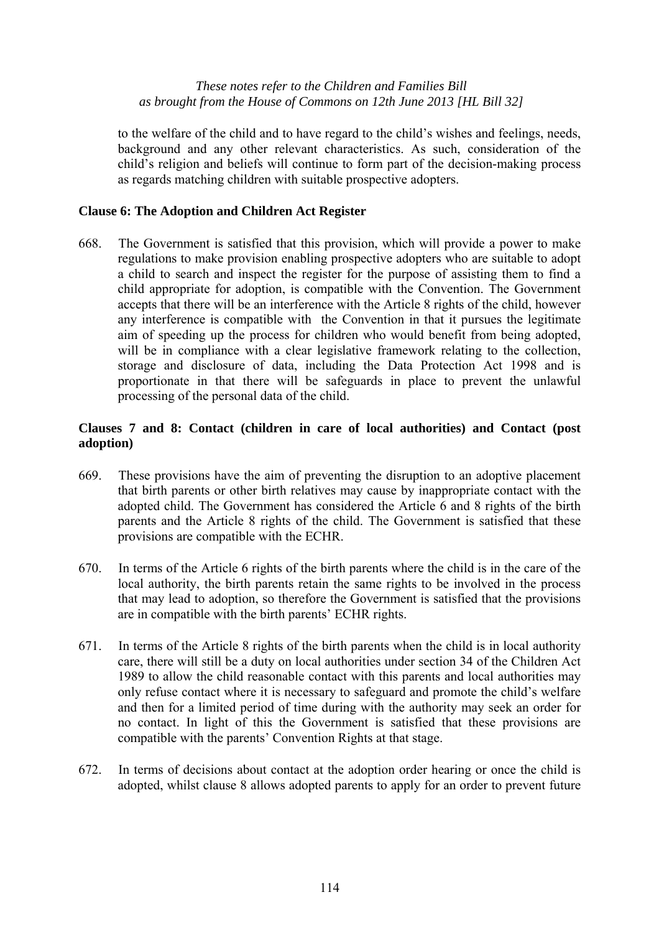to the welfare of the child and to have regard to the child's wishes and feelings, needs, background and any other relevant characteristics. As such, consideration of the child's religion and beliefs will continue to form part of the decision-making process as regards matching children with suitable prospective adopters.

## **Clause 6: The Adoption and Children Act Register**

668. The Government is satisfied that this provision, which will provide a power to make regulations to make provision enabling prospective adopters who are suitable to adopt a child to search and inspect the register for the purpose of assisting them to find a child appropriate for adoption, is compatible with the Convention. The Government accepts that there will be an interference with the Article 8 rights of the child, however any interference is compatible with the Convention in that it pursues the legitimate aim of speeding up the process for children who would benefit from being adopted, will be in compliance with a clear legislative framework relating to the collection, storage and disclosure of data, including the Data Protection Act 1998 and is proportionate in that there will be safeguards in place to prevent the unlawful processing of the personal data of the child.

## **Clauses 7 and 8: Contact (children in care of local authorities) and Contact (post adoption)**

- 669. These provisions have the aim of preventing the disruption to an adoptive placement that birth parents or other birth relatives may cause by inappropriate contact with the adopted child. The Government has considered the Article 6 and 8 rights of the birth parents and the Article 8 rights of the child. The Government is satisfied that these provisions are compatible with the ECHR.
- 670. In terms of the Article 6 rights of the birth parents where the child is in the care of the local authority, the birth parents retain the same rights to be involved in the process that may lead to adoption, so therefore the Government is satisfied that the provisions are in compatible with the birth parents' ECHR rights.
- 671. In terms of the Article 8 rights of the birth parents when the child is in local authority care, there will still be a duty on local authorities under section 34 of the Children Act 1989 to allow the child reasonable contact with this parents and local authorities may only refuse contact where it is necessary to safeguard and promote the child's welfare and then for a limited period of time during with the authority may seek an order for no contact. In light of this the Government is satisfied that these provisions are compatible with the parents' Convention Rights at that stage.
- 672. In terms of decisions about contact at the adoption order hearing or once the child is adopted, whilst clause 8 allows adopted parents to apply for an order to prevent future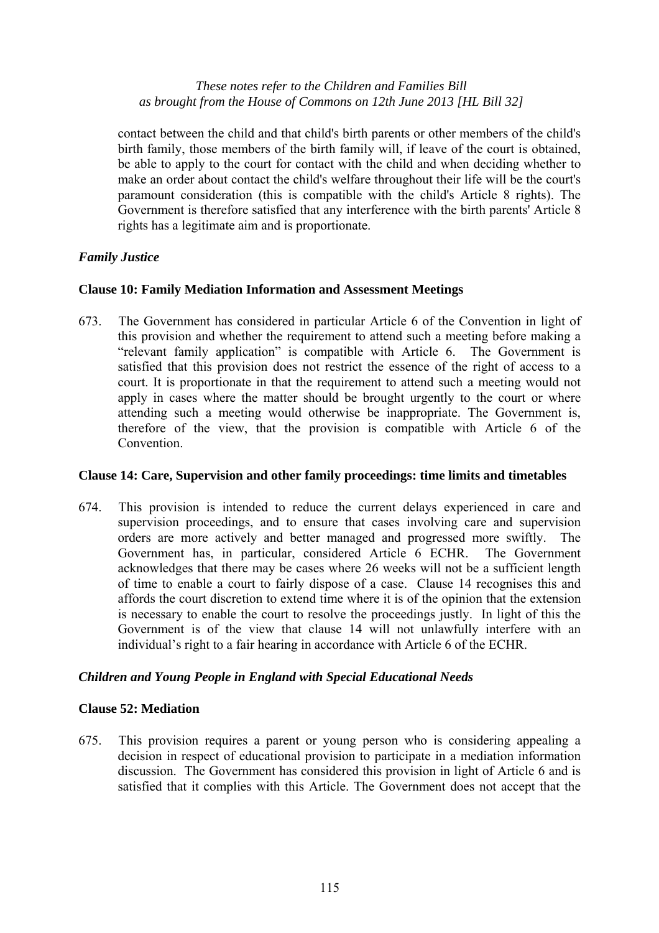contact between the child and that child's birth parents or other members of the child's birth family, those members of the birth family will, if leave of the court is obtained, be able to apply to the court for contact with the child and when deciding whether to make an order about contact the child's welfare throughout their life will be the court's paramount consideration (this is compatible with the child's Article 8 rights). The Government is therefore satisfied that any interference with the birth parents' Article 8 rights has a legitimate aim and is proportionate.

## *Family Justice*

## **Clause 10: Family Mediation Information and Assessment Meetings**

673. The Government has considered in particular Article 6 of the Convention in light of this provision and whether the requirement to attend such a meeting before making a "relevant family application" is compatible with Article 6. The Government is satisfied that this provision does not restrict the essence of the right of access to a court. It is proportionate in that the requirement to attend such a meeting would not apply in cases where the matter should be brought urgently to the court or where attending such a meeting would otherwise be inappropriate. The Government is, therefore of the view, that the provision is compatible with Article 6 of the Convention.

#### **Clause 14: Care, Supervision and other family proceedings: time limits and timetables**

674. This provision is intended to reduce the current delays experienced in care and supervision proceedings, and to ensure that cases involving care and supervision orders are more actively and better managed and progressed more swiftly. The Government has, in particular, considered Article 6 ECHR. The Government acknowledges that there may be cases where 26 weeks will not be a sufficient length of time to enable a court to fairly dispose of a case. Clause 14 recognises this and affords the court discretion to extend time where it is of the opinion that the extension is necessary to enable the court to resolve the proceedings justly. In light of this the Government is of the view that clause 14 will not unlawfully interfere with an individual's right to a fair hearing in accordance with Article 6 of the ECHR.

## *Children and Young People in England with Special Educational Needs*

#### **Clause 52: Mediation**

675. This provision requires a parent or young person who is considering appealing a decision in respect of educational provision to participate in a mediation information discussion. The Government has considered this provision in light of Article 6 and is satisfied that it complies with this Article. The Government does not accept that the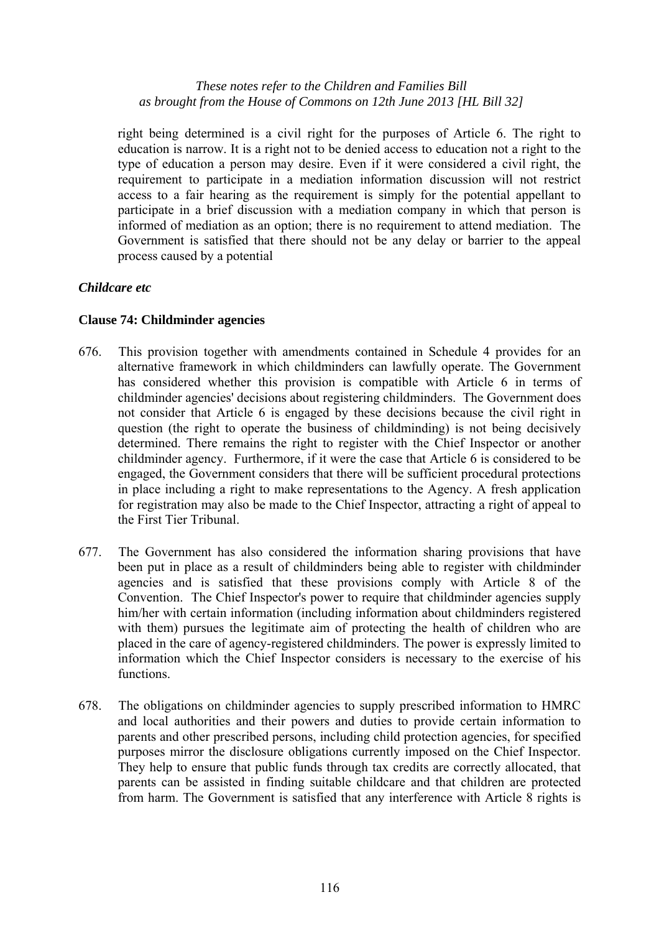right being determined is a civil right for the purposes of Article 6. The right to education is narrow. It is a right not to be denied access to education not a right to the type of education a person may desire. Even if it were considered a civil right, the requirement to participate in a mediation information discussion will not restrict access to a fair hearing as the requirement is simply for the potential appellant to participate in a brief discussion with a mediation company in which that person is informed of mediation as an option; there is no requirement to attend mediation. The Government is satisfied that there should not be any delay or barrier to the appeal process caused by a potential

## *Childcare etc*

## **Clause 74: Childminder agencies**

- 676. This provision together with amendments contained in Schedule 4 provides for an alternative framework in which childminders can lawfully operate. The Government has considered whether this provision is compatible with Article 6 in terms of childminder agencies' decisions about registering childminders. The Government does not consider that Article 6 is engaged by these decisions because the civil right in question (the right to operate the business of childminding) is not being decisively determined. There remains the right to register with the Chief Inspector or another childminder agency. Furthermore, if it were the case that Article 6 is considered to be engaged, the Government considers that there will be sufficient procedural protections in place including a right to make representations to the Agency. A fresh application for registration may also be made to the Chief Inspector, attracting a right of appeal to the First Tier Tribunal.
- 677. The Government has also considered the information sharing provisions that have been put in place as a result of childminders being able to register with childminder agencies and is satisfied that these provisions comply with Article 8 of the Convention. The Chief Inspector's power to require that childminder agencies supply him/her with certain information (including information about childminders registered with them) pursues the legitimate aim of protecting the health of children who are placed in the care of agency-registered childminders. The power is expressly limited to information which the Chief Inspector considers is necessary to the exercise of his functions.
- 678. The obligations on childminder agencies to supply prescribed information to HMRC and local authorities and their powers and duties to provide certain information to parents and other prescribed persons, including child protection agencies, for specified purposes mirror the disclosure obligations currently imposed on the Chief Inspector. They help to ensure that public funds through tax credits are correctly allocated, that parents can be assisted in finding suitable childcare and that children are protected from harm. The Government is satisfied that any interference with Article 8 rights is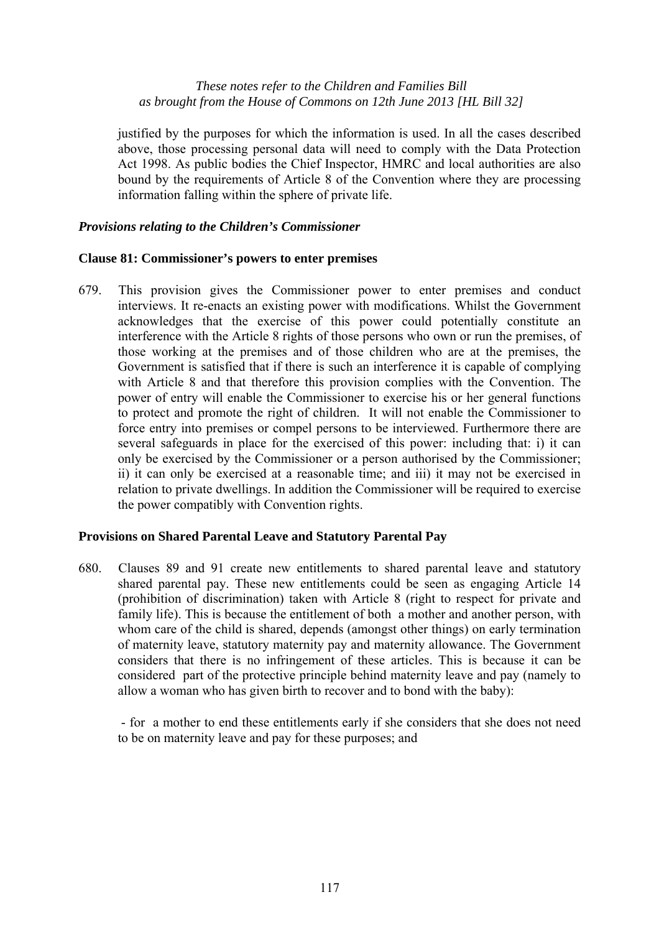justified by the purposes for which the information is used. In all the cases described above, those processing personal data will need to comply with the Data Protection Act 1998. As public bodies the Chief Inspector, HMRC and local authorities are also bound by the requirements of Article 8 of the Convention where they are processing information falling within the sphere of private life.

#### *Provisions relating to the Children's Commissioner*

#### **Clause 81: Commissioner's powers to enter premises**

679. This provision gives the Commissioner power to enter premises and conduct interviews. It re-enacts an existing power with modifications. Whilst the Government acknowledges that the exercise of this power could potentially constitute an interference with the Article 8 rights of those persons who own or run the premises, of those working at the premises and of those children who are at the premises, the Government is satisfied that if there is such an interference it is capable of complying with Article 8 and that therefore this provision complies with the Convention. The power of entry will enable the Commissioner to exercise his or her general functions to protect and promote the right of children. It will not enable the Commissioner to force entry into premises or compel persons to be interviewed. Furthermore there are several safeguards in place for the exercised of this power: including that: i) it can only be exercised by the Commissioner or a person authorised by the Commissioner; ii) it can only be exercised at a reasonable time; and iii) it may not be exercised in relation to private dwellings. In addition the Commissioner will be required to exercise the power compatibly with Convention rights.

#### **Provisions on Shared Parental Leave and Statutory Parental Pay**

680. Clauses 89 and 91 create new entitlements to shared parental leave and statutory shared parental pay. These new entitlements could be seen as engaging Article 14 (prohibition of discrimination) taken with Article 8 (right to respect for private and family life). This is because the entitlement of both a mother and another person, with whom care of the child is shared, depends (amongst other things) on early termination of maternity leave, statutory maternity pay and maternity allowance. The Government considers that there is no infringement of these articles. This is because it can be considered part of the protective principle behind maternity leave and pay (namely to allow a woman who has given birth to recover and to bond with the baby):

 - for a mother to end these entitlements early if she considers that she does not need to be on maternity leave and pay for these purposes; and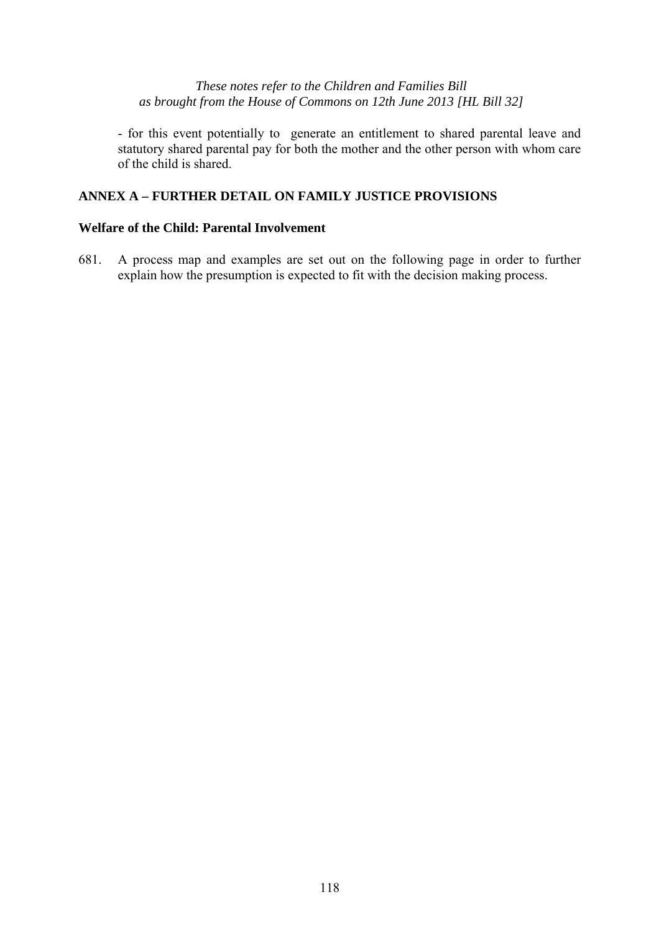- for this event potentially to generate an entitlement to shared parental leave and statutory shared parental pay for both the mother and the other person with whom care of the child is shared.

# **ANNEX A – FURTHER DETAIL ON FAMILY JUSTICE PROVISIONS**

## **Welfare of the Child: Parental Involvement**

681. A process map and examples are set out on the following page in order to further explain how the presumption is expected to fit with the decision making process.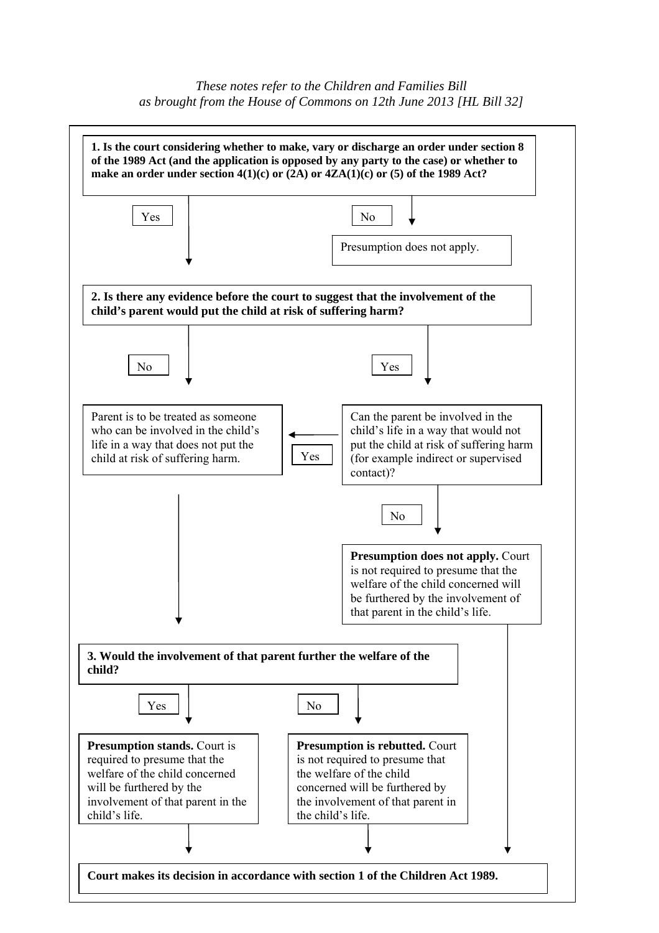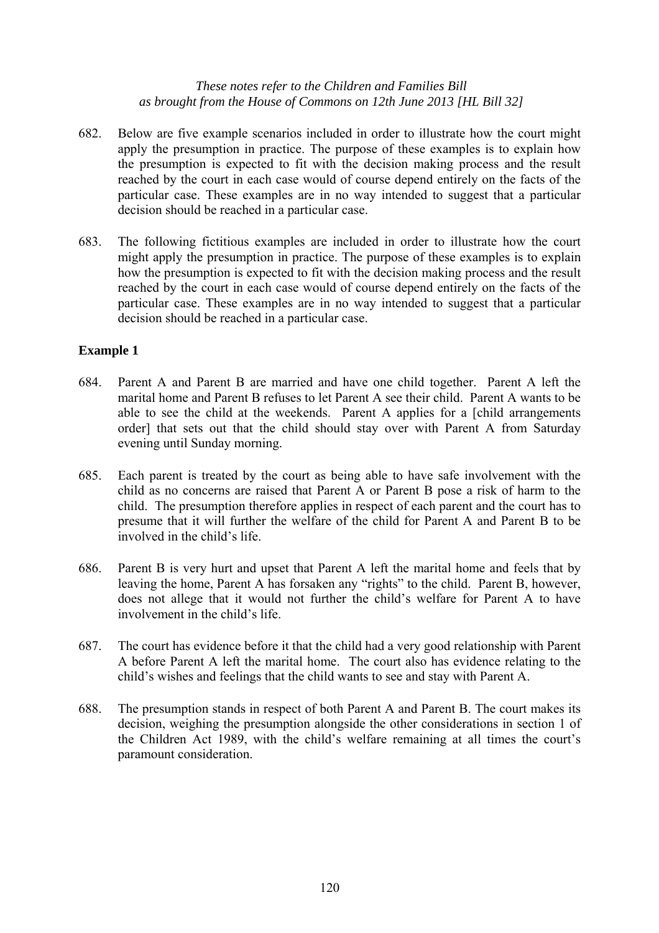- 682. Below are five example scenarios included in order to illustrate how the court might apply the presumption in practice. The purpose of these examples is to explain how the presumption is expected to fit with the decision making process and the result reached by the court in each case would of course depend entirely on the facts of the particular case. These examples are in no way intended to suggest that a particular decision should be reached in a particular case.
- 683. The following fictitious examples are included in order to illustrate how the court might apply the presumption in practice. The purpose of these examples is to explain how the presumption is expected to fit with the decision making process and the result reached by the court in each case would of course depend entirely on the facts of the particular case. These examples are in no way intended to suggest that a particular decision should be reached in a particular case.

## **Example 1**

- 684. Parent A and Parent B are married and have one child together. Parent A left the marital home and Parent B refuses to let Parent A see their child. Parent A wants to be able to see the child at the weekends. Parent A applies for a [child arrangements order] that sets out that the child should stay over with Parent A from Saturday evening until Sunday morning.
- 685. Each parent is treated by the court as being able to have safe involvement with the child as no concerns are raised that Parent A or Parent B pose a risk of harm to the child. The presumption therefore applies in respect of each parent and the court has to presume that it will further the welfare of the child for Parent A and Parent B to be involved in the child's life.
- 686. Parent B is very hurt and upset that Parent A left the marital home and feels that by leaving the home, Parent A has forsaken any "rights" to the child. Parent B, however, does not allege that it would not further the child's welfare for Parent A to have involvement in the child's life.
- 687. The court has evidence before it that the child had a very good relationship with Parent A before Parent A left the marital home. The court also has evidence relating to the child's wishes and feelings that the child wants to see and stay with Parent A.
- 688. The presumption stands in respect of both Parent A and Parent B. The court makes its decision, weighing the presumption alongside the other considerations in section 1 of the Children Act 1989, with the child's welfare remaining at all times the court's paramount consideration.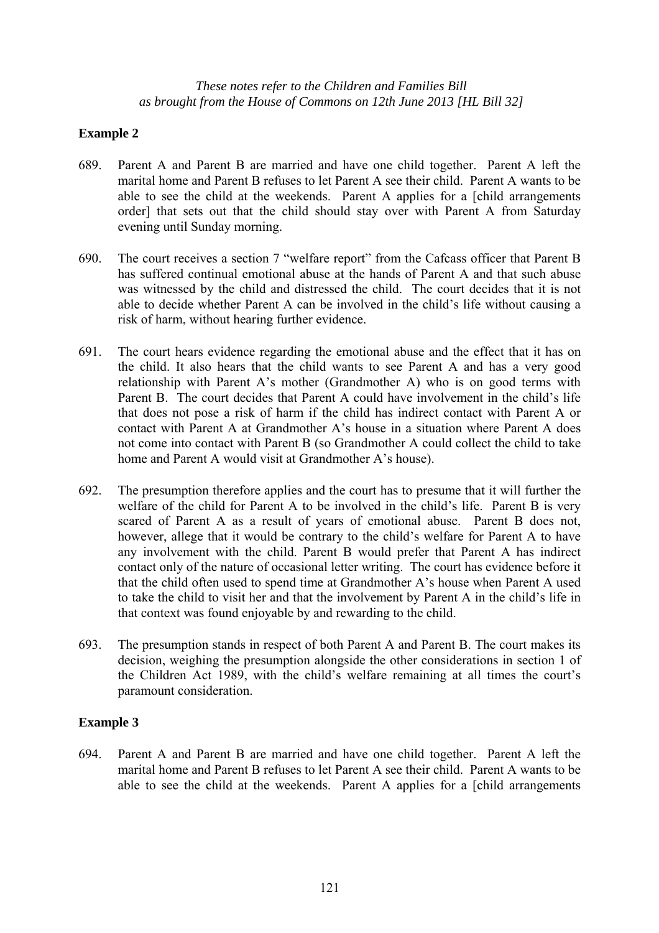## **Example 2**

- 689. Parent A and Parent B are married and have one child together. Parent A left the marital home and Parent B refuses to let Parent A see their child. Parent A wants to be able to see the child at the weekends. Parent A applies for a [child arrangements order] that sets out that the child should stay over with Parent A from Saturday evening until Sunday morning.
- 690. The court receives a section 7 "welfare report" from the Cafcass officer that Parent B has suffered continual emotional abuse at the hands of Parent A and that such abuse was witnessed by the child and distressed the child. The court decides that it is not able to decide whether Parent A can be involved in the child's life without causing a risk of harm, without hearing further evidence.
- 691. The court hears evidence regarding the emotional abuse and the effect that it has on the child. It also hears that the child wants to see Parent A and has a very good relationship with Parent A's mother (Grandmother A) who is on good terms with Parent B. The court decides that Parent A could have involvement in the child's life that does not pose a risk of harm if the child has indirect contact with Parent A or contact with Parent A at Grandmother A's house in a situation where Parent A does not come into contact with Parent B (so Grandmother A could collect the child to take home and Parent A would visit at Grandmother A's house).
- 692. The presumption therefore applies and the court has to presume that it will further the welfare of the child for Parent A to be involved in the child's life. Parent B is very scared of Parent A as a result of years of emotional abuse. Parent B does not, however, allege that it would be contrary to the child's welfare for Parent A to have any involvement with the child. Parent B would prefer that Parent A has indirect contact only of the nature of occasional letter writing. The court has evidence before it that the child often used to spend time at Grandmother A's house when Parent A used to take the child to visit her and that the involvement by Parent A in the child's life in that context was found enjoyable by and rewarding to the child.
- 693. The presumption stands in respect of both Parent A and Parent B. The court makes its decision, weighing the presumption alongside the other considerations in section 1 of the Children Act 1989, with the child's welfare remaining at all times the court's paramount consideration.

## **Example 3**

694. Parent A and Parent B are married and have one child together. Parent A left the marital home and Parent B refuses to let Parent A see their child. Parent A wants to be able to see the child at the weekends. Parent A applies for a [child arrangements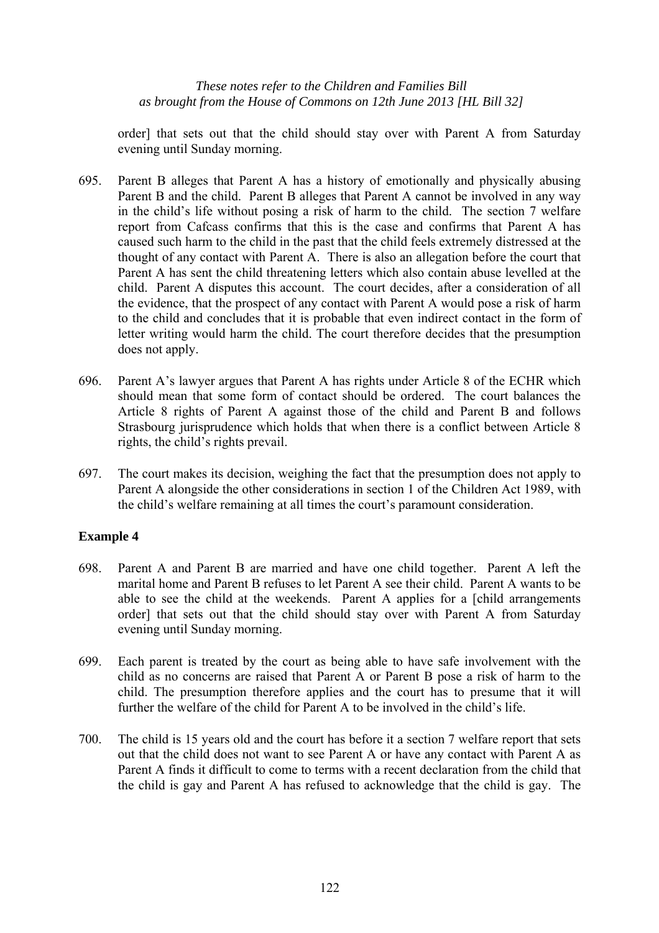order] that sets out that the child should stay over with Parent A from Saturday evening until Sunday morning.

- 695. Parent B alleges that Parent A has a history of emotionally and physically abusing Parent B and the child. Parent B alleges that Parent A cannot be involved in any way in the child's life without posing a risk of harm to the child. The section 7 welfare report from Cafcass confirms that this is the case and confirms that Parent A has caused such harm to the child in the past that the child feels extremely distressed at the thought of any contact with Parent A. There is also an allegation before the court that Parent A has sent the child threatening letters which also contain abuse levelled at the child. Parent A disputes this account. The court decides, after a consideration of all the evidence, that the prospect of any contact with Parent A would pose a risk of harm to the child and concludes that it is probable that even indirect contact in the form of letter writing would harm the child. The court therefore decides that the presumption does not apply.
- 696. Parent A's lawyer argues that Parent A has rights under Article 8 of the ECHR which should mean that some form of contact should be ordered. The court balances the Article 8 rights of Parent A against those of the child and Parent B and follows Strasbourg jurisprudence which holds that when there is a conflict between Article 8 rights, the child's rights prevail.
- 697. The court makes its decision, weighing the fact that the presumption does not apply to Parent A alongside the other considerations in section 1 of the Children Act 1989, with the child's welfare remaining at all times the court's paramount consideration.

## **Example 4**

- 698. Parent A and Parent B are married and have one child together. Parent A left the marital home and Parent B refuses to let Parent A see their child. Parent A wants to be able to see the child at the weekends. Parent A applies for a [child arrangements order] that sets out that the child should stay over with Parent A from Saturday evening until Sunday morning.
- 699. Each parent is treated by the court as being able to have safe involvement with the child as no concerns are raised that Parent A or Parent B pose a risk of harm to the child. The presumption therefore applies and the court has to presume that it will further the welfare of the child for Parent A to be involved in the child's life.
- 700. The child is 15 years old and the court has before it a section 7 welfare report that sets out that the child does not want to see Parent A or have any contact with Parent A as Parent A finds it difficult to come to terms with a recent declaration from the child that the child is gay and Parent A has refused to acknowledge that the child is gay. The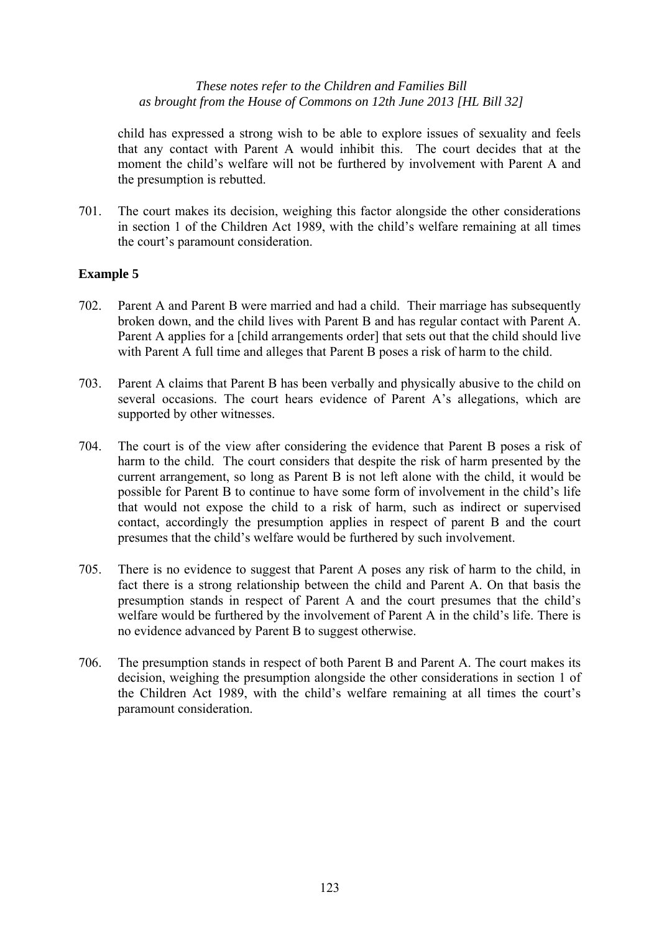child has expressed a strong wish to be able to explore issues of sexuality and feels that any contact with Parent A would inhibit this. The court decides that at the moment the child's welfare will not be furthered by involvement with Parent A and the presumption is rebutted.

701. The court makes its decision, weighing this factor alongside the other considerations in section 1 of the Children Act 1989, with the child's welfare remaining at all times the court's paramount consideration.

## **Example 5**

- 702. Parent A and Parent B were married and had a child. Their marriage has subsequently broken down, and the child lives with Parent B and has regular contact with Parent A. Parent A applies for a [child arrangements order] that sets out that the child should live with Parent A full time and alleges that Parent B poses a risk of harm to the child.
- 703. Parent A claims that Parent B has been verbally and physically abusive to the child on several occasions. The court hears evidence of Parent A's allegations, which are supported by other witnesses.
- 704. The court is of the view after considering the evidence that Parent B poses a risk of harm to the child. The court considers that despite the risk of harm presented by the current arrangement, so long as Parent B is not left alone with the child, it would be possible for Parent B to continue to have some form of involvement in the child's life that would not expose the child to a risk of harm, such as indirect or supervised contact, accordingly the presumption applies in respect of parent B and the court presumes that the child's welfare would be furthered by such involvement.
- 705. There is no evidence to suggest that Parent A poses any risk of harm to the child, in fact there is a strong relationship between the child and Parent A. On that basis the presumption stands in respect of Parent A and the court presumes that the child's welfare would be furthered by the involvement of Parent A in the child's life. There is no evidence advanced by Parent B to suggest otherwise.
- 706. The presumption stands in respect of both Parent B and Parent A. The court makes its decision, weighing the presumption alongside the other considerations in section 1 of the Children Act 1989, with the child's welfare remaining at all times the court's paramount consideration.